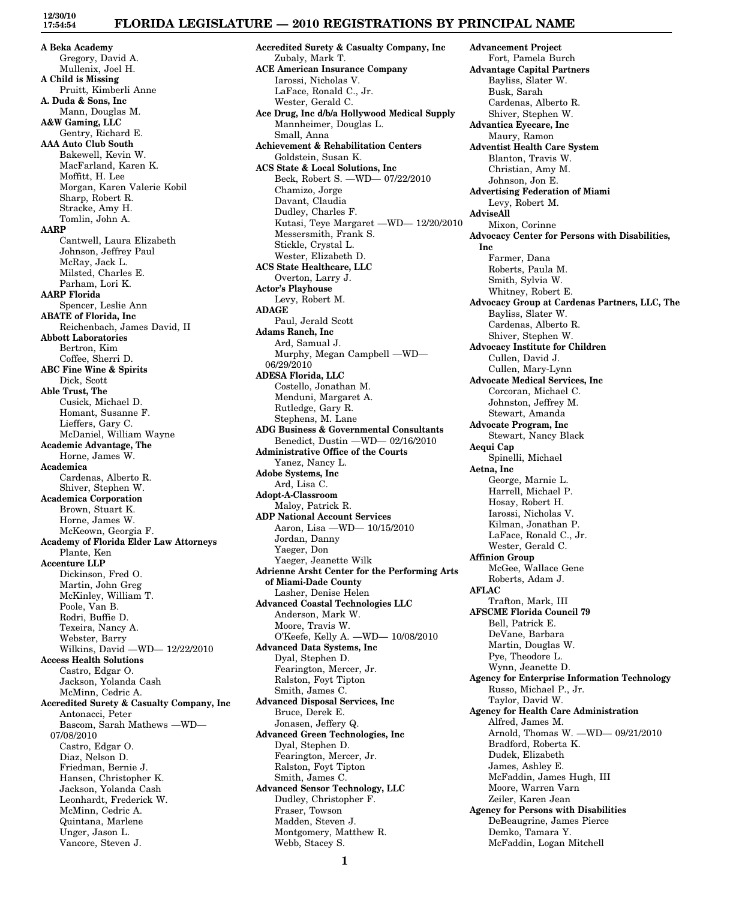# **FLORIDA LEGISLATURE — 2010 REGISTRATIONS BY PRINCIPAL NAME**

**A Beka Academy** Gregory, David A. Mullenix, Joel H. **A Child is Missing** Pruitt, Kimberli Anne **A. Duda & Sons, Inc** Mann, Douglas M. **A&W Gaming, LLC** Gentry, Richard E. **AAA Auto Club South** Bakewell, Kevin W. MacFarland, Karen K. Moffitt, H. Lee Morgan, Karen Valerie Kobil Sharp, Robert R. Stracke, Amy H. Tomlin, John A. **AARP** Cantwell, Laura Elizabeth Johnson, Jeffrey Paul McRay, Jack L. Milsted, Charles E. Parham, Lori K. **AARP Florida** Spencer, Leslie Ann **ABATE of Florida, Inc** Reichenbach, James David, II **Abbott Laboratories** Bertron, Kim Coffee, Sherri D. **ABC Fine Wine & Spirits** Dick, Scott **Able Trust, The** Cusick, Michael D. Homant, Susanne F. Lieffers, Gary C. McDaniel, William Wayne **Academic Advantage, The** Horne, James W. **Academica** Cardenas, Alberto R. Shiver, Stephen W. **Academica Corporation** Brown, Stuart K. Horne, James W. McKeown, Georgia F. **Academy of Florida Elder Law Attorneys** Plante, Ken **Accenture LLP** Dickinson, Fred O. Martin, John Greg McKinley, William T. Poole, Van B. Rodri, Buffie D. Texeira, Nancy A. Webster, Barry Wilkins, David —WD— 12/22/2010 **Access Health Solutions** Castro, Edgar O. Jackson, Yolanda Cash McMinn, Cedric A. **Accredited Surety & Casualty Company, Inc** Antonacci, Peter Bascom, Sarah Mathews —WD— 07/08/2010 Castro, Edgar O. Diaz, Nelson D. Friedman, Bernie J. Hansen, Christopher K. Jackson, Yolanda Cash Leonhardt, Frederick W. McMinn, Cedric A. Quintana, Marlene Unger, Jason L. Vancore, Steven J.

**Accredited Surety & Casualty Company, Inc** Zubaly, Mark T. **ACE American Insurance Company** Iarossi, Nicholas V. LaFace, Ronald C., Jr. Wester, Gerald C. **Ace Drug, Inc d/b/a Hollywood Medical Supply** Mannheimer, Douglas L. Small, Anna **Achievement & Rehabilitation Centers** Goldstein, Susan K. **ACS State & Local Solutions, Inc** Beck, Robert S. —WD— 07/22/2010 Chamizo, Jorge Davant, Claudia Dudley, Charles F. Kutasi, Teye Margaret —WD— 12/20/2010 Messersmith, Frank S. Stickle, Crystal L. Wester, Elizabeth D. **ACS State Healthcare, LLC** Overton, Larry J. **Actor's Playhouse** Levy, Robert M. **ADAGE** Paul, Jerald Scott **Adams Ranch, Inc** Ard, Samual J. Murphy, Megan Campbell —WD— 06/29/2010 **ADESA Florida, LLC** Costello, Jonathan M. Menduni, Margaret A. Rutledge, Gary R. Stephens, M. Lane **ADG Business & Governmental Consultants** Benedict, Dustin —WD— 02/16/2010 **Administrative Office of the Courts** Yanez, Nancy L. **Adobe Systems, Inc** Ard, Lisa C. **Adopt-A-Classroom** Maloy, Patrick R. **ADP National Account Services** Aaron, Lisa —WD— 10/15/2010 Jordan, Danny Yaeger, Don Yaeger, Jeanette Wilk **Adrienne Arsht Center for the Performing Arts of Miami-Dade County** Lasher, Denise Helen **Advanced Coastal Technologies LLC** Anderson, Mark W. Moore, Travis W. O'Keefe, Kelly A. —WD— 10/08/2010 **Advanced Data Systems, Inc** Dyal, Stephen D. Fearington, Mercer, Jr. Ralston, Foyt Tipton Smith, James C. **Advanced Disposal Services, Inc** Bruce, Derek E. Jonasen, Jeffery Q. **Advanced Green Technologies, Inc** Dyal, Stephen D. Fearington, Mercer, Jr. Ralston, Foyt Tipton Smith, James C. **Advanced Sensor Technology, LLC** Dudley, Christopher F. Fraser, Towson Madden, Steven J. Montgomery, Matthew R. Webb, Stacey S.

Fort, Pamela Burch **Advantage Capital Partners** Bayliss, Slater W. Busk, Sarah Cardenas, Alberto R. Shiver, Stephen W. **Advantica Eyecare, Inc** Maury, Ramon **Adventist Health Care System** Blanton, Travis W. Christian, Amy M. Johnson, Jon E. **Advertising Federation of Miami** Levy, Robert M. **AdviseAll** Mixon, Corinne **Advocacy Center for Persons with Disabilities, Inc** Farmer, Dana Roberts, Paula M. Smith, Sylvia W. Whitney, Robert E. **Advocacy Group at Cardenas Partners, LLC, The** Bayliss, Slater W. Cardenas, Alberto R. Shiver, Stephen W. **Advocacy Institute for Children** Cullen, David J. Cullen, Mary-Lynn **Advocate Medical Services, Inc** Corcoran, Michael C. Johnston, Jeffrey M. Stewart, Amanda **Advocate Program, Inc** Stewart, Nancy Black **Aequi Cap** Spinelli, Michael **Aetna, Inc** George, Marnie L. Harrell, Michael P. Hosay, Robert H. Iarossi, Nicholas V. Kilman, Jonathan P. LaFace, Ronald C., Jr. Wester, Gerald C. **Affinion Group** McGee, Wallace Gene Roberts, Adam J. **AFLAC** Trafton, Mark, III **AFSCME Florida Council 79** Bell, Patrick E. DeVane, Barbara Martin, Douglas W. Pye, Theodore L. Wynn, Jeanette D. **Agency for Enterprise Information Technology** Russo, Michael P., Jr. Taylor, David W. **Agency for Health Care Administration** Alfred, James M. Arnold, Thomas W. —WD— 09/21/2010 Bradford, Roberta K. Dudek, Elizabeth James, Ashley E. McFaddin, James Hugh, III Moore, Warren Varn Zeiler, Karen Jean **Agency for Persons with Disabilities** DeBeaugrine, James Pierce Demko, Tamara Y. McFaddin, Logan Mitchell

**Advancement Project**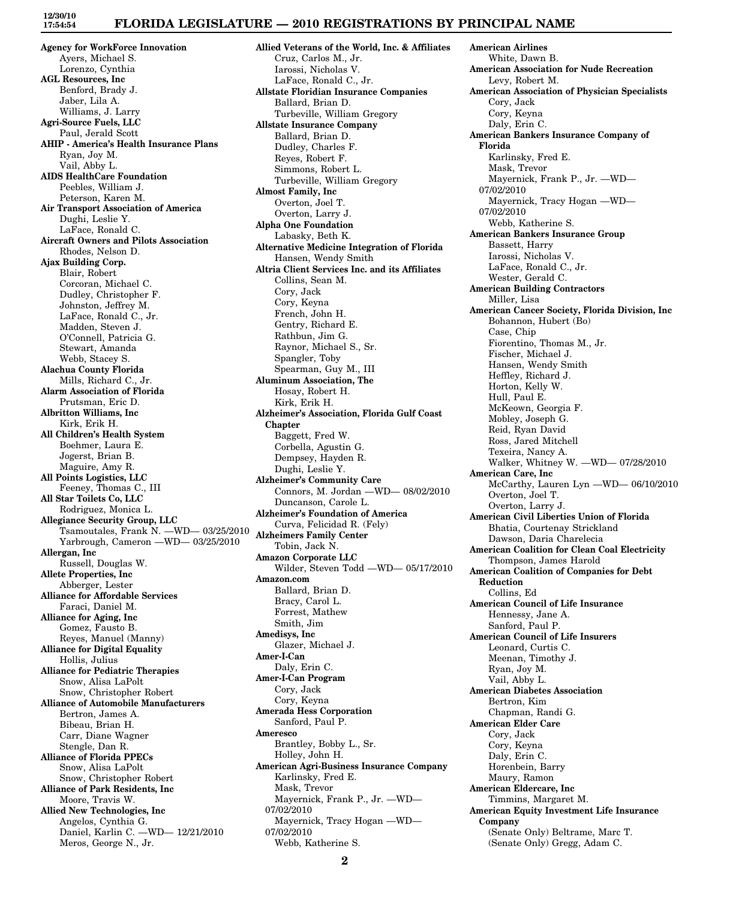## **FLORIDA LEGISLATURE — 2010 REGISTRATIONS BY PRINCIPAL NAME**

**Agency for WorkForce Innovation** Ayers, Michael S. Lorenzo, Cynthia **AGL Resources, Inc** Benford, Brady J. Jaber, Lila A. Williams, J. Larry **Agri-Source Fuels, LLC** Paul, Jerald Scott **AHIP - America's Health Insurance Plans** Ryan, Joy M. Vail, Abby L. **AIDS HealthCare Foundation** Peebles, William J. Peterson, Karen M. **Air Transport Association of America** Dughi, Leslie Y. LaFace, Ronald C. **Aircraft Owners and Pilots Association** Rhodes, Nelson D. **Ajax Building Corp.** Blair, Robert Corcoran, Michael C. Dudley, Christopher F. Johnston, Jeffrey M. LaFace, Ronald C., Jr. Madden, Steven J. O'Connell, Patricia G. Stewart, Amanda Webb, Stacey S. **Alachua County Florida** Mills, Richard C., Jr. **Alarm Association of Florida** Prutsman, Eric D. **Albritton Williams, Inc** Kirk, Erik H. **All Children's Health System** Boehmer, Laura E. Jogerst, Brian B. Maguire, Amy R. **All Points Logistics, LLC** Feeney, Thomas C., III **All Star Toilets Co, LLC** Rodriguez, Monica L. **Allegiance Security Group, LLC** Tsamoutales, Frank N. —WD— 03/25/2010 Yarbrough, Cameron —WD— 03/25/2010 **Allergan, Inc** Russell, Douglas W. **Allete Properties, Inc** Abberger, Lester **Alliance for Affordable Services** Faraci, Daniel M. **Alliance for Aging, Inc** Gomez, Fausto B. Reyes, Manuel (Manny) **Alliance for Digital Equality** Hollis, Julius **Alliance for Pediatric Therapies** Snow, Alisa LaPolt Snow, Christopher Robert **Alliance of Automobile Manufacturers** Bertron, James A. Bibeau, Brian H. Carr, Diane Wagner Stengle, Dan R. **Alliance of Florida PPECs** Snow, Alisa LaPolt Snow, Christopher Robert **Alliance of Park Residents, Inc** Moore, Travis W. **Allied New Technologies, Inc** Angelos, Cynthia G. Daniel, Karlin C. —WD— 12/21/2010 Meros, George N., Jr.

**Allied Veterans of the World, Inc. & Affiliates** Cruz, Carlos M., Jr. Iarossi, Nicholas V. LaFace, Ronald C., Jr. **Allstate Floridian Insurance Companies** Ballard, Brian D. Turbeville, William Gregory **Allstate Insurance Company** Ballard, Brian D. Dudley, Charles F. Reyes, Robert F. Simmons, Robert L. Turbeville, William Gregory **Almost Family, Inc** Overton, Joel T. Overton, Larry J. **Alpha One Foundation** Labasky, Beth K. **Alternative Medicine Integration of Florida** Hansen, Wendy Smith **Altria Client Services Inc. and its Affiliates** Collins, Sean M. Cory, Jack Cory, Keyna French, John H. Gentry, Richard E. Rathbun, Jim G. Raynor, Michael S., Sr. Spangler, Toby Spearman, Guy M., III **Aluminum Association, The** Hosay, Robert H. Kirk, Erik H. **Alzheimer's Association, Florida Gulf Coast Chapter** Baggett, Fred W. Corbella, Agustin G. Dempsey, Hayden R. Dughi, Leslie Y. **Alzheimer's Community Care** Connors, M. Jordan —WD— 08/02/2010 Duncanson, Carole L. **Alzheimer's Foundation of America** Curva, Felicidad R. (Fely) **Alzheimers Family Center** Tobin, Jack N. **Amazon Corporate LLC** Wilder, Steven Todd —WD— 05/17/2010 **Amazon.com** Ballard, Brian D. Bracy, Carol L. Forrest, Mathew Smith, Jim **Amedisys, Inc** Glazer, Michael J. **Amer-I-Can** Daly, Erin C. **Amer-I-Can Program** Cory, Jack Cory, Keyna **Amerada Hess Corporation** Sanford, Paul P. **Ameresco** Brantley, Bobby L., Sr. Holley, John H. **American Agri-Business Insurance Company** Karlinsky, Fred E. Mask, Trevor Mayernick, Frank P., Jr. —WD— 07/02/2010 Mayernick, Tracy Hogan —WD— 07/02/2010 Webb, Katherine S.

**American Airlines** White, Dawn B. **American Association for Nude Recreation** Levy, Robert M. **American Association of Physician Specialists** Cory, Jack Cory, Keyna Daly, Erin C. **American Bankers Insurance Company of Florida** Karlinsky, Fred E. Mask, Trevor Mayernick, Frank P., Jr. —WD— 07/02/2010 Mayernick, Tracy Hogan —WD— 07/02/2010 Webb, Katherine S. **American Bankers Insurance Group** Bassett, Harry Iarossi, Nicholas V. LaFace, Ronald C., Jr. Wester, Gerald C. **American Building Contractors** Miller, Lisa **American Cancer Society, Florida Division, Inc** Bohannon, Hubert (Bo) Case, Chip Fiorentino, Thomas M., Jr. Fischer, Michael J. Hansen, Wendy Smith Heffley, Richard J. Horton, Kelly W. Hull, Paul E. McKeown, Georgia F. Mobley, Joseph G. Reid, Ryan David Ross, Jared Mitchell Texeira, Nancy A. Walker, Whitney W. —WD— 07/28/2010 **American Care, Inc** McCarthy, Lauren Lyn —WD— 06/10/2010 Overton, Joel T. Overton, Larry J. **American Civil Liberties Union of Florida** Bhatia, Courtenay Strickland Dawson, Daria Charelecia **American Coalition for Clean Coal Electricity** Thompson, James Harold **American Coalition of Companies for Debt Reduction** Collins, Ed **American Council of Life Insurance** Hennessy, Jane A. Sanford, Paul P. **American Council of Life Insurers** Leonard, Curtis C. Meenan, Timothy J. Ryan, Joy M. Vail, Abby L. **American Diabetes Association** Bertron, Kim Chapman, Randi G. **American Elder Care** Cory, Jack Cory, Keyna Daly, Erin C. Horenbein, Barry Maury, Ramon **American Eldercare, Inc** Timmins, Margaret M. **American Equity Investment Life Insurance Company** (Senate Only) Beltrame, Marc T. (Senate Only) Gregg, Adam C.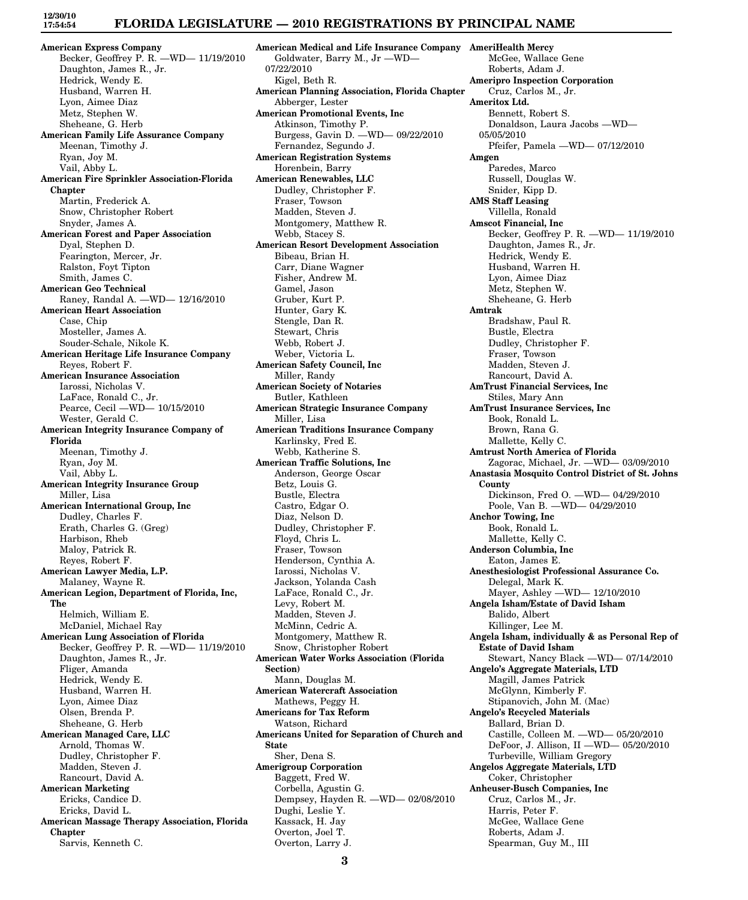### **FLORIDA LEGISLATURE — 2010 REGISTRATIONS BY PRINCIPAL NAME**

**American Express Company** Becker, Geoffrey P. R. —WD— 11/19/2010 Daughton, James R., Jr. Hedrick, Wendy E. Husband, Warren H. Lyon, Aimee Diaz Metz, Stephen W. Sheheane, G. Herb **American Family Life Assurance Company** Meenan, Timothy J. Ryan, Joy M. Vail, Abby L. **American Fire Sprinkler Association-Florida Chapter** Martin, Frederick A. Snow, Christopher Robert Snyder, James A. **American Forest and Paper Association** Dyal, Stephen D. Fearington, Mercer, Jr. Ralston, Foyt Tipton Smith, James C. **American Geo Technical** Raney, Randal A. —WD— 12/16/2010 **American Heart Association** Case, Chip Mosteller, James A. Souder-Schale, Nikole K. **American Heritage Life Insurance Company** Reyes, Robert F. **American Insurance Association** Iarossi, Nicholas V. LaFace, Ronald C., Jr. Pearce, Cecil —WD— 10/15/2010 Wester, Gerald C. **American Integrity Insurance Company of Florida** Meenan, Timothy J. Ryan, Joy M. Vail, Abby L. **American Integrity Insurance Group** Miller, Lisa **American International Group, Inc** Dudley, Charles F. Erath, Charles G. (Greg) Harbison, Rheb Maloy, Patrick R. Reyes, Robert F. **American Lawyer Media, L.P.** Malaney, Wayne R. **American Legion, Department of Florida, Inc, The** Helmich, William E. McDaniel, Michael Ray **American Lung Association of Florida** Becker, Geoffrey P. R. —WD— 11/19/2010 Daughton, James R., Jr. Fliger, Amanda Hedrick, Wendy E. Husband, Warren H. Lyon, Aimee Diaz Olsen, Brenda P. Sheheane, G. Herb **American Managed Care, LLC** Arnold, Thomas W. Dudley, Christopher F. Madden, Steven J. Rancourt, David A. **American Marketing** Ericks, Candice D. Ericks, David L. **American Massage Therapy Association, Florida Chapter** Sarvis, Kenneth C.

**American Medical and Life Insurance Company AmeriHealth Mercy** Goldwater, Barry M., Jr —WD— 07/22/2010 Kigel, Beth R. **American Planning Association, Florida Chapter** Abberger, Lester **American Promotional Events, Inc** Atkinson, Timothy P. Burgess, Gavin D. —WD— 09/22/2010 Fernandez, Segundo J. **American Registration Systems** Horenbein, Barry **American Renewables, LLC** Dudley, Christopher F. Fraser, Towson Madden, Steven J. Montgomery, Matthew R. Webb, Stacey S. **American Resort Development Association** Bibeau, Brian H. Carr, Diane Wagner Fisher, Andrew M. Gamel, Jason Gruber, Kurt P. Hunter, Gary K. Stengle, Dan R. Stewart, Chris Webb, Robert J. Weber, Victoria L. **American Safety Council, Inc** Miller, Randy **American Society of Notaries** Butler, Kathleen **American Strategic Insurance Company** Miller, Lisa **American Traditions Insurance Company** Karlinsky, Fred E. Webb, Katherine S. **American Traffic Solutions, Inc** Anderson, George Oscar Betz, Louis G. Bustle, Electra Castro, Edgar O. Diaz, Nelson D. Dudley, Christopher F. Floyd, Chris L. Fraser, Towson Henderson, Cynthia A. Iarossi, Nicholas V. Jackson, Yolanda Cash LaFace, Ronald C., Jr. Levy, Robert M. Madden, Steven J. McMinn, Cedric A. Montgomery, Matthew R. Snow, Christopher Robert **American Water Works Association (Florida Section)** Mann, Douglas M. **American Watercraft Association** Mathews, Peggy H. **Americans for Tax Reform** Watson, Richard **Americans United for Separation of Church and State** Sher, Dena S. **Amerigroup Corporation** Baggett, Fred W. Corbella, Agustin G. Dempsey, Hayden R. —WD— 02/08/2010 Dughi, Leslie Y. Kassack, H. Jay Overton, Joel T. Overton, Larry J.

McGee, Wallace Gene Roberts, Adam J. **Ameripro Inspection Corporation** Cruz, Carlos M., Jr. **Ameritox Ltd.** Bennett, Robert S. Donaldson, Laura Jacobs —WD— 05/05/2010 Pfeifer, Pamela —WD— 07/12/2010 **Amgen** Paredes, Marco Russell, Douglas W. Snider, Kipp D. **AMS Staff Leasing** Villella, Ronald **Amscot Financial, Inc** Becker, Geoffrey P. R. —WD— 11/19/2010 Daughton, James R., Jr. Hedrick, Wendy E. Husband, Warren H. Lyon, Aimee Diaz Metz, Stephen W. Sheheane, G. Herb **Amtrak** Bradshaw, Paul R. Bustle, Electra Dudley, Christopher F. Fraser, Towson Madden, Steven J. Rancourt, David A. **AmTrust Financial Services, Inc** Stiles, Mary Ann **AmTrust Insurance Services, Inc** Book, Ronald L. Brown, Rana G. Mallette, Kelly C. **Amtrust North America of Florida** Zagorac, Michael, Jr. —WD— 03/09/2010 **Anastasia Mosquito Control District of St. Johns County** Dickinson, Fred O. —WD— 04/29/2010 Poole, Van B. —WD— 04/29/2010 **Anchor Towing, Inc** Book, Ronald L. Mallette, Kelly C. **Anderson Columbia, Inc** Eaton, James E. **Anesthesiologist Professional Assurance Co.** Delegal, Mark K. Mayer, Ashley —WD— 12/10/2010 **Angela Isham/Estate of David Isham** Balido, Albert Killinger, Lee M. **Angela Isham, individually & as Personal Rep of Estate of David Isham** Stewart, Nancy Black —WD— 07/14/2010 **Angelo's Aggregate Materials, LTD** Magill, James Patrick McGlynn, Kimberly F. Stipanovich, John M. (Mac) **Angelo's Recycled Materials** Ballard, Brian D. Castille, Colleen M. —WD— 05/20/2010 DeFoor, J. Allison, II —WD— 05/20/2010 Turbeville, William Gregory **Angelos Aggregate Materials, LTD** Coker, Christopher **Anheuser-Busch Companies, Inc** Cruz, Carlos M., Jr. Harris, Peter F. McGee, Wallace Gene Roberts, Adam J. Spearman, Guy M., III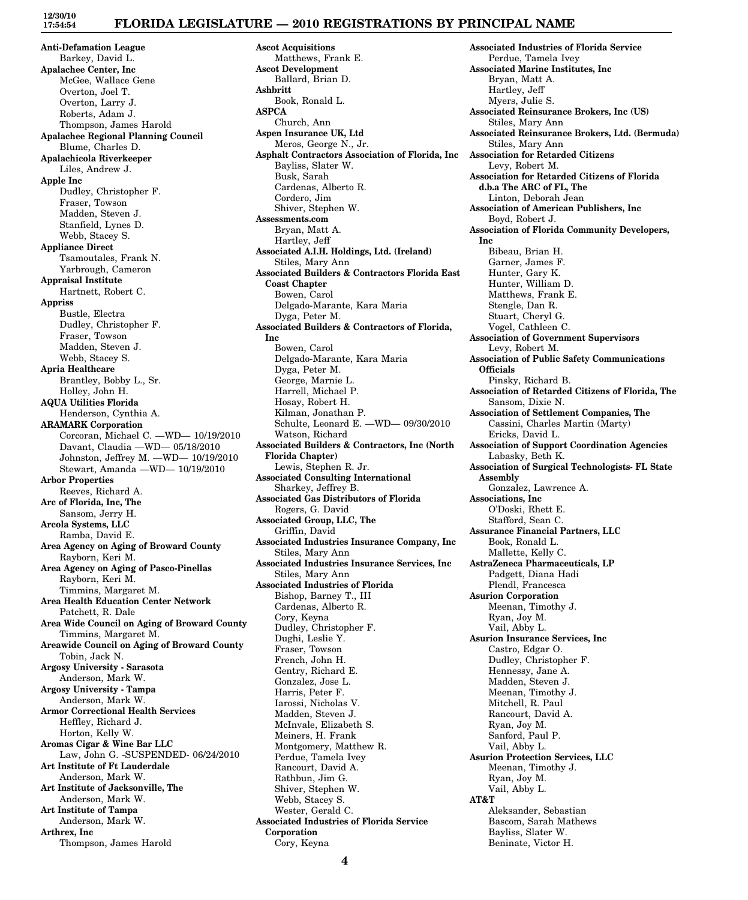# **FLORIDA LEGISLATURE — 2010 REGISTRATIONS BY PRINCIPAL NAME**

**Anti-Defamation League** Barkey, David L. **Apalachee Center, Inc** McGee, Wallace Gene Overton, Joel T. Overton, Larry J. Roberts, Adam J. Thompson, James Harold **Apalachee Regional Planning Council** Blume, Charles D. **Apalachicola Riverkeeper** Liles, Andrew J. **Apple Inc** Dudley, Christopher F. Fraser, Towson Madden, Steven J. Stanfield, Lynes D. Webb, Stacey S. **Appliance Direct** Tsamoutales, Frank N. Yarbrough, Cameron **Appraisal Institute** Hartnett, Robert C. **Appriss** Bustle, Electra Dudley, Christopher F. Fraser, Towson Madden, Steven J. Webb, Stacey S. **Apria Healthcare** Brantley, Bobby L., Sr. Holley, John H. **AQUA Utilities Florida** Henderson, Cynthia A. **ARAMARK Corporation** Corcoran, Michael C. —WD— 10/19/2010 Davant, Claudia —WD— 05/18/2010 Johnston, Jeffrey M. —WD— 10/19/2010 Stewart, Amanda —WD— 10/19/2010 **Arbor Properties** Reeves, Richard A. **Arc of Florida, Inc, The** Sansom, Jerry H. **Arcola Systems, LLC** Ramba, David E. **Area Agency on Aging of Broward County** Rayborn, Keri M. **Area Agency on Aging of Pasco-Pinellas** Rayborn, Keri M. Timmins, Margaret M. **Area Health Education Center Network** Patchett, R. Dale **Area Wide Council on Aging of Broward County** Timmins, Margaret M. **Areawide Council on Aging of Broward County** Tobin, Jack N. **Argosy University - Sarasota** Anderson, Mark W. **Argosy University - Tampa** Anderson, Mark W. **Armor Correctional Health Services** Heffley, Richard J. Horton, Kelly W. **Aromas Cigar & Wine Bar LLC** Law, John G. -SUSPENDED- 06/24/2010 **Art Institute of Ft Lauderdale** Anderson, Mark W. **Art Institute of Jacksonville, The** Anderson, Mark W. **Art Institute of Tampa** Anderson, Mark W. **Arthrex, Inc**

Thompson, James Harold

**Ascot Acquisitions** Matthews, Frank E. **Ascot Development** Ballard, Brian D. **Ashbritt** Book, Ronald L. **ASPCA** Church, Ann **Aspen Insurance UK, Ltd** Meros, George N., Jr. **Asphalt Contractors Association of Florida, Inc** Bayliss, Slater W. Busk, Sarah Cardenas, Alberto R. Cordero, Jim Shiver, Stephen W. **Assessments.com** Bryan, Matt A. Hartley, Jeff **Associated A.I.H. Holdings, Ltd. (Ireland)** Stiles, Mary Ann **Associated Builders & Contractors Florida East Coast Chapter** Bowen, Carol Delgado-Marante, Kara Maria Dyga, Peter M. **Associated Builders & Contractors of Florida, Inc** Bowen, Carol Delgado-Marante, Kara Maria Dyga, Peter M. George, Marnie L. Harrell, Michael P. Hosay, Robert H. Kilman, Jonathan P. Schulte, Leonard E. —WD— 09/30/2010 Watson, Richard **Associated Builders & Contractors, Inc (North Florida Chapter)** Lewis, Stephen R. Jr. **Associated Consulting International** Sharkey, Jeffrey B. **Associated Gas Distributors of Florida** Rogers, G. David **Associated Group, LLC, The** Griffin, David **Associated Industries Insurance Company, Inc** Stiles, Mary Ann **Associated Industries Insurance Services, Inc** Stiles, Mary Ann **Associated Industries of Florida** Bishop, Barney T., III Cardenas, Alberto R. Cory, Keyna Dudley, Christopher F. Dughi, Leslie Y. Fraser, Towson French, John H. Gentry, Richard E. Gonzalez, Jose L. Harris, Peter F. Iarossi, Nicholas V. Madden, Steven J. McInvale, Elizabeth S. Meiners, H. Frank Montgomery, Matthew R. Perdue, Tamela Ivey Rancourt, David A. Rathbun, Jim G. Shiver, Stephen W. Webb, Stacey S. Wester, Gerald C. **Associated Industries of Florida Service Corporation** Cory, Keyna

**Associated Industries of Florida Service** Perdue, Tamela Ivey **Associated Marine Institutes, Inc** Bryan, Matt A. Hartley, Jeff Myers, Julie S. **Associated Reinsurance Brokers, Inc (US)** Stiles, Mary Ann **Associated Reinsurance Brokers, Ltd. (Bermuda)** Stiles, Mary Ann **Association for Retarded Citizens** Levy, Robert M. **Association for Retarded Citizens of Florida d.b.a The ARC of FL, The** Linton, Deborah Jean **Association of American Publishers, Inc** Boyd, Robert J. **Association of Florida Community Developers, Inc** Bibeau, Brian H. Garner, James F. Hunter, Gary K. Hunter, William D. Matthews, Frank E. Stengle, Dan R. Stuart, Cheryl G. Vogel, Cathleen C. **Association of Government Supervisors** Levy, Robert M. **Association of Public Safety Communications Officials** Pinsky, Richard B. **Association of Retarded Citizens of Florida, The** Sansom, Dixie N. **Association of Settlement Companies, The** Cassini, Charles Martin (Marty) Ericks, David L. **Association of Support Coordination Agencies** Labasky, Beth K. **Association of Surgical Technologists- FL State Assembly** Gonzalez, Lawrence A. **Associations, Inc** O'Doski, Rhett E. Stafford, Sean C. **Assurance Financial Partners, LLC** Book, Ronald L. Mallette, Kelly C. **AstraZeneca Pharmaceuticals, LP** Padgett, Diana Hadi Plendl, Francesca **Asurion Corporation** Meenan, Timothy J. Ryan, Joy M. Vail, Abby L. **Asurion Insurance Services, Inc** Castro, Edgar O. Dudley, Christopher F. Hennessy, Jane A. Madden, Steven J. Meenan, Timothy J. Mitchell, R. Paul Rancourt, David A. Ryan, Joy M. Sanford, Paul P. Vail, Abby L. **Asurion Protection Services, LLC** Meenan, Timothy J. Ryan, Joy M. Vail, Abby L. **AT&T** Aleksander, Sebastian Bascom, Sarah Mathews Bayliss, Slater W. Beninate, Victor H.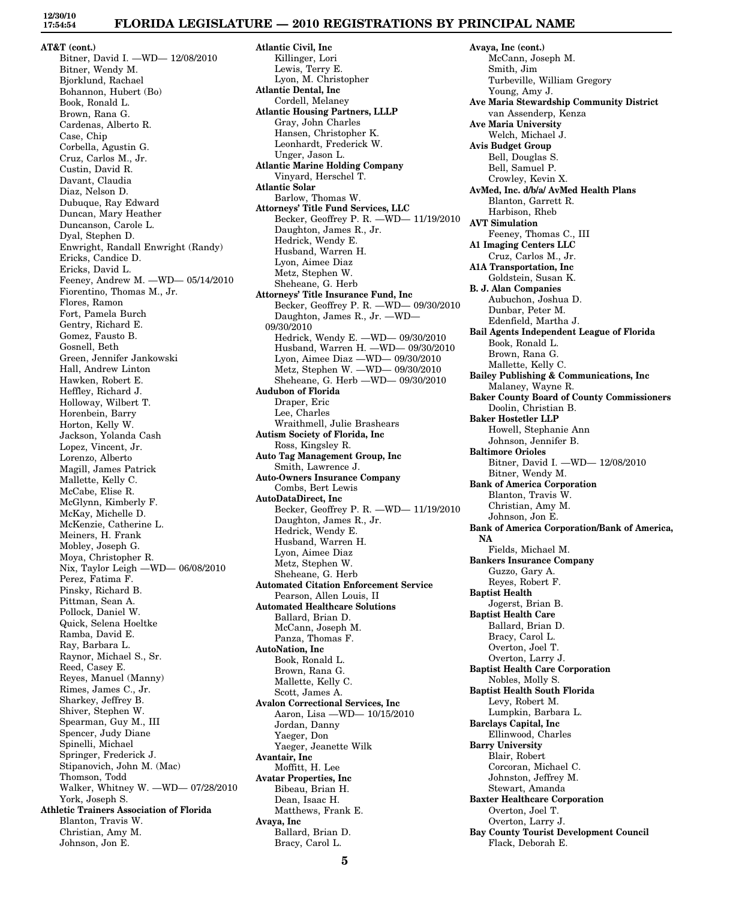## **FLORIDA LEGISLATURE — 2010 REGISTRATIONS BY PRINCIPAL NAME**

**AT&T (cont.)** Bitner, David I. —WD— 12/08/2010 Bitner, Wendy M. Bjorklund, Rachael Bohannon, Hubert (Bo) Book, Ronald L. Brown, Rana G. Cardenas, Alberto R. Case, Chip Corbella, Agustin G. Cruz, Carlos M., Jr. Custin, David R. Davant, Claudia Diaz, Nelson D. Dubuque, Ray Edward Duncan, Mary Heather Duncanson, Carole L. Dyal, Stephen D. Enwright, Randall Enwright (Randy) Ericks, Candice D. Ericks, David L. Feeney, Andrew M. —WD— 05/14/2010 Fiorentino, Thomas M., Jr. Flores, Ramon Fort, Pamela Burch Gentry, Richard E. Gomez, Fausto B. Gosnell, Beth Green, Jennifer Jankowski Hall, Andrew Linton Hawken, Robert E. Heffley, Richard J. Holloway, Wilbert T. Horenbein, Barry Horton, Kelly W. Jackson, Yolanda Cash Lopez, Vincent, Jr. Lorenzo, Alberto Magill, James Patrick Mallette, Kelly C. McCabe, Elise R. McGlynn, Kimberly F. McKay, Michelle D. McKenzie, Catherine L. Meiners, H. Frank Mobley, Joseph G. Moya, Christopher R. Nix, Taylor Leigh —WD— 06/08/2010 Perez, Fatima F. Pinsky, Richard B. Pittman, Sean A. Pollock, Daniel W. Quick, Selena Hoeltke Ramba, David E. Ray, Barbara L. Raynor, Michael S., Sr. Reed, Casey E. Reyes, Manuel (Manny) Rimes, James C., Jr. Sharkey, Jeffrey B. Shiver, Stephen W. Spearman, Guy M., III Spencer, Judy Diane Spinelli, Michael Springer, Frederick J. Stipanovich, John M. (Mac) Thomson, Todd Walker, Whitney W. —WD— 07/28/2010 York, Joseph S. **Athletic Trainers Association of Florida** Blanton, Travis W. Christian, Amy M. Johnson, Jon E.

**Atlantic Civil, Inc** Killinger, Lori Lewis, Terry E. Lyon, M. Christopher **Atlantic Dental, Inc** Cordell, Melaney **Atlantic Housing Partners, LLLP** Gray, John Charles Hansen, Christopher K. Leonhardt, Frederick W. Unger, Jason L. **Atlantic Marine Holding Company** Vinyard, Herschel T. **Atlantic Solar** Barlow, Thomas W. **Attorneys' Title Fund Services, LLC** Becker, Geoffrey P. R. —WD— 11/19/2010 Daughton, James R., Jr. Hedrick, Wendy E. Husband, Warren H. Lyon, Aimee Diaz Metz, Stephen W. Sheheane, G. Herb **Attorneys' Title Insurance Fund, Inc** Becker, Geoffrey P. R. —WD— 09/30/2010 Daughton, James R., Jr. —WD— 09/30/2010 Hedrick, Wendy E. —WD— 09/30/2010 Husband, Warren H. —WD— 09/30/2010 Lyon, Aimee Diaz —WD— 09/30/2010 Metz, Stephen W. —WD— 09/30/2010 Sheheane, G. Herb —WD— 09/30/2010 **Audubon of Florida** Draper, Eric Lee, Charles Wraithmell, Julie Brashears **Autism Society of Florida, Inc** Ross, Kingsley R. **Auto Tag Management Group, Inc** Smith, Lawrence J. **Auto-Owners Insurance Company** Combs, Bert Lewis **AutoDataDirect, Inc** Becker, Geoffrey P. R. —WD— 11/19/2010 Daughton, James R., Jr. Hedrick, Wendy E. Husband, Warren H. Lyon, Aimee Diaz Metz, Stephen W. Sheheane, G. Herb **Automated Citation Enforcement Service** Pearson, Allen Louis, II **Automated Healthcare Solutions** Ballard, Brian D. McCann, Joseph M. Panza, Thomas F. **AutoNation, Inc** Book, Ronald L. Brown, Rana G. Mallette, Kelly C. Scott, James A. **Avalon Correctional Services, Inc** Aaron, Lisa —WD— 10/15/2010 Jordan, Danny Yaeger, Don Yaeger, Jeanette Wilk **Avantair, Inc** Moffitt, H. Lee **Avatar Properties, Inc** Bibeau, Brian H. Dean, Isaac H. Matthews, Frank E. **Avaya, Inc** Ballard, Brian D. Bracy, Carol L.

**Avaya, Inc (cont.)** McCann, Joseph M. Smith, Jim Turbeville, William Gregory Young, Amy J. **Ave Maria Stewardship Community District** van Assenderp, Kenza **Ave Maria University** Welch, Michael J. **Avis Budget Group** Bell, Douglas S. Bell, Samuel P. Crowley, Kevin X. **AvMed, Inc. d/b/a/ AvMed Health Plans** Blanton, Garrett R. Harbison, Rheb **AVT Simulation** Feeney, Thomas C., III **A1 Imaging Centers LLC** Cruz, Carlos M., Jr. **A1A Transportation, Inc** Goldstein, Susan K. **B. J. Alan Companies** Aubuchon, Joshua D. Dunbar, Peter M. Edenfield, Martha J. **Bail Agents Independent League of Florida** Book, Ronald L. Brown, Rana G. Mallette, Kelly C. **Bailey Publishing & Communications, Inc** Malaney, Wayne R. **Baker County Board of County Commissioners** Doolin, Christian B. **Baker Hostetler LLP** Howell, Stephanie Ann Johnson, Jennifer B. **Baltimore Orioles** Bitner, David I. —WD— 12/08/2010 Bitner, Wendy M. **Bank of America Corporation** Blanton, Travis W. Christian, Amy M. Johnson, Jon E. **Bank of America Corporation/Bank of America, NA** Fields, Michael M. **Bankers Insurance Company** Guzzo, Gary A. Reyes, Robert F. **Baptist Health** Jogerst, Brian B. **Baptist Health Care** Ballard, Brian D. Bracy, Carol L. Overton, Joel T. Overton, Larry J. **Baptist Health Care Corporation** Nobles, Molly S. **Baptist Health South Florida** Levy, Robert M. Lumpkin, Barbara L. **Barclays Capital, Inc** Ellinwood, Charles **Barry University** Blair, Robert Corcoran, Michael C. Johnston, Jeffrey M. Stewart, Amanda **Baxter Healthcare Corporation** Overton, Joel T. Overton, Larry J. **Bay County Tourist Development Council** Flack, Deborah E.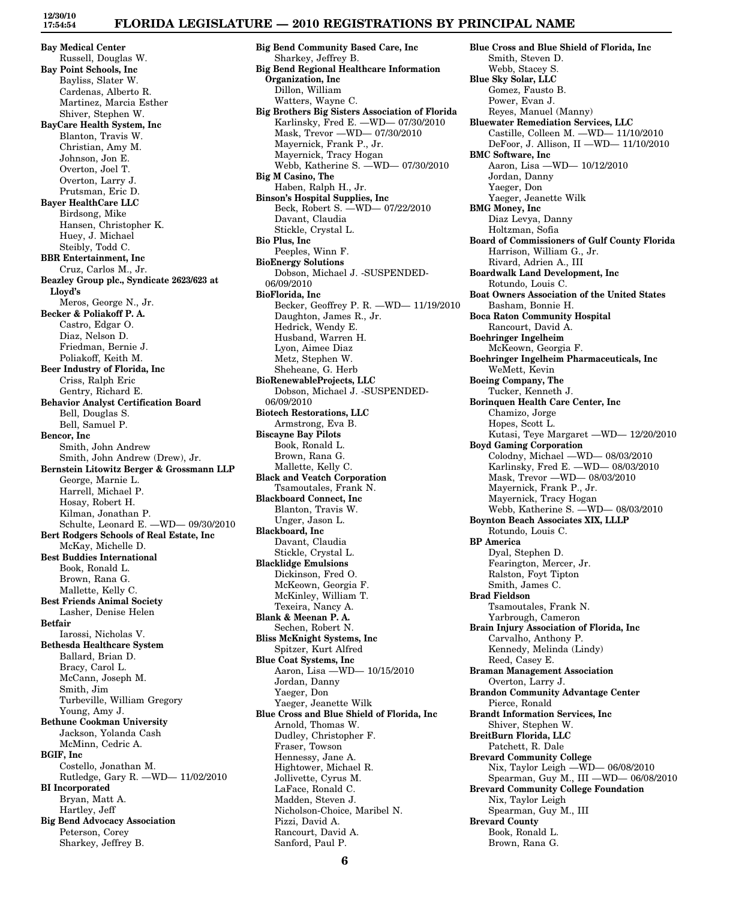## **FLORIDA LEGISLATURE — 2010 REGISTRATIONS BY PRINCIPAL NAME**

**Bay Medical Center** Russell, Douglas W. **Bay Point Schools, Inc** Bayliss, Slater W. Cardenas, Alberto R. Martinez, Marcia Esther Shiver, Stephen W. **BayCare Health System, Inc** Blanton, Travis W. Christian, Amy M. Johnson, Jon E. Overton, Joel T. Overton, Larry J. Prutsman, Eric D. **Bayer HealthCare LLC** Birdsong, Mike Hansen, Christopher K. Huey, J. Michael Steibly, Todd C. **BBR Entertainment, Inc** Cruz, Carlos M., Jr. **Beazley Group plc., Syndicate 2623/623 at Lloyd's** Meros, George N., Jr. **Becker & Poliakoff P. A.** Castro, Edgar O. Diaz, Nelson D. Friedman, Bernie J. Poliakoff, Keith M. **Beer Industry of Florida, Inc** Criss, Ralph Eric Gentry, Richard E. **Behavior Analyst Certification Board** Bell, Douglas S. Bell, Samuel P. **Bencor, Inc** Smith, John Andrew Smith, John Andrew (Drew), Jr. **Bernstein Litowitz Berger & Grossmann LLP** George, Marnie L. Harrell, Michael P. Hosay, Robert H. Kilman, Jonathan P. Schulte, Leonard E. —WD— 09/30/2010 **Bert Rodgers Schools of Real Estate, Inc** McKay, Michelle D. **Best Buddies International** Book, Ronald L. Brown, Rana G. Mallette, Kelly C. **Best Friends Animal Society** Lasher, Denise Helen **Betfair** Iarossi, Nicholas V. **Bethesda Healthcare System** Ballard, Brian D. Bracy, Carol L. McCann, Joseph M. Smith, Jim Turbeville, William Gregory Young, Amy J. **Bethune Cookman University** Jackson, Yolanda Cash McMinn, Cedric A. **BGIF, Inc** Costello, Jonathan M. Rutledge, Gary R. —WD— 11/02/2010 **BI Incorporated** Bryan, Matt A. Hartley, Jeff **Big Bend Advocacy Association** Peterson, Corey

Sharkey, Jeffrey B.

**Big Bend Community Based Care, Inc** Sharkey, Jeffrey B. **Big Bend Regional Healthcare Information Organization, Inc** Dillon, William Watters, Wayne C. **Big Brothers Big Sisters Association of Florida** Karlinsky, Fred E. —WD— 07/30/2010 Mask, Trevor —WD— 07/30/2010 Mayernick, Frank P., Jr. Mayernick, Tracy Hogan Webb, Katherine S. —WD— 07/30/2010 **Big M Casino, The** Haben, Ralph H., Jr. **Binson's Hospital Supplies, Inc** Beck, Robert S. —WD— 07/22/2010 Davant, Claudia Stickle, Crystal L. **Bio Plus, Inc** Peeples, Winn F. **BioEnergy Solutions** Dobson, Michael J. -SUSPENDED-06/09/2010 **BioFlorida, Inc** Becker, Geoffrey P. R. —WD— 11/19/2010 Daughton, James R., Jr. Hedrick, Wendy E. Husband, Warren H. Lyon, Aimee Diaz Metz, Stephen W. Sheheane, G. Herb **BioRenewableProjects, LLC** Dobson, Michael J. -SUSPENDED-06/09/2010 **Biotech Restorations, LLC** Armstrong, Eva B. **Biscayne Bay Pilots** Book, Ronald L. Brown, Rana G. Mallette, Kelly C. **Black and Veatch Corporation** Tsamoutales, Frank N. **Blackboard Connect, Inc** Blanton, Travis W. Unger, Jason L. **Blackboard, Inc** Davant, Claudia Stickle, Crystal L. **Blacklidge Emulsions** Dickinson, Fred O. McKeown, Georgia F. McKinley, William T. Texeira, Nancy A. **Blank & Meenan P. A.** Sechen, Robert N. **Bliss McKnight Systems, Inc** Spitzer, Kurt Alfred **Blue Coat Systems, Inc** Aaron, Lisa —WD— 10/15/2010 Jordan, Danny Yaeger, Don Yaeger, Jeanette Wilk **Blue Cross and Blue Shield of Florida, Inc** Arnold, Thomas W. Dudley, Christopher F. Fraser, Towson Hennessy, Jane A. Hightower, Michael R. Jollivette, Cyrus M. LaFace, Ronald C. Madden, Steven J. Nicholson-Choice, Maribel N. Pizzi, David A. Rancourt, David A.

**Blue Cross and Blue Shield of Florida, Inc** Smith, Steven D. Webb, Stacey S. **Blue Sky Solar, LLC** Gomez, Fausto B. Power, Evan J. Reyes, Manuel (Manny) **Bluewater Remediation Services, LLC** Castille, Colleen M. —WD— 11/10/2010 DeFoor, J. Allison, II —WD— 11/10/2010 **BMC Software, Inc** Aaron, Lisa —WD— 10/12/2010 Jordan, Danny Yaeger, Don Yaeger, Jeanette Wilk **BMG Money, Inc** Diaz Levya, Danny Holtzman, Sofia **Board of Commissioners of Gulf County Florida** Harrison, William G., Jr. Rivard, Adrien A., III **Boardwalk Land Development, Inc** Rotundo, Louis C. **Boat Owners Association of the United States** Basham, Bonnie H. **Boca Raton Community Hospital** Rancourt, David A. **Boehringer Ingelheim** McKeown, Georgia F. **Boehringer Ingelheim Pharmaceuticals, Inc** WeMett, Kevin **Boeing Company, The** Tucker, Kenneth J. **Borinquen Health Care Center, Inc** Chamizo, Jorge Hopes, Scott L. Kutasi, Teye Margaret —WD— 12/20/2010 **Boyd Gaming Corporation** Colodny, Michael —WD— 08/03/2010 Karlinsky, Fred E. —WD— 08/03/2010 Mask, Trevor —WD— 08/03/2010 Mayernick, Frank P., Jr. Mayernick, Tracy Hogan Webb, Katherine S. —WD— 08/03/2010 **Boynton Beach Associates XIX, LLLP** Rotundo, Louis C. **BP America** Dyal, Stephen D. Fearington, Mercer, Jr. Ralston, Foyt Tipton Smith, James C. **Brad Fieldson** Tsamoutales, Frank N. Yarbrough, Cameron **Brain Injury Association of Florida, Inc** Carvalho, Anthony P. Kennedy, Melinda (Lindy) Reed, Casey E. **Braman Management Association** Overton, Larry J. **Brandon Community Advantage Center** Pierce, Ronald **Brandt Information Services, Inc** Shiver, Stephen W. **BreitBurn Florida, LLC** Patchett, R. Dale **Brevard Community College** Nix, Taylor Leigh —WD— 06/08/2010 Spearman, Guy M., III —WD— 06/08/2010 **Brevard Community College Foundation** Nix, Taylor Leigh Spearman, Guy M., III **Brevard County** Book, Ronald L. Brown, Rana G.

Sanford, Paul P.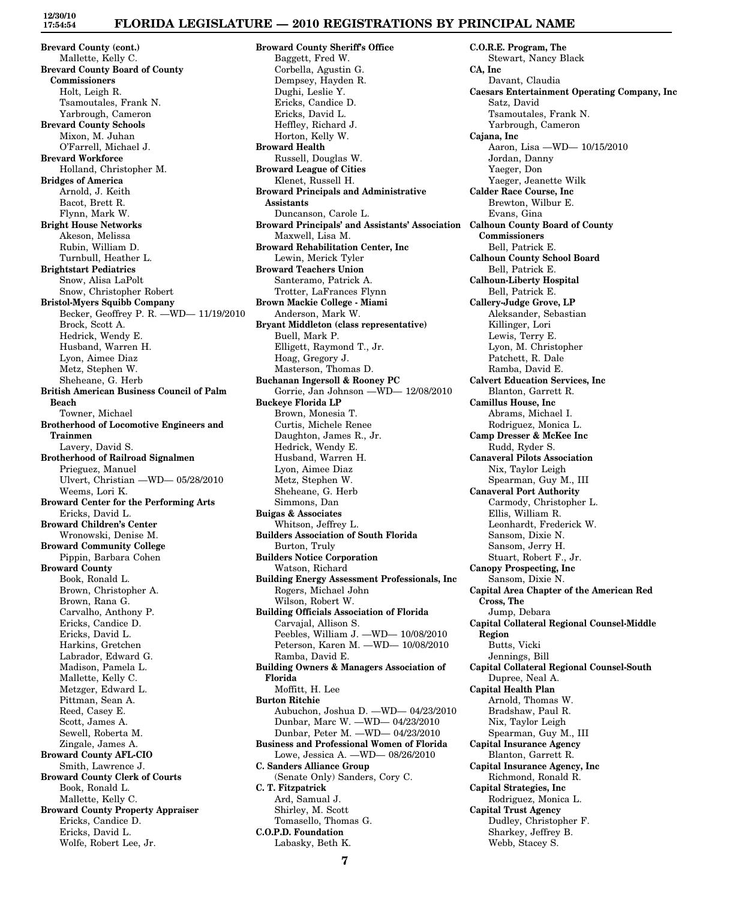# **FLORIDA LEGISLATURE — 2010 REGISTRATIONS BY PRINCIPAL NAME**

**Brevard County (cont.)** Mallette, Kelly C. **Brevard County Board of County Commissioners** Holt, Leigh R. Tsamoutales, Frank N. Yarbrough, Cameron **Brevard County Schools** Mixon, M. Juhan O'Farrell, Michael J. **Brevard Workforce** Holland, Christopher M. **Bridges of America** Arnold, J. Keith Bacot, Brett R. Flynn, Mark W. **Bright House Networks** Akeson, Melissa Rubin, William D. Turnbull, Heather L. **Brightstart Pediatrics** Snow, Alisa LaPolt Snow, Christopher Robert **Bristol-Myers Squibb Company** Becker, Geoffrey P. R. —WD— 11/19/2010 Brock, Scott A. Hedrick, Wendy E. Husband, Warren H. Lyon, Aimee Diaz Metz, Stephen W. Sheheane, G. Herb **British American Business Council of Palm Beach** Towner, Michael **Brotherhood of Locomotive Engineers and Trainmen** Lavery, David S. **Brotherhood of Railroad Signalmen** Prieguez, Manuel Ulvert, Christian —WD— 05/28/2010 Weems, Lori K. **Broward Center for the Performing Arts** Ericks, David L. **Broward Children's Center** Wronowski, Denise M. **Broward Community College** Pippin, Barbara Cohen **Broward County** Book, Ronald L. Brown, Christopher A. Brown, Rana G. Carvalho, Anthony P. Ericks, Candice D. Ericks, David L. Harkins, Gretchen Labrador, Edward G. Madison, Pamela L. Mallette, Kelly C. Metzger, Edward L. Pittman, Sean A. Reed, Casey E. Scott, James A. Sewell, Roberta M. Zingale, James A. **Broward County AFL-CIO** Smith, Lawrence J. **Broward County Clerk of Courts** Book, Ronald L. Mallette, Kelly C. **Broward County Property Appraiser** Ericks, Candice D. Ericks, David L. Wolfe, Robert Lee, Jr.

**Broward County Sheriff's Office** Baggett, Fred W. Corbella, Agustin G. Dempsey, Hayden R. Dughi, Leslie Y. Ericks, Candice D. Ericks, David L. Heffley, Richard J. Horton, Kelly W. **Broward Health** Russell, Douglas W. **Broward League of Cities** Klenet, Russell H. **Broward Principals and Administrative Assistants** Duncanson, Carole L. **Broward Principals' and Assistants' Association Calhoun County Board of County** Maxwell, Lisa M. **Broward Rehabilitation Center, Inc** Lewin, Merick Tyler **Broward Teachers Union** Santeramo, Patrick A. Trotter, LaFrances Flynn **Brown Mackie College - Miami** Anderson, Mark W. **Bryant Middleton (class representative)** Buell, Mark P. Elligett, Raymond T., Jr. Hoag, Gregory J. Masterson, Thomas D. **Buchanan Ingersoll & Rooney PC** Gorrie, Jan Johnson —WD— 12/08/2010 **Buckeye Florida LP** Brown, Monesia T. Curtis, Michele Renee Daughton, James R., Jr. Hedrick, Wendy E. Husband, Warren H. Lyon, Aimee Diaz Metz, Stephen W. Sheheane, G. Herb Simmons, Dan **Buigas & Associates** Whitson, Jeffrey L. **Builders Association of South Florida** Burton, Truly **Builders Notice Corporation** Watson, Richard **Building Energy Assessment Professionals, Inc** Rogers, Michael John Wilson, Robert W. **Building Officials Association of Florida** Carvajal, Allison S. Peebles, William J. —WD— 10/08/2010 Peterson, Karen M. —WD— 10/08/2010 Ramba, David E. **Building Owners & Managers Association of Florida** Moffitt, H. Lee **Burton Ritchie** Aubuchon, Joshua D. —WD— 04/23/2010 Dunbar, Marc W. —WD— 04/23/2010 Dunbar, Peter M. —WD— 04/23/2010 **Business and Professional Women of Florida** Lowe, Jessica A. —WD— 08/26/2010 **C. Sanders Alliance Group** (Senate Only) Sanders, Cory C. **C. T. Fitzpatrick** Ard, Samual J. Shirley, M. Scott Tomasello, Thomas G. **C.O.P.D. Foundation** Labasky, Beth K.

**C.O.R.E. Program, The** Stewart, Nancy Black **CA, Inc** Davant, Claudia **Caesars Entertainment Operating Company, Inc** Satz, David Tsamoutales, Frank N. Yarbrough, Cameron **Cajana, Inc** Aaron, Lisa —WD— 10/15/2010 Jordan, Danny Yaeger, Don Yaeger, Jeanette Wilk **Calder Race Course, Inc** Brewton, Wilbur E. Evans, Gina **Commissioners** Bell, Patrick E. **Calhoun County School Board** Bell, Patrick E. **Calhoun-Liberty Hospital** Bell, Patrick E. **Callery-Judge Grove, LP** Aleksander, Sebastian Killinger, Lori Lewis, Terry E. Lyon, M. Christopher Patchett, R. Dale Ramba, David E. **Calvert Education Services, Inc** Blanton, Garrett R. **Camillus House, Inc** Abrams, Michael I. Rodriguez, Monica L. **Camp Dresser & McKee Inc** Rudd, Ryder S. **Canaveral Pilots Association** Nix, Taylor Leigh Spearman, Guy M., III **Canaveral Port Authority** Carmody, Christopher L. Ellis, William R. Leonhardt, Frederick W. Sansom, Dixie N. Sansom, Jerry H. Stuart, Robert F., Jr. **Canopy Prospecting, Inc** Sansom, Dixie N. **Capital Area Chapter of the American Red Cross, The** Jump, Debara **Capital Collateral Regional Counsel-Middle Region** Butts, Vicki Jennings, Bill **Capital Collateral Regional Counsel-South** Dupree, Neal A. **Capital Health Plan** Arnold, Thomas W. Bradshaw, Paul R. Nix, Taylor Leigh Spearman, Guy M., III **Capital Insurance Agency** Blanton, Garrett R. **Capital Insurance Agency, Inc** Richmond, Ronald R. **Capital Strategies, Inc** Rodriguez, Monica L. **Capital Trust Agency** Dudley, Christopher F. Sharkey, Jeffrey B. Webb, Stacey S.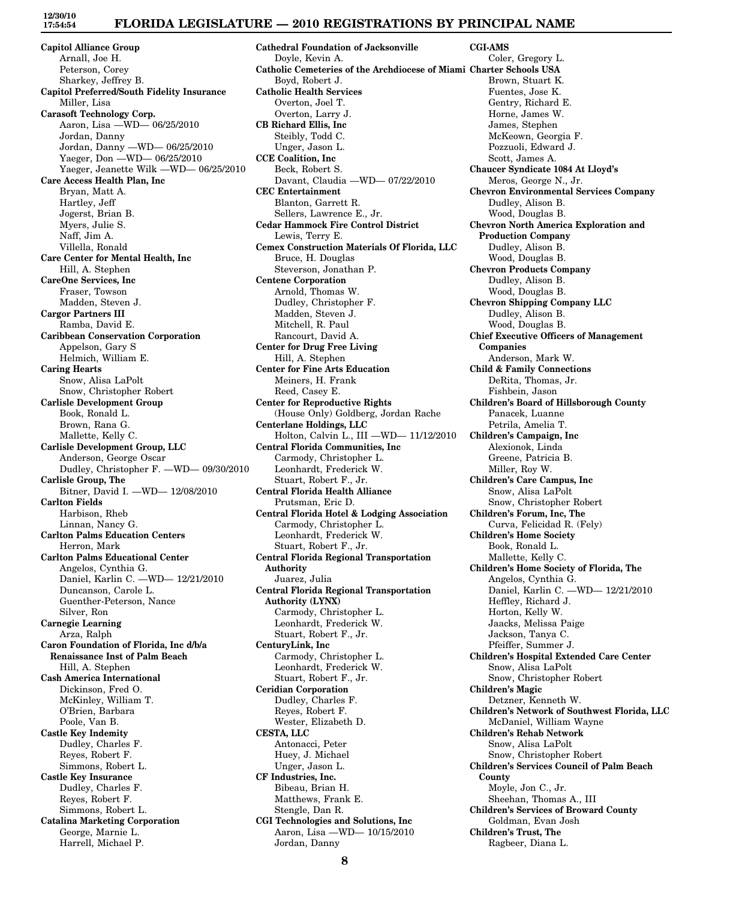# **FLORIDA LEGISLATURE — 2010 REGISTRATIONS BY PRINCIPAL NAME**

**Capitol Alliance Group** Arnall, Joe H. Peterson, Corey Sharkey, Jeffrey B. **Capitol Preferred/South Fidelity Insurance** Miller, Lisa **Carasoft Technology Corp.** Aaron, Lisa —WD— 06/25/2010 Jordan, Danny Jordan, Danny —WD— 06/25/2010 Yaeger, Don —WD— 06/25/2010 Yaeger, Jeanette Wilk —WD— 06/25/2010 **Care Access Health Plan, Inc** Bryan, Matt A. Hartley, Jeff Jogerst, Brian B. Myers, Julie S. Naff, Jim A. Villella, Ronald **Care Center for Mental Health, Inc** Hill, A. Stephen **CareOne Services, Inc** Fraser, Towson Madden, Steven J. **Cargor Partners III** Ramba, David E. **Caribbean Conservation Corporation** Appelson, Gary S Helmich, William E. **Caring Hearts** Snow, Alisa LaPolt Snow, Christopher Robert **Carlisle Development Group** Book, Ronald L. Brown, Rana G. Mallette, Kelly C. **Carlisle Development Group, LLC** Anderson, George Oscar Dudley, Christopher F. —WD— 09/30/2010 **Carlisle Group, The** Bitner, David I. —WD— 12/08/2010 **Carlton Fields** Harbison, Rheb Linnan, Nancy G. **Carlton Palms Education Centers** Herron, Mark **Carlton Palms Educational Center** Angelos, Cynthia G. Daniel, Karlin C. —WD— 12/21/2010 Duncanson, Carole L. Guenther-Peterson, Nance Silver, Ron **Carnegie Learning** Arza, Ralph **Caron Foundation of Florida, Inc d/b/a Renaissance Inst of Palm Beach** Hill, A. Stephen **Cash America International** Dickinson, Fred O. McKinley, William T. O'Brien, Barbara Poole, Van B. **Castle Key Indemity** Dudley, Charles F. Reyes, Robert F. Simmons, Robert L. **Castle Key Insurance** Dudley, Charles F. Reyes, Robert F. Simmons, Robert L. **Catalina Marketing Corporation**

George, Marnie L. Harrell, Michael P.

**Cathedral Foundation of Jacksonville** Doyle, Kevin A. **Catholic Cemeteries of the Archdiocese of Miami Charter Schools USA** Boyd, Robert J. **Catholic Health Services** Overton, Joel T. Overton, Larry J. **CB Richard Ellis, Inc** Steibly, Todd C. Unger, Jason L. **CCE Coalition, Inc** Beck, Robert S. Davant, Claudia —WD— 07/22/2010 **CEC Entertainment** Blanton, Garrett R. Sellers, Lawrence E., Jr. **Cedar Hammock Fire Control District** Lewis, Terry E. **Cemex Construction Materials Of Florida, LLC** Bruce, H. Douglas Steverson, Jonathan P. **Centene Corporation** Arnold, Thomas W. Dudley, Christopher F. Madden, Steven J. Mitchell, R. Paul Rancourt, David A. **Center for Drug Free Living** Hill, A. Stephen **Center for Fine Arts Education** Meiners, H. Frank Reed, Casey E. **Center for Reproductive Rights** (House Only) Goldberg, Jordan Rache **Centerlane Holdings, LLC** Holton, Calvin L., III —WD— 11/12/2010 **Central Florida Communities, Inc** Carmody, Christopher L. Leonhardt, Frederick W. Stuart, Robert F., Jr. **Central Florida Health Alliance** Prutsman, Eric D. **Central Florida Hotel & Lodging Association** Carmody, Christopher L. Leonhardt, Frederick W. Stuart, Robert F., Jr. **Central Florida Regional Transportation Authority** Juarez, Julia **Central Florida Regional Transportation Authority (LYNX)** Carmody, Christopher L. Leonhardt, Frederick W. Stuart, Robert F., Jr. **CenturyLink, Inc** Carmody, Christopher L. Leonhardt, Frederick W. Stuart, Robert F., Jr. **Ceridian Corporation** Dudley, Charles F. Reyes, Robert F. Wester, Elizabeth D. **CESTA, LLC** Antonacci, Peter Huey, J. Michael Unger, Jason L. **CF Industries, Inc.** Bibeau, Brian H. Matthews, Frank E. Stengle, Dan R. **CGI Technologies and Solutions, Inc** Aaron, Lisa —WD— 10/15/2010 Jordan, Danny

**CGI-AMS** Coler, Gregory L. Brown, Stuart K. Fuentes, Jose K. Gentry, Richard E. Horne, James W. James, Stephen McKeown, Georgia F. Pozzuoli, Edward J. Scott, James A. **Chaucer Syndicate 1084 At Lloyd's** Meros, George N., Jr. **Chevron Environmental Services Company** Dudley, Alison B. Wood, Douglas B. **Chevron North America Exploration and Production Company** Dudley, Alison B. Wood, Douglas B. **Chevron Products Company** Dudley, Alison B. Wood, Douglas B. **Chevron Shipping Company LLC** Dudley, Alison B. Wood, Douglas B. **Chief Executive Officers of Management Companies** Anderson, Mark W. **Child & Family Connections** DeRita, Thomas, Jr. Fishbein, Jason **Children's Board of Hillsborough County** Panacek, Luanne Petrila, Amelia T. **Children's Campaign, Inc** Alexionok, Linda Greene, Patricia B. Miller, Roy W. **Children's Care Campus, Inc** Snow, Alisa LaPolt Snow, Christopher Robert **Children's Forum, Inc, The** Curva, Felicidad R. (Fely) **Children's Home Society** Book, Ronald L. Mallette, Kelly C. **Children's Home Society of Florida, The** Angelos, Cynthia G. Daniel, Karlin C. —WD— 12/21/2010 Heffley, Richard J. Horton, Kelly W. Jaacks, Melissa Paige Jackson, Tanya C. Pfeiffer, Summer J. **Children's Hospital Extended Care Center** Snow, Alisa LaPolt Snow, Christopher Robert **Children's Magic** Detzner, Kenneth W. **Children's Network of Southwest Florida, LLC** McDaniel, William Wayne **Children's Rehab Network** Snow, Alisa LaPolt Snow, Christopher Robert **Children's Services Council of Palm Beach County** Moyle, Jon C., Jr. Sheehan, Thomas A., III **Children's Services of Broward County** Goldman, Evan Josh **Children's Trust, The**

Ragbeer, Diana L.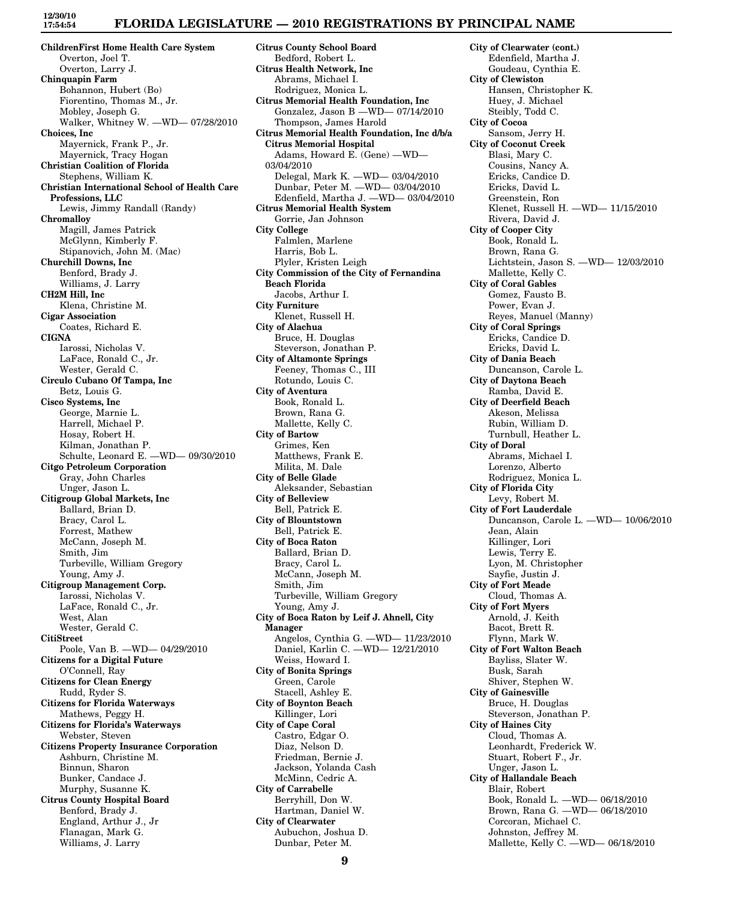## **FLORIDA LEGISLATURE — 2010 REGISTRATIONS BY PRINCIPAL NAME**

**Citrus County School Board**

**ChildrenFirst Home Health Care System** Overton, Joel T. Overton, Larry J. **Chinquapin Farm** Bohannon, Hubert (Bo) Fiorentino, Thomas M., Jr. Mobley, Joseph G. Walker, Whitney W. —WD— 07/28/2010 **Choices, Inc** Mayernick, Frank P., Jr. Mayernick, Tracy Hogan **Christian Coalition of Florida** Stephens, William K. **Christian International School of Health Care Professions, LLC** Lewis, Jimmy Randall (Randy) **Chromalloy** Magill, James Patrick McGlynn, Kimberly F. Stipanovich, John M. (Mac) **Churchill Downs, Inc** Benford, Brady J. Williams, J. Larry **CH2M Hill, Inc** Klena, Christine M. **Cigar Association** Coates, Richard E. **CIGNA** Iarossi, Nicholas V. LaFace, Ronald C., Jr. Wester, Gerald C. **Circulo Cubano Of Tampa, Inc** Betz, Louis G. **Cisco Systems, Inc** George, Marnie L. Harrell, Michael P. Hosay, Robert H. Kilman, Jonathan P. Schulte, Leonard E. —WD— 09/30/2010 **Citgo Petroleum Corporation** Gray, John Charles Unger, Jason L. **Citigroup Global Markets, Inc** Ballard, Brian D. Bracy, Carol L. Forrest, Mathew McCann, Joseph M. Smith, Jim Turbeville, William Gregory Young, Amy J. **Citigroup Management Corp.** Iarossi, Nicholas V. LaFace, Ronald C., Jr. West, Alan Wester, Gerald C. **CitiStreet** Poole, Van B. —WD— 04/29/2010 **Citizens for a Digital Future** O'Connell, Ray **Citizens for Clean Energy** Rudd, Ryder S. **Citizens for Florida Waterways** Mathews, Peggy H. **Citizens for Florida's Waterways** Webster, Steven **Citizens Property Insurance Corporation** Ashburn, Christine M. Binnun, Sharon Bunker, Candace J. Murphy, Susanne K. **Citrus County Hospital Board** Benford, Brady J. England, Arthur J., Jr Flanagan, Mark G.

Williams, J. Larry

Bedford, Robert L. **Citrus Health Network, Inc** Abrams, Michael I. Rodriguez, Monica L. **Citrus Memorial Health Foundation, Inc** Gonzalez, Jason B —WD— 07/14/2010 Thompson, James Harold **Citrus Memorial Health Foundation, Inc d/b/a Citrus Memorial Hospital** Adams, Howard E. (Gene) —WD— 03/04/2010 Delegal, Mark K. —WD— 03/04/2010 Dunbar, Peter M. —WD— 03/04/2010 Edenfield, Martha J. —WD— 03/04/2010 **Citrus Memorial Health System** Gorrie, Jan Johnson **City College** Falmlen, Marlene Harris, Bob L. Plyler, Kristen Leigh **City Commission of the City of Fernandina Beach Florida** Jacobs, Arthur I. **City Furniture** Klenet, Russell H. **City of Alachua** Bruce, H. Douglas Steverson, Jonathan P. **City of Altamonte Springs** Feeney, Thomas C., III Rotundo, Louis C. **City of Aventura** Book, Ronald L. Brown, Rana G. Mallette, Kelly C. **City of Bartow** Grimes, Ken Matthews, Frank E. Milita, M. Dale **City of Belle Glade** Aleksander, Sebastian **City of Belleview** Bell, Patrick E. **City of Blountstown** Bell, Patrick E. **City of Boca Raton** Ballard, Brian D. Bracy, Carol L. McCann, Joseph M. Smith, Jim Turbeville, William Gregory Young, Amy J. **City of Boca Raton by Leif J. Ahnell, City Manager** Angelos, Cynthia G. —WD— 11/23/2010 Daniel, Karlin C. —WD— 12/21/2010 Weiss, Howard I. **City of Bonita Springs** Green, Carole Stacell, Ashley E. **City of Boynton Beach** Killinger, Lori **City of Cape Coral** Castro, Edgar O. Diaz, Nelson D. Friedman, Bernie J. Jackson, Yolanda Cash McMinn, Cedric A. **City of Carrabelle** Berryhill, Don W. Hartman, Daniel W. **City of Clearwater** Aubuchon, Joshua D.

**City of Clearwater (cont.)** Edenfield, Martha J. Goudeau, Cynthia E. **City of Clewiston** Hansen, Christopher K. Huey, J. Michael Steibly, Todd C. **City of Cocoa** Sansom, Jerry H. **City of Coconut Creek** Blasi, Mary C. Cousins, Nancy A. Ericks, Candice D. Ericks, David L. Greenstein, Ron Klenet, Russell H. —WD— 11/15/2010 Rivera, David J. **City of Cooper City** Book, Ronald L. Brown, Rana G. Lichtstein, Jason S. —WD— 12/03/2010 Mallette, Kelly C. **City of Coral Gables** Gomez, Fausto B. Power, Evan J. Reyes, Manuel (Manny) **City of Coral Springs** Ericks, Candice D. Ericks, David L. **City of Dania Beach** Duncanson, Carole L. **City of Daytona Beach** Ramba, David E. **City of Deerfield Beach** Akeson, Melissa Rubin, William D. Turnbull, Heather L. **City of Doral** Abrams, Michael I. Lorenzo, Alberto Rodriguez, Monica L. **City of Florida City** Levy, Robert M. **City of Fort Lauderdale** Duncanson, Carole L. —WD— 10/06/2010 Jean, Alain Killinger, Lori Lewis, Terry E. Lyon, M. Christopher Sayfie, Justin J. **City of Fort Meade** Cloud, Thomas A. **City of Fort Myers** Arnold, J. Keith Bacot, Brett R. Flynn, Mark W. **City of Fort Walton Beach** Bayliss, Slater W. Busk, Sarah Shiver, Stephen W. **City of Gainesville** Bruce, H. Douglas Steverson, Jonathan P. **City of Haines City** Cloud, Thomas A. Leonhardt, Frederick W. Stuart, Robert F., Jr. Unger, Jason L. **City of Hallandale Beach** Blair, Robert Book, Ronald L. —WD— 06/18/2010 Brown, Rana G. —WD— 06/18/2010 Corcoran, Michael C. Johnston, Jeffrey M. Mallette, Kelly C. —WD— 06/18/2010

Dunbar, Peter M.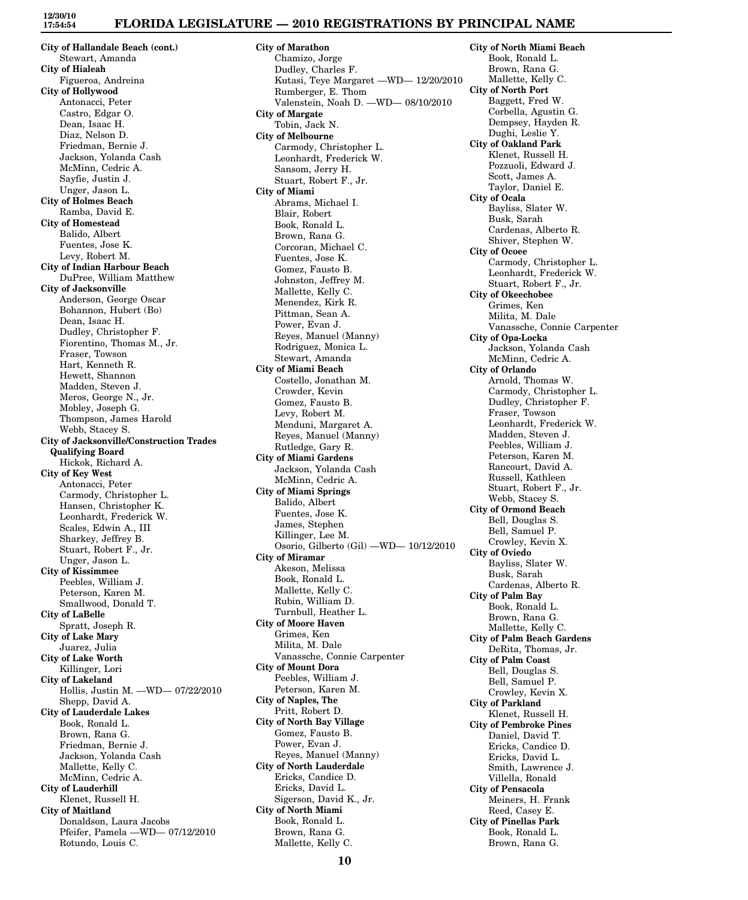## **FLORIDA LEGISLATURE — 2010 REGISTRATIONS BY PRINCIPAL NAME**

**City of Hallandale Beach (cont.)** Stewart, Amanda **City of Hialeah** Figueroa, Andreina **City of Hollywood** Antonacci, Peter Castro, Edgar O. Dean, Isaac H. Diaz, Nelson D. Friedman, Bernie J. Jackson, Yolanda Cash McMinn, Cedric A. Sayfie, Justin J. Unger, Jason L. **City of Holmes Beach** Ramba, David E. **City of Homestead** Balido, Albert Fuentes, Jose K. Levy, Robert M. **City of Indian Harbour Beach** DuPree, William Matthew **City of Jacksonville** Anderson, George Oscar Bohannon, Hubert (Bo) Dean, Isaac H. Dudley, Christopher F. Fiorentino, Thomas M., Jr. Fraser, Towson Hart, Kenneth R. Hewett, Shannon Madden, Steven J. Meros, George N., Jr. Mobley, Joseph G. Thompson, James Harold Webb, Stacey S. **City of Jacksonville/Construction Trades Qualifying Board** Hickok, Richard A. **City of Key West** Antonacci, Peter Carmody, Christopher L. Hansen, Christopher K. Leonhardt, Frederick W. Scales, Edwin A., III Sharkey, Jeffrey B. Stuart, Robert F., Jr. Unger, Jason L. **City of Kissimmee** Peebles, William J. Peterson, Karen M. Smallwood, Donald T. **City of LaBelle** Spratt, Joseph R. **City of Lake Mary** Juarez, Julia **City of Lake Worth** Killinger, Lori **City of Lakeland** Hollis, Justin M. —WD— 07/22/2010 Shepp, David A. **City of Lauderdale Lakes** Book, Ronald L. Brown, Rana G. Friedman, Bernie J. Jackson, Yolanda Cash Mallette, Kelly C. McMinn, Cedric A. **City of Lauderhill** Klenet, Russell H. **City of Maitland** Donaldson, Laura Jacobs Pfeifer, Pamela —WD— 07/12/2010 Rotundo, Louis C.

**City of Marathon** Chamizo, Jorge Dudley, Charles F. Kutasi, Teye Margaret —WD— 12/20/2010 Rumberger, E. Thom Valenstein, Noah D. —WD— 08/10/2010 **City of Margate** Tobin, Jack N. **City of Melbourne** Carmody, Christopher L. Leonhardt, Frederick W. Sansom, Jerry H. Stuart, Robert F., Jr. **City of Miami** Abrams, Michael I. Blair, Robert Book, Ronald L. Brown, Rana G. Corcoran, Michael C. Fuentes, Jose K. Gomez, Fausto B. Johnston, Jeffrey M. Mallette, Kelly C. Menendez, Kirk R. Pittman, Sean A. Power, Evan J. Reyes, Manuel (Manny) Rodriguez, Monica L. Stewart, Amanda **City of Miami Beach** Costello, Jonathan M. Crowder, Kevin Gomez, Fausto B. Levy, Robert M. Menduni, Margaret A. Reyes, Manuel (Manny) Rutledge, Gary R. **City of Miami Gardens** Jackson, Yolanda Cash McMinn, Cedric A. **City of Miami Springs** Balido, Albert Fuentes, Jose K. James, Stephen Killinger, Lee M. Osorio, Gilberto (Gil) —WD— 10/12/2010 **City of Miramar** Akeson, Melissa Book, Ronald L. Mallette, Kelly C. Rubin, William D. Turnbull, Heather L. **City of Moore Haven** Grimes, Ken Milita, M. Dale Vanassche, Connie Carpenter **City of Mount Dora** Peebles, William J. Peterson, Karen M. **City of Naples, The** Pritt, Robert D. **City of North Bay Village** Gomez, Fausto B. Power, Evan J. Reyes, Manuel (Manny) **City of North Lauderdale** Ericks, Candice D. Ericks, David L. Sigerson, David K., Jr. **City of North Miami** Book, Ronald L. Brown, Rana G.

**City of North Miami Beach** Book, Ronald L. Brown, Rana G. Mallette, Kelly C. **City of North Port** Baggett, Fred W. Corbella, Agustin G. Dempsey, Hayden R. Dughi, Leslie Y. **City of Oakland Park** Klenet, Russell H. Pozzuoli, Edward J. Scott, James A. Taylor, Daniel E. **City of Ocala** Bayliss, Slater W. Busk, Sarah Cardenas, Alberto R. Shiver, Stephen W. **City of Ocoee** Carmody, Christopher L. Leonhardt, Frederick W. Stuart, Robert F., Jr. **City of Okeechobee** Grimes, Ken Milita, M. Dale Vanassche, Connie Carpenter **City of Opa-Locka** Jackson, Yolanda Cash McMinn, Cedric A. **City of Orlando** Arnold, Thomas W. Carmody, Christopher L. Dudley, Christopher F. Fraser, Towson Leonhardt, Frederick W. Madden, Steven J. Peebles, William J. Peterson, Karen M. Rancourt, David A. Russell, Kathleen Stuart, Robert F., Jr. Webb, Stacey S. **City of Ormond Beach** Bell, Douglas S. Bell, Samuel P. Crowley, Kevin X. **City of Oviedo** Bayliss, Slater W. Busk, Sarah Cardenas, Alberto R. **City of Palm Bay** Book, Ronald L. Brown, Rana G. Mallette, Kelly C. **City of Palm Beach Gardens** DeRita, Thomas, Jr. **City of Palm Coast** Bell, Douglas S. Bell, Samuel P. Crowley, Kevin X. **City of Parkland** Klenet, Russell H. **City of Pembroke Pines** Daniel, David T. Ericks, Candice D. Ericks, David L. Smith, Lawrence J. Villella, Ronald **City of Pensacola** Meiners, H. Frank Reed, Casey E. **City of Pinellas Park** Book, Ronald L. Brown, Rana G.

Mallette, Kelly C.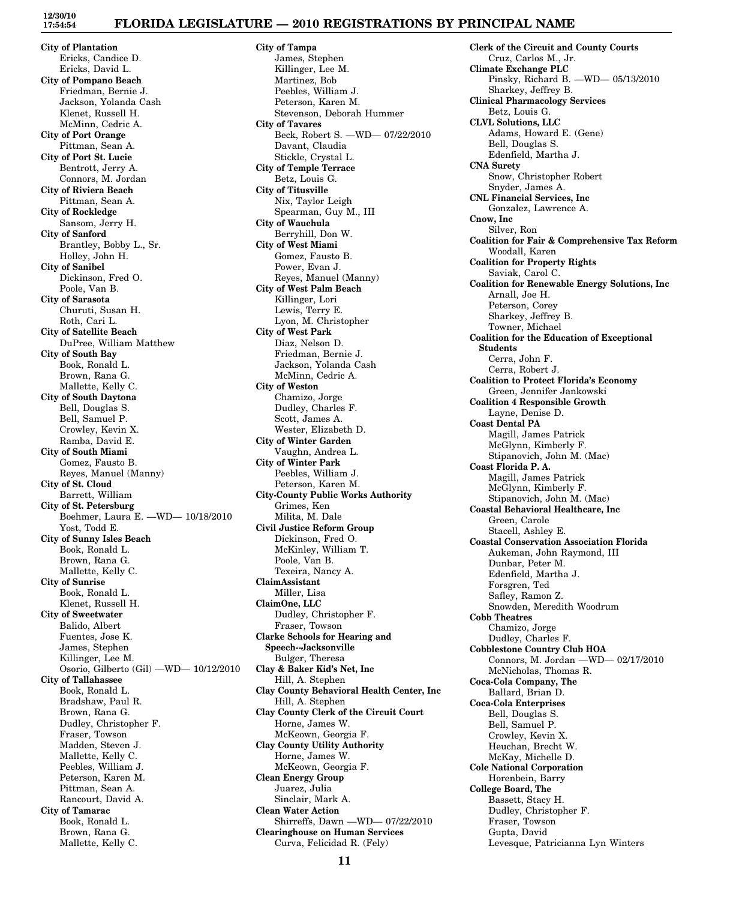**12/30/10 17:54:54**

## **FLORIDA LEGISLATURE — 2010 REGISTRATIONS BY PRINCIPAL NAME**

**City of Plantation** Ericks, Candice D. Ericks, David L. **City of Pompano Beach** Friedman, Bernie J. Jackson, Yolanda Cash Klenet, Russell H. McMinn, Cedric A. **City of Port Orange** Pittman, Sean A. **City of Port St. Lucie** Bentrott, Jerry A. Connors, M. Jordan **City of Riviera Beach** Pittman, Sean A. **City of Rockledge** Sansom, Jerry H. **City of Sanford** Brantley, Bobby L., Sr. Holley, John H. **City of Sanibel** Dickinson, Fred O. Poole, Van B. **City of Sarasota** Churuti, Susan H. Roth, Cari L. **City of Satellite Beach** DuPree, William Matthew **City of South Bay** Book, Ronald L. Brown, Rana G. Mallette, Kelly C. **City of South Daytona** Bell, Douglas S. Bell, Samuel P. Crowley, Kevin X. Ramba, David E. **City of South Miami** Gomez, Fausto B. Reyes, Manuel (Manny) **City of St. Cloud** Barrett, William **City of St. Petersburg** Boehmer, Laura E. —WD— 10/18/2010 Yost, Todd E. **City of Sunny Isles Beach** Book, Ronald L. Brown, Rana G. Mallette, Kelly C. **City of Sunrise** Book, Ronald L. Klenet, Russell H. **City of Sweetwater** Balido, Albert Fuentes, Jose K. James, Stephen Killinger, Lee M. Osorio, Gilberto (Gil) —WD— 10/12/2010 **City of Tallahassee** Book, Ronald L. Bradshaw, Paul R. Brown, Rana G. Dudley, Christopher F. Fraser, Towson Madden, Steven J. Mallette, Kelly C. Peebles, William J. Peterson, Karen M. Pittman, Sean A. Rancourt, David A. **City of Tamarac** Book, Ronald L. Brown, Rana G. Mallette, Kelly C.

**City of Tampa** James, Stephen Killinger, Lee M. Martinez, Bob Peebles, William J. Peterson, Karen M. Stevenson, Deborah Hummer **City of Tavares** Beck, Robert S. —WD— 07/22/2010 Davant, Claudia Stickle, Crystal L. **City of Temple Terrace** Betz, Louis G. **City of Titusville** Nix, Taylor Leigh Spearman, Guy M., III **City of Wauchula** Berryhill, Don W. **City of West Miami** Gomez, Fausto B. Power, Evan J. Reyes, Manuel (Manny) **City of West Palm Beach** Killinger, Lori Lewis, Terry E. Lyon, M. Christopher **City of West Park** Diaz, Nelson D. Friedman, Bernie J. Jackson, Yolanda Cash McMinn, Cedric A. **City of Weston** Chamizo, Jorge Dudley, Charles F. Scott, James A. Wester, Elizabeth D. **City of Winter Garden** Vaughn, Andrea L. **City of Winter Park** Peebles, William J. Peterson, Karen M. **City-County Public Works Authority** Grimes, Ken Milita, M. Dale **Civil Justice Reform Group** Dickinson, Fred O. McKinley, William T. Poole, Van B. Texeira, Nancy A. **ClaimAssistant** Miller, Lisa **ClaimOne, LLC** Dudley, Christopher F. Fraser, Towson **Clarke Schools for Hearing and Speech--Jacksonville** Bulger, Theresa **Clay & Baker Kid's Net, Inc** Hill, A. Stephen **Clay County Behavioral Health Center, Inc** Hill, A. Stephen **Clay County Clerk of the Circuit Court** Horne, James W. McKeown, Georgia F. **Clay County Utility Authority** Horne, James W. McKeown, Georgia F. **Clean Energy Group** Juarez, Julia Sinclair, Mark A. **Clean Water Action** Shirreffs, Dawn —WD— 07/22/2010 **Clearinghouse on Human Services** Curva, Felicidad R. (Fely)

**Clerk of the Circuit and County Courts** Cruz, Carlos M., Jr. **Climate Exchange PLC** Pinsky, Richard B. —WD— 05/13/2010 Sharkey, Jeffrey B. **Clinical Pharmacology Services** Betz, Louis G. **CLVL Solutions, LLC** Adams, Howard E. (Gene) Bell, Douglas S. Edenfield, Martha J. **CNA Surety** Snow, Christopher Robert Snyder, James A. **CNL Financial Services, Inc** Gonzalez, Lawrence A. **Cnow, Inc** Silver, Ron **Coalition for Fair & Comprehensive Tax Reform** Woodall, Karen **Coalition for Property Rights** Saviak, Carol C. **Coalition for Renewable Energy Solutions, Inc** Arnall, Joe H. Peterson, Corey Sharkey, Jeffrey B. Towner, Michael **Coalition for the Education of Exceptional Students** Cerra, John F. Cerra, Robert J. **Coalition to Protect Florida's Economy** Green, Jennifer Jankowski **Coalition 4 Responsible Growth** Layne, Denise D. **Coast Dental PA** Magill, James Patrick McGlynn, Kimberly F. Stipanovich, John M. (Mac) **Coast Florida P. A.** Magill, James Patrick McGlynn, Kimberly F. Stipanovich, John M. (Mac) **Coastal Behavioral Healthcare, Inc** Green, Carole Stacell, Ashley E. **Coastal Conservation Association Florida** Aukeman, John Raymond, III Dunbar, Peter M. Edenfield, Martha J. Forsgren, Ted Safley, Ramon Z. Snowden, Meredith Woodrum **Cobb Theatres** Chamizo, Jorge Dudley, Charles F. **Cobblestone Country Club HOA** Connors, M. Jordan —WD— 02/17/2010 McNicholas, Thomas R. **Coca-Cola Company, The** Ballard, Brian D. **Coca-Cola Enterprises** Bell, Douglas S. Bell, Samuel P. Crowley, Kevin X. Heuchan, Brecht W. McKay, Michelle D. **Cole National Corporation** Horenbein, Barry **College Board, The** Bassett, Stacy H. Dudley, Christopher F. Fraser, Towson Gupta, David Levesque, Patricianna Lyn Winters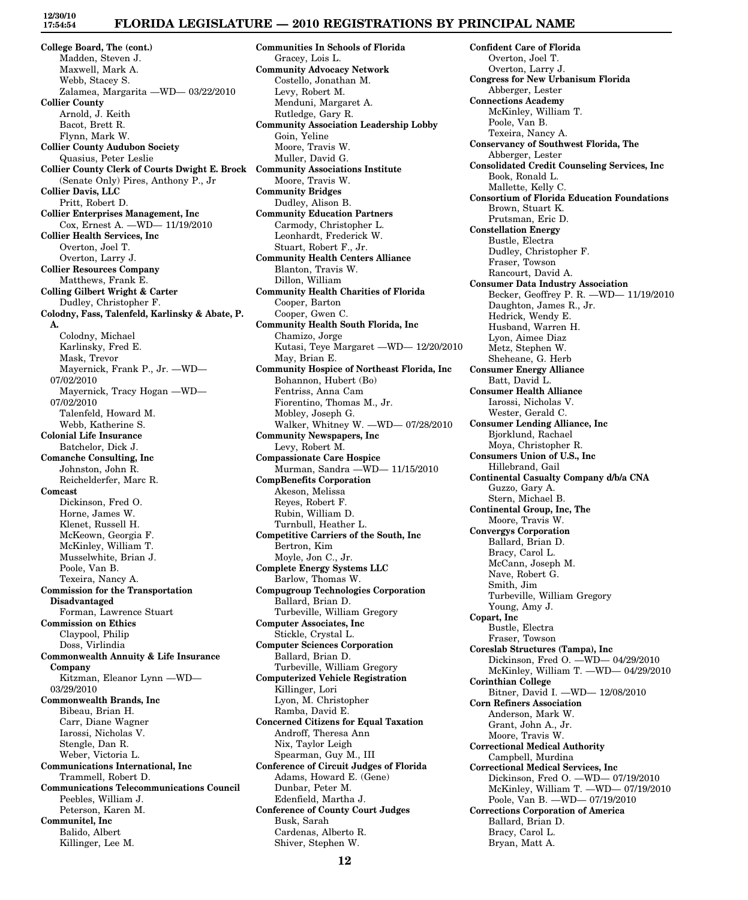## **FLORIDA LEGISLATURE — 2010 REGISTRATIONS BY PRINCIPAL NAME**

**College Board, The (cont.)** Madden, Steven J. Maxwell, Mark A. Webb, Stacey S. Zalamea, Margarita —WD— 03/22/2010 **Collier County** Arnold, J. Keith Bacot, Brett R. Flynn, Mark W. **Collier County Audubon Society** Quasius, Peter Leslie **Collier County Clerk of Courts Dwight E. Brock Community Associations Institute** (Senate Only) Pires, Anthony P., Jr **Collier Davis, LLC** Pritt, Robert D. **Collier Enterprises Management, Inc** Cox, Ernest A. —WD— 11/19/2010 **Collier Health Services, Inc** Overton, Joel T. Overton, Larry J. **Collier Resources Company** Matthews, Frank E. **Colling Gilbert Wright & Carter** Dudley, Christopher F. **Colodny, Fass, Talenfeld, Karlinsky & Abate, P. A.** Colodny, Michael Karlinsky, Fred E. Mask, Trevor Mayernick, Frank P., Jr. —WD— 07/02/2010 Mayernick, Tracy Hogan —WD— 07/02/2010 Talenfeld, Howard M. Webb, Katherine S. **Colonial Life Insurance** Batchelor, Dick J. **Comanche Consulting, Inc** Johnston, John R. Reichelderfer, Marc R. **Comcast** Dickinson, Fred O. Horne, James W. Klenet, Russell H. McKeown, Georgia F. McKinley, William T. Musselwhite, Brian J. Poole, Van B. Texeira, Nancy A. **Commission for the Transportation Disadvantaged** Forman, Lawrence Stuart **Commission on Ethics** Claypool, Philip Doss, Virlindia **Commonwealth Annuity & Life Insurance Company** Kitzman, Eleanor Lynn —WD— 03/29/2010 **Commonwealth Brands, Inc** Bibeau, Brian H. Carr, Diane Wagner Iarossi, Nicholas V. Stengle, Dan R. Weber, Victoria L. **Communications International, Inc** Trammell, Robert D. **Communications Telecommunications Council** Peebles, William J. Peterson, Karen M. **Communitel, Inc** Balido, Albert Killinger, Lee M.

**Communities In Schools of Florida** Gracey, Lois L. **Community Advocacy Network** Costello, Jonathan M. Levy, Robert M. Menduni, Margaret A. Rutledge, Gary R. **Community Association Leadership Lobby** Goin, Yeline Moore, Travis W. Muller, David G. Moore, Travis W. **Community Bridges** Dudley, Alison B. **Community Education Partners** Carmody, Christopher L. Leonhardt, Frederick W. Stuart, Robert F., Jr. **Community Health Centers Alliance** Blanton, Travis W. Dillon, William **Community Health Charities of Florida** Cooper, Barton Cooper, Gwen C. **Community Health South Florida, Inc** Chamizo, Jorge Kutasi, Teye Margaret —WD— 12/20/2010 May, Brian E. **Community Hospice of Northeast Florida, Inc** Bohannon, Hubert (Bo) Fentriss, Anna Cam Fiorentino, Thomas M., Jr. Mobley, Joseph G. Walker, Whitney W. —WD— 07/28/2010 **Community Newspapers, Inc** Levy, Robert M. **Compassionate Care Hospice** Murman, Sandra —WD— 11/15/2010 **CompBenefits Corporation** Akeson, Melissa Reyes, Robert F. Rubin, William D. Turnbull, Heather L. **Competitive Carriers of the South, Inc** Bertron, Kim Moyle, Jon C., Jr. **Complete Energy Systems LLC** Barlow, Thomas W. **Compugroup Technologies Corporation** Ballard, Brian D. Turbeville, William Gregory **Computer Associates, Inc** Stickle, Crystal L. **Computer Sciences Corporation** Ballard, Brian D. Turbeville, William Gregory **Computerized Vehicle Registration** Killinger, Lori Lyon, M. Christopher Ramba, David E. **Concerned Citizens for Equal Taxation** Androff, Theresa Ann Nix, Taylor Leigh Spearman, Guy M., III **Conference of Circuit Judges of Florida** Adams, Howard E. (Gene) Dunbar, Peter M. Edenfield, Martha J. **Conference of County Court Judges** Busk, Sarah Cardenas, Alberto R. Shiver, Stephen W.

**Confident Care of Florida** Overton, Joel T. Overton, Larry J. **Congress for New Urbanisum Florida** Abberger, Lester **Connections Academy** McKinley, William T. Poole, Van B. Texeira, Nancy A. **Conservancy of Southwest Florida, The** Abberger, Lester **Consolidated Credit Counseling Services, Inc** Book, Ronald L. Mallette, Kelly C. **Consortium of Florida Education Foundations** Brown, Stuart K. Prutsman, Eric D. **Constellation Energy** Bustle, Electra Dudley, Christopher F. Fraser, Towson Rancourt, David A. **Consumer Data Industry Association** Becker, Geoffrey P. R. —WD— 11/19/2010 Daughton, James R., Jr. Hedrick, Wendy E. Husband, Warren H. Lyon, Aimee Diaz Metz, Stephen W. Sheheane, G. Herb **Consumer Energy Alliance** Batt, David L. **Consumer Health Alliance** Iarossi, Nicholas V. Wester, Gerald C. **Consumer Lending Alliance, Inc** Bjorklund, Rachael Moya, Christopher R. **Consumers Union of U.S., Inc** Hillebrand, Gail **Continental Casualty Company d/b/a CNA** Guzzo, Gary A. Stern, Michael B. **Continental Group, Inc, The** Moore, Travis W. **Convergys Corporation** Ballard, Brian D. Bracy, Carol L. McCann, Joseph M. Nave, Robert G. Smith, Jim Turbeville, William Gregory Young, Amy J. **Copart, Inc** Bustle, Electra Fraser, Towson **Coreslab Structures (Tampa), Inc** Dickinson, Fred O. —WD— 04/29/2010 McKinley, William T. —WD— 04/29/2010 **Corinthian College** Bitner, David I. —WD— 12/08/2010 **Corn Refiners Association** Anderson, Mark W. Grant, John A., Jr. Moore, Travis W. **Correctional Medical Authority** Campbell, Murdina **Correctional Medical Services, Inc** Dickinson, Fred O. —WD— 07/19/2010 McKinley, William T. —WD— 07/19/2010 Poole, Van B. —WD— 07/19/2010 **Corrections Corporation of America** Ballard, Brian D. Bracy, Carol L. Bryan, Matt A.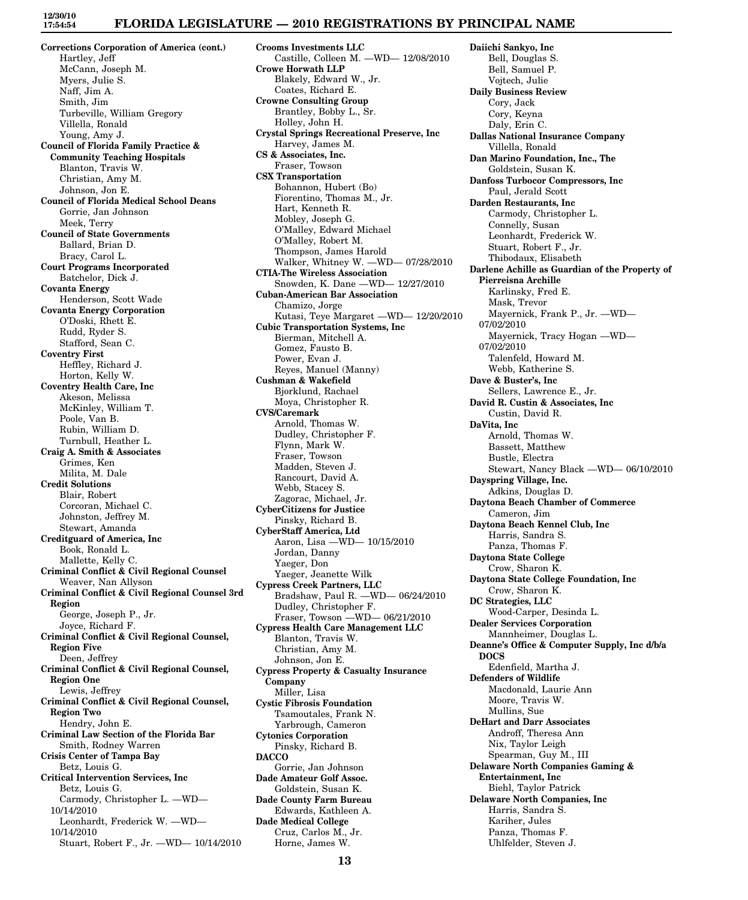#### **FLORIDA LEGISLATURE — 2010 REGISTRATIONS BY PRINCIPAL NAME**

**Corrections Corporation of America (cont.)** Hartley, Jeff McCann, Joseph M. Myers, Julie S. Naff, Jim A. Smith, Jim Turbeville, William Gregory Villella, Ronald Young, Amy J. **Council of Florida Family Practice & Community Teaching Hospitals** Blanton, Travis W. Christian, Amy M. Johnson, Jon E. **Council of Florida Medical School Deans** Gorrie, Jan Johnson Meek, Terry **Council of State Governments** Ballard, Brian D. Bracy, Carol L. **Court Programs Incorporated** Batchelor, Dick J. **Covanta Energy** Henderson, Scott Wade **Covanta Energy Corporation** O'Doski, Rhett E. Rudd, Ryder S. Stafford, Sean C. **Coventry First** Heffley, Richard J. Horton, Kelly W. **Coventry Health Care, Inc** Akeson, Melissa McKinley, William T. Poole, Van B. Rubin, William D. Turnbull, Heather L. **Craig A. Smith & Associates** Grimes, Ken Milita, M. Dale **Credit Solutions** Blair, Robert Corcoran, Michael C. Johnston, Jeffrey M. Stewart, Amanda **Creditguard of America, Inc** Book, Ronald L. Mallette, Kelly C. **Criminal Conflict & Civil Regional Counsel** Weaver, Nan Allyson **Criminal Conflict & Civil Regional Counsel 3rd Region** George, Joseph P., Jr. Joyce, Richard F. **Criminal Conflict & Civil Regional Counsel, Region Five** Deen, Jeffrey **Criminal Conflict & Civil Regional Counsel, Region One** Lewis, Jeffrey **Criminal Conflict & Civil Regional Counsel, Region Two** Hendry, John E. **Criminal Law Section of the Florida Bar** Smith, Rodney Warren **Crisis Center of Tampa Bay** Betz, Louis G. **Critical Intervention Services, Inc** Betz, Louis G. Carmody, Christopher L. —WD— 10/14/2010 Leonhardt, Frederick W. —WD— 10/14/2010 Stuart, Robert F., Jr. —WD— 10/14/2010

**Crooms Investments LLC** Castille, Colleen M. —WD— 12/08/2010 **Crowe Horwath LLP** Blakely, Edward W., Jr. Coates, Richard E. **Crowne Consulting Group** Brantley, Bobby L., Sr. Holley, John H. **Crystal Springs Recreational Preserve, Inc** Harvey, James M. **CS & Associates, Inc.** Fraser, Towson **CSX Transportation** Bohannon, Hubert (Bo) Fiorentino, Thomas M., Jr. Hart, Kenneth R. Mobley, Joseph G. O'Malley, Edward Michael O'Malley, Robert M. Thompson, James Harold Walker, Whitney W. —WD— 07/28/2010 **CTIA-The Wireless Association** Snowden, K. Dane —WD— 12/27/2010 **Cuban-American Bar Association** Chamizo, Jorge Kutasi, Teye Margaret —WD— 12/20/2010 **Cubic Transportation Systems, Inc** Bierman, Mitchell A. Gomez, Fausto B. Power, Evan J. Reyes, Manuel (Manny) **Cushman & Wakefield** Bjorklund, Rachael Moya, Christopher R. **CVS/Caremark** Arnold, Thomas W. Dudley, Christopher F. Flynn, Mark W. Fraser, Towson Madden, Steven J. Rancourt, David A. Webb, Stacey S. Zagorac, Michael, Jr. **CyberCitizens for Justice** Pinsky, Richard B. **CyberStaff America, Ltd** Aaron, Lisa —WD— 10/15/2010 Jordan, Danny Yaeger, Don Yaeger, Jeanette Wilk **Cypress Creek Partners, LLC** Bradshaw, Paul R. —WD— 06/24/2010 Dudley, Christopher F. Fraser, Towson —WD— 06/21/2010 **Cypress Health Care Management LLC** Blanton, Travis W. Christian, Amy M. Johnson, Jon E. **Cypress Property & Casualty Insurance Company** Miller, Lisa **Cystic Fibrosis Foundation** Tsamoutales, Frank N. Yarbrough, Cameron **Cytonics Corporation** Pinsky, Richard B. **DACCO** Gorrie, Jan Johnson **Dade Amateur Golf Assoc.** Goldstein, Susan K. **Dade County Farm Bureau** Edwards, Kathleen A. **Dade Medical College** Cruz, Carlos M., Jr. Horne, James W.

**Daiichi Sankyo, Inc** Bell, Douglas S. Bell, Samuel P. Vojtech, Julie **Daily Business Review** Cory, Jack Cory, Keyna Daly, Erin C. **Dallas National Insurance Company** Villella, Ronald **Dan Marino Foundation, Inc., The** Goldstein, Susan K. **Danfoss Turbocor Compressors, Inc** Paul, Jerald Scott **Darden Restaurants, Inc** Carmody, Christopher L. Connelly, Susan Leonhardt, Frederick W. Stuart, Robert F., Jr. Thibodaux, Elisabeth **Darlene Achille as Guardian of the Property of Pierreisna Archille** Karlinsky, Fred E. Mask, Trevor Mayernick, Frank P., Jr. —WD— 07/02/2010 Mayernick, Tracy Hogan —WD— 07/02/2010 Talenfeld, Howard M. Webb, Katherine S. **Dave & Buster's, Inc** Sellers, Lawrence E., Jr. **David R. Custin & Associates, Inc** Custin, David R. **DaVita, Inc** Arnold, Thomas W. Bassett, Matthew Bustle, Electra Stewart, Nancy Black —WD— 06/10/2010 **Dayspring Village, Inc.** Adkins, Douglas D. **Daytona Beach Chamber of Commerce** Cameron, Jim **Daytona Beach Kennel Club, Inc** Harris, Sandra S. Panza, Thomas F. **Daytona State College** Crow, Sharon K. **Daytona State College Foundation, Inc** Crow, Sharon K. **DC Strategies, LLC** Wood-Carper, Desinda L. **Dealer Services Corporation** Mannheimer, Douglas L. **Deanne's Office & Computer Supply, Inc d/b/a DOCS** Edenfield, Martha J. **Defenders of Wildlife** Macdonald, Laurie Ann Moore, Travis W. Mullins, Sue **DeHart and Darr Associates** Androff, Theresa Ann Nix, Taylor Leigh Spearman, Guy M., III **Delaware North Companies Gaming & Entertainment, Inc** Biehl, Taylor Patrick **Delaware North Companies, Inc** Harris, Sandra S. Kariher, Jules Panza, Thomas F. Uhlfelder, Steven J.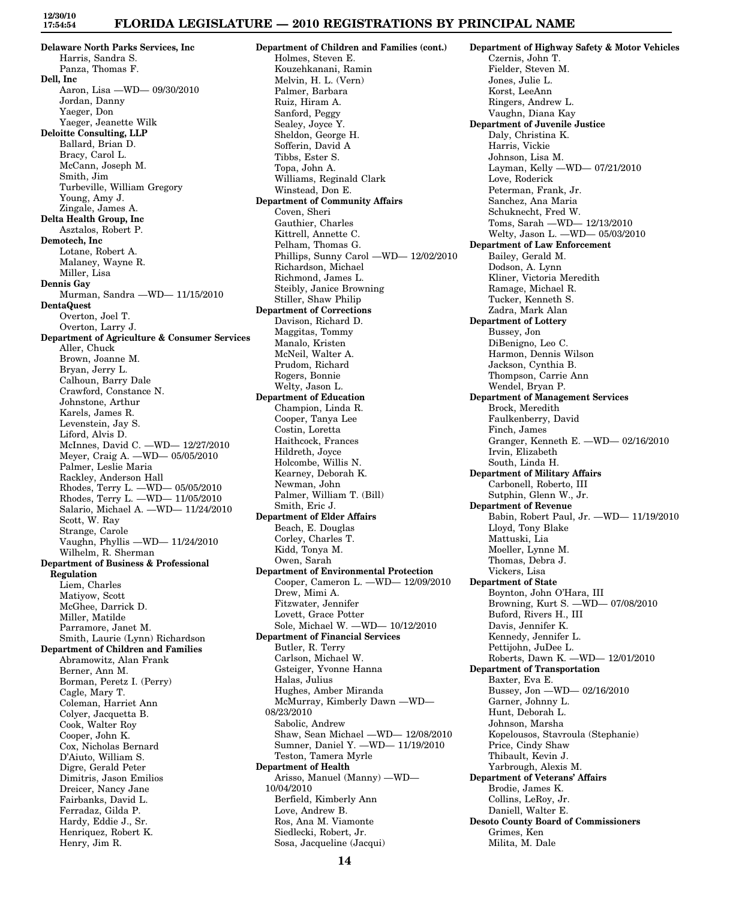**Delaware North Parks Services, Inc** Harris, Sandra S. Panza, Thomas F. **Dell, Inc** Aaron, Lisa —WD— 09/30/2010 Jordan, Danny Yaeger, Don Yaeger, Jeanette Wilk **Deloitte Consulting, LLP** Ballard, Brian D. Bracy, Carol L. McCann, Joseph M. Smith, Jim Turbeville, William Gregory Young, Amy J. Zingale, James A. **Delta Health Group, Inc** Asztalos, Robert P. **Demotech, Inc** Lotane, Robert A. Malaney, Wayne R. Miller, Lisa **Dennis Gay** Murman, Sandra —WD— 11/15/2010 **DentaQuest** Overton, Joel T. Overton, Larry J. **Department of Agriculture & Consumer Services** Aller, Chuck Brown, Joanne M. Bryan, Jerry L. Calhoun, Barry Dale Crawford, Constance N. Johnstone, Arthur Karels, James R. Levenstein, Jay S. Liford, Alvis D. McInnes, David C. —WD— 12/27/2010 Meyer, Craig A. —WD— 05/05/2010 Palmer, Leslie Maria Rackley, Anderson Hall Rhodes, Terry L. —WD— 05/05/2010 Rhodes, Terry L. —WD— 11/05/2010 Salario, Michael A. —WD— 11/24/2010 Scott, W. Ray Strange, Carole Vaughn, Phyllis —WD— 11/24/2010 Wilhelm, R. Sherman **Department of Business & Professional Regulation** Liem, Charles Matiyow, Scott McGhee, Darrick D. Miller, Matilde Parramore, Janet M. Smith, Laurie (Lynn) Richardson **Department of Children and Families** Abramowitz, Alan Frank Berner, Ann M. Borman, Peretz I. (Perry) Cagle, Mary T. Coleman, Harriet Ann Colyer, Jacquetta B. Cook, Walter Roy Cooper, John K. Cox, Nicholas Bernard D'Aiuto, William S. Digre, Gerald Peter Dimitris, Jason Emilios Dreicer, Nancy Jane Fairbanks, David L. Ferradaz, Gilda P. Hardy, Eddie J., Sr. Henriquez, Robert K.

Henry, Jim R.

**Department of Children and Families (cont.)** Holmes, Steven E. Kouzehkanani, Ramin Melvin, H. L. (Vern) Palmer, Barbara Ruiz, Hiram A. Sanford, Peggy Sealey, Joyce Y. Sheldon, George H. Sofferin, David A Tibbs, Ester S. Topa, John A. Williams, Reginald Clark Winstead, Don E. **Department of Community Affairs** Coven, Sheri Gauthier, Charles Kittrell, Annette C. Pelham, Thomas G. Phillips, Sunny Carol —WD— 12/02/2010 Richardson, Michael Richmond, James L. Steibly, Janice Browning Stiller, Shaw Philip **Department of Corrections** Davison, Richard D. Maggitas, Tommy Manalo, Kristen McNeil, Walter A. Prudom, Richard Rogers, Bonnie Welty, Jason L. **Department of Education** Champion, Linda R. Cooper, Tanya Lee Costin, Loretta Haithcock, Frances Hildreth, Joyce Holcombe, Willis N. Kearney, Deborah K. Newman, John Palmer, William T. (Bill) Smith, Eric J. **Department of Elder Affairs** Beach, E. Douglas Corley, Charles T. Kidd, Tonya M. Owen, Sarah **Department of Environmental Protection** Cooper, Cameron L. —WD— 12/09/2010 Drew, Mimi A. Fitzwater, Jennifer Lovett, Grace Potter Sole, Michael W. —WD— 10/12/2010 **Department of Financial Services** Butler, R. Terry Carlson, Michael W. Gsteiger, Yvonne Hanna Halas, Julius Hughes, Amber Miranda McMurray, Kimberly Dawn —WD— 08/23/2010 Sabolic, Andrew Shaw, Sean Michael —WD— 12/08/2010 Sumner, Daniel Y. —WD— 11/19/2010 Teston, Tamera Myrle **Department of Health** Arisso, Manuel (Manny) —WD— 10/04/2010 Berfield, Kimberly Ann Love, Andrew B. Ros, Ana M. Viamonte Siedlecki, Robert, Jr.

Czernis, John T. Fielder, Steven M. Jones, Julie L. Korst, LeeAnn Ringers, Andrew L. Vaughn, Diana Kay **Department of Juvenile Justice** Daly, Christina K. Harris, Vickie Johnson, Lisa M. Layman, Kelly —WD— 07/21/2010 Love, Roderick Peterman, Frank, Jr. Sanchez, Ana Maria Schuknecht, Fred W. Toms, Sarah —WD— 12/13/2010 Welty, Jason L. —WD— 05/03/2010 **Department of Law Enforcement** Bailey, Gerald M. Dodson, A. Lynn Kliner, Victoria Meredith Ramage, Michael R. Tucker, Kenneth S. Zadra, Mark Alan **Department of Lottery** Bussey, Jon DiBenigno, Leo C. Harmon, Dennis Wilson Jackson, Cynthia B. Thompson, Carrie Ann Wendel, Bryan P. **Department of Management Services** Brock, Meredith Faulkenberry, David Finch, James Granger, Kenneth E. —WD— 02/16/2010 Irvin, Elizabeth South, Linda H. **Department of Military Affairs** Carbonell, Roberto, III Sutphin, Glenn W., Jr. **Department of Revenue** Babin, Robert Paul, Jr. —WD— 11/19/2010 Lloyd, Tony Blake Mattuski, Lia Moeller, Lynne M. Thomas, Debra J. Vickers, Lisa **Department of State** Boynton, John O'Hara, III Browning, Kurt S. —WD— 07/08/2010 Buford, Rivers H., III Davis, Jennifer K. Kennedy, Jennifer L. Pettijohn, JuDee L. Roberts, Dawn K. —WD— 12/01/2010 **Department of Transportation** Baxter, Eva E. Bussey, Jon —WD— 02/16/2010 Garner, Johnny L. Hunt, Deborah L. Johnson, Marsha Kopelousos, Stavroula (Stephanie) Price, Cindy Shaw Thibault, Kevin J. Yarbrough, Alexis M. **Department of Veterans' Affairs** Brodie, James K. Collins, LeRoy, Jr. Daniell, Walter E. **Desoto County Board of Commissioners** Grimes, Ken Milita, M. Dale

**Department of Highway Safety & Motor Vehicles**

Sosa, Jacqueline (Jacqui)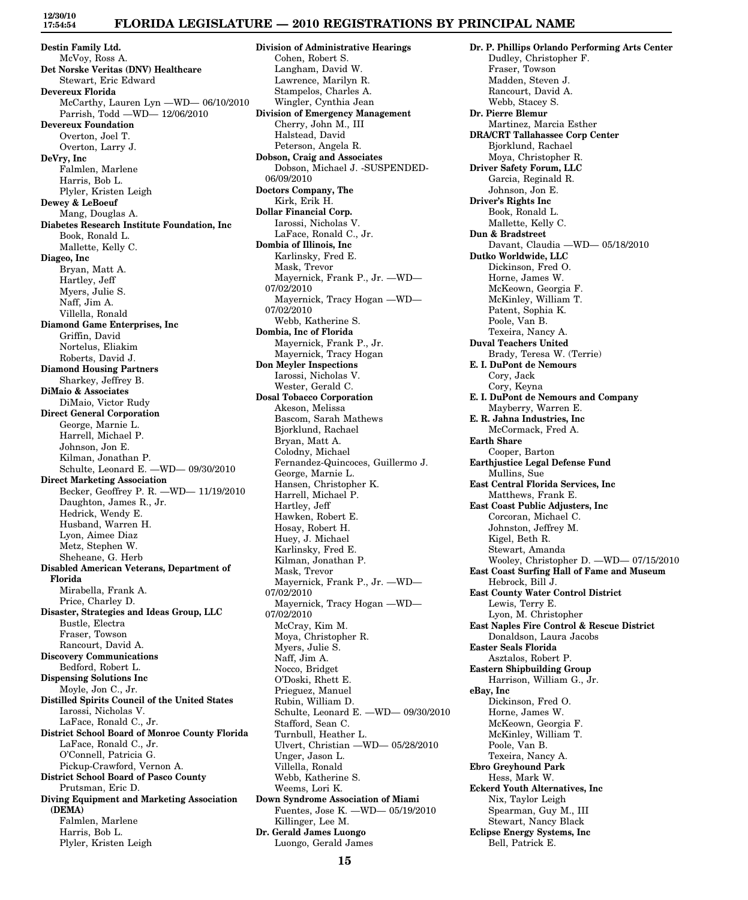# **FLORIDA LEGISLATURE — 2010 REGISTRATIONS BY PRINCIPAL NAME**

**Destin Family Ltd.** McVoy, Ross A. **Det Norske Veritas (DNV) Healthcare** Stewart, Eric Edward **Devereux Florida** McCarthy, Lauren Lyn —WD— 06/10/2010 Parrish, Todd —WD— 12/06/2010 **Devereux Foundation** Overton, Joel T. Overton, Larry J. **DeVry, Inc** Falmlen, Marlene Harris, Bob L. Plyler, Kristen Leigh **Dewey & LeBoeuf** Mang, Douglas A. **Diabetes Research Institute Foundation, Inc** Book, Ronald L. Mallette, Kelly C. **Diageo, Inc** Bryan, Matt A. Hartley, Jeff Myers, Julie S. Naff, Jim A. Villella, Ronald **Diamond Game Enterprises, Inc** Griffin, David Nortelus, Eliakim Roberts, David J. **Diamond Housing Partners** Sharkey, Jeffrey B. **DiMaio & Associates** DiMaio, Victor Rudy **Direct General Corporation** George, Marnie L. Harrell, Michael P. Johnson, Jon E. Kilman, Jonathan P. Schulte, Leonard E. —WD— 09/30/2010 **Direct Marketing Association** Becker, Geoffrey P. R. —WD— 11/19/2010 Daughton, James R., Jr. Hedrick, Wendy E. Husband, Warren H. Lyon, Aimee Diaz Metz, Stephen W. Sheheane, G. Herb **Disabled American Veterans, Department of Florida** Mirabella, Frank A. Price, Charley D. **Disaster, Strategies and Ideas Group, LLC** Bustle, Electra Fraser, Towson Rancourt, David A. **Discovery Communications** Bedford, Robert L. **Dispensing Solutions Inc** Moyle, Jon C., Jr. **Distilled Spirits Council of the United States** Iarossi, Nicholas V. LaFace, Ronald C., Jr. **District School Board of Monroe County Florida** LaFace, Ronald C., Jr. O'Connell, Patricia G. Pickup-Crawford, Vernon A. **District School Board of Pasco County** Prutsman, Eric D. **Diving Equipment and Marketing Association (DEMA)** Falmlen, Marlene Harris, Bob L. Plyler, Kristen Leigh

**Division of Administrative Hearings** Cohen, Robert S. Langham, David W. Lawrence, Marilyn R. Stampelos, Charles A. Wingler, Cynthia Jean **Division of Emergency Management** Cherry, John M., III Halstead, David Peterson, Angela R. **Dobson, Craig and Associates** Dobson, Michael J. -SUSPENDED-06/09/2010 **Doctors Company, The** Kirk, Erik H. **Dollar Financial Corp.** Iarossi, Nicholas V. LaFace, Ronald C., Jr. **Dombia of Illinois, Inc** Karlinsky, Fred E. Mask, Trevor Mayernick, Frank P., Jr. —WD— 07/02/2010 Mayernick, Tracy Hogan —WD— 07/02/2010 Webb, Katherine S. **Dombia, Inc of Florida** Mayernick, Frank P., Jr. Mayernick, Tracy Hogan **Don Meyler Inspections** Iarossi, Nicholas V. Wester, Gerald C. **Dosal Tobacco Corporation** Akeson, Melissa Bascom, Sarah Mathews Bjorklund, Rachael Bryan, Matt A. Colodny, Michael Fernandez-Quincoces, Guillermo J. George, Marnie L. Hansen, Christopher K. Harrell, Michael P. Hartley, Jeff Hawken, Robert E. Hosay, Robert H. Huey, J. Michael Karlinsky, Fred E. Kilman, Jonathan P. Mask, Trevor Mayernick, Frank P., Jr. —WD— 07/02/2010 Mayernick, Tracy Hogan —WD— 07/02/2010 McCray, Kim M. Moya, Christopher R. Myers, Julie S. Naff, Jim A. Nocco, Bridget O'Doski, Rhett E. Prieguez, Manuel Rubin, William D. Schulte, Leonard E. —WD— 09/30/2010 Stafford, Sean C. Turnbull, Heather L. Ulvert, Christian —WD— 05/28/2010 Unger, Jason L. Villella, Ronald Webb, Katherine S. Weems, Lori K. **Down Syndrome Association of Miami** Fuentes, Jose K. —WD— 05/19/2010 Killinger, Lee M. **Dr. Gerald James Luongo** Luongo, Gerald James

**Dr. P. Phillips Orlando Performing Arts Center** Dudley, Christopher F. Fraser, Towson Madden, Steven J. Rancourt, David A. Webb, Stacey S. **Dr. Pierre Blemur** Martinez, Marcia Esther **DRA/CRT Tallahassee Corp Center** Bjorklund, Rachael Moya, Christopher R. **Driver Safety Forum, LLC** Garcia, Reginald R. Johnson, Jon E. **Driver's Rights Inc** Book, Ronald L. Mallette, Kelly C. **Dun & Bradstreet** Davant, Claudia —WD— 05/18/2010 **Dutko Worldwide, LLC** Dickinson, Fred O. Horne, James W. McKeown, Georgia F. McKinley, William T. Patent, Sophia K. Poole, Van B. Texeira, Nancy A. **Duval Teachers United** Brady, Teresa W. (Terrie) **E. I. DuPont de Nemours** Cory, Jack Cory, Keyna **E. I. DuPont de Nemours and Company** Mayberry, Warren E. **E. R. Jahna Industries, Inc** McCormack, Fred A. **Earth Share** Cooper, Barton **Earthjustice Legal Defense Fund** Mullins, Sue **East Central Florida Services, Inc** Matthews, Frank E. **East Coast Public Adjusters, Inc** Corcoran, Michael C. Johnston, Jeffrey M. Kigel, Beth R. Stewart, Amanda Wooley, Christopher D. —WD— 07/15/2010 **East Coast Surfing Hall of Fame and Museum** Hebrock, Bill J. **East County Water Control District** Lewis, Terry E. Lyon, M. Christopher **East Naples Fire Control & Rescue District** Donaldson, Laura Jacobs **Easter Seals Florida** Asztalos, Robert P. **Eastern Shipbuilding Group** Harrison, William G., Jr. **eBay, Inc** Dickinson, Fred O. Horne, James W. McKeown, Georgia F. McKinley, William T. Poole, Van B. Texeira, Nancy A. **Ebro Greyhound Park** Hess, Mark W. **Eckerd Youth Alternatives, Inc** Nix, Taylor Leigh Spearman, Guy M., III Stewart, Nancy Black **Eclipse Energy Systems, Inc** Bell, Patrick E.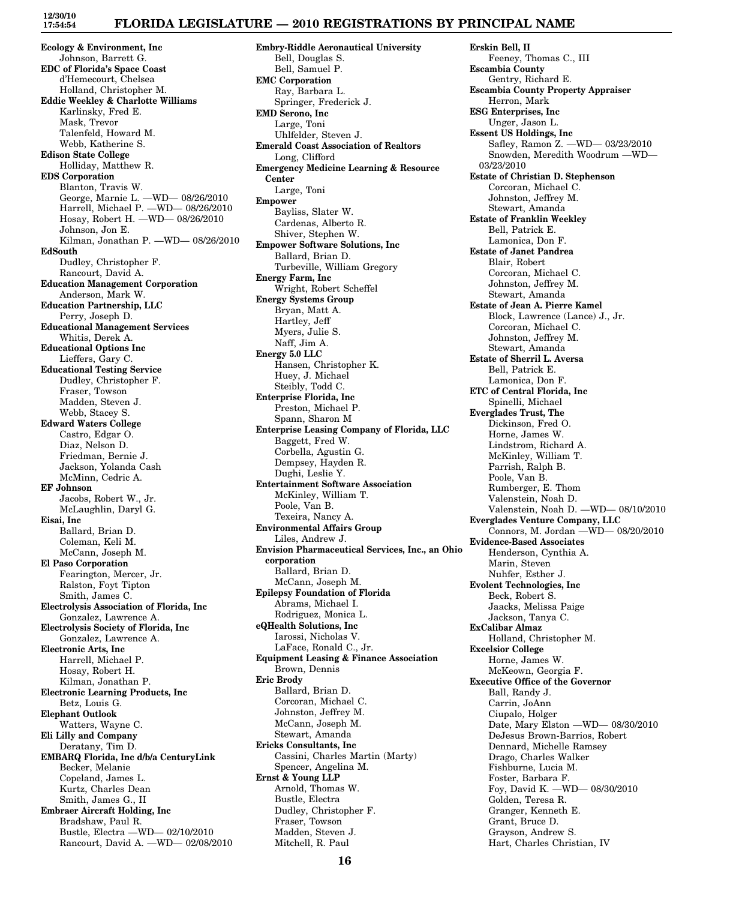# **FLORIDA LEGISLATURE — 2010 REGISTRATIONS BY PRINCIPAL NAME**

**Ecology & Environment, Inc** Johnson, Barrett G. **EDC of Florida's Space Coast** d'Hemecourt, Chelsea Holland, Christopher M. **Eddie Weekley & Charlotte Williams** Karlinsky, Fred E. Mask, Trevor Talenfeld, Howard M. Webb, Katherine S. **Edison State College** Holliday, Matthew R. **EDS Corporation** Blanton, Travis W. George, Marnie L. —WD— 08/26/2010 Harrell, Michael P. —WD— 08/26/2010 Hosay, Robert H. —WD— 08/26/2010 Johnson, Jon E. Kilman, Jonathan P. —WD— 08/26/2010 **EdSouth** Dudley, Christopher F. Rancourt, David A. **Education Management Corporation** Anderson, Mark W. **Education Partnership, LLC** Perry, Joseph D. **Educational Management Services** Whitis, Derek A. **Educational Options Inc** Lieffers, Gary C. **Educational Testing Service** Dudley, Christopher F. Fraser, Towson Madden, Steven J. Webb, Stacey S. **Edward Waters College** Castro, Edgar O. Diaz, Nelson D. Friedman, Bernie J. Jackson, Yolanda Cash McMinn, Cedric A. **EF Johnson** Jacobs, Robert W., Jr. McLaughlin, Daryl G. **Eisai, Inc** Ballard, Brian D. Coleman, Keli M. McCann, Joseph M. **El Paso Corporation** Fearington, Mercer, Jr. Ralston, Foyt Tipton Smith, James C. **Electrolysis Association of Florida, Inc** Gonzalez, Lawrence A. **Electrolysis Society of Florida, Inc** Gonzalez, Lawrence A. **Electronic Arts, Inc** Harrell, Michael P. Hosay, Robert H. Kilman, Jonathan P. **Electronic Learning Products, Inc** Betz, Louis G. **Elephant Outlook** Watters, Wayne C. **Eli Lilly and Company** Deratany, Tim D. **EMBARQ Florida, Inc d/b/a CenturyLink** Becker, Melanie Copeland, James L. Kurtz, Charles Dean Smith, James G., II **Embraer Aircraft Holding, Inc** Bradshaw, Paul R. Bustle, Electra —WD— 02/10/2010 Rancourt, David A. —WD— 02/08/2010

**Embry-Riddle Aeronautical University** Bell, Douglas S. Bell, Samuel P. **EMC Corporation** Ray, Barbara L. Springer, Frederick J. **EMD Serono, Inc** Large, Toni Uhlfelder, Steven J. **Emerald Coast Association of Realtors** Long, Clifford **Emergency Medicine Learning & Resource Center** Large, Toni **Empower** Bayliss, Slater W. Cardenas, Alberto R. Shiver, Stephen W. **Empower Software Solutions, Inc** Ballard, Brian D. Turbeville, William Gregory **Energy Farm, Inc** Wright, Robert Scheffel **Energy Systems Group** Bryan, Matt A. Hartley, Jeff Myers, Julie S. Naff, Jim A. **Energy 5.0 LLC** Hansen, Christopher K. Huey, J. Michael Steibly, Todd C. **Enterprise Florida, Inc** Preston, Michael P. Spann, Sharon M **Enterprise Leasing Company of Florida, LLC** Baggett, Fred W. Corbella, Agustin G. Dempsey, Hayden R. Dughi, Leslie Y. **Entertainment Software Association** McKinley, William T. Poole, Van B. Texeira, Nancy A. **Environmental Affairs Group** Liles, Andrew J. **Envision Pharmaceutical Services, Inc., an Ohio corporation** Ballard, Brian D. McCann, Joseph M. **Epilepsy Foundation of Florida** Abrams, Michael I. Rodriguez, Monica L. **eQHealth Solutions, Inc** Iarossi, Nicholas V. LaFace, Ronald C., Jr. **Equipment Leasing & Finance Association** Brown, Dennis **Eric Brody** Ballard, Brian D. Corcoran, Michael C. Johnston, Jeffrey M. McCann, Joseph M. Stewart, Amanda **Ericks Consultants, Inc** Cassini, Charles Martin (Marty) Spencer, Angelina M. **Ernst & Young LLP** Arnold, Thomas W. Bustle, Electra Dudley, Christopher F. Fraser, Towson Madden, Steven J. Mitchell, R. Paul

**Erskin Bell, II** Feeney, Thomas C., III **Escambia County** Gentry, Richard E. **Escambia County Property Appraiser** Herron, Mark **ESG Enterprises, Inc** Unger, Jason L. **Essent US Holdings, Inc** Safley, Ramon Z. —WD— 03/23/2010 Snowden, Meredith Woodrum —WD— 03/23/2010 **Estate of Christian D. Stephenson** Corcoran, Michael C. Johnston, Jeffrey M. Stewart, Amanda **Estate of Franklin Weekley** Bell, Patrick E. Lamonica, Don F. **Estate of Janet Pandrea** Blair, Robert Corcoran, Michael C. Johnston, Jeffrey M. Stewart, Amanda **Estate of Jean A. Pierre Kamel** Block, Lawrence (Lance) J., Jr. Corcoran, Michael C. Johnston, Jeffrey M. Stewart, Amanda **Estate of Sherril L. Aversa** Bell, Patrick E. Lamonica, Don F. **ETC of Central Florida, Inc** Spinelli, Michael **Everglades Trust, The** Dickinson, Fred O. Horne, James W. Lindstrom, Richard A. McKinley, William T. Parrish, Ralph B. Poole, Van B. Rumberger, E. Thom Valenstein, Noah D. Valenstein, Noah D. —WD— 08/10/2010 **Everglades Venture Company, LLC** Connors, M. Jordan —WD— 08/20/2010 **Evidence-Based Associates** Henderson, Cynthia A. Marin, Steven Nuhfer, Esther J. **Evolent Technologies, Inc** Beck, Robert S. Jaacks, Melissa Paige Jackson, Tanya C. **ExCalibar Almaz** Holland, Christopher M. **Excelsior College** Horne, James W. McKeown, Georgia F. **Executive Office of the Governor** Ball, Randy J. Carrin, JoAnn Ciupalo, Holger Date, Mary Elston —WD— 08/30/2010 DeJesus Brown-Barrios, Robert Dennard, Michelle Ramsey Drago, Charles Walker Fishburne, Lucia M. Foster, Barbara F. Foy, David K. —WD— 08/30/2010 Golden, Teresa R. Granger, Kenneth E. Grant, Bruce D. Grayson, Andrew S. Hart, Charles Christian, IV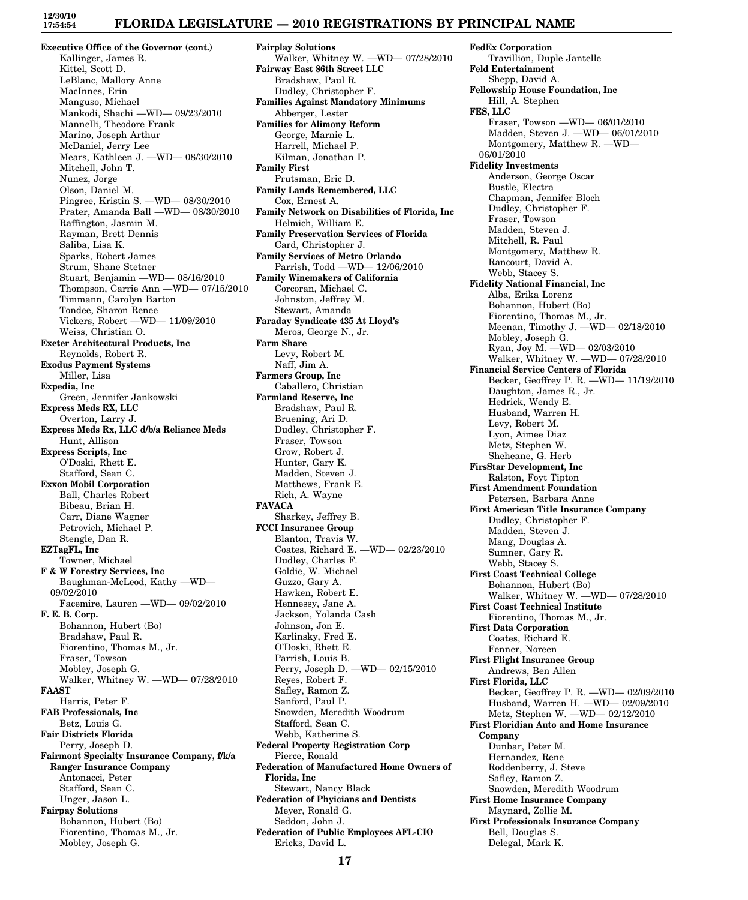### **FLORIDA LEGISLATURE — 2010 REGISTRATIONS BY PRINCIPAL NAME**

**Executive Office of the Governor (cont.)** Kallinger, James R. Kittel, Scott D. LeBlanc, Mallory Anne MacInnes, Erin Manguso, Michael Mankodi, Shachi —WD— 09/23/2010 Mannelli, Theodore Frank Marino, Joseph Arthur McDaniel, Jerry Lee Mears, Kathleen J. —WD— 08/30/2010 Mitchell, John T. Nunez, Jorge Olson, Daniel M. Pingree, Kristin S. —WD— 08/30/2010 Prater, Amanda Ball —WD— 08/30/2010 Raffington, Jasmin M. Rayman, Brett Dennis Saliba, Lisa K. Sparks, Robert James Strum, Shane Stetner Stuart, Benjamin —WD— 08/16/2010 Thompson, Carrie Ann —WD— 07/15/2010 Timmann, Carolyn Barton Tondee, Sharon Renee Vickers, Robert —WD— 11/09/2010 Weiss, Christian O. **Exeter Architectural Products, Inc** Reynolds, Robert R. **Exodus Payment Systems** Miller, Lisa **Expedia, Inc** Green, Jennifer Jankowski **Express Meds RX, LLC** Overton, Larry J. **Express Meds Rx, LLC d/b/a Reliance Meds** Hunt, Allison **Express Scripts, Inc** O'Doski, Rhett E. Stafford, Sean C. **Exxon Mobil Corporation** Ball, Charles Robert Bibeau, Brian H. Carr, Diane Wagner Petrovich, Michael P. Stengle, Dan R. **EZTagFL, Inc** Towner, Michael **F & W Forestry Services, Inc** Baughman-McLeod, Kathy —WD— 09/02/2010 Facemire, Lauren —WD— 09/02/2010 **F. E. B. Corp.** Bohannon, Hubert (Bo) Bradshaw, Paul R. Fiorentino, Thomas M., Jr. Fraser, Towson Mobley, Joseph G. Walker, Whitney W. —WD— 07/28/2010 **FAAST** Harris, Peter F. **FAB Professionals, Inc** Betz, Louis G. **Fair Districts Florida** Perry, Joseph D. **Fairmont Specialty Insurance Company, f/k/a Ranger Insurance Company** Antonacci, Peter Stafford, Sean C. Unger, Jason L. **Fairpay Solutions** Bohannon, Hubert (Bo) Fiorentino, Thomas M., Jr. Mobley, Joseph G.

**Fairplay Solutions** Walker, Whitney W. —WD— 07/28/2010 **Fairway East 86th Street LLC** Bradshaw, Paul R. Dudley, Christopher F. **Families Against Mandatory Minimums** Abberger, Lester **Families for Alimony Reform** George, Marnie L. Harrell, Michael P. Kilman, Jonathan P. **Family First** Prutsman, Eric D. **Family Lands Remembered, LLC** Cox, Ernest A. **Family Network on Disabilities of Florida, Inc** Helmich, William E. **Family Preservation Services of Florida** Card, Christopher J. **Family Services of Metro Orlando** Parrish, Todd —WD— 12/06/2010 **Family Winemakers of California** Corcoran, Michael C. Johnston, Jeffrey M. Stewart, Amanda **Faraday Syndicate 435 At Lloyd's** Meros, George N., Jr. **Farm Share** Levy, Robert M. Naff, Jim A. **Farmers Group, Inc** Caballero, Christian **Farmland Reserve, Inc** Bradshaw, Paul R. Bruening, Ari D. Dudley, Christopher F. Fraser, Towson Grow, Robert J. Hunter, Gary K. Madden, Steven J. Matthews, Frank E. Rich, A. Wayne **FAVACA** Sharkey, Jeffrey B. **FCCI Insurance Group** Blanton, Travis W. Coates, Richard E. —WD— 02/23/2010 Dudley, Charles F. Goldie, W. Michael Guzzo, Gary A. Hawken, Robert E. Hennessy, Jane A. Jackson, Yolanda Cash Johnson, Jon E. Karlinsky, Fred E. O'Doski, Rhett E. Parrish, Louis B. Perry, Joseph D. —WD— 02/15/2010 Reyes, Robert F. Safley, Ramon Z. Sanford, Paul P. Snowden, Meredith Woodrum Stafford, Sean C. Webb, Katherine S. **Federal Property Registration Corp** Pierce, Ronald **Federation of Manufactured Home Owners of Florida, Inc** Stewart, Nancy Black **Federation of Phyicians and Dentists** Meyer, Ronald G. Seddon, John J. **Federation of Public Employees AFL-CIO** Ericks, David L.

**FedEx Corporation** Travillion, Duple Jantelle **Feld Entertainment** Shepp, David A. **Fellowship House Foundation, Inc** Hill, A. Stephen **FES, LLC** Fraser, Towson —WD— 06/01/2010 Madden, Steven J. —WD— 06/01/2010 Montgomery, Matthew R. —WD— 06/01/2010 **Fidelity Investments** Anderson, George Oscar Bustle, Electra Chapman, Jennifer Bloch Dudley, Christopher F. Fraser, Towson Madden, Steven J. Mitchell, R. Paul Montgomery, Matthew R. Rancourt, David A. Webb, Stacey S. **Fidelity National Financial, Inc** Alba, Erika Lorenz Bohannon, Hubert (Bo) Fiorentino, Thomas M., Jr. Meenan, Timothy J. —WD— 02/18/2010 Mobley, Joseph G. Ryan, Joy M. —WD— 02/03/2010 Walker, Whitney W. —WD— 07/28/2010 **Financial Service Centers of Florida** Becker, Geoffrey P. R. —WD— 11/19/2010 Daughton, James R., Jr. Hedrick, Wendy E. Husband, Warren H. Levy, Robert M. Lyon, Aimee Diaz Metz, Stephen W. Sheheane, G. Herb **FirsStar Development, Inc** Ralston, Foyt Tipton **First Amendment Foundation** Petersen, Barbara Anne **First American Title Insurance Company** Dudley, Christopher F. Madden, Steven J. Mang, Douglas A. Sumner, Gary R. Webb, Stacey S. **First Coast Technical College** Bohannon, Hubert (Bo) Walker, Whitney W. —WD— 07/28/2010 **First Coast Technical Institute** Fiorentino, Thomas M., Jr. **First Data Corporation** Coates, Richard E. Fenner, Noreen **First Flight Insurance Group** Andrews, Ben Allen **First Florida, LLC** Becker, Geoffrey P. R. —WD— 02/09/2010 Husband, Warren H. —WD— 02/09/2010 Metz, Stephen W. —WD— 02/12/2010 **First Floridian Auto and Home Insurance Company** Dunbar, Peter M. Hernandez, Rene Roddenberry, J. Steve Safley, Ramon Z. Snowden, Meredith Woodrum **First Home Insurance Company** Maynard, Zollie M. **First Professionals Insurance Company** Bell, Douglas S. Delegal, Mark K.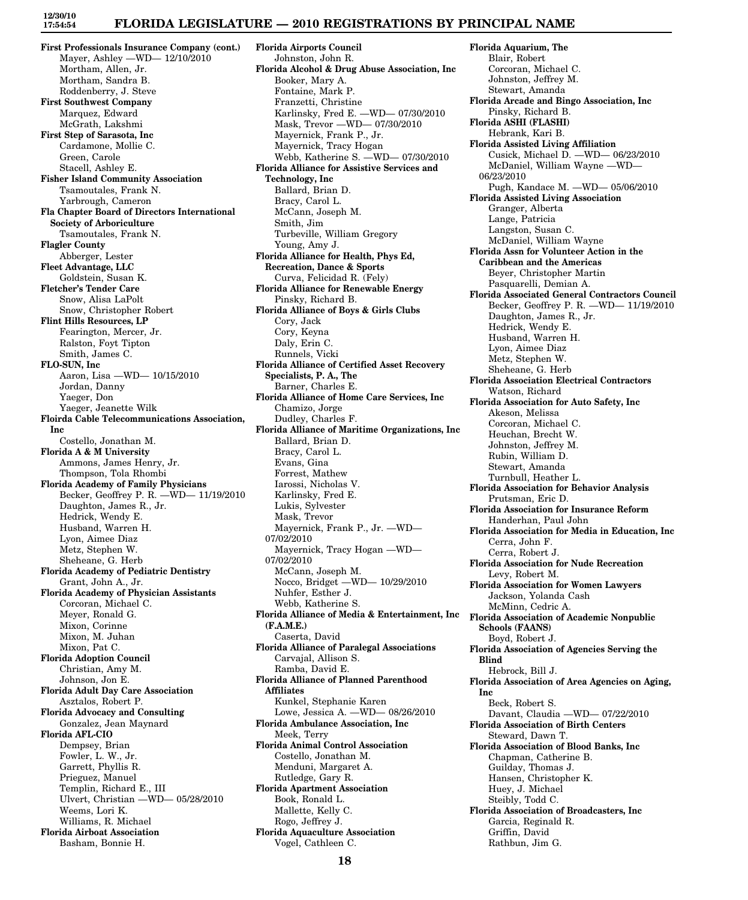## **FLORIDA LEGISLATURE — 2010 REGISTRATIONS BY PRINCIPAL NAME**

**First Professionals Insurance Company (cont.)** Mayer, Ashley —WD— 12/10/2010 Mortham, Allen, Jr. Mortham, Sandra B. Roddenberry, J. Steve **First Southwest Company** Marquez, Edward McGrath, Lakshmi **First Step of Sarasota, Inc** Cardamone, Mollie C. Green, Carole Stacell, Ashley E. **Fisher Island Community Association** Tsamoutales, Frank N. Yarbrough, Cameron **Fla Chapter Board of Directors International Society of Arboriculture** Tsamoutales, Frank N. **Flagler County** Abberger, Lester **Fleet Advantage, LLC** Goldstein, Susan K. **Fletcher's Tender Care** Snow, Alisa LaPolt Snow, Christopher Robert **Flint Hills Resources, LP** Fearington, Mercer, Jr. Ralston, Foyt Tipton Smith, James C. **FLO-SUN, Inc** Aaron, Lisa —WD— 10/15/2010 Jordan, Danny Yaeger, Don Yaeger, Jeanette Wilk **Floirda Cable Telecommunications Association, Inc** Costello, Jonathan M. **Florida A & M University** Ammons, James Henry, Jr. Thompson, Tola Rhombi **Florida Academy of Family Physicians** Becker, Geoffrey P. R. —WD— 11/19/2010 Daughton, James R., Jr. Hedrick, Wendy E. Husband, Warren H. Lyon, Aimee Diaz Metz, Stephen W. Sheheane, G. Herb **Florida Academy of Pediatric Dentistry** Grant, John A., Jr. **Florida Academy of Physician Assistants** Corcoran, Michael C. Meyer, Ronald G. Mixon, Corinne Mixon, M. Juhan Mixon, Pat C. **Florida Adoption Council** Christian, Amy M. Johnson, Jon E. **Florida Adult Day Care Association** Asztalos, Robert P. **Florida Advocacy and Consulting** Gonzalez, Jean Maynard **Florida AFL-CIO** Dempsey, Brian Fowler, L. W., Jr. Garrett, Phyllis R. Prieguez, Manuel Templin, Richard E., III Ulvert, Christian —WD— 05/28/2010 Weems, Lori K. Williams, R. Michael **Florida Airboat Association** Basham, Bonnie H.

**Florida Airports Council** Johnston, John R. **Florida Alcohol & Drug Abuse Association, Inc** Booker, Mary A. Fontaine, Mark P. Franzetti, Christine Karlinsky, Fred E. —WD— 07/30/2010 Mask, Trevor —WD— 07/30/2010 Mayernick, Frank P., Jr. Mayernick, Tracy Hogan Webb, Katherine S. —WD— 07/30/2010 **Florida Alliance for Assistive Services and Technology, Inc** Ballard, Brian D. Bracy, Carol L. McCann, Joseph M. Smith, Jim Turbeville, William Gregory Young, Amy J. **Florida Alliance for Health, Phys Ed, Recreation, Dance & Sports** Curva, Felicidad R. (Fely) **Florida Alliance for Renewable Energy** Pinsky, Richard B. **Florida Alliance of Boys & Girls Clubs** Cory, Jack Cory, Keyna Daly, Erin C. Runnels, Vicki **Florida Alliance of Certified Asset Recovery Specialists, P. A., The** Barner, Charles E. **Florida Alliance of Home Care Services, Inc** Chamizo, Jorge Dudley, Charles F. **Florida Alliance of Maritime Organizations, Inc** Ballard, Brian D. Bracy, Carol L. Evans, Gina Forrest, Mathew Iarossi, Nicholas V. Karlinsky, Fred E. Lukis, Sylvester Mask, Trevor Mayernick, Frank P., Jr. —WD— 07/02/2010 Mayernick, Tracy Hogan —WD— 07/02/2010 McCann, Joseph M. Nocco, Bridget —WD— 10/29/2010 Nuhfer, Esther J. Webb, Katherine S. **Florida Alliance of Media & Entertainment, Inc (F.A.M.E.)** Caserta, David **Florida Alliance of Paralegal Associations** Carvajal, Allison S. Ramba, David E. **Florida Alliance of Planned Parenthood Affiliates** Kunkel, Stephanie Karen Lowe, Jessica A. —WD— 08/26/2010 **Florida Ambulance Association, Inc** Meek, Terry **Florida Animal Control Association** Costello, Jonathan M. Menduni, Margaret A. Rutledge, Gary R. **Florida Apartment Association** Book, Ronald L. Mallette, Kelly C. Rogo, Jeffrey J. **Florida Aquaculture Association** Vogel, Cathleen C.

**Florida Aquarium, The** Blair, Robert Corcoran, Michael C. Johnston, Jeffrey M. Stewart, Amanda **Florida Arcade and Bingo Association, Inc** Pinsky, Richard B. **Florida ASHI (FLASHI)** Hebrank, Kari B. **Florida Assisted Living Affiliation** Cusick, Michael D. —WD— 06/23/2010 McDaniel, William Wayne —WD— 06/23/2010 Pugh, Kandace M. —WD— 05/06/2010 **Florida Assisted Living Association** Granger, Alberta Lange, Patricia Langston, Susan C. McDaniel, William Wayne **Florida Assn for Volunteer Action in the Caribbean and the Americas** Beyer, Christopher Martin Pasquarelli, Demian A. **Florida Associated General Contractors Council** Becker, Geoffrey P. R. —WD— 11/19/2010 Daughton, James R., Jr. Hedrick, Wendy E. Husband, Warren H. Lyon, Aimee Diaz Metz, Stephen W. Sheheane, G. Herb **Florida Association Electrical Contractors** Watson, Richard **Florida Association for Auto Safety, Inc** Akeson, Melissa Corcoran, Michael C. Heuchan, Brecht W. Johnston, Jeffrey M. Rubin, William D. Stewart, Amanda Turnbull, Heather L. **Florida Association for Behavior Analysis** Prutsman, Eric D. **Florida Association for Insurance Reform** Handerhan, Paul John **Florida Association for Media in Education, Inc** Cerra, John F. Cerra, Robert J. **Florida Association for Nude Recreation** Levy, Robert M. **Florida Association for Women Lawyers** Jackson, Yolanda Cash McMinn, Cedric A. **Florida Association of Academic Nonpublic Schools (FAANS)** Boyd, Robert J. **Florida Association of Agencies Serving the Blind** Hebrock, Bill J. **Florida Association of Area Agencies on Aging, Inc** Beck, Robert S. Davant, Claudia —WD— 07/22/2010 **Florida Association of Birth Centers** Steward, Dawn T. **Florida Association of Blood Banks, Inc** Chapman, Catherine B. Guilday, Thomas J. Hansen, Christopher K. Huey, J. Michael Steibly, Todd C. **Florida Association of Broadcasters, Inc** Garcia, Reginald R. Griffin, David Rathbun, Jim G.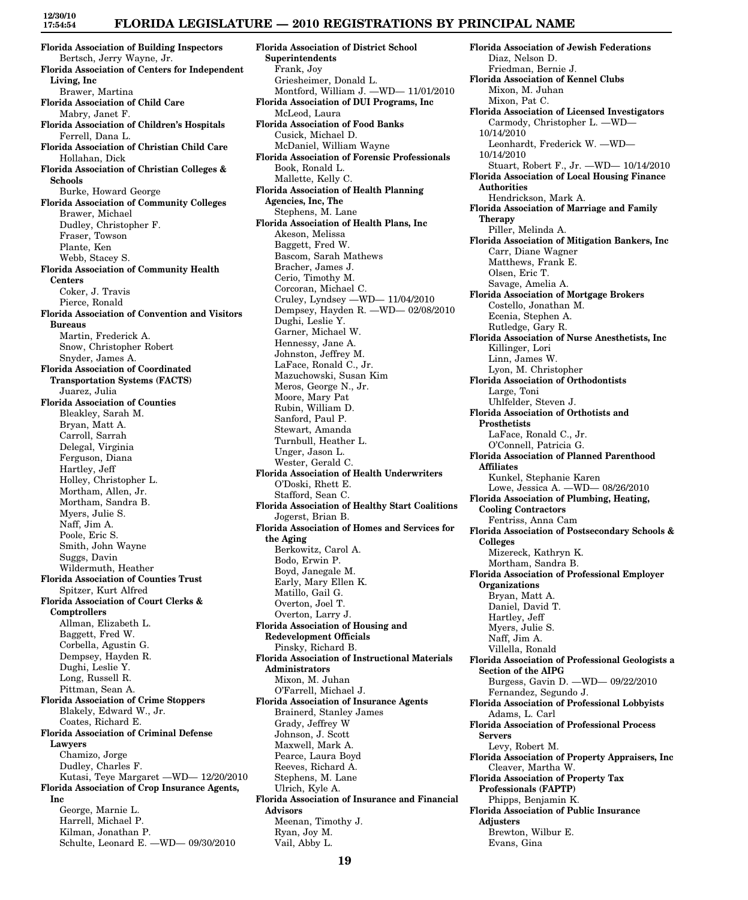### **FLORIDA LEGISLATURE — 2010 REGISTRATIONS BY PRINCIPAL NAME**

**Florida Association of Building Inspectors** Bertsch, Jerry Wayne, Jr. **Florida Association of Centers for Independent Living, Inc** Brawer, Martina **Florida Association of Child Care** Mabry, Janet F. **Florida Association of Children's Hospitals** Ferrell, Dana L. **Florida Association of Christian Child Care** Hollahan, Dick **Florida Association of Christian Colleges & Schools** Burke, Howard George **Florida Association of Community Colleges** Brawer, Michael Dudley, Christopher F. Fraser, Towson Plante, Ken Webb, Stacey S. **Florida Association of Community Health Centers** Coker, J. Travis Pierce, Ronald **Florida Association of Convention and Visitors Bureaus** Martin, Frederick A. Snow, Christopher Robert Snyder, James A. **Florida Association of Coordinated Transportation Systems (FACTS)** Juarez, Julia **Florida Association of Counties** Bleakley, Sarah M. Bryan, Matt A. Carroll, Sarrah Delegal, Virginia Ferguson, Diana Hartley, Jeff Holley, Christopher L. Mortham, Allen, Jr. Mortham, Sandra B. Myers, Julie S. Naff, Jim A. Poole, Eric S. Smith, John Wayne Suggs, Davin Wildermuth, Heather **Florida Association of Counties Trust** Spitzer, Kurt Alfred **Florida Association of Court Clerks & Comptrollers** Allman, Elizabeth L. Baggett, Fred W. Corbella, Agustin G. Dempsey, Hayden R. Dughi, Leslie Y. Long, Russell R. Pittman, Sean A. **Florida Association of Crime Stoppers** Blakely, Edward W., Jr. Coates, Richard E. **Florida Association of Criminal Defense Lawyers** Chamizo, Jorge Dudley, Charles F. Kutasi, Teye Margaret —WD— 12/20/2010 **Florida Association of Crop Insurance Agents, Inc** George, Marnie L. Harrell, Michael P. Kilman, Jonathan P. Schulte, Leonard E. —WD— 09/30/2010

**Florida Association of District School Superintendents** Frank, Joy Griesheimer, Donald L. Montford, William J. —WD— 11/01/2010 **Florida Association of DUI Programs, Inc** McLeod, Laura **Florida Association of Food Banks** Cusick, Michael D. McDaniel, William Wayne **Florida Association of Forensic Professionals** Book, Ronald L. Mallette, Kelly C. **Florida Association of Health Planning Agencies, Inc, The** Stephens, M. Lane **Florida Association of Health Plans, Inc** Akeson, Melissa Baggett, Fred W. Bascom, Sarah Mathews Bracher, James J. Cerio, Timothy M. Corcoran, Michael C. Cruley, Lyndsey —WD— 11/04/2010 Dempsey, Hayden R. —WD— 02/08/2010 Dughi, Leslie Y. Garner, Michael W. Hennessy, Jane A. Johnston, Jeffrey M. LaFace, Ronald C., Jr. Mazuchowski, Susan Kim Meros, George N., Jr. Moore, Mary Pat Rubin, William D. Sanford, Paul P. Stewart, Amanda Turnbull, Heather L. Unger, Jason L. Wester, Gerald C. **Florida Association of Health Underwriters** O'Doski, Rhett E. Stafford, Sean C. **Florida Association of Healthy Start Coalitions** Jogerst, Brian B. **Florida Association of Homes and Services for the Aging** Berkowitz, Carol A. Bodo, Erwin P. Boyd, Janegale M. Early, Mary Ellen K. Matillo, Gail G. Overton, Joel T. Overton, Larry J. **Florida Association of Housing and Redevelopment Officials** Pinsky, Richard B. **Florida Association of Instructional Materials Administrators** Mixon, M. Juhan O'Farrell, Michael J. **Florida Association of Insurance Agents** Brainerd, Stanley James Grady, Jeffrey W Johnson, J. Scott Maxwell, Mark A. Pearce, Laura Boyd Reeves, Richard A. Stephens, M. Lane Ulrich, Kyle A. **Florida Association of Insurance and Financial Advisors** Meenan, Timothy J. Ryan, Joy M. Vail, Abby L.

**Florida Association of Jewish Federations** Diaz, Nelson D. Friedman, Bernie J. **Florida Association of Kennel Clubs** Mixon, M. Juhan Mixon, Pat C. **Florida Association of Licensed Investigators** Carmody, Christopher L. —WD— 10/14/2010 Leonhardt, Frederick W. —WD— 10/14/2010 Stuart, Robert F., Jr. —WD— 10/14/2010 **Florida Association of Local Housing Finance Authorities** Hendrickson, Mark A. **Florida Association of Marriage and Family Therapy** Piller, Melinda A. **Florida Association of Mitigation Bankers, Inc** Carr, Diane Wagner Matthews, Frank E. Olsen, Eric T. Savage, Amelia A. **Florida Association of Mortgage Brokers** Costello, Jonathan M. Ecenia, Stephen A. Rutledge, Gary R. **Florida Association of Nurse Anesthetists, Inc** Killinger, Lori Linn, James W. Lyon, M. Christopher **Florida Association of Orthodontists** Large, Toni Uhlfelder, Steven J. **Florida Association of Orthotists and Prosthetists** LaFace, Ronald C., Jr. O'Connell, Patricia G. **Florida Association of Planned Parenthood Affiliates** Kunkel, Stephanie Karen Lowe, Jessica A. —WD— 08/26/2010 **Florida Association of Plumbing, Heating, Cooling Contractors** Fentriss, Anna Cam **Florida Association of Postsecondary Schools & Colleges** Mizereck, Kathryn K. Mortham, Sandra B. **Florida Association of Professional Employer Organizations** Bryan, Matt A. Daniel, David T. Hartley, Jeff Myers, Julie S. Naff, Jim A. Villella, Ronald **Florida Association of Professional Geologists a Section of the AIPG** Burgess, Gavin D. —WD— 09/22/2010 Fernandez, Segundo J. **Florida Association of Professional Lobbyists** Adams, L. Carl **Florida Association of Professional Process Servers** Levy, Robert M. **Florida Association of Property Appraisers, Inc** Cleaver, Martha W. **Florida Association of Property Tax Professionals (FAPTP)** Phipps, Benjamin K. **Florida Association of Public Insurance Adjusters** Brewton, Wilbur E. Evans, Gina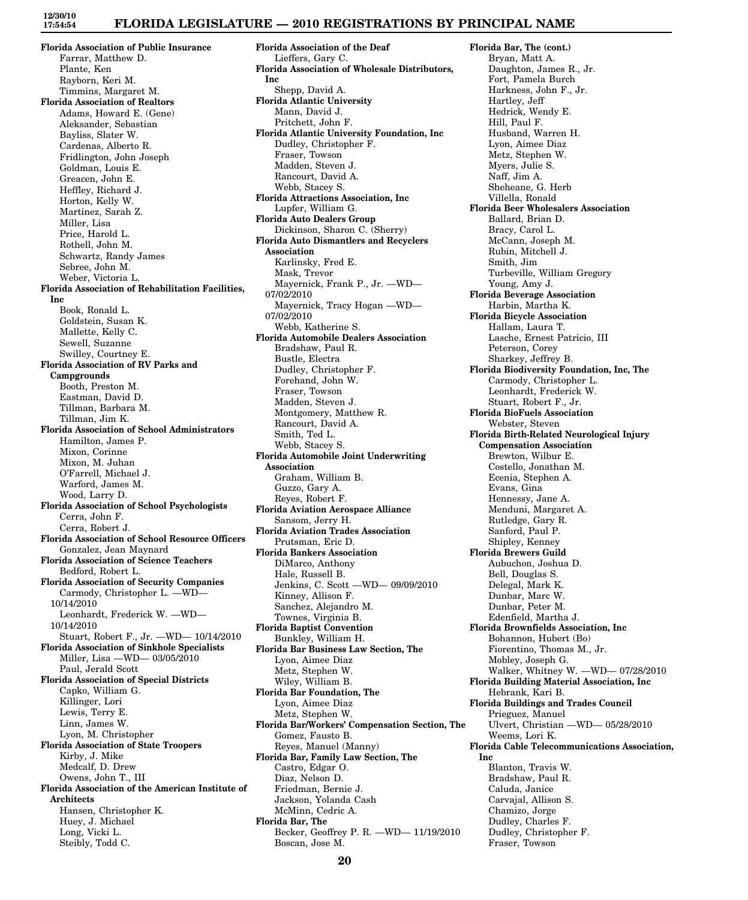**Florida Association of Public Insurance** Farrar, Matthew D. Plante, Ken Rayborn, Keri M. Timmins, Margaret M. **Florida Association of Realtors** Adams, Howard E. (Gene) Aleksander, Sebastian Bayliss, Slater W. Cardenas, Alberto R. Fridlington, John Joseph Goldman, Louis E. Greacen, John E. Heffley, Richard J. Horton, Kelly W. Martinez, Sarah Z. Miller, Lisa Price, Harold L. Rothell, John M. Schwartz, Randy James Sebree, John M. Weber, Victoria L. **Florida Association of Rehabilitation Facilities, Inc** Book, Ronald L. Goldstein, Susan K. Mallette, Kelly C. Sewell, Suzanne Swilley, Courtney E. **Florida Association of RV Parks and Campgrounds** Booth, Preston M. Eastman, David D. Tillman, Barbara M. Tillman, Jim K. **Florida Association of School Administrators** Hamilton, James P. Mixon, Corinne Mixon, M. Juhan O'Farrell, Michael J. Warford, James M. Wood, Larry D. **Florida Association of School Psychologists** Cerra, John F. Cerra, Robert J. **Florida Association of School Resource Officers** Gonzalez, Jean Maynard **Florida Association of Science Teachers** Bedford, Robert L. **Florida Association of Security Companies** Carmody, Christopher L. —WD— 10/14/2010 Leonhardt, Frederick W. —WD— 10/14/2010 Stuart, Robert F., Jr. —WD— 10/14/2010 **Florida Association of Sinkhole Specialists** Miller, Lisa —WD— 03/05/2010 Paul, Jerald Scott **Florida Association of Special Districts** Capko, William G. Killinger, Lori Lewis, Terry E. Linn, James W. Lyon, M. Christopher **Florida Association of State Troopers** Kirby, J. Mike Medcalf, D. Drew Owens, John T., III **Florida Association of the American Institute of Architects** Hansen, Christopher K. Huey, J. Michael Long, Vicki L. Steibly, Todd C.

**Florida Association of the Deaf** Lieffers, Gary C. **Florida Association of Wholesale Distributors, Inc** Shepp, David A. **Florida Atlantic University** Mann, David J. Pritchett, John F. **Florida Atlantic University Foundation, Inc** Dudley, Christopher F. Fraser, Towson Madden, Steven J. Rancourt, David A. Webb, Stacey S. **Florida Attractions Association, Inc** Lupfer, William G. **Florida Auto Dealers Group** Dickinson, Sharon C. (Sherry) **Florida Auto Dismantlers and Recyclers Association** Karlinsky, Fred E. Mask, Trevor Mayernick, Frank P., Jr. —WD— 07/02/2010 Mayernick, Tracy Hogan —WD— 07/02/2010 Webb, Katherine S. **Florida Automobile Dealers Association** Bradshaw, Paul R. Bustle, Electra Dudley, Christopher F. Forehand, John W. Fraser, Towson Madden, Steven J. Montgomery, Matthew R. Rancourt, David A. Smith, Ted L. Webb, Stacey S. **Florida Automobile Joint Underwriting Association** Graham, William B. Guzzo, Gary A. Reyes, Robert F. **Florida Aviation Aerospace Alliance** Sansom, Jerry H. **Florida Aviation Trades Association** Prutsman, Eric D. **Florida Bankers Association** DiMarco, Anthony Hale, Russell B. Jenkins, C. Scott —WD— 09/09/2010 Kinney, Allison F. Sanchez, Alejandro M. Townes, Virginia B. **Florida Baptist Convention** Bunkley, William H. **Florida Bar Business Law Section, The** Lyon, Aimee Diaz Metz, Stephen W. Wiley, William B. **Florida Bar Foundation, The** Lyon, Aimee Diaz Metz, Stephen W. **Florida Bar/Workers' Compensation Section, The** Gomez, Fausto B. Reyes, Manuel (Manny) **Florida Bar, Family Law Section, The** Castro, Edgar O. Diaz, Nelson D. Friedman, Bernie J. Jackson, Yolanda Cash McMinn, Cedric A. **Florida Bar, The** Becker, Geoffrey P. R. —WD— 11/19/2010 Boscan, Jose M.

**Florida Bar, The (cont.)** Bryan, Matt A. Daughton, James R., Jr. Fort, Pamela Burch Harkness, John F., Jr. Hartley, Jeff Hedrick, Wendy E. Hill, Paul F. Husband, Warren H. Lyon, Aimee Diaz Metz, Stephen W. Myers, Julie S. Naff, Jim A. Sheheane, G. Herb Villella, Ronald **Florida Beer Wholesalers Association** Ballard, Brian D. Bracy, Carol L. McCann, Joseph M. Rubin, Mitchell J. Smith, Jim Turbeville, William Gregory Young, Amy J. **Florida Beverage Association** Harbin, Martha K. **Florida Bicycle Association** Hallam, Laura T. Lasche, Ernest Patricio, III Peterson, Corey Sharkey, Jeffrey B. **Florida Biodiversity Foundation, Inc, The** Carmody, Christopher L. Leonhardt, Frederick W. Stuart, Robert F., Jr. **Florida BioFuels Association** Webster, Steven **Florida Birth-Related Neurological Injury Compensation Association** Brewton, Wilbur E. Costello, Jonathan M. Ecenia, Stephen A. Evans, Gina Hennessy, Jane A. Menduni, Margaret A. Rutledge, Gary R. Sanford, Paul P. Shipley, Kenney **Florida Brewers Guild** Aubuchon, Joshua D. Bell, Douglas S. Delegal, Mark K. Dunbar, Marc W. Dunbar, Peter M. Edenfield, Martha J. **Florida Brownfields Association, Inc** Bohannon, Hubert (Bo) Fiorentino, Thomas M., Jr. Mobley, Joseph G. Walker, Whitney W. —WD— 07/28/2010 **Florida Building Material Association, Inc** Hebrank, Kari B. **Florida Buildings and Trades Council** Prieguez, Manuel Ulvert, Christian —WD— 05/28/2010 Weems, Lori K. **Florida Cable Telecommunications Association, Inc** Blanton, Travis W. Bradshaw, Paul R. Caluda, Janice Carvajal, Allison S. Chamizo, Jorge Dudley, Charles F. Dudley, Christopher F. Fraser, Towson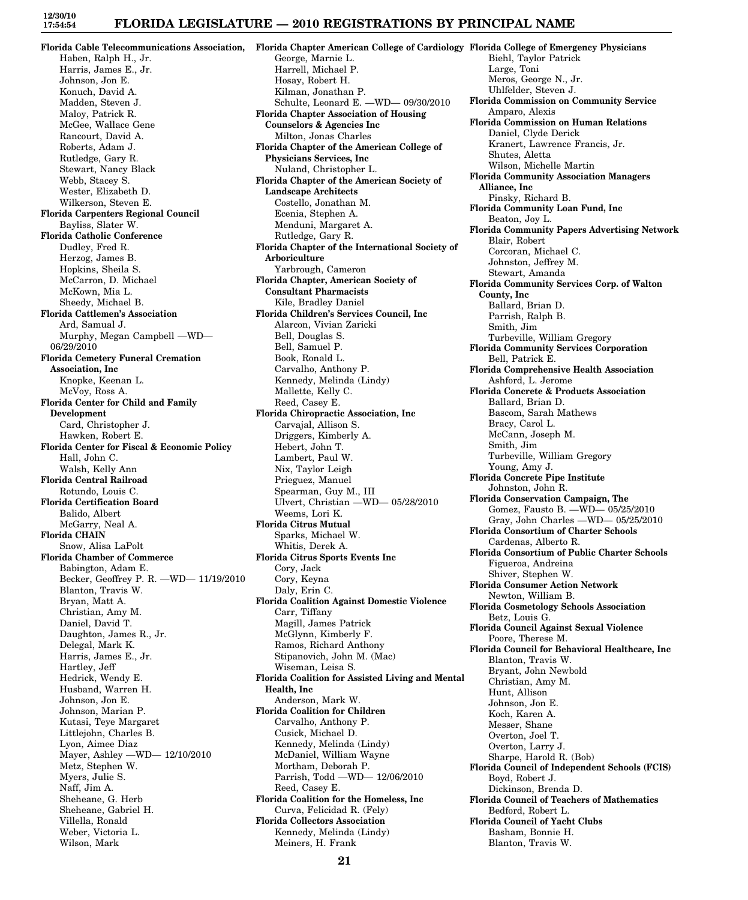#### **FLORIDA LEGISLATURE — 2010 REGISTRATIONS BY PRINCIPAL NAME**

**Florida Cable Telecommunications Association,** Haben, Ralph H., Jr. Harris, James E., Jr. Johnson, Jon E. Konuch, David A. Madden, Steven J. Maloy, Patrick R. McGee, Wallace Gene Rancourt, David A. Roberts, Adam J. Rutledge, Gary R. Stewart, Nancy Black Webb, Stacey S. Wester, Elizabeth D. Wilkerson, Steven E. **Florida Carpenters Regional Council** Bayliss, Slater W. **Florida Catholic Conference** Dudley, Fred R. Herzog, James B. Hopkins, Sheila S. McCarron, D. Michael McKown, Mia L. Sheedy, Michael B. **Florida Cattlemen's Association** Ard, Samual J. Murphy, Megan Campbell —WD— 06/29/2010 **Florida Cemetery Funeral Cremation Association, Inc** Knopke, Keenan L. McVoy, Ross A. **Florida Center for Child and Family Development** Card, Christopher J. Hawken, Robert E. **Florida Center for Fiscal & Economic Policy** Hall, John C. Walsh, Kelly Ann **Florida Central Railroad** Rotundo, Louis C. **Florida Certification Board** Balido, Albert McGarry, Neal A. **Florida CHAIN** Snow, Alisa LaPolt **Florida Chamber of Commerce** Babington, Adam E. Becker, Geoffrey P. R. —WD— 11/19/2010 Blanton, Travis W. Bryan, Matt A. Christian, Amy M. Daniel, David T. Daughton, James R., Jr. Delegal, Mark K. Harris, James E., Jr. Hartley, Jeff Hedrick, Wendy E. Husband, Warren H. Johnson, Jon E. Johnson, Marian P. Kutasi, Teye Margaret Littlejohn, Charles B. Lyon, Aimee Diaz Mayer, Ashley —WD— 12/10/2010 Metz, Stephen W. Myers, Julie S. Naff, Jim A. Sheheane, G. Herb Sheheane, Gabriel H. Villella, Ronald Weber, Victoria L. Wilson, Mark

**Florida Chapter American College of Cardiology Florida College of Emergency Physicians** George, Marnie L. Harrell, Michael P. Hosay, Robert H. Kilman, Jonathan P. Schulte, Leonard E. —WD— 09/30/2010 **Florida Chapter Association of Housing Counselors & Agencies Inc** Milton, Jonas Charles **Florida Chapter of the American College of Physicians Services, Inc** Nuland, Christopher L. **Florida Chapter of the American Society of Landscape Architects** Costello, Jonathan M. Ecenia, Stephen A. Menduni, Margaret A. Rutledge, Gary R. **Florida Chapter of the International Society of Arboriculture** Yarbrough, Cameron **Florida Chapter, American Society of Consultant Pharmacists** Kile, Bradley Daniel **Florida Children's Services Council, Inc** Alarcon, Vivian Zaricki Bell, Douglas S. Bell, Samuel P. Book, Ronald L. Carvalho, Anthony P. Kennedy, Melinda (Lindy) Mallette, Kelly C. Reed, Casey E. **Florida Chiropractic Association, Inc** Carvajal, Allison S. Driggers, Kimberly A. Hebert, John T. Lambert, Paul W. Nix, Taylor Leigh Prieguez, Manuel Spearman, Guy M., III Ulvert, Christian —WD— 05/28/2010 Weems, Lori K. **Florida Citrus Mutual** Sparks, Michael W. Whitis, Derek A. **Florida Citrus Sports Events Inc** Cory, Jack Cory, Keyna Daly, Erin C. **Florida Coalition Against Domestic Violence** Carr, Tiffany Magill, James Patrick McGlynn, Kimberly F. Ramos, Richard Anthony Stipanovich, John M. (Mac) Wiseman, Leisa S. **Florida Coalition for Assisted Living and Mental Health, Inc** Anderson, Mark W. **Florida Coalition for Children** Carvalho, Anthony P. Cusick, Michael D. Kennedy, Melinda (Lindy) McDaniel, William Wayne Mortham, Deborah P. Parrish, Todd —WD— 12/06/2010 Reed, Casey E. **Florida Coalition for the Homeless, Inc** Curva, Felicidad R. (Fely) **Florida Collectors Association** Kennedy, Melinda (Lindy) Meiners, H. Frank

Biehl, Taylor Patrick Large, Toni Meros, George N., Jr. Uhlfelder, Steven J. **Florida Commission on Community Service** Amparo, Alexis **Florida Commission on Human Relations** Daniel, Clyde Derick Kranert, Lawrence Francis, Jr. Shutes, Aletta Wilson, Michelle Martin **Florida Community Association Managers Alliance, Inc** Pinsky, Richard B. **Florida Community Loan Fund, Inc** Beaton, Joy L. **Florida Community Papers Advertising Network** Blair, Robert Corcoran, Michael C. Johnston, Jeffrey M. Stewart, Amanda **Florida Community Services Corp. of Walton County, Inc** Ballard, Brian D. Parrish, Ralph B. Smith, Jim Turbeville, William Gregory **Florida Community Services Corporation** Bell, Patrick E. **Florida Comprehensive Health Association** Ashford, L. Jerome **Florida Concrete & Products Association** Ballard, Brian D. Bascom, Sarah Mathews Bracy, Carol L. McCann, Joseph M. Smith, Jim Turbeville, William Gregory Young, Amy J. **Florida Concrete Pipe Institute** Johnston, John R. **Florida Conservation Campaign, The** Gomez, Fausto B. —WD— 05/25/2010 Gray, John Charles —WD— 05/25/2010 **Florida Consortium of Charter Schools** Cardenas, Alberto R. **Florida Consortium of Public Charter Schools** Figueroa, Andreina Shiver, Stephen W. **Florida Consumer Action Network** Newton, William B. **Florida Cosmetology Schools Association** Betz, Louis G. **Florida Council Against Sexual Violence** Poore, Therese M. **Florida Council for Behavioral Healthcare, Inc** Blanton, Travis W. Bryant, John Newbold Christian, Amy M. Hunt, Allison Johnson, Jon E. Koch, Karen A. Messer, Shane Overton, Joel T. Overton, Larry J. Sharpe, Harold R. (Bob) **Florida Council of Independent Schools (FCIS)** Boyd, Robert J. Dickinson, Brenda D. **Florida Council of Teachers of Mathematics** Bedford, Robert L. **Florida Council of Yacht Clubs** Basham, Bonnie H. Blanton, Travis W.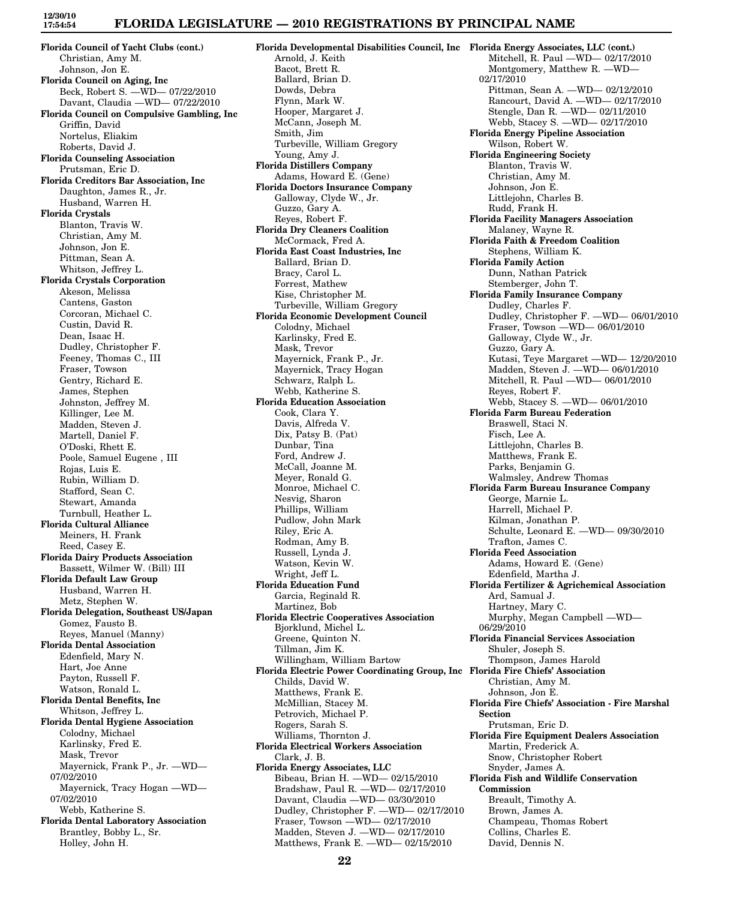**Florida Council of Yacht Clubs (cont.)** Christian, Amy M. Johnson, Jon E. **Florida Council on Aging, Inc** Beck, Robert S. —WD— 07/22/2010 Davant, Claudia —WD— 07/22/2010 **Florida Council on Compulsive Gambling, Inc** Griffin, David Nortelus, Eliakim Roberts, David J. **Florida Counseling Association** Prutsman, Eric D. **Florida Creditors Bar Association, Inc** Daughton, James R., Jr. Husband, Warren H. **Florida Crystals** Blanton, Travis W. Christian, Amy M. Johnson, Jon E. Pittman, Sean A. Whitson, Jeffrey L. **Florida Crystals Corporation** Akeson, Melissa Cantens, Gaston Corcoran, Michael C. Custin, David R. Dean, Isaac H. Dudley, Christopher F. Feeney, Thomas C., III Fraser, Towson Gentry, Richard E. James, Stephen Johnston, Jeffrey M. Killinger, Lee M. Madden, Steven J. Martell, Daniel F. O'Doski, Rhett E. Poole, Samuel Eugene , III Rojas, Luis E. Rubin, William D. Stafford, Sean C. Stewart, Amanda Turnbull, Heather L. **Florida Cultural Alliance** Meiners, H. Frank Reed, Casey E. **Florida Dairy Products Association** Bassett, Wilmer W. (Bill) III **Florida Default Law Group** Husband, Warren H. Metz, Stephen W. **Florida Delegation, Southeast US/Japan** Gomez, Fausto B. Reyes, Manuel (Manny) **Florida Dental Association** Edenfield, Mary N. Hart, Joe Anne Payton, Russell F. Watson, Ronald L. **Florida Dental Benefits, Inc** Whitson, Jeffrey L. **Florida Dental Hygiene Association** Colodny, Michael Karlinsky, Fred E. Mask, Trevor Mayernick, Frank P., Jr. —WD— 07/02/2010 Mayernick, Tracy Hogan —WD— 07/02/2010 Webb, Katherine S. **Florida Dental Laboratory Association** Brantley, Bobby L., Sr. Holley, John H.

**Florida Developmental Disabilities Council, Inc Florida Energy Associates, LLC (cont.)** Arnold, J. Keith Bacot, Brett R. Ballard, Brian D. Dowds, Debra Flynn, Mark W. Hooper, Margaret J. McCann, Joseph M. Smith, Jim Turbeville, William Gregory Young, Amy J. **Florida Distillers Company** Adams, Howard E. (Gene) **Florida Doctors Insurance Company** Galloway, Clyde W., Jr. Guzzo, Gary A. Reyes, Robert F. **Florida Dry Cleaners Coalition** McCormack, Fred A. **Florida East Coast Industries, Inc** Ballard, Brian D. Bracy, Carol L. Forrest, Mathew Kise, Christopher M. Turbeville, William Gregory **Florida Economic Development Council** Colodny, Michael Karlinsky, Fred E. Mask, Trevor Mayernick, Frank P., Jr. Mayernick, Tracy Hogan Schwarz, Ralph L. Webb, Katherine S. **Florida Education Association** Cook, Clara Y. Davis, Alfreda V. Dix, Patsy B. (Pat) Dunbar, Tina Ford, Andrew J. McCall, Joanne M. Meyer, Ronald G. Monroe, Michael C. Nesvig, Sharon Phillips, William Pudlow, John Mark Riley, Eric A. Rodman, Amy B. Russell, Lynda J. Watson, Kevin W. Wright, Jeff L. **Florida Education Fund** Garcia, Reginald R. Martinez, Bob **Florida Electric Cooperatives Association** Bjorklund, Michel L. Greene, Quinton N. Tillman, Jim K. Willingham, William Bartow **Florida Electric Power Coordinating Group, Inc Florida Fire Chiefs' Association** Childs, David W. Matthews, Frank E. McMillian, Stacey M. Petrovich, Michael P. Rogers, Sarah S. Williams, Thornton J. **Florida Electrical Workers Association** Clark, J. B. **Florida Energy Associates, LLC** Bibeau, Brian H. —WD— 02/15/2010 Bradshaw, Paul R. —WD— 02/17/2010 Davant, Claudia —WD— 03/30/2010 Dudley, Christopher F. —WD— 02/17/2010 Fraser, Towson —WD— 02/17/2010 Madden, Steven J. —WD— 02/17/2010 Matthews, Frank E. —WD— 02/15/2010

Mitchell, R. Paul —WD— 02/17/2010 Montgomery, Matthew R. —WD— 02/17/2010 Pittman, Sean A. —WD— 02/12/2010 Rancourt, David A. —WD— 02/17/2010 Stengle, Dan R. —WD— 02/11/2010 Webb, Stacey S. —WD— 02/17/2010 **Florida Energy Pipeline Association** Wilson, Robert W. **Florida Engineering Society** Blanton, Travis W. Christian, Amy M. Johnson, Jon E. Littlejohn, Charles B. Rudd, Frank H. **Florida Facility Managers Association** Malaney, Wayne R. **Florida Faith & Freedom Coalition** Stephens, William K. **Florida Family Action** Dunn, Nathan Patrick Stemberger, John T. **Florida Family Insurance Company** Dudley, Charles F. Dudley, Christopher F. —WD— 06/01/2010 Fraser, Towson —WD— 06/01/2010 Galloway, Clyde W., Jr. Guzzo, Gary A. Kutasi, Teye Margaret —WD— 12/20/2010 Madden, Steven J. —WD— 06/01/2010 Mitchell, R. Paul —WD— 06/01/2010 Reyes, Robert F. Webb, Stacey S. —WD— 06/01/2010 **Florida Farm Bureau Federation** Braswell, Staci N. Fisch, Lee A. Littlejohn, Charles B. Matthews, Frank E. Parks, Benjamin G. Walmsley, Andrew Thomas **Florida Farm Bureau Insurance Company** George, Marnie L. Harrell, Michael P. Kilman, Jonathan P. Schulte, Leonard E. —WD— 09/30/2010 Trafton, James C. **Florida Feed Association** Adams, Howard E. (Gene) Edenfield, Martha J. **Florida Fertilizer & Agrichemical Association** Ard, Samual J. Hartney, Mary C. Murphy, Megan Campbell —WD— 06/29/2010 **Florida Financial Services Association** Shuler, Joseph S. Thompson, James Harold Christian, Amy M. Johnson, Jon E. **Florida Fire Chiefs' Association - Fire Marshal Section** Prutsman, Eric D. **Florida Fire Equipment Dealers Association** Martin, Frederick A. Snow, Christopher Robert Snyder, James A. **Florida Fish and Wildlife Conservation Commission** Breault, Timothy A. Brown, James A. Champeau, Thomas Robert Collins, Charles E. David, Dennis N.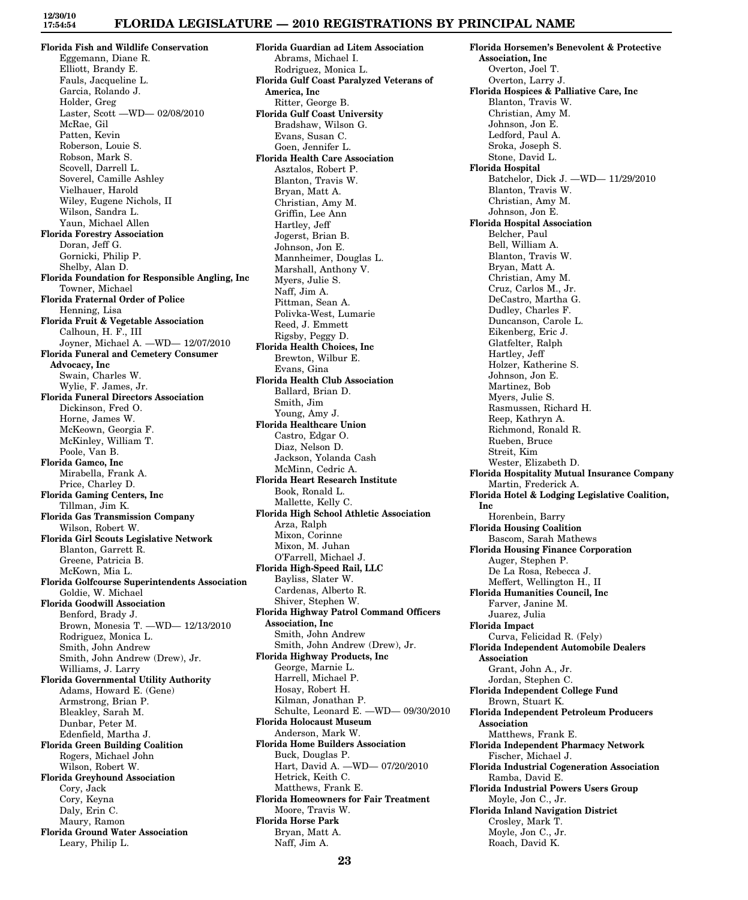## **FLORIDA LEGISLATURE — 2010 REGISTRATIONS BY PRINCIPAL NAME**

**Florida Fish and Wildlife Conservation** Eggemann, Diane R. Elliott, Brandy E. Fauls, Jacqueline L. Garcia, Rolando J. Holder, Greg Laster, Scott —WD— 02/08/2010 McRae, Gil Patten, Kevin Roberson, Louie S. Robson, Mark S. Scovell, Darrell L. Soverel, Camille Ashley Vielhauer, Harold Wiley, Eugene Nichols, II Wilson, Sandra L. Yaun, Michael Allen **Florida Forestry Association** Doran, Jeff G. Gornicki, Philip P. Shelby, Alan D. **Florida Foundation for Responsible Angling, Inc** Towner, Michael **Florida Fraternal Order of Police** Henning, Lisa **Florida Fruit & Vegetable Association** Calhoun, H. F., III Joyner, Michael A. —WD— 12/07/2010 **Florida Funeral and Cemetery Consumer Advocacy, Inc** Swain, Charles W. Wylie, F. James, Jr. **Florida Funeral Directors Association** Dickinson, Fred O. Horne, James W. McKeown, Georgia F. McKinley, William T. Poole, Van B. **Florida Gamco, Inc** Mirabella, Frank A. Price, Charley D. **Florida Gaming Centers, Inc** Tillman, Jim K. **Florida Gas Transmission Company** Wilson, Robert W. **Florida Girl Scouts Legislative Network** Blanton, Garrett R. Greene, Patricia B. McKown, Mia L. **Florida Golfcourse Superintendents Association** Goldie, W. Michael **Florida Goodwill Association** Benford, Brady J. Brown, Monesia T. —WD— 12/13/2010 Rodriguez, Monica L. Smith, John Andrew Smith, John Andrew (Drew), Jr. Williams, J. Larry **Florida Governmental Utility Authority** Adams, Howard E. (Gene) Armstrong, Brian P. Bleakley, Sarah M. Dunbar, Peter M. Edenfield, Martha J. **Florida Green Building Coalition** Rogers, Michael John Wilson, Robert W. **Florida Greyhound Association** Cory, Jack Cory, Keyna Daly, Erin C. Maury, Ramon **Florida Ground Water Association** Leary, Philip L.

**Florida Guardian ad Litem Association** Abrams, Michael I. Rodriguez, Monica L. **Florida Gulf Coast Paralyzed Veterans of America, Inc** Ritter, George B. **Florida Gulf Coast University** Bradshaw, Wilson G. Evans, Susan C. Goen, Jennifer L. **Florida Health Care Association** Asztalos, Robert P. Blanton, Travis W. Bryan, Matt A. Christian, Amy M. Griffin, Lee Ann Hartley, Jeff Jogerst, Brian B. Johnson, Jon E. Mannheimer, Douglas L. Marshall, Anthony V. Myers, Julie S. Naff, Jim A. Pittman, Sean A. Polivka-West, Lumarie Reed, J. Emmett Rigsby, Peggy D. **Florida Health Choices, Inc** Brewton, Wilbur E. Evans, Gina **Florida Health Club Association** Ballard, Brian D. Smith, Jim Young, Amy J. **Florida Healthcare Union** Castro, Edgar O. Diaz, Nelson D. Jackson, Yolanda Cash McMinn, Cedric A. **Florida Heart Research Institute** Book, Ronald L. Mallette, Kelly C. **Florida High School Athletic Association** Arza, Ralph Mixon, Corinne Mixon, M. Juhan O'Farrell, Michael J. **Florida High-Speed Rail, LLC** Bayliss, Slater W. Cardenas, Alberto R. Shiver, Stephen W. **Florida Highway Patrol Command Officers Association, Inc** Smith, John Andrew Smith, John Andrew (Drew), Jr. **Florida Highway Products, Inc** George, Marnie L. Harrell, Michael P. Hosay, Robert H. Kilman, Jonathan P. Schulte, Leonard E. —WD— 09/30/2010 **Florida Holocaust Museum** Anderson, Mark W. **Florida Home Builders Association** Buck, Douglas P. Hart, David A. —WD— 07/20/2010 Hetrick, Keith C. Matthews, Frank E. **Florida Homeowners for Fair Treatment** Moore, Travis W. **Florida Horse Park** Bryan, Matt A. Naff, Jim A.

**Florida Horsemen's Benevolent & Protective Association, Inc** Overton, Joel T. Overton, Larry J. **Florida Hospices & Palliative Care, Inc** Blanton, Travis W. Christian, Amy M. Johnson, Jon E. Ledford, Paul A. Sroka, Joseph S. Stone, David L. **Florida Hospital** Batchelor, Dick J. —WD— 11/29/2010 Blanton, Travis W. Christian, Amy M. Johnson, Jon E. **Florida Hospital Association** Belcher, Paul Bell, William A. Blanton, Travis W. Bryan, Matt A. Christian, Amy M. Cruz, Carlos M., Jr. DeCastro, Martha G. Dudley, Charles F. Duncanson, Carole L. Eikenberg, Eric J. Glatfelter, Ralph Hartley, Jeff Holzer, Katherine S. Johnson, Jon E. Martinez, Bob Myers, Julie S. Rasmussen, Richard H. Reep, Kathryn A. Richmond, Ronald R. Rueben, Bruce Streit, Kim Wester, Elizabeth D. **Florida Hospitality Mutual Insurance Company** Martin, Frederick A. **Florida Hotel & Lodging Legislative Coalition, Inc** Horenbein, Barry **Florida Housing Coalition** Bascom, Sarah Mathews **Florida Housing Finance Corporation** Auger, Stephen P. De La Rosa, Rebecca J. Meffert, Wellington H., II **Florida Humanities Council, Inc** Farver, Janine M. Juarez, Julia **Florida Impact** Curva, Felicidad R. (Fely) **Florida Independent Automobile Dealers Association** Grant, John A., Jr. Jordan, Stephen C. **Florida Independent College Fund** Brown, Stuart K. **Florida Independent Petroleum Producers Association** Matthews, Frank E. **Florida Independent Pharmacy Network** Fischer, Michael J. **Florida Industrial Cogeneration Association** Ramba, David E. **Florida Industrial Powers Users Group** Moyle, Jon C., Jr. **Florida Inland Navigation District** Crosley, Mark T. Moyle, Jon C., Jr. Roach, David K.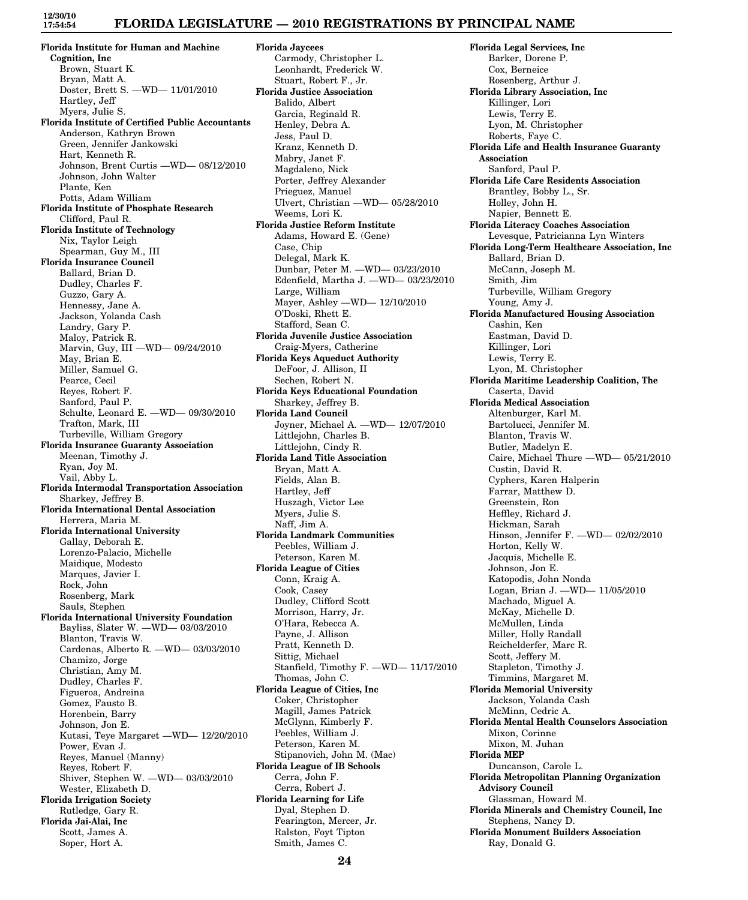## **FLORIDA LEGISLATURE — 2010 REGISTRATIONS BY PRINCIPAL NAME**

**Florida Institute for Human and Machine Cognition, Inc** Brown, Stuart K. Bryan, Matt A. Doster, Brett S. —WD— 11/01/2010 Hartley, Jeff Myers, Julie S. **Florida Institute of Certified Public Accountants** Anderson, Kathryn Brown Green, Jennifer Jankowski Hart, Kenneth R. Johnson, Brent Curtis —WD— 08/12/2010 Johnson, John Walter Plante, Ken Potts, Adam William **Florida Institute of Phosphate Research** Clifford, Paul R. **Florida Institute of Technology** Nix, Taylor Leigh Spearman, Guy M., III **Florida Insurance Council** Ballard, Brian D. Dudley, Charles F. Guzzo, Gary A. Hennessy, Jane A. Jackson, Yolanda Cash Landry, Gary P. Maloy, Patrick R. Marvin, Guy, III —WD— 09/24/2010 May, Brian E. Miller, Samuel G. Pearce, Cecil Reyes, Robert F. Sanford, Paul P. Schulte, Leonard E. —WD— 09/30/2010 Trafton, Mark, III Turbeville, William Gregory **Florida Insurance Guaranty Association** Meenan, Timothy J. Ryan, Joy M. Vail, Abby L. **Florida Intermodal Transportation Association** Sharkey, Jeffrey B. **Florida International Dental Association** Herrera, Maria M. **Florida International University** Gallay, Deborah E. Lorenzo-Palacio, Michelle Maidique, Modesto Marques, Javier I. Rock, John Rosenberg, Mark Sauls, Stephen **Florida International University Foundation** Bayliss, Slater W. —WD— 03/03/2010 Blanton, Travis W. Cardenas, Alberto R. —WD— 03/03/2010 Chamizo, Jorge Christian, Amy M. Dudley, Charles F. Figueroa, Andreina Gomez, Fausto B. Horenbein, Barry Johnson, Jon E. Kutasi, Teye Margaret —WD— 12/20/2010 Power, Evan J. Reyes, Manuel (Manny) Reyes, Robert F. Shiver, Stephen W. —WD— 03/03/2010 Wester, Elizabeth D. **Florida Irrigation Society** Rutledge, Gary R. **Florida Jai-Alai, Inc** Scott, James A. Soper, Hort A.

**Florida Jaycees** Carmody, Christopher L. Leonhardt, Frederick W. Stuart, Robert F., Jr. **Florida Justice Association** Balido, Albert Garcia, Reginald R. Henley, Debra A. Jess, Paul D. Kranz, Kenneth D. Mabry, Janet F. Magdaleno, Nick Porter, Jeffrey Alexander Prieguez, Manuel Ulvert, Christian —WD— 05/28/2010 Weems, Lori K. **Florida Justice Reform Institute** Adams, Howard E. (Gene) Case, Chip Delegal, Mark K. Dunbar, Peter M. —WD— 03/23/2010 Edenfield, Martha J. —WD— 03/23/2010 Large, William Mayer, Ashley —WD— 12/10/2010 O'Doski, Rhett E. Stafford, Sean C. **Florida Juvenile Justice Association** Craig-Myers, Catherine **Florida Keys Aqueduct Authority** DeFoor, J. Allison, II Sechen, Robert N. **Florida Keys Educational Foundation** Sharkey, Jeffrey B. **Florida Land Council** Joyner, Michael A. —WD— 12/07/2010 Littlejohn, Charles B. Littlejohn, Cindy R. **Florida Land Title Association** Bryan, Matt A. Fields, Alan B. Hartley, Jeff Huszagh, Victor Lee Myers, Julie S. Naff, Jim A. **Florida Landmark Communities** Peebles, William J. Peterson, Karen M. **Florida League of Cities** Conn, Kraig A. Cook, Casey Dudley, Clifford Scott Morrison, Harry, Jr. O'Hara, Rebecca A. Payne, J. Allison Pratt, Kenneth D. Sittig, Michael Stanfield, Timothy F. —WD— 11/17/2010 Thomas, John C. **Florida League of Cities, Inc** Coker, Christopher Magill, James Patrick McGlynn, Kimberly F. Peebles, William J. Peterson, Karen M. Stipanovich, John M. (Mac) **Florida League of IB Schools** Cerra, John F. Cerra, Robert J. **Florida Learning for Life** Dyal, Stephen D. Fearington, Mercer, Jr. Ralston, Foyt Tipton Smith, James C.

**Florida Legal Services, Inc** Barker, Dorene P. Cox, Berneice Rosenberg, Arthur J. **Florida Library Association, Inc** Killinger, Lori Lewis, Terry E. Lyon, M. Christopher Roberts, Faye C. **Florida Life and Health Insurance Guaranty Association** Sanford, Paul P. **Florida Life Care Residents Association** Brantley, Bobby L., Sr. Holley, John H. Napier, Bennett E. **Florida Literacy Coaches Association** Levesque, Patricianna Lyn Winters **Florida Long-Term Healthcare Association, Inc** Ballard, Brian D. McCann, Joseph M. Smith, Jim Turbeville, William Gregory Young, Amy J. **Florida Manufactured Housing Association** Cashin, Ken Eastman, David D. Killinger, Lori Lewis, Terry E. Lyon, M. Christopher **Florida Maritime Leadership Coalition, The** Caserta, David **Florida Medical Association** Altenburger, Karl M. Bartolucci, Jennifer M. Blanton, Travis W. Butler, Madelyn E. Caire, Michael Thure —WD— 05/21/2010 Custin, David R. Cyphers, Karen Halperin Farrar, Matthew D. Greenstein, Ron Heffley, Richard J. Hickman, Sarah Hinson, Jennifer F. —WD— 02/02/2010 Horton, Kelly W. Jacquis, Michelle E. Johnson, Jon E. Katopodis, John Nonda Logan, Brian J. —WD— 11/05/2010 Machado, Miguel A. McKay, Michelle D. McMullen, Linda Miller, Holly Randall Reichelderfer, Marc R. Scott, Jeffery M. Stapleton, Timothy J. Timmins, Margaret M. **Florida Memorial University** Jackson, Yolanda Cash McMinn, Cedric A. **Florida Mental Health Counselors Association** Mixon, Corinne Mixon, M. Juhan **Florida MEP** Duncanson, Carole L. **Florida Metropolitan Planning Organization Advisory Council** Glassman, Howard M. **Florida Minerals and Chemistry Council, Inc** Stephens, Nancy D. **Florida Monument Builders Association** Ray, Donald G.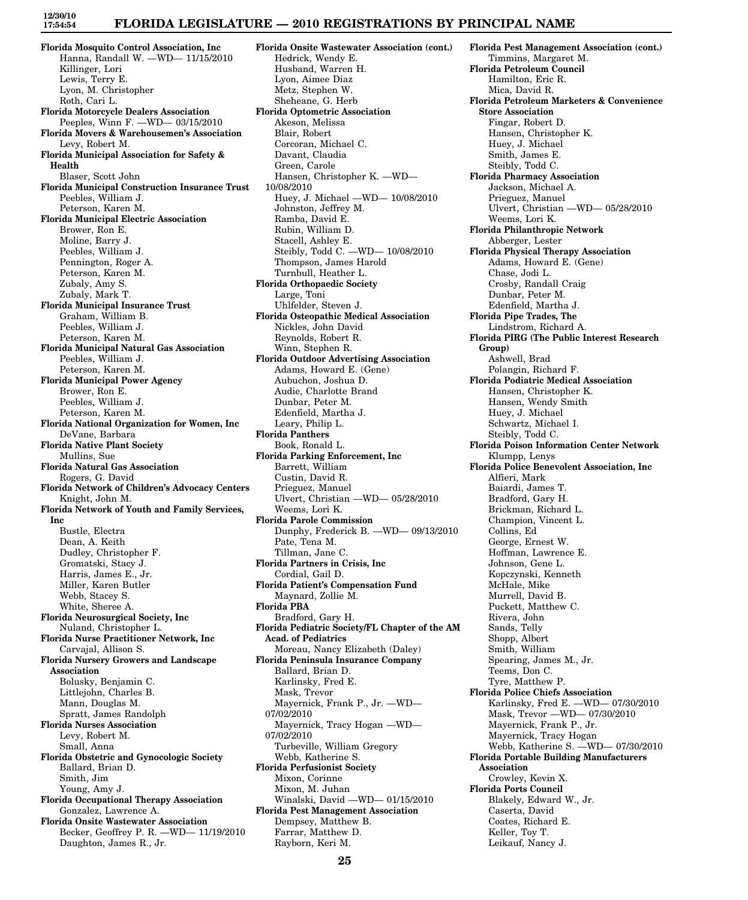## **FLORIDA LEGISLATURE — 2010 REGISTRATIONS BY PRINCIPAL NAME**

**Florida Mosquito Control Association, Inc** Hanna, Randall W. —WD— 11/15/2010 Killinger, Lori Lewis, Terry E. Lyon, M. Christopher Roth, Cari L. **Florida Motorcycle Dealers Association** Peeples, Winn F. —WD— 03/15/2010 **Florida Movers & Warehousemen's Association** Levy, Robert M. **Florida Municipal Association for Safety & Health** Blaser, Scott John **Florida Municipal Construction Insurance Trust** Peebles, William J. Peterson, Karen M. **Florida Municipal Electric Association** Brower, Ron E. Moline, Barry J. Peebles, William J. Pennington, Roger A. Peterson, Karen M. Zubaly, Amy S. Zubaly, Mark T. **Florida Municipal Insurance Trust** Graham, William B. Peebles, William J. Peterson, Karen M. **Florida Municipal Natural Gas Association** Peebles, William J. Peterson, Karen M. **Florida Municipal Power Agency** Brower, Ron E. Peebles, William J. Peterson, Karen M. **Florida National Organization for Women, Inc** DeVane, Barbara **Florida Native Plant Society** Mullins, Sue **Florida Natural Gas Association** Rogers, G. David **Florida Network of Children's Advocacy Centers** Knight, John M. **Florida Network of Youth and Family Services, Inc** Bustle, Electra Dean, A. Keith Dudley, Christopher F. Gromatski, Stacy J. Harris, James E., Jr. Miller, Karen Butler Webb, Stacey S. White, Sheree A. **Florida Neurosurgical Society, Inc** Nuland, Christopher L. **Florida Nurse Practitioner Network, Inc** Carvajal, Allison S. **Florida Nursery Growers and Landscape Association** Bolusky, Benjamin C. Littlejohn, Charles B. Mann, Douglas M. Spratt, James Randolph **Florida Nurses Association** Levy, Robert M. Small, Anna **Florida Obstetric and Gynocologic Society** Ballard, Brian D. Smith, Jim Young, Amy J. **Florida Occupational Therapy Association** Gonzalez, Lawrence A. **Florida Onsite Wastewater Association** Becker, Geoffrey P. R. —WD— 11/19/2010 Daughton, James R., Jr.

**Florida Onsite Wastewater Association (cont.)** Hedrick, Wendy E. Husband, Warren H. Lyon, Aimee Diaz Metz, Stephen W. Sheheane, G. Herb **Florida Optometric Association** Akeson, Melissa Blair, Robert Corcoran, Michael C. Davant, Claudia Green, Carole Hansen, Christopher K. —WD— 10/08/2010 Huey, J. Michael —WD— 10/08/2010 Johnston, Jeffrey M. Ramba, David E. Rubin, William D. Stacell, Ashley E. Steibly, Todd C. —WD— 10/08/2010 Thompson, James Harold Turnbull, Heather L. **Florida Orthopaedic Society** Large, Toni Uhlfelder, Steven J. **Florida Osteopathic Medical Association** Nickles, John David Reynolds, Robert R. Winn, Stephen R. **Florida Outdoor Advertising Association** Adams, Howard E. (Gene) Aubuchon, Joshua D. Audie, Charlotte Brand Dunbar, Peter M. Edenfield, Martha J. Leary, Philip L. **Florida Panthers** Book, Ronald L. **Florida Parking Enforcement, Inc** Barrett, William Custin, David R. Prieguez, Manuel Ulvert, Christian —WD— 05/28/2010 Weems, Lori K. **Florida Parole Commission** Dunphy, Frederick B. —WD— 09/13/2010 Pate, Tena M. Tillman, Jane C. **Florida Partners in Crisis, Inc** Cordial, Gail D. **Florida Patient's Compensation Fund** Maynard, Zollie M. **Florida PBA** Bradford, Gary H. **Florida Pediatric Society/FL Chapter of the AM Acad. of Pediatrics** Moreau, Nancy Elizabeth (Daley) **Florida Peninsula Insurance Company** Ballard, Brian D. Karlinsky, Fred E. Mask, Trevor Mayernick, Frank P., Jr. —WD— 07/02/2010 Mayernick, Tracy Hogan —WD— 07/02/2010 Turbeville, William Gregory Webb, Katherine S. **Florida Perfusionist Society** Mixon, Corinne Mixon, M. Juhan Winalski, David —WD— 01/15/2010 **Florida Pest Management Association** Dempsey, Matthew B. Farrar, Matthew D. Rayborn, Keri M.

**Florida Pest Management Association (cont.)** Timmins, Margaret M. **Florida Petroleum Council** Hamilton, Eric R. Mica, David R. **Florida Petroleum Marketers & Convenience Store Association** Fingar, Robert D. Hansen, Christopher K. Huey, J. Michael Smith, James E. Steibly, Todd C. **Florida Pharmacy Association** Jackson, Michael A. Prieguez, Manuel Ulvert, Christian —WD— 05/28/2010 Weems, Lori K. **Florida Philanthropic Network** Abberger, Lester **Florida Physical Therapy Association** Adams, Howard E. (Gene) Chase, Jodi L. Crosby, Randall Craig Dunbar, Peter M. Edenfield, Martha J. **Florida Pipe Trades, The** Lindstrom, Richard A. **Florida PIRG (The Public Interest Research Group)** Ashwell, Brad Polangin, Richard F. **Florida Podiatric Medical Association** Hansen, Christopher K. Hansen, Wendy Smith Huey, J. Michael Schwartz, Michael I. Steibly, Todd C. **Florida Poison Information Center Network** Klumpp, Lenys **Florida Police Benevolent Association, Inc** Alfieri, Mark Baiardi, James T. Bradford, Gary H. Brickman, Richard L. Champion, Vincent L. Collins, Ed George, Ernest W. Hoffman, Lawrence E. Johnson, Gene L. Kopczynski, Kenneth McHale, Mike Murrell, David B. Puckett, Matthew C. Rivera, John Sands, Telly Shopp, Albert Smith, William Spearing, James M., Jr. Teems, Don C. Tyre, Matthew P. **Florida Police Chiefs Association** Karlinsky, Fred E. —WD— 07/30/2010 Mask, Trevor —WD— 07/30/2010 Mayernick, Frank P., Jr. Mayernick, Tracy Hogan Webb, Katherine S. —WD— 07/30/2010 **Florida Portable Building Manufacturers Association** Crowley, Kevin X. **Florida Ports Council** Blakely, Edward W., Jr. Caserta, David Coates, Richard E. Keller, Toy T. Leikauf, Nancy J.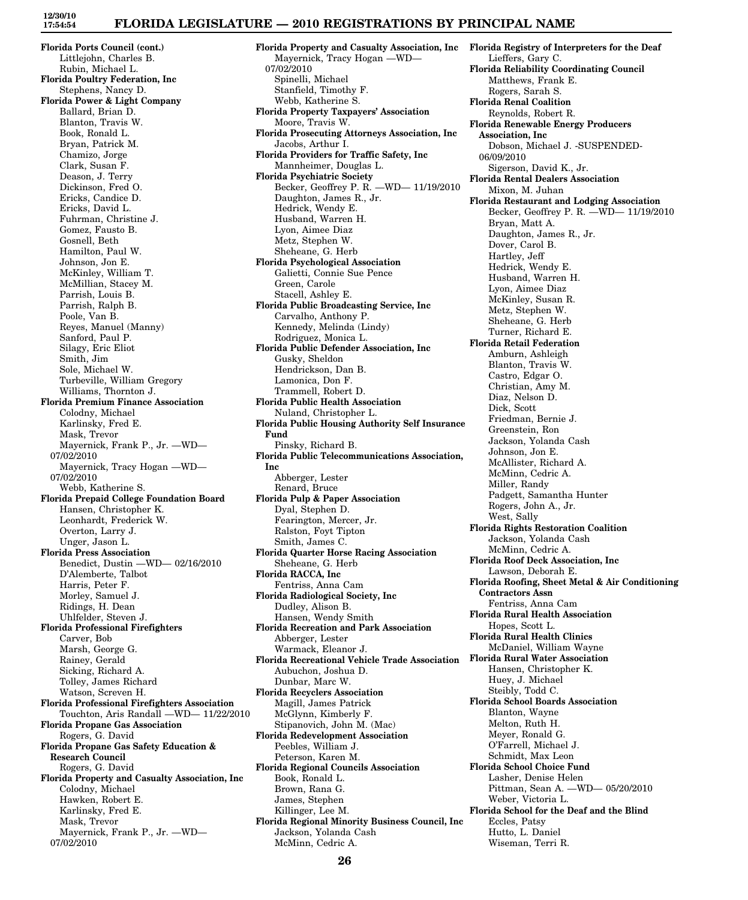### **FLORIDA LEGISLATURE — 2010 REGISTRATIONS BY PRINCIPAL NAME**

**Florida Ports Council (cont.)** Littlejohn, Charles B. Rubin, Michael L. **Florida Poultry Federation, Inc** Stephens, Nancy D. **Florida Power & Light Company** Ballard, Brian D. Blanton, Travis W. Book, Ronald L. Bryan, Patrick M. Chamizo, Jorge Clark, Susan F. Deason, J. Terry Dickinson, Fred O. Ericks, Candice D. Ericks, David L. Fuhrman, Christine J. Gomez, Fausto B. Gosnell, Beth Hamilton, Paul W. Johnson, Jon E. McKinley, William T. McMillian, Stacey M. Parrish, Louis B. Parrish, Ralph B. Poole, Van B. Reyes, Manuel (Manny) Sanford, Paul P. Silagy, Eric Eliot Smith, Jim Sole, Michael W. Turbeville, William Gregory Williams, Thornton J. **Florida Premium Finance Association** Colodny, Michael Karlinsky, Fred E. Mask, Trevor Mayernick, Frank P., Jr. —WD— 07/02/2010 Mayernick, Tracy Hogan —WD— 07/02/2010 Webb, Katherine S. **Florida Prepaid College Foundation Board** Hansen, Christopher K. Leonhardt, Frederick W. Overton, Larry J. Unger, Jason L. **Florida Press Association** Benedict, Dustin —WD— 02/16/2010 D'Alemberte, Talbot Harris, Peter F. Morley, Samuel J. Ridings, H. Dean Uhlfelder, Steven J. **Florida Professional Firefighters** Carver, Bob Marsh, George G. Rainey, Gerald Sicking, Richard A. Tolley, James Richard Watson, Screven H. **Florida Professional Firefighters Association** Touchton, Aris Randall —WD— 11/22/2010 **Florida Propane Gas Association** Rogers, G. David **Florida Propane Gas Safety Education & Research Council** Rogers, G. David **Florida Property and Casualty Association, Inc** Colodny, Michael Hawken, Robert E. Karlinsky, Fred E. Mask, Trevor Mayernick, Frank P., Jr. —WD— 07/02/2010

**Florida Property and Casualty Association, Inc** Mayernick, Tracy Hogan —WD— 07/02/2010 Spinelli, Michael Stanfield, Timothy F. Webb, Katherine S. **Florida Property Taxpayers' Association** Moore, Travis W. **Florida Prosecuting Attorneys Association, Inc** Jacobs, Arthur I. **Florida Providers for Traffic Safety, Inc** Mannheimer, Douglas L. **Florida Psychiatric Society** Becker, Geoffrey P. R. —WD— 11/19/2010 Daughton, James R., Jr. Hedrick, Wendy E. Husband, Warren H. Lyon, Aimee Diaz Metz, Stephen W. Sheheane, G. Herb **Florida Psychological Association** Galietti, Connie Sue Pence Green, Carole Stacell, Ashley E. **Florida Public Broadcasting Service, Inc** Carvalho, Anthony P. Kennedy, Melinda (Lindy) Rodriguez, Monica L. **Florida Public Defender Association, Inc** Gusky, Sheldon Hendrickson, Dan B. Lamonica, Don F. Trammell, Robert D. **Florida Public Health Association** Nuland, Christopher L. **Florida Public Housing Authority Self Insurance Fund** Pinsky, Richard B. **Florida Public Telecommunications Association, Inc** Abberger, Lester Renard, Bruce **Florida Pulp & Paper Association** Dyal, Stephen D. Fearington, Mercer, Jr. Ralston, Foyt Tipton Smith, James C. **Florida Quarter Horse Racing Association** Sheheane, G. Herb **Florida RACCA, Inc** Fentriss, Anna Cam **Florida Radiological Society, Inc** Dudley, Alison B. Hansen, Wendy Smith **Florida Recreation and Park Association** Abberger, Lester Warmack, Eleanor J. **Florida Recreational Vehicle Trade Association** Aubuchon, Joshua D. Dunbar, Marc W. **Florida Recyclers Association** Magill, James Patrick McGlynn, Kimberly F. Stipanovich, John M. (Mac) **Florida Redevelopment Association** Peebles, William J. Peterson, Karen M. **Florida Regional Councils Association** Book, Ronald L. Brown, Rana G. James, Stephen Killinger, Lee M. **Florida Regional Minority Business Council, Inc** Jackson, Yolanda Cash McMinn, Cedric A.

**Florida Registry of Interpreters for the Deaf** Lieffers, Gary C. **Florida Reliability Coordinating Council** Matthews, Frank E. Rogers, Sarah S. **Florida Renal Coalition** Reynolds, Robert R. **Florida Renewable Energy Producers Association, Inc** Dobson, Michael J. -SUSPENDED-06/09/2010 Sigerson, David K., Jr. **Florida Rental Dealers Association** Mixon, M. Juhan **Florida Restaurant and Lodging Association** Becker, Geoffrey P. R. —WD— 11/19/2010 Bryan, Matt A. Daughton, James R., Jr. Dover, Carol B. Hartley, Jeff Hedrick, Wendy E. Husband, Warren H. Lyon, Aimee Diaz McKinley, Susan R. Metz, Stephen W. Sheheane, G. Herb Turner, Richard E. **Florida Retail Federation** Amburn, Ashleigh Blanton, Travis W. Castro, Edgar O. Christian, Amy M. Diaz, Nelson D. Dick, Scott Friedman, Bernie J. Greenstein, Ron Jackson, Yolanda Cash Johnson, Jon E. McAllister, Richard A. McMinn, Cedric A. Miller, Randy Padgett, Samantha Hunter Rogers, John A., Jr. West, Sally **Florida Rights Restoration Coalition** Jackson, Yolanda Cash McMinn, Cedric A. **Florida Roof Deck Association, Inc** Lawson, Deborah E. **Florida Roofing, Sheet Metal & Air Conditioning Contractors Assn** Fentriss, Anna Cam **Florida Rural Health Association** Hopes, Scott L. **Florida Rural Health Clinics** McDaniel, William Wayne **Florida Rural Water Association** Hansen, Christopher K. Huey, J. Michael Steibly, Todd C. **Florida School Boards Association** Blanton, Wayne Melton, Ruth H. Meyer, Ronald G. O'Farrell, Michael J. Schmidt, Max Leon **Florida School Choice Fund** Lasher, Denise Helen Pittman, Sean A. —WD— 05/20/2010 Weber, Victoria L. **Florida School for the Deaf and the Blind** Eccles, Patsy Hutto, L. Daniel Wiseman, Terri R.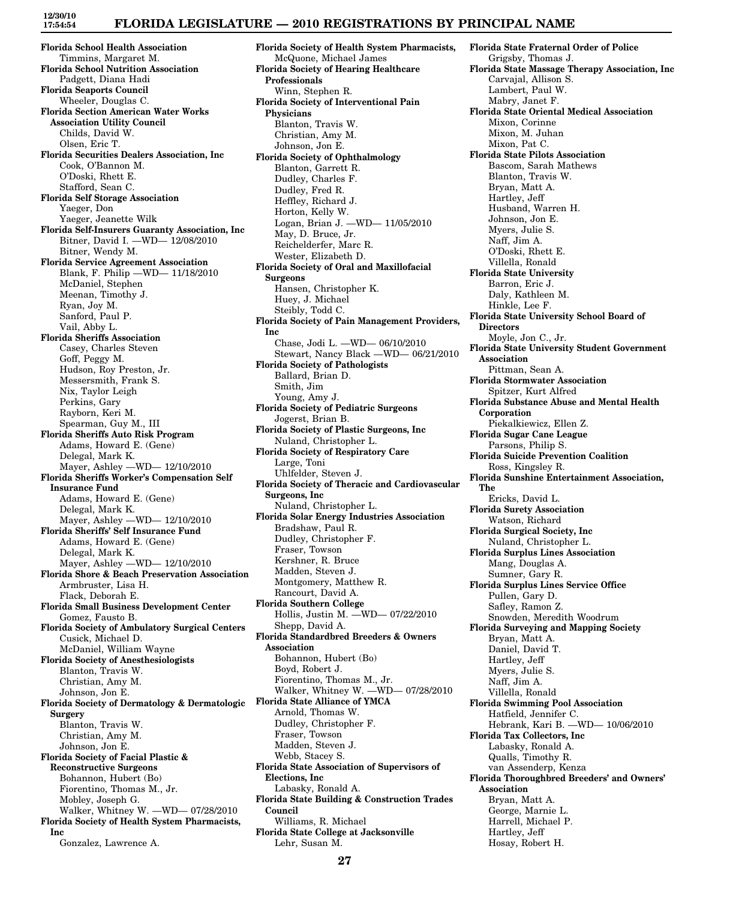### **FLORIDA LEGISLATURE — 2010 REGISTRATIONS BY PRINCIPAL NAME**

**Florida School Health Association** Timmins, Margaret M. **Florida School Nutrition Association** Padgett, Diana Hadi **Florida Seaports Council** Wheeler, Douglas C. **Florida Section American Water Works Association Utility Council** Childs, David W. Olsen, Eric T. **Florida Securities Dealers Association, Inc** Cook, O'Bannon M. O'Doski, Rhett E. Stafford, Sean C. **Florida Self Storage Association** Yaeger, Don Yaeger, Jeanette Wilk **Florida Self-Insurers Guaranty Association, Inc** Bitner, David I. —WD— 12/08/2010 Bitner, Wendy M. **Florida Service Agreement Association** Blank, F. Philip —WD— 11/18/2010 McDaniel, Stephen Meenan, Timothy J. Ryan, Joy M. Sanford, Paul P. Vail, Abby L. **Florida Sheriffs Association** Casey, Charles Steven Goff, Peggy M. Hudson, Roy Preston, Jr. Messersmith, Frank S. Nix, Taylor Leigh Perkins, Gary Rayborn, Keri M. Spearman, Guy M., III **Florida Sheriffs Auto Risk Program** Adams, Howard E. (Gene) Delegal, Mark K. Mayer, Ashley —WD— 12/10/2010 **Florida Sheriffs Worker's Compensation Self Insurance Fund** Adams, Howard E. (Gene) Delegal, Mark K. Mayer, Ashley —WD— 12/10/2010 **Florida Sheriffs' Self Insurance Fund** Adams, Howard E. (Gene) Delegal, Mark K. Mayer, Ashley —WD— 12/10/2010 **Florida Shore & Beach Preservation Association** Armbruster, Lisa H. Flack, Deborah E. **Florida Small Business Development Center** Gomez, Fausto B. **Florida Society of Ambulatory Surgical Centers** Cusick, Michael D. McDaniel, William Wayne **Florida Society of Anesthesiologists** Blanton, Travis W. Christian, Amy M. Johnson, Jon E. **Florida Society of Dermatology & Dermatologic Surgery** Blanton, Travis W. Christian, Amy M. Johnson, Jon E. **Florida Society of Facial Plastic & Reconstructive Surgeons** Bohannon, Hubert (Bo) Fiorentino, Thomas M., Jr. Mobley, Joseph G. Walker, Whitney W. —WD— 07/28/2010 **Florida Society of Health System Pharmacists, Inc** Gonzalez, Lawrence A.

**Florida Society of Health System Pharmacists,** McQuone, Michael James **Florida Society of Hearing Healthcare Professionals** Winn, Stephen R. **Florida Society of Interventional Pain Physicians** Blanton, Travis W. Christian, Amy M. Johnson, Jon E. **Florida Society of Ophthalmology** Blanton, Garrett R. Dudley, Charles F. Dudley, Fred R. Heffley, Richard J. Horton, Kelly W. Logan, Brian J. —WD— 11/05/2010 May, D. Bruce, Jr. Reichelderfer, Marc R. Wester, Elizabeth D. **Florida Society of Oral and Maxillofacial Surgeons** Hansen, Christopher K. Huey, J. Michael Steibly, Todd C. **Florida Society of Pain Management Providers, Inc** Chase, Jodi L. —WD— 06/10/2010 Stewart, Nancy Black —WD— 06/21/2010 **Florida Society of Pathologists** Ballard, Brian D. Smith, Jim Young, Amy J. **Florida Society of Pediatric Surgeons** Jogerst, Brian B. **Florida Society of Plastic Surgeons, Inc** Nuland, Christopher L. **Florida Society of Respiratory Care** Large, Toni Uhlfelder, Steven J. **Florida Society of Theracic and Cardiovascular Surgeons, Inc** Nuland, Christopher L. **Florida Solar Energy Industries Association** Bradshaw, Paul R. Dudley, Christopher F. Fraser, Towson Kershner, R. Bruce Madden, Steven J. Montgomery, Matthew R. Rancourt, David A. **Florida Southern College** Hollis, Justin M. —WD— 07/22/2010 Shepp, David A. **Florida Standardbred Breeders & Owners Association** Bohannon, Hubert (Bo) Boyd, Robert J. Fiorentino, Thomas M., Jr. Walker, Whitney W. —WD— 07/28/2010 **Florida State Alliance of YMCA** Arnold, Thomas W. Dudley, Christopher F. Fraser, Towson Madden, Steven J. Webb, Stacey S. **Florida State Association of Supervisors of Elections, Inc** Labasky, Ronald A. **Florida State Building & Construction Trades Council** Williams, R. Michael **Florida State College at Jacksonville** Lehr, Susan M.

**Florida State Fraternal Order of Police** Grigsby, Thomas J. **Florida State Massage Therapy Association, Inc** Carvajal, Allison S. Lambert, Paul W. Mabry, Janet F. **Florida State Oriental Medical Association** Mixon, Corinne Mixon, M. Juhan Mixon, Pat C. **Florida State Pilots Association** Bascom, Sarah Mathews Blanton, Travis W. Bryan, Matt A. Hartley, Jeff Husband, Warren H. Johnson, Jon E. Myers, Julie S. Naff, Jim A. O'Doski, Rhett E. Villella, Ronald **Florida State University** Barron, Eric J. Daly, Kathleen M. Hinkle, Lee F. **Florida State University School Board of Directors** Moyle, Jon C., Jr. **Florida State University Student Government Association** Pittman, Sean A. **Florida Stormwater Association** Spitzer, Kurt Alfred **Florida Substance Abuse and Mental Health Corporation** Piekalkiewicz, Ellen Z. **Florida Sugar Cane League** Parsons, Philip S. **Florida Suicide Prevention Coalition** Ross, Kingsley R. **Florida Sunshine Entertainment Association, The** Ericks, David L. **Florida Surety Association** Watson, Richard **Florida Surgical Society, Inc** Nuland, Christopher L. **Florida Surplus Lines Association** Mang, Douglas A. Sumner, Gary R. **Florida Surplus Lines Service Office** Pullen, Gary D. Safley, Ramon Z. Snowden, Meredith Woodrum **Florida Surveying and Mapping Society** Bryan, Matt A. Daniel, David T. Hartley, Jeff Myers, Julie S. Naff, Jim A. Villella, Ronald **Florida Swimming Pool Association** Hatfield, Jennifer C. Hebrank, Kari B. —WD— 10/06/2010 **Florida Tax Collectors, Inc** Labasky, Ronald A. Qualls, Timothy R. van Assenderp, Kenza **Florida Thoroughbred Breeders' and Owners' Association** Bryan, Matt A. George, Marnie L. Harrell, Michael P. Hartley, Jeff Hosay, Robert H.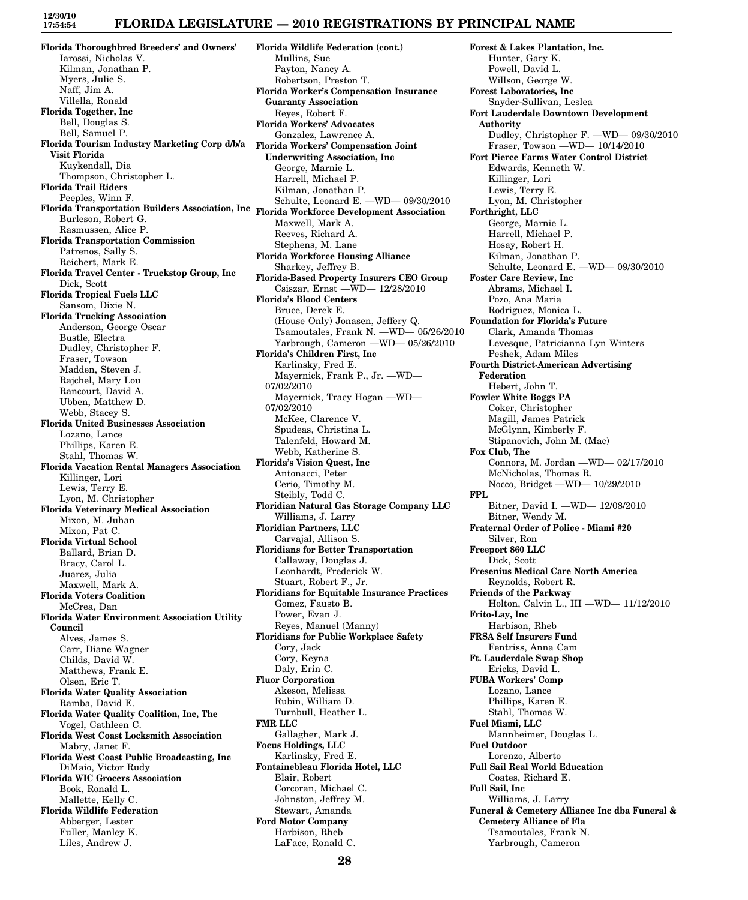## **FLORIDA LEGISLATURE — 2010 REGISTRATIONS BY PRINCIPAL NAME**

**Florida Thoroughbred Breeders' and Owners'** Iarossi, Nicholas V. Kilman, Jonathan P. Myers, Julie S. Naff, Jim A. Villella, Ronald **Florida Together, Inc** Bell, Douglas S. Bell, Samuel P. **Florida Tourism Industry Marketing Corp d/b/a Visit Florida** Kuykendall, Dia Thompson, Christopher L. **Florida Trail Riders** Peeples, Winn F. **Florida Transportation Builders Association, Inc Florida Workforce Development Association** Burleson, Robert G. Rasmussen, Alice P. **Florida Transportation Commission** Patrenos, Sally S. Reichert, Mark E. **Florida Travel Center - Truckstop Group, Inc** Dick, Scott **Florida Tropical Fuels LLC** Sansom, Dixie N. **Florida Trucking Association** Anderson, George Oscar Bustle, Electra Dudley, Christopher F. Fraser, Towson Madden, Steven J. Rajchel, Mary Lou Rancourt, David A. Ubben, Matthew D. Webb, Stacey S. **Florida United Businesses Association** Lozano, Lance Phillips, Karen E. Stahl, Thomas W. **Florida Vacation Rental Managers Association** Killinger, Lori Lewis, Terry E. Lyon, M. Christopher **Florida Veterinary Medical Association** Mixon, M. Juhan Mixon, Pat C. **Florida Virtual School** Ballard, Brian D. Bracy, Carol L. Juarez, Julia Maxwell, Mark A. **Florida Voters Coalition** McCrea, Dan **Florida Water Environment Association Utility Council** Alves, James S. Carr, Diane Wagner Childs, David W. Matthews, Frank E. Olsen, Eric T. **Florida Water Quality Association** Ramba, David E. **Florida Water Quality Coalition, Inc, The** Vogel, Cathleen C. **Florida West Coast Locksmith Association** Mabry, Janet F. **Florida West Coast Public Broadcasting, Inc** DiMaio, Victor Rudy **Florida WIC Grocers Association** Book, Ronald L. Mallette, Kelly C. **Florida Wildlife Federation** Abberger, Lester Fuller, Manley K.

Liles, Andrew J.

**Florida Wildlife Federation (cont.)** Mullins, Sue Payton, Nancy A. Robertson, Preston T. **Florida Worker's Compensation Insurance Guaranty Association** Reyes, Robert F. **Florida Workers' Advocates** Gonzalez, Lawrence A. **Florida Workers' Compensation Joint Underwriting Association, Inc** George, Marnie L. Harrell, Michael P. Kilman, Jonathan P. Schulte, Leonard E. —WD— 09/30/2010 Maxwell, Mark A. Reeves, Richard A. Stephens, M. Lane **Florida Workforce Housing Alliance** Sharkey, Jeffrey B. **Florida-Based Property Insurers CEO Group** Csiszar, Ernst —WD— 12/28/2010 **Florida's Blood Centers** Bruce, Derek E. (House Only) Jonasen, Jeffery Q. Tsamoutales, Frank N. —WD— 05/26/2010 Yarbrough, Cameron —WD— 05/26/2010 **Florida's Children First, Inc** Karlinsky, Fred E. Mayernick, Frank P., Jr. —WD— 07/02/2010 Mayernick, Tracy Hogan —WD— 07/02/2010 McKee, Clarence V. Spudeas, Christina L. Talenfeld, Howard M. Webb, Katherine S. **Florida's Vision Quest, Inc** Antonacci, Peter Cerio, Timothy M. Steibly, Todd C. **Floridian Natural Gas Storage Company LLC** Williams, J. Larry **Floridian Partners, LLC** Carvajal, Allison S. **Floridians for Better Transportation** Callaway, Douglas J. Leonhardt, Frederick W. Stuart, Robert F., Jr. **Floridians for Equitable Insurance Practices** Gomez, Fausto B. Power, Evan J. Reyes, Manuel (Manny) **Floridians for Public Workplace Safety** Cory, Jack Cory, Keyna Daly, Erin C. **Fluor Corporation** Akeson, Melissa Rubin, William D. Turnbull, Heather L. **FMR LLC** Gallagher, Mark J. **Focus Holdings, LLC** Karlinsky, Fred E. **Fontainebleau Florida Hotel, LLC** Blair, Robert Corcoran, Michael C. Johnston, Jeffrey M. Stewart, Amanda **Ford Motor Company** Harbison, Rheb LaFace, Ronald C.

**Forest & Lakes Plantation, Inc.** Hunter, Gary K. Powell, David L. Willson, George W. **Forest Laboratories, Inc** Snyder-Sullivan, Leslea **Fort Lauderdale Downtown Development Authority** Dudley, Christopher F. —WD— 09/30/2010 Fraser, Towson —WD— 10/14/2010 **Fort Pierce Farms Water Control District** Edwards, Kenneth W. Killinger, Lori Lewis, Terry E. Lyon, M. Christopher **Forthright, LLC** George, Marnie L. Harrell, Michael P. Hosay, Robert H. Kilman, Jonathan P. Schulte, Leonard E. —WD— 09/30/2010 **Foster Care Review, Inc** Abrams, Michael I. Pozo, Ana Maria Rodriguez, Monica L. **Foundation for Florida's Future** Clark, Amanda Thomas Levesque, Patricianna Lyn Winters Peshek, Adam Miles **Fourth District-American Advertising Federation** Hebert, John T. **Fowler White Boggs PA** Coker, Christopher Magill, James Patrick McGlynn, Kimberly F. Stipanovich, John M. (Mac) **Fox Club, The** Connors, M. Jordan —WD— 02/17/2010 McNicholas, Thomas R. Nocco, Bridget —WD— 10/29/2010 **FPL** Bitner, David I. —WD— 12/08/2010 Bitner, Wendy M. **Fraternal Order of Police - Miami #20** Silver, Ron **Freeport 860 LLC** Dick, Scott **Fresenius Medical Care North America** Reynolds, Robert R. **Friends of the Parkway** Holton, Calvin L., III —WD— 11/12/2010 **Frito-Lay, Inc** Harbison, Rheb **FRSA Self Insurers Fund** Fentriss, Anna Cam **Ft. Lauderdale Swap Shop** Ericks, David L. **FUBA Workers' Comp** Lozano, Lance Phillips, Karen E. Stahl, Thomas W. **Fuel Miami, LLC** Mannheimer, Douglas L. **Fuel Outdoor** Lorenzo, Alberto **Full Sail Real World Education** Coates, Richard E. **Full Sail, Inc** Williams, J. Larry **Funeral & Cemetery Alliance Inc dba Funeral & Cemetery Alliance of Fla** Tsamoutales, Frank N. Yarbrough, Cameron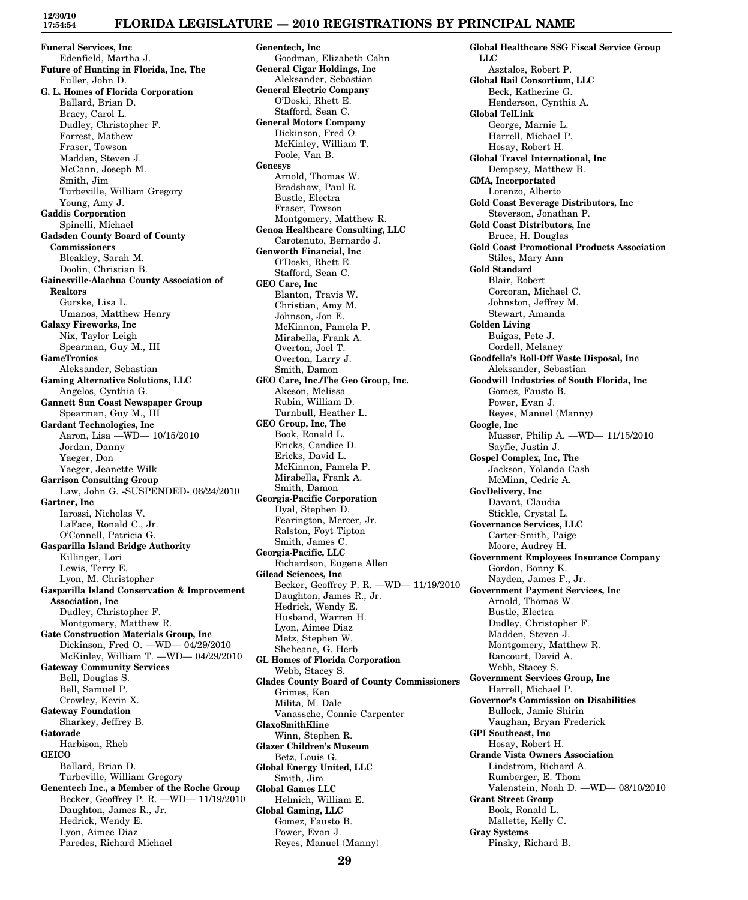## **FLORIDA LEGISLATURE — 2010 REGISTRATIONS BY PRINCIPAL NAME**

**Funeral Services, Inc** Edenfield, Martha J. **Future of Hunting in Florida, Inc, The** Fuller, John D. **G. L. Homes of Florida Corporation** Ballard, Brian D. Bracy, Carol L. Dudley, Christopher F. Forrest, Mathew Fraser, Towson Madden, Steven J. McCann, Joseph M. Smith, Jim Turbeville, William Gregory Young, Amy J. **Gaddis Corporation** Spinelli, Michael **Gadsden County Board of County Commissioners** Bleakley, Sarah M. Doolin, Christian B. **Gainesville-Alachua County Association of Realtors** Gurske, Lisa L. Umanos, Matthew Henry **Galaxy Fireworks, Inc** Nix, Taylor Leigh Spearman, Guy M., III **GameTronics** Aleksander, Sebastian **Gaming Alternative Solutions, LLC** Angelos, Cynthia G. **Gannett Sun Coast Newspaper Group** Spearman, Guy M., III **Gardant Technologies, Inc** Aaron, Lisa —WD— 10/15/2010 Jordan, Danny Yaeger, Don Yaeger, Jeanette Wilk **Garrison Consulting Group** Law, John G. -SUSPENDED- 06/24/2010 **Gartner, Inc** Iarossi, Nicholas V. LaFace, Ronald C., Jr. O'Connell, Patricia G. **Gasparilla Island Bridge Authority** Killinger, Lori Lewis, Terry E. Lyon, M. Christopher **Gasparilla Island Conservation & Improvement Association, Inc** Dudley, Christopher F. Montgomery, Matthew R. **Gate Construction Materials Group, Inc** Dickinson, Fred O. —WD— 04/29/2010 McKinley, William T. —WD— 04/29/2010 **Gateway Community Services** Bell, Douglas S. Bell, Samuel P. Crowley, Kevin X. **Gateway Foundation** Sharkey, Jeffrey B. **Gatorade** Harbison, Rheb **GEICO** Ballard, Brian D. Turbeville, William Gregory **Genentech Inc., a Member of the Roche Group** Becker, Geoffrey P. R. —WD— 11/19/2010 Daughton, James R., Jr. Hedrick, Wendy E. Lyon, Aimee Diaz

Paredes, Richard Michael

**12/30/10 17:54:54**

> **Genentech, Inc** Goodman, Elizabeth Cahn **General Cigar Holdings, Inc** Aleksander, Sebastian **General Electric Company** O'Doski, Rhett E. Stafford, Sean C. **General Motors Company** Dickinson, Fred O. McKinley, William T. Poole, Van B. **Genesys** Arnold, Thomas W. Bradshaw, Paul R. Bustle, Electra Fraser, Towson Montgomery, Matthew R. **Genoa Healthcare Consulting, LLC** Carotenuto, Bernardo J. **Genworth Financial, Inc** O'Doski, Rhett E. Stafford, Sean C. **GEO Care, Inc** Blanton, Travis W. Christian, Amy M. Johnson, Jon E. McKinnon, Pamela P. Mirabella, Frank A. Overton, Joel T. Overton, Larry J. Smith, Damon **GEO Care, Inc./The Geo Group, Inc.** Akeson, Melissa Rubin, William D. Turnbull, Heather L. **GEO Group, Inc, The** Book, Ronald L. Ericks, Candice D. Ericks, David L. McKinnon, Pamela P. Mirabella, Frank A. Smith, Damon **Georgia-Pacific Corporation** Dyal, Stephen D. Fearington, Mercer, Jr. Ralston, Foyt Tipton Smith, James C. **Georgia-Pacific, LLC** Richardson, Eugene Allen **Gilead Sciences, Inc** Becker, Geoffrey P. R. —WD— 11/19/2010 Daughton, James R., Jr. Hedrick, Wendy E. Husband, Warren H. Lyon, Aimee Diaz Metz, Stephen W. Sheheane, G. Herb **GL Homes of Florida Corporation** Webb, Stacey S. **Glades County Board of County Commissioners** Grimes, Ken Milita, M. Dale Vanassche, Connie Carpenter **GlaxoSmithKline** Winn, Stephen R. **Glazer Children's Museum** Betz, Louis G. **Global Energy United, LLC** Smith, Jim **Global Games LLC** Helmich, William E. **Global Gaming, LLC** Gomez, Fausto B. Power, Evan J.

**Global Healthcare SSG Fiscal Service Group LLC** Asztalos, Robert P. **Global Rail Consortium, LLC** Beck, Katherine G. Henderson, Cynthia A. **Global TelLink** George, Marnie L. Harrell, Michael P. Hosay, Robert H. **Global Travel International, Inc** Dempsey, Matthew B. **GMA, Incorportated** Lorenzo, Alberto **Gold Coast Beverage Distributors, Inc** Steverson, Jonathan P. **Gold Coast Distributors, Inc** Bruce, H. Douglas **Gold Coast Promotional Products Association** Stiles, Mary Ann **Gold Standard** Blair, Robert Corcoran, Michael C. Johnston, Jeffrey M. Stewart, Amanda **Golden Living** Buigas, Pete J. Cordell, Melaney **Goodfella's Roll-Off Waste Disposal, Inc** Aleksander, Sebastian **Goodwill Industries of South Florida, Inc** Gomez, Fausto B. Power, Evan J. Reyes, Manuel (Manny) **Google, Inc** Musser, Philip A. —WD— 11/15/2010 Sayfie, Justin J. **Gospel Complex, Inc, The** Jackson, Yolanda Cash McMinn, Cedric A. **GovDelivery, Inc** Davant, Claudia Stickle, Crystal L. **Governance Services, LLC** Carter-Smith, Paige Moore, Audrey H. **Government Employees Insurance Company** Gordon, Bonny K. Nayden, James F., Jr. **Government Payment Services, Inc** Arnold, Thomas W. Bustle, Electra Dudley, Christopher F. Madden, Steven J. Montgomery, Matthew R. Rancourt, David A. Webb, Stacey S. **Government Services Group, Inc** Harrell, Michael P. **Governor's Commission on Disabilities** Bullock, Jamie Shirin Vaughan, Bryan Frederick **GPI Southeast, Inc** Hosay, Robert H. **Grande Vista Owners Association** Lindstrom, Richard A. Rumberger, E. Thom Valenstein, Noah D. —WD— 08/10/2010 **Grant Street Group** Book, Ronald L. Mallette, Kelly C. **Gray Systems** Pinsky, Richard B.

Reyes, Manuel (Manny)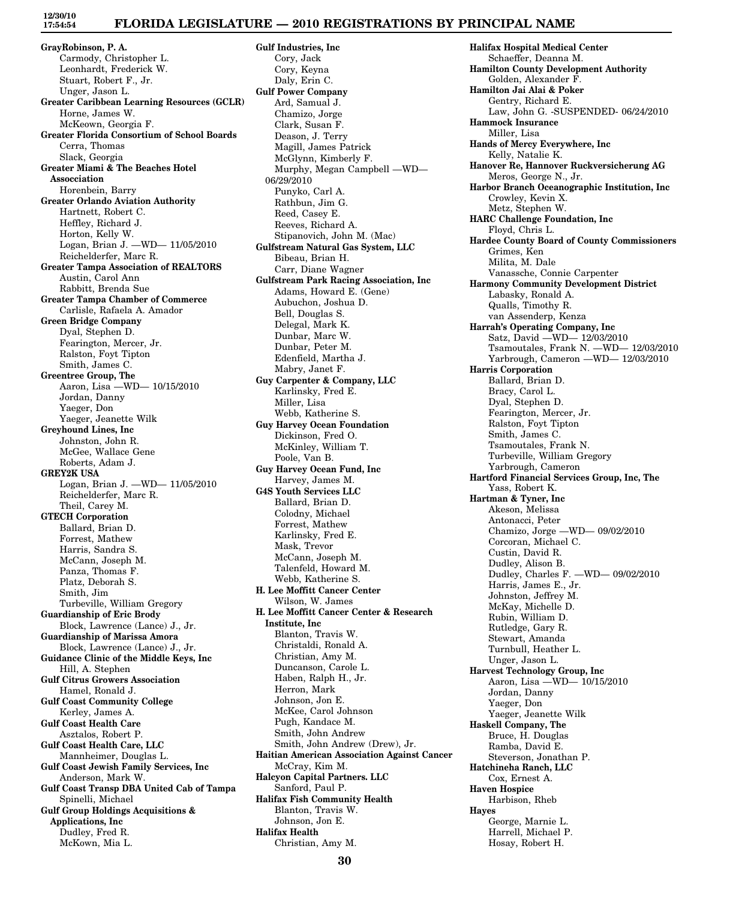# **FLORIDA LEGISLATURE — 2010 REGISTRATIONS BY PRINCIPAL NAME**

**GrayRobinson, P. A.** Carmody, Christopher L. Leonhardt, Frederick W. Stuart, Robert F., Jr. Unger, Jason L. **Greater Caribbean Learning Resources (GCLR)** Horne, James W. McKeown, Georgia F. **Greater Florida Consortium of School Boards** Cerra, Thomas Slack, Georgia **Greater Miami & The Beaches Hotel Assocciation** Horenbein, Barry **Greater Orlando Aviation Authority** Hartnett, Robert C. Heffley, Richard J. Horton, Kelly W. Logan, Brian J. —WD— 11/05/2010 Reichelderfer, Marc R. **Greater Tampa Association of REALTORS** Austin, Carol Ann Rabbitt, Brenda Sue **Greater Tampa Chamber of Commerce** Carlisle, Rafaela A. Amador **Green Bridge Company** Dyal, Stephen D. Fearington, Mercer, Jr. Ralston, Foyt Tipton Smith, James C. **Greentree Group, The** Aaron, Lisa —WD— 10/15/2010 Jordan, Danny Yaeger, Don Yaeger, Jeanette Wilk **Greyhound Lines, Inc** Johnston, John R. McGee, Wallace Gene Roberts, Adam J. **GREY2K USA** Logan, Brian J. —WD— 11/05/2010 Reichelderfer, Marc R. Theil, Carey M. **GTECH Corporation** Ballard, Brian D. Forrest, Mathew Harris, Sandra S. McCann, Joseph M. Panza, Thomas F. Platz, Deborah S. Smith, Jim Turbeville, William Gregory **Guardianship of Eric Brody** Block, Lawrence (Lance) J., Jr. **Guardianship of Marissa Amora** Block, Lawrence (Lance) J., Jr. **Guidance Clinic of the Middle Keys, Inc** Hill, A. Stephen **Gulf Citrus Growers Association** Hamel, Ronald J. **Gulf Coast Community College** Kerley, James A. **Gulf Coast Health Care** Asztalos, Robert P. **Gulf Coast Health Care, LLC** Mannheimer, Douglas L. **Gulf Coast Jewish Family Services, Inc** Anderson, Mark W. **Gulf Coast Transp DBA United Cab of Tampa** Spinelli, Michael **Gulf Group Holdings Acquisitions & Applications, Inc** Dudley, Fred R. McKown, Mia L.

**Gulf Industries, Inc** Cory, Jack Cory, Keyna Daly, Erin C. **Gulf Power Company** Ard, Samual J. Chamizo, Jorge Clark, Susan F. Deason, J. Terry Magill, James Patrick McGlynn, Kimberly F. Murphy, Megan Campbell —WD— 06/29/2010 Punyko, Carl A. Rathbun, Jim G. Reed, Casey E. Reeves, Richard A. Stipanovich, John M. (Mac) **Gulfstream Natural Gas System, LLC** Bibeau, Brian H. Carr, Diane Wagner **Gulfstream Park Racing Association, Inc** Adams, Howard E. (Gene) Aubuchon, Joshua D. Bell, Douglas S. Delegal, Mark K. Dunbar, Marc W. Dunbar, Peter M. Edenfield, Martha J. Mabry, Janet F. **Guy Carpenter & Company, LLC** Karlinsky, Fred E. Miller, Lisa Webb, Katherine S. **Guy Harvey Ocean Foundation** Dickinson, Fred O. McKinley, William T. Poole, Van B. **Guy Harvey Ocean Fund, Inc** Harvey, James M. **G4S Youth Services LLC** Ballard, Brian D. Colodny, Michael Forrest, Mathew Karlinsky, Fred E. Mask, Trevor McCann, Joseph M. Talenfeld, Howard M. Webb, Katherine S. **H. Lee Moffitt Cancer Center** Wilson, W. James **H. Lee Moffitt Cancer Center & Research Institute, Inc** Blanton, Travis W. Christaldi, Ronald A. Christian, Amy M. Duncanson, Carole L. Haben, Ralph H., Jr. Herron, Mark Johnson, Jon E. McKee, Carol Johnson Pugh, Kandace M. Smith, John Andrew Smith, John Andrew (Drew), Jr. **Haitian American Association Against Cancer** McCray, Kim M. **Halcyon Capital Partners. LLC** Sanford, Paul P. **Halifax Fish Community Health** Blanton, Travis W. Johnson, Jon E. **Halifax Health** Christian, Amy M.

**Halifax Hospital Medical Center** Schaeffer, Deanna M. **Hamilton County Development Authority** Golden, Alexander F. **Hamilton Jai Alai & Poker** Gentry, Richard E. Law, John G. -SUSPENDED- 06/24/2010 **Hammock Insurance** Miller, Lisa **Hands of Mercy Everywhere, Inc** Kelly, Natalie K. **Hanover Re, Hannover Ruckversicherung AG** Meros, George N., Jr. **Harbor Branch Oceanographic Institution, Inc** Crowley, Kevin X. Metz, Stephen W. **HARC Challenge Foundation, Inc** Floyd, Chris L. **Hardee County Board of County Commissioners** Grimes, Ken Milita, M. Dale Vanassche, Connie Carpenter **Harmony Community Development District** Labasky, Ronald A. Qualls, Timothy R. van Assenderp, Kenza **Harrah's Operating Company, Inc** Satz, David —WD— 12/03/2010 Tsamoutales, Frank N. —WD— 12/03/2010 Yarbrough, Cameron —WD— 12/03/2010 **Harris Corporation** Ballard, Brian D. Bracy, Carol L. Dyal, Stephen D. Fearington, Mercer, Jr. Ralston, Foyt Tipton Smith, James C. Tsamoutales, Frank N. Turbeville, William Gregory Yarbrough, Cameron **Hartford Financial Services Group, Inc, The** Yass, Robert K. **Hartman & Tyner, Inc** Akeson, Melissa Antonacci, Peter Chamizo, Jorge —WD— 09/02/2010 Corcoran, Michael C. Custin, David R. Dudley, Alison B. Dudley, Charles F. —WD— 09/02/2010 Harris, James E., Jr. Johnston, Jeffrey M. McKay, Michelle D. Rubin, William D. Rutledge, Gary R. Stewart, Amanda Turnbull, Heather L. Unger, Jason L. **Harvest Technology Group, Inc** Aaron, Lisa —WD— 10/15/2010 Jordan, Danny Yaeger, Don Yaeger, Jeanette Wilk **Haskell Company, The** Bruce, H. Douglas Ramba, David E. Steverson, Jonathan P. **Hatchineha Ranch, LLC** Cox, Ernest A. **Haven Hospice** Harbison, Rheb **Hayes** George, Marnie L. Harrell, Michael P. Hosay, Robert H.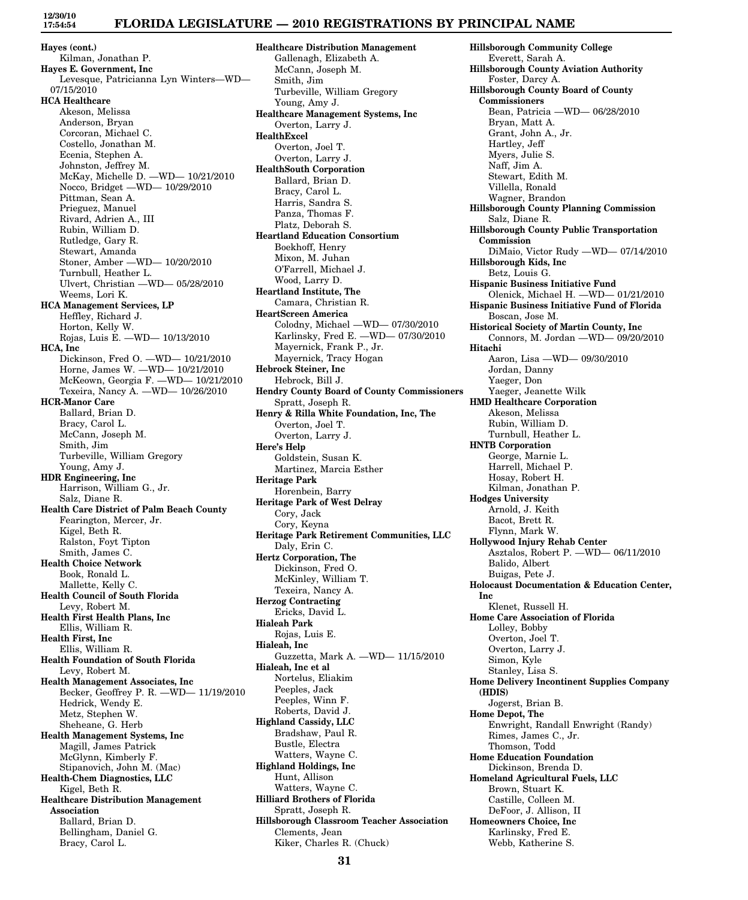**12/30/10 17:54:54**

### **FLORIDA LEGISLATURE — 2010 REGISTRATIONS BY PRINCIPAL NAME**

**Hayes (cont.)** Kilman, Jonathan P. **Hayes E. Government, Inc** Levesque, Patricianna Lyn Winters—WD— 07/15/2010 **HCA Healthcare** Akeson, Melissa Anderson, Bryan Corcoran, Michael C. Costello, Jonathan M. Ecenia, Stephen A. Johnston, Jeffrey M. McKay, Michelle D. —WD— 10/21/2010 Nocco, Bridget —WD— 10/29/2010 Pittman, Sean A. Prieguez, Manuel Rivard, Adrien A., III Rubin, William D. Rutledge, Gary R. Stewart, Amanda Stoner, Amber —WD— 10/20/2010 Turnbull, Heather L. Ulvert, Christian —WD— 05/28/2010 Weems, Lori K. **HCA Management Services, LP** Heffley, Richard J. Horton, Kelly W. Rojas, Luis E. —WD— 10/13/2010 **HCA, Inc** Dickinson, Fred O. —WD— 10/21/2010 Horne, James W. —WD— 10/21/2010 McKeown, Georgia F. —WD— 10/21/2010 Texeira, Nancy A. —WD— 10/26/2010 **HCR-Manor Care** Ballard, Brian D. Bracy, Carol L. McCann, Joseph M. Smith, Jim Turbeville, William Gregory Young, Amy J. **HDR Engineering, Inc** Harrison, William G., Jr. Salz, Diane R. **Health Care District of Palm Beach County** Fearington, Mercer, Jr. Kigel, Beth R. Ralston, Foyt Tipton Smith, James C. **Health Choice Network** Book, Ronald L. Mallette, Kelly C. **Health Council of South Florida** Levy, Robert M. **Health First Health Plans, Inc** Ellis, William R. **Health First, Inc** Ellis, William R. **Health Foundation of South Florida** Levy, Robert M. **Health Management Associates, Inc** Becker, Geoffrey P. R. —WD— 11/19/2010 Hedrick, Wendy E. Metz, Stephen W. Sheheane, G. Herb **Health Management Systems, Inc** Magill, James Patrick McGlynn, Kimberly F. Stipanovich, John M. (Mac) **Health-Chem Diagnostics, LLC** Kigel, Beth R. **Healthcare Distribution Management Association** Ballard, Brian D. Bellingham, Daniel G. Bracy, Carol L.

**Healthcare Distribution Management** Gallenagh, Elizabeth A. McCann, Joseph M. Smith, Jim Turbeville, William Gregory Young, Amy J. **Healthcare Management Systems, Inc** Overton, Larry J. **HealthExcel** Overton, Joel T. Overton, Larry J. **HealthSouth Corporation** Ballard, Brian D. Bracy, Carol L. Harris, Sandra S. Panza, Thomas F. Platz, Deborah S. **Heartland Education Consortium** Boekhoff, Henry Mixon, M. Juhan O'Farrell, Michael J. Wood, Larry D. **Heartland Institute, The** Camara, Christian R. **HeartScreen America** Colodny, Michael —WD— 07/30/2010 Karlinsky, Fred E. —WD— 07/30/2010 Mayernick, Frank P., Jr. Mayernick, Tracy Hogan **Hebrock Steiner, Inc** Hebrock, Bill J. **Hendry County Board of County Commissioners** Spratt, Joseph R. **Henry & Rilla White Foundation, Inc, The** Overton, Joel T. Overton, Larry J. **Here's Help** Goldstein, Susan K. Martinez, Marcia Esther **Heritage Park** Horenbein, Barry **Heritage Park of West Delray** Cory, Jack Cory, Keyna **Heritage Park Retirement Communities, LLC** Daly, Erin C. **Hertz Corporation, The** Dickinson, Fred O. McKinley, William T. Texeira, Nancy A. **Herzog Contracting** Ericks, David L. **Hialeah Park** Rojas, Luis E. **Hialeah, Inc** Guzzetta, Mark A. —WD— 11/15/2010 **Hialeah, Inc et al** Nortelus, Eliakim Peeples, Jack Peeples, Winn F. Roberts, David J. **Highland Cassidy, LLC** Bradshaw, Paul R. Bustle, Electra Watters, Wayne C. **Highland Holdings, Inc** Hunt, Allison Watters, Wayne C. **Hilliard Brothers of Florida** Spratt, Joseph R. **Hillsborough Classroom Teacher Association** Clements, Jean Kiker, Charles R. (Chuck)

**Hillsborough Community College** Everett, Sarah A. **Hillsborough County Aviation Authority** Foster, Darcy A. **Hillsborough County Board of County Commissioners** Bean, Patricia —WD— 06/28/2010 Bryan, Matt A. Grant, John A., Jr. Hartley, Jeff Myers, Julie S. Naff, Jim A. Stewart, Edith M. Villella, Ronald Wagner, Brandon **Hillsborough County Planning Commission** Salz, Diane R. **Hillsborough County Public Transportation Commission** DiMaio, Victor Rudy —WD— 07/14/2010 **Hillsborough Kids, Inc** Betz, Louis G. **Hispanic Business Initiative Fund** Olenick, Michael H. —WD— 01/21/2010 **Hispanic Business Initiative Fund of Florida** Boscan, Jose M. **Historical Society of Martin County, Inc** Connors, M. Jordan —WD— 09/20/2010 **Hitachi** Aaron, Lisa —WD— 09/30/2010 Jordan, Danny Yaeger, Don Yaeger, Jeanette Wilk **HMD Healthcare Corporation** Akeson, Melissa Rubin, William D. Turnbull, Heather L. **HNTB Corporation** George, Marnie L. Harrell, Michael P. Hosay, Robert H. Kilman, Jonathan P. **Hodges University** Arnold, J. Keith Bacot, Brett R. Flynn, Mark W. **Hollywood Injury Rehab Center** Asztalos, Robert P. —WD— 06/11/2010 Balido, Albert Buigas, Pete J. **Holocaust Documentation & Education Center, Inc** Klenet, Russell H. **Home Care Association of Florida** Lolley, Bobby Overton, Joel T. Overton, Larry J. Simon, Kyle Stanley, Lisa S. **Home Delivery Incontinent Supplies Company (HDIS)** Jogerst, Brian B. **Home Depot, The** Enwright, Randall Enwright (Randy) Rimes, James C., Jr. Thomson, Todd **Home Education Foundation** Dickinson, Brenda D. **Homeland Agricultural Fuels, LLC** Brown, Stuart K. Castille, Colleen M. DeFoor, J. Allison, II **Homeowners Choice, Inc** Karlinsky, Fred E. Webb, Katherine S.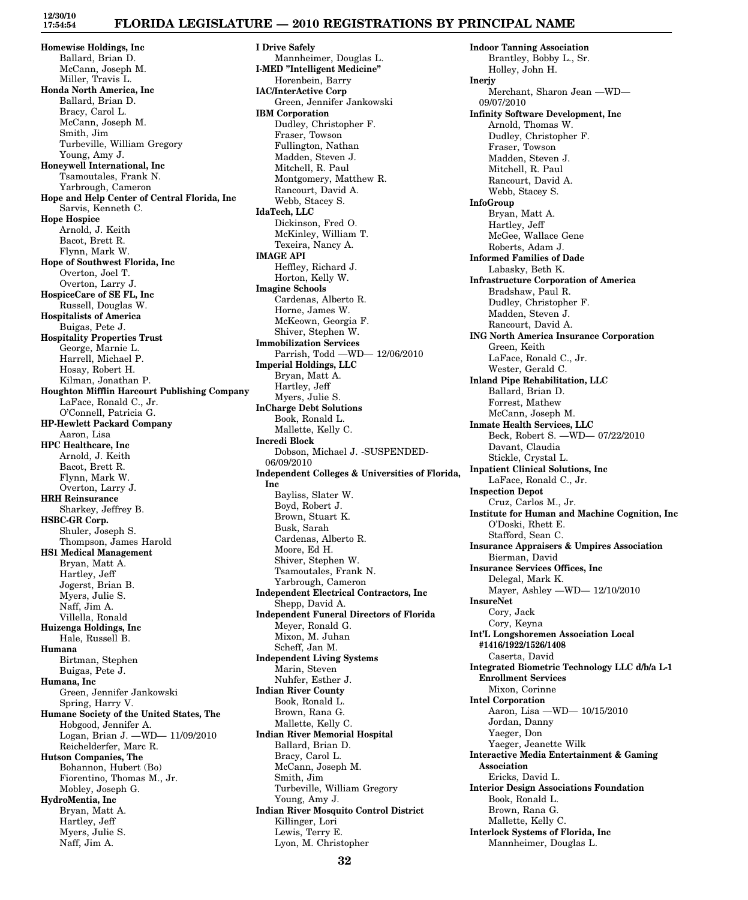# **FLORIDA LEGISLATURE — 2010 REGISTRATIONS BY PRINCIPAL NAME**

**Homewise Holdings, Inc** Ballard, Brian D. McCann, Joseph M. Miller, Travis L. **Honda North America, Inc** Ballard, Brian D. Bracy, Carol L. McCann, Joseph M. Smith, Jim Turbeville, William Gregory Young, Amy J. **Honeywell International, Inc** Tsamoutales, Frank N. Yarbrough, Cameron **Hope and Help Center of Central Florida, Inc** Sarvis, Kenneth C. **Hope Hospice** Arnold, J. Keith Bacot, Brett R. Flynn, Mark W. **Hope of Southwest Florida, Inc** Overton, Joel T. Overton, Larry J. **HospiceCare of SE FL, Inc** Russell, Douglas W. **Hospitalists of America** Buigas, Pete J. **Hospitality Properties Trust** George, Marnie L. Harrell, Michael P. Hosay, Robert H. Kilman, Jonathan P. **Houghton Mifflin Harcourt Publishing Company** LaFace, Ronald C., Jr. O'Connell, Patricia G. **HP-Hewlett Packard Company** Aaron, Lisa **HPC Healthcare, Inc** Arnold, J. Keith Bacot, Brett R. Flynn, Mark W. Overton, Larry J. **HRH Reinsurance** Sharkey, Jeffrey B. **HSBC-GR Corp.** Shuler, Joseph S. Thompson, James Harold **HS1 Medical Management** Bryan, Matt A. Hartley, Jeff Jogerst, Brian B. Myers, Julie S. Naff, Jim A. Villella, Ronald **Huizenga Holdings, Inc** Hale, Russell B. **Humana** Birtman, Stephen Buigas, Pete J. **Humana, Inc** Green, Jennifer Jankowski Spring, Harry V. **Humane Society of the United States, The** Hobgood, Jennifer A. Logan, Brian J. —WD— 11/09/2010 Reichelderfer, Marc R. **Hutson Companies, The** Bohannon, Hubert (Bo) Fiorentino, Thomas M., Jr. Mobley, Joseph G. **HydroMentia, Inc** Bryan, Matt A. Hartley, Jeff Myers, Julie S. Naff, Jim A.

**I Drive Safely** Mannheimer, Douglas L. **I-MED "Intelligent Medicine"** Horenbein, Barry **IAC/InterActive Corp** Green, Jennifer Jankowski **IBM Corporation** Dudley, Christopher F. Fraser, Towson Fullington, Nathan Madden, Steven J. Mitchell, R. Paul Montgomery, Matthew R. Rancourt, David A. Webb, Stacey S. **IdaTech, LLC** Dickinson, Fred O. McKinley, William T. Texeira, Nancy A. **IMAGE API** Heffley, Richard J. Horton, Kelly W. **Imagine Schools** Cardenas, Alberto R. Horne, James W. McKeown, Georgia F. Shiver, Stephen W. **Immobilization Services** Parrish, Todd —WD— 12/06/2010 **Imperial Holdings, LLC** Bryan, Matt A. Hartley, Jeff Myers, Julie S. **InCharge Debt Solutions** Book, Ronald L. Mallette, Kelly C. **Incredi Block** Dobson, Michael J. -SUSPENDED-06/09/2010 **Independent Colleges & Universities of Florida, Inc** Bayliss, Slater W. Boyd, Robert J. Brown, Stuart K. Busk, Sarah Cardenas, Alberto R. Moore, Ed H. Shiver, Stephen W. Tsamoutales, Frank N. Yarbrough, Cameron **Independent Electrical Contractors, Inc** Shepp, David A. **Independent Funeral Directors of Florida** Meyer, Ronald G. Mixon, M. Juhan Scheff, Jan M. **Independent Living Systems** Marin, Steven Nuhfer, Esther J. **Indian River County** Book, Ronald L. Brown, Rana G. Mallette, Kelly C. **Indian River Memorial Hospital** Ballard, Brian D. Bracy, Carol L. McCann, Joseph M. Smith, Jim Turbeville, William Gregory Young, Amy J. **Indian River Mosquito Control District** Killinger, Lori Lewis, Terry E. Lyon, M. Christopher

**Indoor Tanning Association** Brantley, Bobby L., Sr. Holley, John H. **Inerjy** Merchant, Sharon Jean —WD— 09/07/2010 **Infinity Software Development, Inc** Arnold, Thomas W. Dudley, Christopher F. Fraser, Towson Madden, Steven J. Mitchell, R. Paul Rancourt, David A. Webb, Stacey S. **InfoGroup** Bryan, Matt A. Hartley, Jeff McGee, Wallace Gene Roberts, Adam J. **Informed Families of Dade** Labasky, Beth K. **Infrastructure Corporation of America** Bradshaw, Paul R. Dudley, Christopher F. Madden, Steven J. Rancourt, David A. **ING North America Insurance Corporation** Green, Keith LaFace, Ronald C., Jr. Wester, Gerald C. **Inland Pipe Rehabilitation, LLC** Ballard, Brian D. Forrest, Mathew McCann, Joseph M. **Inmate Health Services, LLC** Beck, Robert S. —WD— 07/22/2010 Davant, Claudia Stickle, Crystal L. **Inpatient Clinical Solutions, Inc** LaFace, Ronald C., Jr. **Inspection Depot** Cruz, Carlos M., Jr. **Institute for Human and Machine Cognition, Inc** O'Doski, Rhett E. Stafford, Sean C. **Insurance Appraisers & Umpires Association** Bierman, David **Insurance Services Offices, Inc** Delegal, Mark K. Mayer, Ashley —WD— 12/10/2010 **InsureNet** Cory, Jack Cory, Keyna **Int'L Longshoremen Association Local #1416/1922/1526/1408** Caserta, David **Integrated Biometric Technology LLC d/b/a L-1 Enrollment Services** Mixon, Corinne **Intel Corporation** Aaron, Lisa —WD— 10/15/2010 Jordan, Danny Yaeger, Don Yaeger, Jeanette Wilk **Interactive Media Entertainment & Gaming Association** Ericks, David L. **Interior Design Associations Foundation** Book, Ronald L. Brown, Rana G. Mallette, Kelly C. **Interlock Systems of Florida, Inc** Mannheimer, Douglas L.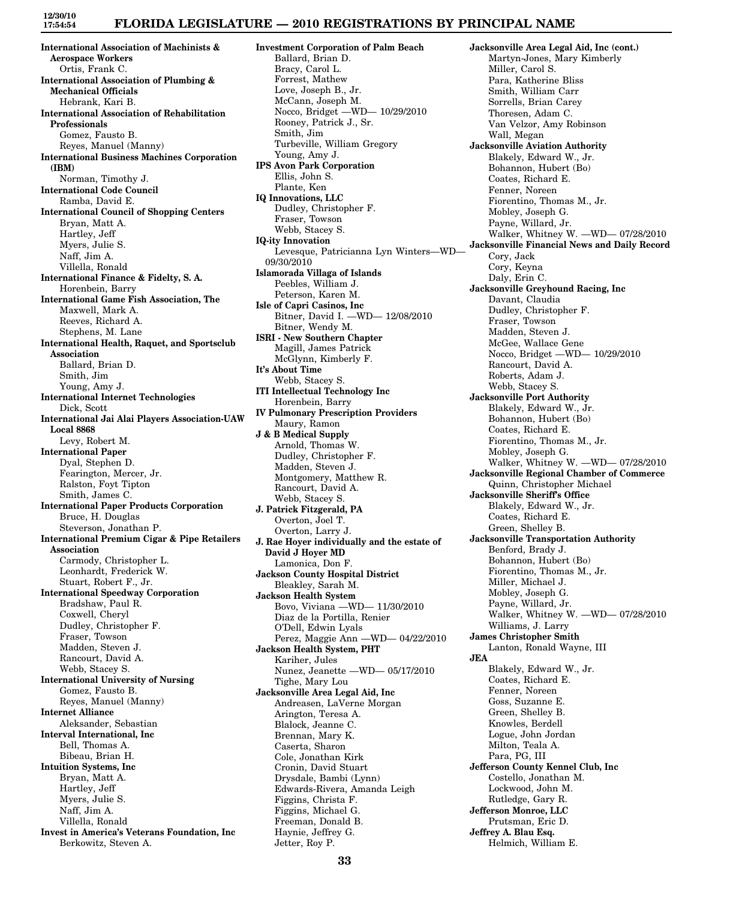## **FLORIDA LEGISLATURE — 2010 REGISTRATIONS BY PRINCIPAL NAME**

**International Association of Machinists & Aerospace Workers** Ortis, Frank C. **International Association of Plumbing & Mechanical Officials** Hebrank, Kari B. **International Association of Rehabilitation Professionals** Gomez, Fausto B. Reyes, Manuel (Manny) **International Business Machines Corporation (IBM)** Norman, Timothy J. **International Code Council** Ramba, David E. **International Council of Shopping Centers** Bryan, Matt A. Hartley, Jeff Myers, Julie S. Naff, Jim A. Villella, Ronald **International Finance & Fidelty, S. A.** Horenbein, Barry **International Game Fish Association, The** Maxwell, Mark A. Reeves, Richard A. Stephens, M. Lane **International Health, Raquet, and Sportsclub Association** Ballard, Brian D. Smith, Jim Young, Amy J. **International Internet Technologies** Dick, Scott **International Jai Alai Players Association-UAW Local 8868** Levy, Robert M. **International Paper** Dyal, Stephen D. Fearington, Mercer, Jr. Ralston, Foyt Tipton Smith, James C. **International Paper Products Corporation** Bruce, H. Douglas Steverson, Jonathan P. **International Premium Cigar & Pipe Retailers Association** Carmody, Christopher L. Leonhardt, Frederick W. Stuart, Robert F., Jr. **International Speedway Corporation** Bradshaw, Paul R. Coxwell, Cheryl Dudley, Christopher F. Fraser, Towson Madden, Steven J. Rancourt, David A. Webb, Stacey S. **International University of Nursing** Gomez, Fausto B. Reyes, Manuel (Manny) **Internet Alliance** Aleksander, Sebastian **Interval International, Inc** Bell, Thomas A. Bibeau, Brian H. **Intuition Systems, Inc** Bryan, Matt A. Hartley, Jeff Myers, Julie S. Naff, Jim A. Villella, Ronald **Invest in America's Veterans Foundation, Inc** Berkowitz, Steven A.

**Investment Corporation of Palm Beach** Ballard, Brian D. Bracy, Carol L. Forrest, Mathew Love, Joseph B., Jr. McCann, Joseph M. Nocco, Bridget —WD— 10/29/2010 Rooney, Patrick J., Sr. Smith, Jim Turbeville, William Gregory Young, Amy J. **IPS Avon Park Corporation** Ellis, John S. Plante, Ken **IQ Innovations, LLC** Dudley, Christopher F. Fraser, Towson Webb, Stacey S. **IQ-ity Innovation** Levesque, Patricianna Lyn Winters—WD— 09/30/2010 **Islamorada Villaga of Islands** Peebles, William J. Peterson, Karen M. **Isle of Capri Casinos, Inc** Bitner, David I. —WD— 12/08/2010 Bitner, Wendy M. **ISRI - New Southern Chapter** Magill, James Patrick McGlynn, Kimberly F. **It's About Time** Webb, Stacey S. **ITI Intellectual Technology Inc** Horenbein, Barry **IV Pulmonary Prescription Providers** Maury, Ramon **J & B Medical Supply** Arnold, Thomas W. Dudley, Christopher F. Madden, Steven J. Montgomery, Matthew R. Rancourt, David A. Webb, Stacey S. **J. Patrick Fitzgerald, PA** Overton, Joel T. Overton, Larry J. **J. Rae Hoyer individually and the estate of David J Hoyer MD** Lamonica, Don F. **Jackson County Hospital District** Bleakley, Sarah M. **Jackson Health System** Bovo, Viviana —WD— 11/30/2010 Diaz de la Portilla, Renier O'Dell, Edwin Lyals Perez, Maggie Ann —WD— 04/22/2010 **Jackson Health System, PHT** Kariher, Jules Nunez, Jeanette —WD— 05/17/2010 Tighe, Mary Lou **Jacksonville Area Legal Aid, Inc** Andreasen, LaVerne Morgan Arington, Teresa A. Blalock, Jeanne C. Brennan, Mary K. Caserta, Sharon Cole, Jonathan Kirk Cronin, David Stuart Drysdale, Bambi (Lynn) Edwards-Rivera, Amanda Leigh Figgins, Christa F. Figgins, Michael G. Freeman, Donald B. Haynie, Jeffrey G. Jetter, Roy P.

**Jacksonville Area Legal Aid, Inc (cont.)** Martyn-Jones, Mary Kimberly Miller, Carol S. Para, Katherine Bliss Smith, William Carr Sorrells, Brian Carey Thoresen, Adam C. Van Velzor, Amy Robinson Wall, Megan **Jacksonville Aviation Authority** Blakely, Edward W., Jr. Bohannon, Hubert (Bo) Coates, Richard E. Fenner, Noreen Fiorentino, Thomas M., Jr. Mobley, Joseph G. Payne, Willard, Jr. Walker, Whitney W. —WD— 07/28/2010 **Jacksonville Financial News and Daily Record** Cory, Jack Cory, Keyna Daly, Erin C. **Jacksonville Greyhound Racing, Inc** Davant, Claudia Dudley, Christopher F. Fraser, Towson Madden, Steven J. McGee, Wallace Gene Nocco, Bridget —WD— 10/29/2010 Rancourt, David A. Roberts, Adam J. Webb, Stacey S. **Jacksonville Port Authority** Blakely, Edward W., Jr. Bohannon, Hubert (Bo) Coates, Richard E. Fiorentino, Thomas M., Jr. Mobley, Joseph G. Walker, Whitney W. —WD— 07/28/2010 **Jacksonville Regional Chamber of Commerce** Quinn, Christopher Michael **Jacksonville Sheriff's Office** Blakely, Edward W., Jr. Coates, Richard E. Green, Shelley B. **Jacksonville Transportation Authority** Benford, Brady J. Bohannon, Hubert (Bo) Fiorentino, Thomas M., Jr. Miller, Michael J. Mobley, Joseph G. Payne, Willard, Jr. Walker, Whitney W. —WD— 07/28/2010 Williams, J. Larry **James Christopher Smith** Lanton, Ronald Wayne, III **JEA** Blakely, Edward W., Jr. Coates, Richard E. Fenner, Noreen Goss, Suzanne E. Green, Shelley B. Knowles, Berdell Logue, John Jordan Milton, Teala A. Para, PG, III **Jefferson County Kennel Club, Inc** Costello, Jonathan M. Lockwood, John M. Rutledge, Gary R. **Jefferson Monroe, LLC** Prutsman, Eric D. **Jeffrey A. Blau Esq.** Helmich, William E.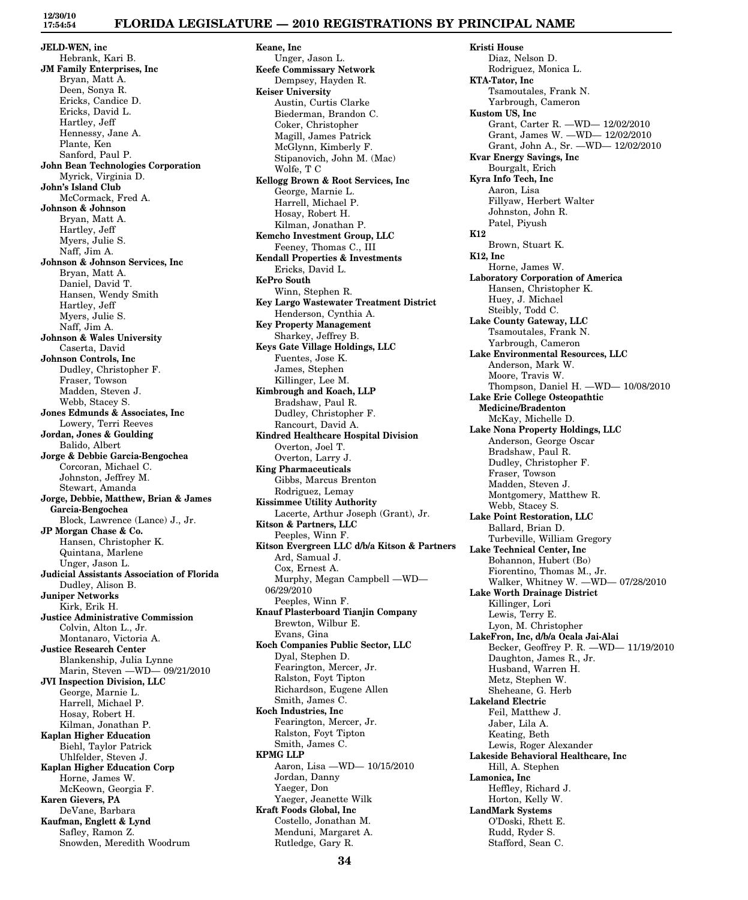# **FLORIDA LEGISLATURE — 2010 REGISTRATIONS BY PRINCIPAL NAME**

**JELD-WEN, inc** Hebrank, Kari B. **JM Family Enterprises, Inc** Bryan, Matt A. Deen, Sonya R. Ericks, Candice D. Ericks, David L. Hartley, Jeff Hennessy, Jane A. Plante, Ken Sanford, Paul P. **John Bean Technologies Corporation** Myrick, Virginia D. **John's Island Club** McCormack, Fred A. **Johnson & Johnson** Bryan, Matt A. Hartley, Jeff Myers, Julie S. Naff, Jim A. **Johnson & Johnson Services, Inc** Bryan, Matt A. Daniel, David T. Hansen, Wendy Smith Hartley, Jeff Myers, Julie S. Naff, Jim A. **Johnson & Wales University** Caserta, David **Johnson Controls, Inc** Dudley, Christopher F. Fraser, Towson Madden, Steven J. Webb, Stacey S. **Jones Edmunds & Associates, Inc** Lowery, Terri Reeves **Jordan, Jones & Goulding** Balido, Albert **Jorge & Debbie Garcia-Bengochea** Corcoran, Michael C. Johnston, Jeffrey M. Stewart, Amanda **Jorge, Debbie, Matthew, Brian & James Garcia-Bengochea** Block, Lawrence (Lance) J., Jr. **JP Morgan Chase & Co.** Hansen, Christopher K. Quintana, Marlene Unger, Jason L. **Judicial Assistants Association of Florida** Dudley, Alison B. **Juniper Networks** Kirk, Erik H. **Justice Administrative Commission** Colvin, Alton L., Jr. Montanaro, Victoria A. **Justice Research Center** Blankenship, Julia Lynne Marin, Steven —WD— 09/21/2010 **JVI Inspection Division, LLC** George, Marnie L. Harrell, Michael P. Hosay, Robert H. Kilman, Jonathan P. **Kaplan Higher Education** Biehl, Taylor Patrick Uhlfelder, Steven J. **Kaplan Higher Education Corp** Horne, James W. McKeown, Georgia F. **Karen Gievers, PA** DeVane, Barbara **Kaufman, Englett & Lynd** Safley, Ramon Z.

Snowden, Meredith Woodrum

**Keane, Inc** Unger, Jason L. **Keefe Commissary Network** Dempsey, Hayden R. **Keiser University** Austin, Curtis Clarke Biederman, Brandon C. Coker, Christopher Magill, James Patrick McGlynn, Kimberly F. Stipanovich, John M. (Mac) Wolfe, T C **Kellogg Brown & Root Services, Inc** George, Marnie L. Harrell, Michael P. Hosay, Robert H. Kilman, Jonathan P. **Kemcho Investment Group, LLC** Feeney, Thomas C., III **Kendall Properties & Investments** Ericks, David L. **KePro South** Winn, Stephen R. **Key Largo Wastewater Treatment District** Henderson, Cynthia A. **Key Property Management** Sharkey, Jeffrey B. **Keys Gate Village Holdings, LLC** Fuentes, Jose K. James, Stephen Killinger, Lee M. **Kimbrough and Koach, LLP** Bradshaw, Paul R. Dudley, Christopher F. Rancourt, David A. **Kindred Healthcare Hospital Division** Overton, Joel T. Overton, Larry J. **King Pharmaceuticals** Gibbs, Marcus Brenton Rodriguez, Lemay **Kissimmee Utility Authority** Lacerte, Arthur Joseph (Grant), Jr. **Kitson & Partners, LLC** Peeples, Winn F. **Kitson Evergreen LLC d/b/a Kitson & Partners** Ard, Samual J. Cox, Ernest A. Murphy, Megan Campbell —WD— 06/29/2010 Peeples, Winn F. **Knauf Plasterboard Tianjin Company** Brewton, Wilbur E. Evans, Gina **Koch Companies Public Sector, LLC** Dyal, Stephen D. Fearington, Mercer, Jr. Ralston, Foyt Tipton Richardson, Eugene Allen Smith, James C. **Koch Industries, Inc** Fearington, Mercer, Jr. Ralston, Foyt Tipton Smith, James C. **KPMG LLP** Aaron, Lisa —WD— 10/15/2010 Jordan, Danny Yaeger, Don Yaeger, Jeanette Wilk **Kraft Foods Global, Inc** Costello, Jonathan M. Menduni, Margaret A. Rutledge, Gary R.

**Kristi House** Diaz, Nelson D. Rodriguez, Monica L. **KTA-Tator, Inc** Tsamoutales, Frank N. Yarbrough, Cameron **Kustom US, Inc** Grant, Carter R. —WD— 12/02/2010 Grant, James W. —WD— 12/02/2010 Grant, John A., Sr. —WD— 12/02/2010 **Kvar Energy Savings, Inc** Bourgalt, Erich **Kyra Info Tech, Inc** Aaron, Lisa Fillyaw, Herbert Walter Johnston, John R. Patel, Piyush **K12** Brown, Stuart K. **K12, Inc** Horne, James W. **Laboratory Corporation of America** Hansen, Christopher K. Huey, J. Michael Steibly, Todd C. **Lake County Gateway, LLC** Tsamoutales, Frank N. Yarbrough, Cameron **Lake Environmental Resources, LLC** Anderson, Mark W. Moore, Travis W. Thompson, Daniel H. —WD— 10/08/2010 **Lake Erie College Osteopathtic Medicine/Bradenton** McKay, Michelle D. **Lake Nona Property Holdings, LLC** Anderson, George Oscar Bradshaw, Paul R. Dudley, Christopher F. Fraser, Towson Madden, Steven J. Montgomery, Matthew R. Webb, Stacey S. **Lake Point Restoration, LLC** Ballard, Brian D. Turbeville, William Gregory **Lake Technical Center, Inc** Bohannon, Hubert (Bo) Fiorentino, Thomas M., Jr. Walker, Whitney W. —WD— 07/28/2010 **Lake Worth Drainage District** Killinger, Lori Lewis, Terry E. Lyon, M. Christopher **LakeFron, Inc, d/b/a Ocala Jai-Alai** Becker, Geoffrey P. R. —WD— 11/19/2010 Daughton, James R., Jr. Husband, Warren H. Metz, Stephen W. Sheheane, G. Herb **Lakeland Electric** Feil, Matthew J. Jaber, Lila A. Keating, Beth Lewis, Roger Alexander **Lakeside Behavioral Healthcare, Inc** Hill, A. Stephen **Lamonica, Inc** Heffley, Richard J. Horton, Kelly W. **LandMark Systems** O'Doski, Rhett E. Rudd, Ryder S. Stafford, Sean C.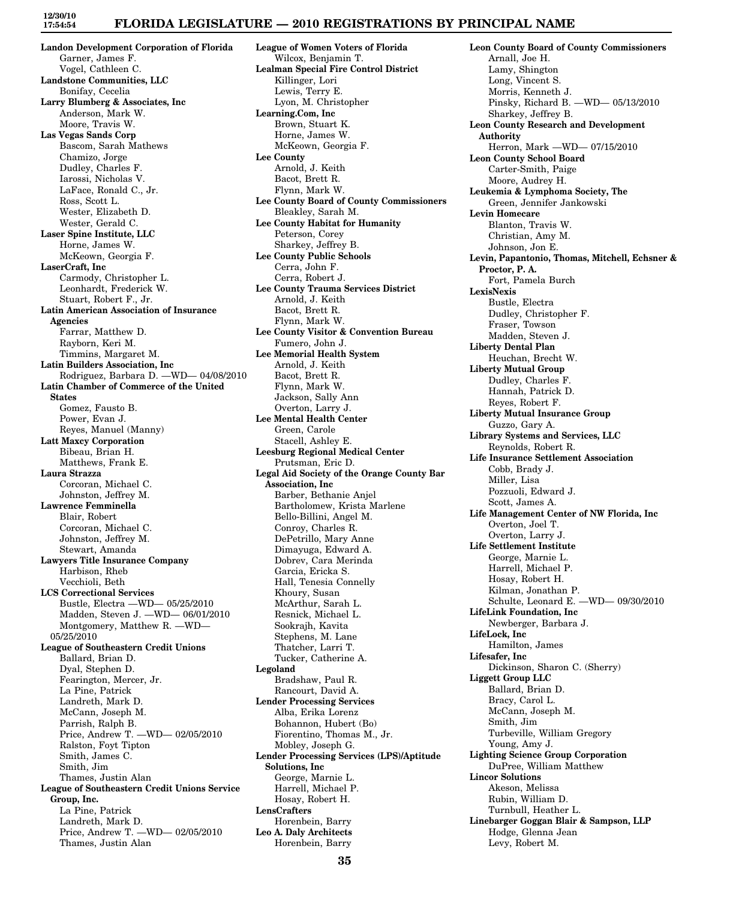#### **FLORIDA LEGISLATURE — 2010 REGISTRATIONS BY PRINCIPAL NAME**

**Landon Development Corporation of Florida** Garner, James F. Vogel, Cathleen C. **Landstone Communities, LLC** Bonifay, Cecelia **Larry Blumberg & Associates, Inc** Anderson, Mark W. Moore, Travis W. **Las Vegas Sands Corp** Bascom, Sarah Mathews Chamizo, Jorge Dudley, Charles F. Iarossi, Nicholas V. LaFace, Ronald C., Jr. Ross, Scott L. Wester, Elizabeth D. Wester, Gerald C. **Laser Spine Institute, LLC** Horne, James W. McKeown, Georgia F. **LaserCraft, Inc** Carmody, Christopher L. Leonhardt, Frederick W. Stuart, Robert F., Jr. **Latin American Association of Insurance Agencies** Farrar, Matthew D. Rayborn, Keri M. Timmins, Margaret M. **Latin Builders Association, Inc** Rodriguez, Barbara D. —WD— 04/08/2010 **Latin Chamber of Commerce of the United States** Gomez, Fausto B. Power, Evan J. Reyes, Manuel (Manny) **Latt Maxcy Corporation** Bibeau, Brian H. Matthews, Frank E. **Laura Strazza** Corcoran, Michael C. Johnston, Jeffrey M. **Lawrence Femminella** Blair, Robert Corcoran, Michael C. Johnston, Jeffrey M. Stewart, Amanda **Lawyers Title Insurance Company** Harbison, Rheb Vecchioli, Beth **LCS Correctional Services** Bustle, Electra —WD— 05/25/2010 Madden, Steven J. —WD— 06/01/2010 Montgomery, Matthew R. —WD— 05/25/2010 **League of Southeastern Credit Unions** Ballard, Brian D. Dyal, Stephen D. Fearington, Mercer, Jr. La Pine, Patrick Landreth, Mark D. McCann, Joseph M. Parrish, Ralph B. Price, Andrew T. —WD— 02/05/2010 Ralston, Foyt Tipton Smith, James C. Smith, Jim Thames, Justin Alan **League of Southeastern Credit Unions Service Group, Inc.** La Pine, Patrick Landreth, Mark D. Price, Andrew T. —WD— 02/05/2010 Thames, Justin Alan

**League of Women Voters of Florida** Wilcox, Benjamin T. **Lealman Special Fire Control District** Killinger, Lori Lewis, Terry E. Lyon, M. Christopher **Learning.Com, Inc** Brown, Stuart K. Horne, James W. McKeown, Georgia F. **Lee County** Arnold, J. Keith Bacot, Brett R. Flynn, Mark W. **Lee County Board of County Commissioners** Bleakley, Sarah M. **Lee County Habitat for Humanity** Peterson, Corey Sharkey, Jeffrey B. **Lee County Public Schools** Cerra, John F. Cerra, Robert J. **Lee County Trauma Services District** Arnold, J. Keith Bacot, Brett R. Flynn, Mark W. **Lee County Visitor & Convention Bureau** Fumero, John J. **Lee Memorial Health System** Arnold, J. Keith Bacot, Brett R. Flynn, Mark W. Jackson, Sally Ann Overton, Larry J. **Lee Mental Health Center** Green, Carole Stacell, Ashley E. **Leesburg Regional Medical Center** Prutsman, Eric D. **Legal Aid Society of the Orange County Bar Association, Inc** Barber, Bethanie Anjel Bartholomew, Krista Marlene Bello-Billini, Angel M. Conroy, Charles R. DePetrillo, Mary Anne Dimayuga, Edward A. Dobrev, Cara Merinda Garcia, Ericka S. Hall, Tenesia Connelly Khoury, Susan McArthur, Sarah L. Resnick, Michael L. Sookrajh, Kavita Stephens, M. Lane Thatcher, Larri T. Tucker, Catherine A. **Legoland** Bradshaw, Paul R. Rancourt, David A. **Lender Processing Services** Alba, Erika Lorenz Bohannon, Hubert (Bo) Fiorentino, Thomas M., Jr. Mobley, Joseph G. **Lender Processing Services (LPS)/Aptitude Solutions, Inc** George, Marnie L. Harrell, Michael P. Hosay, Robert H. **LensCrafters** Horenbein, Barry **Leo A. Daly Architects** Horenbein, Barry

**Leon County Board of County Commissioners** Arnall, Joe H. Lamy, Shington Long, Vincent S. Morris, Kenneth J. Pinsky, Richard B. —WD— 05/13/2010 Sharkey, Jeffrey B. **Leon County Research and Development Authority** Herron, Mark —WD— 07/15/2010 **Leon County School Board** Carter-Smith, Paige Moore, Audrey H. **Leukemia & Lymphoma Society, The** Green, Jennifer Jankowski **Levin Homecare** Blanton, Travis W. Christian, Amy M. Johnson, Jon E. **Levin, Papantonio, Thomas, Mitchell, Echsner & Proctor, P. A.** Fort, Pamela Burch **LexisNexis** Bustle, Electra Dudley, Christopher F. Fraser, Towson Madden, Steven J. **Liberty Dental Plan** Heuchan, Brecht W. **Liberty Mutual Group** Dudley, Charles F. Hannah, Patrick D. Reyes, Robert F. **Liberty Mutual Insurance Group** Guzzo, Gary A. **Library Systems and Services, LLC** Reynolds, Robert R. **Life Insurance Settlement Association** Cobb, Brady J. Miller, Lisa Pozzuoli, Edward J. Scott, James A. **Life Management Center of NW Florida, Inc** Overton, Joel T. Overton, Larry J. **Life Settlement Institute** George, Marnie L. Harrell, Michael P. Hosay, Robert H. Kilman, Jonathan P. Schulte, Leonard E. —WD— 09/30/2010 **LifeLink Foundation, Inc** Newberger, Barbara J. **LifeLock, Inc** Hamilton, James **Lifesafer, Inc** Dickinson, Sharon C. (Sherry) **Liggett Group LLC** Ballard, Brian D. Bracy, Carol L. McCann, Joseph M. Smith, Jim Turbeville, William Gregory Young, Amy J. **Lighting Science Group Corporation** DuPree, William Matthew **Lincor Solutions** Akeson, Melissa Rubin, William D. Turnbull, Heather L. **Linebarger Goggan Blair & Sampson, LLP** Hodge, Glenna Jean Levy, Robert M.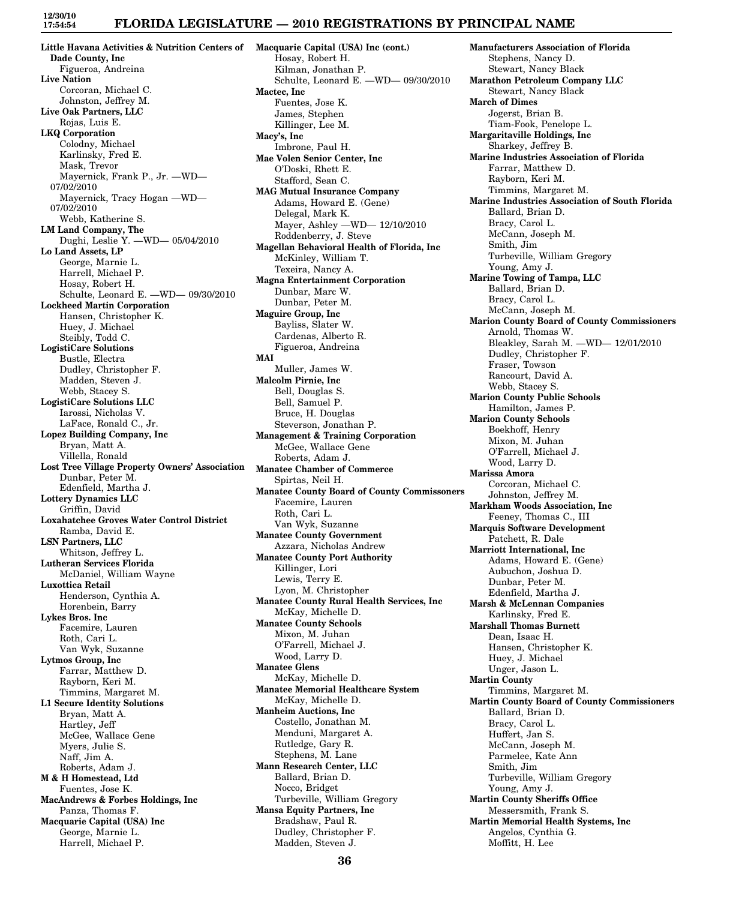### **FLORIDA LEGISLATURE — 2010 REGISTRATIONS BY PRINCIPAL NAME**

**Little Havana Activities & Nutrition Centers of Macquarie Capital (USA) Inc (cont.) Dade County, Inc** Figueroa, Andreina **Live Nation** Corcoran, Michael C. Johnston, Jeffrey M. **Live Oak Partners, LLC** Rojas, Luis E. **LKQ Corporation** Colodny, Michael Karlinsky, Fred E. Mask, Trevor Mayernick, Frank P., Jr. —WD— 07/02/2010 Mayernick, Tracy Hogan —WD— 07/02/2010 Webb, Katherine S. **LM Land Company, The** Dughi, Leslie Y. —WD— 05/04/2010 **Lo Land Assets, LP** George, Marnie L. Harrell, Michael P. Hosay, Robert H. Schulte, Leonard E. —WD— 09/30/2010 **Lockheed Martin Corporation** Hansen, Christopher K. Huey, J. Michael Steibly, Todd C. **LogistiCare Solutions** Bustle, Electra Dudley, Christopher F. Madden, Steven J. Webb, Stacey S. **LogistiCare Solutions LLC** Iarossi, Nicholas V. LaFace, Ronald C., Jr. **Lopez Building Company, Inc** Bryan, Matt A. Villella, Ronald **Lost Tree Village Property Owners' Association** Dunbar, Peter M. Edenfield, Martha J. **Lottery Dynamics LLC** Griffin, David **Loxahatchee Groves Water Control District** Ramba, David E. **LSN Partners, LLC** Whitson, Jeffrey L. **Lutheran Services Florida** McDaniel, William Wayne **Luxottica Retail** Henderson, Cynthia A. Horenbein, Barry **Lykes Bros. Inc** Facemire, Lauren Roth, Cari L. Van Wyk, Suzanne **Lytmos Group, Inc** Farrar, Matthew D. Rayborn, Keri M. Timmins, Margaret M. **L1 Secure Identity Solutions** Bryan, Matt A. Hartley, Jeff McGee, Wallace Gene Myers, Julie S. Naff, Jim A. Roberts, Adam J. **M & H Homestead, Ltd** Fuentes, Jose K. **MacAndrews & Forbes Holdings, Inc** Panza, Thomas F. **Macquarie Capital (USA) Inc** George, Marnie L. Harrell, Michael P.

Hosay, Robert H. Kilman, Jonathan P. Schulte, Leonard E. —WD— 09/30/2010 **Mactec, Inc** Fuentes, Jose K. James, Stephen Killinger, Lee M. **Macy's, Inc** Imbrone, Paul H. **Mae Volen Senior Center, Inc** O'Doski, Rhett E. Stafford, Sean C. **MAG Mutual Insurance Company** Adams, Howard E. (Gene) Delegal, Mark K. Mayer, Ashley —WD— 12/10/2010 Roddenberry, J. Steve **Magellan Behavioral Health of Florida, Inc** McKinley, William T. Texeira, Nancy A. **Magna Entertainment Corporation** Dunbar, Marc W. Dunbar, Peter M. **Maguire Group, Inc** Bayliss, Slater W. Cardenas, Alberto R. Figueroa, Andreina **MAI** Muller, James W. **Malcolm Pirnie, Inc** Bell, Douglas S. Bell, Samuel P. Bruce, H. Douglas Steverson, Jonathan P. **Management & Training Corporation** McGee, Wallace Gene Roberts, Adam J. **Manatee Chamber of Commerce** Spirtas, Neil H. **Manatee County Board of County Commissoners** Facemire, Lauren Roth, Cari L. Van Wyk, Suzanne **Manatee County Government** Azzara, Nicholas Andrew **Manatee County Port Authority** Killinger, Lori Lewis, Terry E. Lyon, M. Christopher **Manatee County Rural Health Services, Inc** McKay, Michelle D. **Manatee County Schools** Mixon, M. Juhan O'Farrell, Michael J. Wood, Larry D. **Manatee Glens** McKay, Michelle D. **Manatee Memorial Healthcare System** McKay, Michelle D. **Manheim Auctions, Inc** Costello, Jonathan M. Menduni, Margaret A. Rutledge, Gary R. Stephens, M. Lane **Mann Research Center, LLC** Ballard, Brian D. Nocco, Bridget Turbeville, William Gregory **Mansa Equity Partners, Inc** Bradshaw, Paul R. Dudley, Christopher F. Madden, Steven J.

**Manufacturers Association of Florida** Stephens, Nancy D. Stewart, Nancy Black **Marathon Petroleum Company LLC** Stewart, Nancy Black **March of Dimes** Jogerst, Brian B. Tiam-Fook, Penelope L. **Margaritaville Holdings, Inc** Sharkey, Jeffrey B. **Marine Industries Association of Florida** Farrar, Matthew D. Rayborn, Keri M. Timmins, Margaret M. **Marine Industries Association of South Florida** Ballard, Brian D. Bracy, Carol L. McCann, Joseph M. Smith, Jim Turbeville, William Gregory Young, Amy J. **Marine Towing of Tampa, LLC** Ballard, Brian D. Bracy, Carol L. McCann, Joseph M. **Marion County Board of County Commissioners** Arnold, Thomas W. Bleakley, Sarah M. —WD— 12/01/2010 Dudley, Christopher F. Fraser, Towson Rancourt, David A. Webb, Stacey S. **Marion County Public Schools** Hamilton, James P. **Marion County Schools** Boekhoff, Henry Mixon, M. Juhan O'Farrell, Michael J. Wood, Larry D. **Marissa Amora** Corcoran, Michael C. Johnston, Jeffrey M. **Markham Woods Association, Inc** Feeney, Thomas C., III **Marquis Software Development** Patchett, R. Dale **Marriott International, Inc** Adams, Howard E. (Gene) Aubuchon, Joshua D. Dunbar, Peter M. Edenfield, Martha J. **Marsh & McLennan Companies** Karlinsky, Fred E. **Marshall Thomas Burnett** Dean, Isaac H. Hansen, Christopher K. Huey, J. Michael Unger, Jason L. **Martin County** Timmins, Margaret M. **Martin County Board of County Commissioners** Ballard, Brian D. Bracy, Carol L. Huffert, Jan S. McCann, Joseph M. Parmelee, Kate Ann Smith, Jim Turbeville, William Gregory Young, Amy J. **Martin County Sheriffs Office** Messersmith, Frank S. **Martin Memorial Health Systems, Inc** Angelos, Cynthia G. Moffitt, H. Lee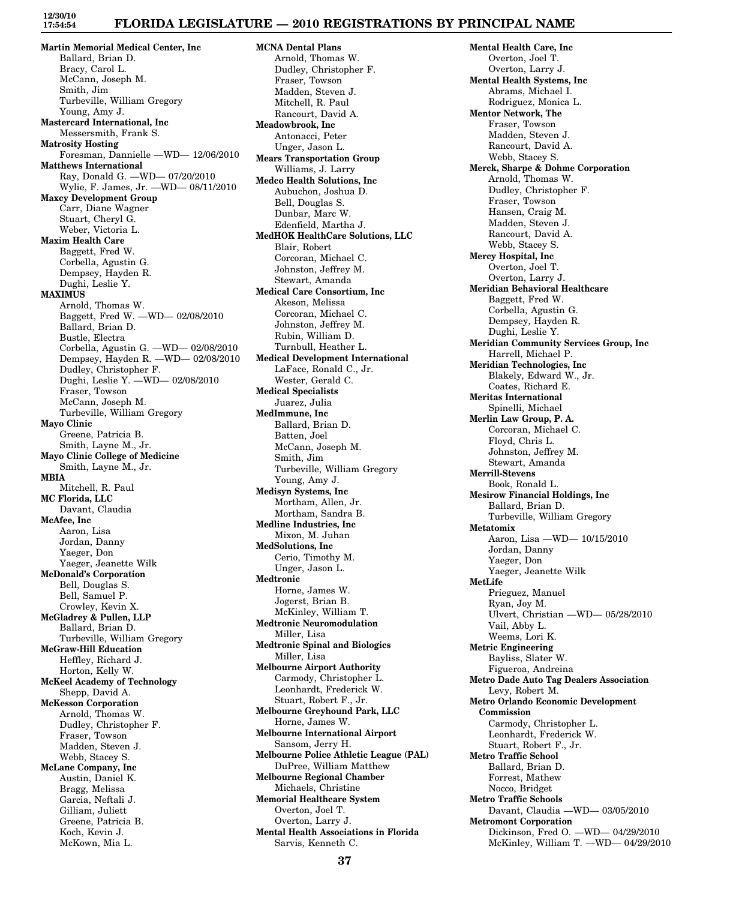## **FLORIDA LEGISLATURE — 2010 REGISTRATIONS BY PRINCIPAL NAME**

**Martin Memorial Medical Center, Inc** Ballard, Brian D. Bracy, Carol L. McCann, Joseph M. Smith, Jim Turbeville, William Gregory Young, Amy J. **Mastercard International, Inc** Messersmith, Frank S. **Matrosity Hosting** Foresman, Dannielle —WD— 12/06/2010 **Matthews International** Ray, Donald G. —WD— 07/20/2010 Wylie, F. James, Jr. —WD— 08/11/2010 **Maxcy Development Group** Carr, Diane Wagner Stuart, Cheryl G. Weber, Victoria L. **Maxim Health Care** Baggett, Fred W. Corbella, Agustin G. Dempsey, Hayden R. Dughi, Leslie Y. **MAXIMUS** Arnold, Thomas W. Baggett, Fred W. —WD— 02/08/2010 Ballard, Brian D. Bustle, Electra Corbella, Agustin G. —WD— 02/08/2010 Dempsey, Hayden R. —WD— 02/08/2010 Dudley, Christopher F. Dughi, Leslie Y. —WD— 02/08/2010 Fraser, Towson McCann, Joseph M. Turbeville, William Gregory **Mayo Clinic** Greene, Patricia B. Smith, Layne M., Jr. **Mayo Clinic College of Medicine** Smith, Layne M., Jr. **MBIA** Mitchell, R. Paul **MC Florida, LLC** Davant, Claudia **McAfee, Inc** Aaron, Lisa Jordan, Danny Yaeger, Don Yaeger, Jeanette Wilk **McDonald's Corporation** Bell, Douglas S. Bell, Samuel P. Crowley, Kevin X. **McGladrey & Pullen, LLP** Ballard, Brian D. Turbeville, William Gregory **McGraw-Hill Education** Heffley, Richard J. Horton, Kelly W. **McKeel Academy of Technology** Shepp, David A. **McKesson Corporation** Arnold, Thomas W. Dudley, Christopher F. Fraser, Towson Madden, Steven J. Webb, Stacey S. **McLane Company, Inc** Austin, Daniel K. Bragg, Melissa Garcia, Neftali J. Gilliam, Juliett Greene, Patricia B. Koch, Kevin J. McKown, Mia L.

**MCNA Dental Plans** Arnold, Thomas W. Dudley, Christopher F. Fraser, Towson Madden, Steven J. Mitchell, R. Paul Rancourt, David A. **Meadowbrook, Inc** Antonacci, Peter Unger, Jason L. **Mears Transportation Group** Williams, J. Larry **Medco Health Solutions, Inc** Aubuchon, Joshua D. Bell, Douglas S. Dunbar, Marc W. Edenfield, Martha J. **MedHOK HealthCare Solutions, LLC** Blair, Robert Corcoran, Michael C. Johnston, Jeffrey M. Stewart, Amanda **Medical Care Consortium, Inc** Akeson, Melissa Corcoran, Michael C. Johnston, Jeffrey M. Rubin, William D. Turnbull, Heather L. **Medical Development International** LaFace, Ronald C., Jr. Wester, Gerald C. **Medical Specialists** Juarez, Julia **MedImmune, Inc** Ballard, Brian D. Batten, Joel McCann, Joseph M. Smith, Jim Turbeville, William Gregory Young, Amy J. **Medisyn Systems, Inc** Mortham, Allen, Jr. Mortham, Sandra B. **Medline Industries, Inc** Mixon, M. Juhan **MedSolutions, Inc** Cerio, Timothy M. Unger, Jason L. **Medtronic** Horne, James W. Jogerst, Brian B. McKinley, William T. **Medtronic Neuromodulation** Miller, Lisa **Medtronic Spinal and Biologics** Miller, Lisa **Melbourne Airport Authority** Carmody, Christopher L. Leonhardt, Frederick W. Stuart, Robert F., Jr. **Melbourne Greyhound Park, LLC** Horne, James W. **Melbourne International Airport** Sansom, Jerry H. **Melbourne Police Athletic League (PAL)** DuPree, William Matthew **Melbourne Regional Chamber** Michaels, Christine **Memorial Healthcare System** Overton, Joel T. Overton, Larry J. **Mental Health Associations in Florida** Sarvis, Kenneth C.

**Mental Health Care, Inc** Overton, Joel T. Overton, Larry J. **Mental Health Systems, Inc** Abrams, Michael I. Rodriguez, Monica L. **Mentor Network, The** Fraser, Towson Madden, Steven J. Rancourt, David A. Webb, Stacey S. **Merck, Sharpe & Dohme Corporation** Arnold, Thomas W. Dudley, Christopher F. Fraser, Towson Hansen, Craig M. Madden, Steven J. Rancourt, David A. Webb, Stacey S. **Mercy Hospital, Inc** Overton, Joel T. Overton, Larry J. **Meridian Behavioral Healthcare** Baggett, Fred W. Corbella, Agustin G. Dempsey, Hayden R. Dughi, Leslie Y. **Meridian Community Services Group, Inc** Harrell, Michael P. **Meridian Technologies, Inc** Blakely, Edward W., Jr. Coates, Richard E. **Meritas International** Spinelli, Michael **Merlin Law Group, P. A.** Corcoran, Michael C. Floyd, Chris L. Johnston, Jeffrey M. Stewart, Amanda **Merrill-Stevens** Book, Ronald L. **Mesirow Financial Holdings, Inc** Ballard, Brian D. Turbeville, William Gregory **Metatomix** Aaron, Lisa —WD— 10/15/2010 Jordan, Danny Yaeger, Don Yaeger, Jeanette Wilk **MetLife** Prieguez, Manuel Ryan, Joy M. Ulvert, Christian —WD— 05/28/2010 Vail, Abby L. Weems, Lori K. **Metric Engineering** Bayliss, Slater W. Figueroa, Andreina **Metro Dade Auto Tag Dealers Association** Levy, Robert M. **Metro Orlando Economic Development Commission** Carmody, Christopher L. Leonhardt, Frederick W. Stuart, Robert F., Jr. **Metro Traffic School** Ballard, Brian D. Forrest, Mathew Nocco, Bridget **Metro Traffic Schools** Davant, Claudia —WD— 03/05/2010 **Metromont Corporation** Dickinson, Fred O. —WD— 04/29/2010 McKinley, William T. —WD— 04/29/2010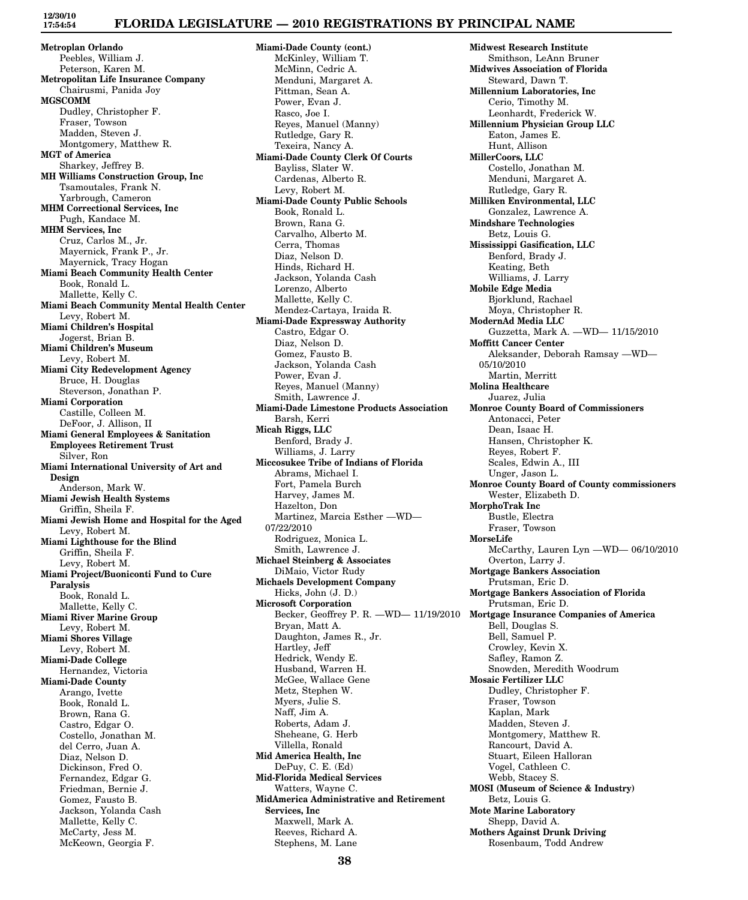**Metroplan Orlando** Peebles, William J. Peterson, Karen M. **Metropolitan Life Insurance Company** Chairusmi, Panida Joy **MGSCOMM** Dudley, Christopher F. Fraser, Towson Madden, Steven J. Montgomery, Matthew R. **MGT of America** Sharkey, Jeffrey B. **MH Williams Construction Group, Inc** Tsamoutales, Frank N. Yarbrough, Cameron **MHM Correctional Services, Inc** Pugh, Kandace M. **MHM Services, Inc** Cruz, Carlos M., Jr. Mayernick, Frank P., Jr. Mayernick, Tracy Hogan **Miami Beach Community Health Center** Book, Ronald L. Mallette, Kelly C. **Miami Beach Community Mental Health Center** Levy, Robert M. **Miami Children's Hospital** Jogerst, Brian B. **Miami Children's Museum** Levy, Robert M. **Miami City Redevelopment Agency** Bruce, H. Douglas Steverson, Jonathan P. **Miami Corporation** Castille, Colleen M. DeFoor, J. Allison, II **Miami General Employees & Sanitation Employees Retirement Trust** Silver, Ron **Miami International University of Art and Design** Anderson, Mark W. **Miami Jewish Health Systems** Griffin, Sheila F. **Miami Jewish Home and Hospital for the Aged** Levy, Robert M. **Miami Lighthouse for the Blind** Griffin, Sheila F. Levy, Robert M. **Miami Project/Buoniconti Fund to Cure Paralysis** Book, Ronald L. Mallette, Kelly C. **Miami River Marine Group** Levy, Robert M. **Miami Shores Village** Levy, Robert M. **Miami-Dade College** Hernandez, Victoria **Miami-Dade County** Arango, Ivette Book, Ronald L. Brown, Rana G. Castro, Edgar O. Costello, Jonathan M. del Cerro, Juan A. Diaz, Nelson D. Dickinson, Fred O. Fernandez, Edgar G. Friedman, Bernie J. Gomez, Fausto B. Jackson, Yolanda Cash Mallette, Kelly C. McCarty, Jess M.

McKeown, Georgia F.

**Miami-Dade County (cont.)** McKinley, William T. McMinn, Cedric A. Menduni, Margaret A. Pittman, Sean A. Power, Evan J. Rasco, Joe I. Reyes, Manuel (Manny) Rutledge, Gary R. Texeira, Nancy A. **Miami-Dade County Clerk Of Courts** Bayliss, Slater W. Cardenas, Alberto R. Levy, Robert M. **Miami-Dade County Public Schools** Book, Ronald L. Brown, Rana G. Carvalho, Alberto M. Cerra, Thomas Diaz, Nelson D. Hinds, Richard H. Jackson, Yolanda Cash Lorenzo, Alberto Mallette, Kelly C. Mendez-Cartaya, Iraida R. **Miami-Dade Expressway Authority** Castro, Edgar O. Diaz, Nelson D. Gomez, Fausto B. Jackson, Yolanda Cash Power, Evan J. Reyes, Manuel (Manny) Smith, Lawrence J. **Miami-Dade Limestone Products Association** Barsh, Kerri **Micah Riggs, LLC** Benford, Brady J. Williams, J. Larry **Miccosukee Tribe of Indians of Florida** Abrams, Michael I. Fort, Pamela Burch Harvey, James M. Hazelton, Don Martinez, Marcia Esther —WD— 07/22/2010 Rodriguez, Monica L. Smith, Lawrence J. **Michael Steinberg & Associates** DiMaio, Victor Rudy **Michaels Development Company** Hicks, John (J. D.) **Microsoft Corporation** Becker, Geoffrey P. R. —WD— 11/19/2010 Bryan, Matt A. Daughton, James R., Jr. Hartley, Jeff Hedrick, Wendy E. Husband, Warren H. McGee, Wallace Gene Metz, Stephen W. Myers, Julie S. Naff, Jim A. Roberts, Adam J. Sheheane, G. Herb Villella, Ronald **Mid America Health, Inc** DePuy, C. E. (Ed) **Mid-Florida Medical Services** Watters, Wayne C. **MidAmerica Administrative and Retirement Services, Inc** Maxwell, Mark A. Reeves, Richard A.

**Midwest Research Institute** Smithson, LeAnn Bruner **Midwives Association of Florida** Steward, Dawn T. **Millennium Laboratories, Inc** Cerio, Timothy M. Leonhardt, Frederick W. **Millennium Physician Group LLC** Eaton, James E. Hunt, Allison **MillerCoors, LLC** Costello, Jonathan M. Menduni, Margaret A. Rutledge, Gary R. **Milliken Environmental, LLC** Gonzalez, Lawrence A. **Mindshare Technologies** Betz, Louis G. **Mississippi Gasification, LLC** Benford, Brady J. Keating, Beth Williams, J. Larry **Mobile Edge Media** Bjorklund, Rachael Moya, Christopher R. **ModernAd Media LLC** Guzzetta, Mark A. —WD— 11/15/2010 **Moffitt Cancer Center** Aleksander, Deborah Ramsay —WD— 05/10/2010 Martin, Merritt **Molina Healthcare** Juarez, Julia **Monroe County Board of Commissioners** Antonacci, Peter Dean, Isaac H. Hansen, Christopher K. Reyes, Robert F. Scales, Edwin A., III Unger, Jason L. **Monroe County Board of County commissioners** Wester, Elizabeth D. **MorphoTrak Inc** Bustle, Electra Fraser, Towson **MorseLife** McCarthy, Lauren Lyn —WD— 06/10/2010 Overton, Larry J. **Mortgage Bankers Association** Prutsman, Eric D. **Mortgage Bankers Association of Florida** Prutsman, Eric D. **Mortgage Insurance Companies of America** Bell, Douglas S. Bell, Samuel P. Crowley, Kevin X. Safley, Ramon Z. Snowden, Meredith Woodrum **Mosaic Fertilizer LLC** Dudley, Christopher F. Fraser, Towson Kaplan, Mark Madden, Steven J. Montgomery, Matthew R. Rancourt, David A. Stuart, Eileen Halloran Vogel, Cathleen C. Webb, Stacey S. **MOSI (Museum of Science & Industry)** Betz, Louis G. **Mote Marine Laboratory** Shepp, David A. **Mothers Against Drunk Driving** Rosenbaum, Todd Andrew

Stephens, M. Lane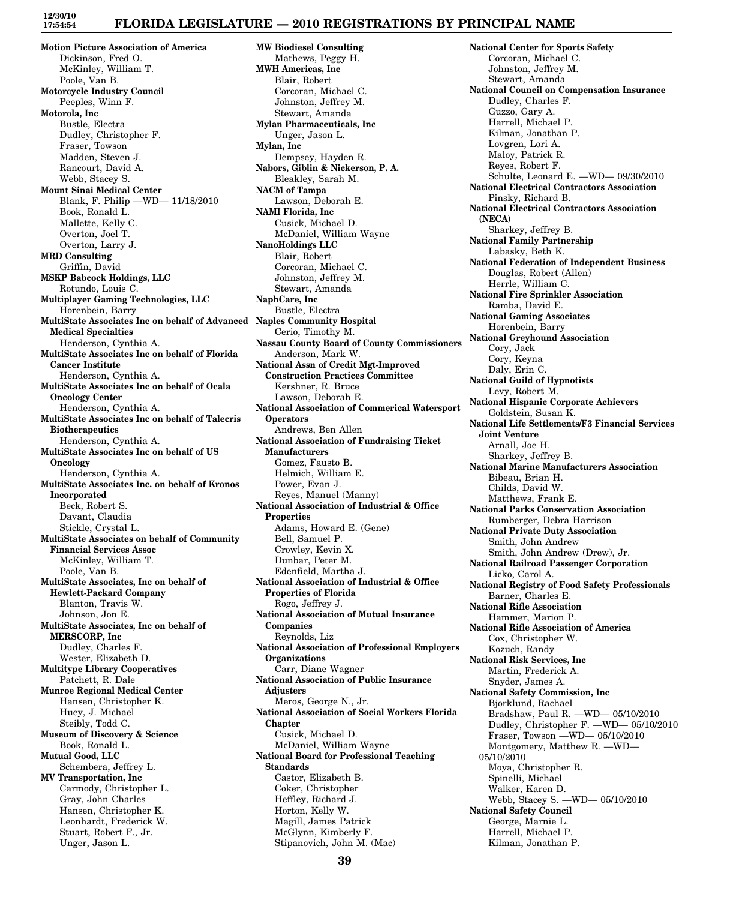### **FLORIDA LEGISLATURE — 2010 REGISTRATIONS BY PRINCIPAL NAME**

**Motion Picture Association of America** Dickinson, Fred O. McKinley, William T. Poole, Van B. **Motorcycle Industry Council** Peeples, Winn F. **Motorola, Inc** Bustle, Electra Dudley, Christopher F. Fraser, Towson Madden, Steven J. Rancourt, David A. Webb, Stacey S. **Mount Sinai Medical Center** Blank, F. Philip —WD— 11/18/2010 Book, Ronald L. Mallette, Kelly C. Overton, Joel T. Overton, Larry J. **MRD Consulting** Griffin, David **MSKP Babcock Holdings, LLC** Rotundo, Louis C. **Multiplayer Gaming Technologies, LLC** Horenbein, Barry **MultiState Associates Inc on behalf of Advanced Naples Community Hospital Medical Specialties** Henderson, Cynthia A. **MultiState Associates Inc on behalf of Florida Cancer Institute** Henderson, Cynthia A. **MultiState Associates Inc on behalf of Ocala Oncology Center** Henderson, Cynthia A. **MultiState Associates Inc on behalf of Talecris Biotherapeutics** Henderson, Cynthia A. **MultiState Associates Inc on behalf of US Oncology** Henderson, Cynthia A. **MultiState Associates Inc. on behalf of Kronos Incorporated** Beck, Robert S. Davant, Claudia Stickle, Crystal L. **MultiState Associates on behalf of Community Financial Services Assoc** McKinley, William T. Poole, Van B. **MultiState Associates, Inc on behalf of Hewlett-Packard Company** Blanton, Travis W. Johnson, Jon E. **MultiState Associates, Inc on behalf of MERSCORP, Inc** Dudley, Charles F. Wester, Elizabeth D. **Multitype Library Cooperatives** Patchett, R. Dale **Munroe Regional Medical Center** Hansen, Christopher K. Huey, J. Michael Steibly, Todd C. **Museum of Discovery & Science** Book, Ronald L. **Mutual Good, LLC** Schembera, Jeffrey L. **MV Transportation, Inc** Carmody, Christopher L. Gray, John Charles Hansen, Christopher K. Leonhardt, Frederick W. Stuart, Robert F., Jr.

Unger, Jason L.

**MW Biodiesel Consulting** Mathews, Peggy H. **MWH Americas, Inc** Blair, Robert Corcoran, Michael C. Johnston, Jeffrey M. Stewart, Amanda **Mylan Pharmaceuticals, Inc** Unger, Jason L. **Mylan, Inc** Dempsey, Hayden R. **Nabors, Giblin & Nickerson, P. A.** Bleakley, Sarah M. **NACM of Tampa** Lawson, Deborah E. **NAMI Florida, Inc** Cusick, Michael D. McDaniel, William Wayne **NanoHoldings LLC** Blair, Robert Corcoran, Michael C. Johnston, Jeffrey M. Stewart, Amanda **NaphCare, Inc** Bustle, Electra Cerio, Timothy M. **Nassau County Board of County Commissioners** Anderson, Mark W. **National Assn of Credit Mgt-Improved Construction Practices Committee** Kershner, R. Bruce Lawson, Deborah E. **National Association of Commerical Watersport Operators** Andrews, Ben Allen **National Association of Fundraising Ticket Manufacturers** Gomez, Fausto B. Helmich, William E. Power, Evan J. Reyes, Manuel (Manny) **National Association of Industrial & Office Properties** Adams, Howard E. (Gene) Bell, Samuel P. Crowley, Kevin X. Dunbar, Peter M. Edenfield, Martha J. **National Association of Industrial & Office Properties of Florida** Rogo, Jeffrey J. **National Association of Mutual Insurance Companies** Reynolds, Liz **National Association of Professional Employers Organizations** Carr, Diane Wagner **National Association of Public Insurance Adjusters** Meros, George N., Jr. **National Association of Social Workers Florida Chapter** Cusick, Michael D. McDaniel, William Wayne **National Board for Professional Teaching Standards** Castor, Elizabeth B. Coker, Christopher Heffley, Richard J. Horton, Kelly W. Magill, James Patrick McGlynn, Kimberly F.

**National Center for Sports Safety** Corcoran, Michael C. Johnston, Jeffrey M. Stewart, Amanda **National Council on Compensation Insurance** Dudley, Charles F. Guzzo, Gary A. Harrell, Michael P. Kilman, Jonathan P. Lovgren, Lori A. Maloy, Patrick R. Reyes, Robert F. Schulte, Leonard E. —WD— 09/30/2010 **National Electrical Contractors Association** Pinsky, Richard B. **National Electrical Contractors Association (NECA)** Sharkey, Jeffrey B. **National Family Partnership** Labasky, Beth K. **National Federation of Independent Business** Douglas, Robert (Allen) Herrle, William C. **National Fire Sprinkler Association** Ramba, David E. **National Gaming Associates** Horenbein, Barry **National Greyhound Association** Cory, Jack Cory, Keyna Daly, Erin C. **National Guild of Hypnotists** Levy, Robert M. **National Hispanic Corporate Achievers** Goldstein, Susan K. **National Life Settlements/F3 Financial Services Joint Venture** Arnall, Joe H. Sharkey, Jeffrey B. **National Marine Manufacturers Association** Bibeau, Brian H. Childs, David W. Matthews, Frank E. **National Parks Conservation Association** Rumberger, Debra Harrison **National Private Duty Association** Smith, John Andrew Smith, John Andrew (Drew), Jr. **National Railroad Passenger Corporation** Licko, Carol A. **National Registry of Food Safety Professionals** Barner, Charles E. **National Rifle Association** Hammer, Marion P. **National Rifle Association of America** Cox, Christopher W. Kozuch, Randy **National Risk Services, Inc** Martin, Frederick A. Snyder, James A. **National Safety Commission, Inc** Bjorklund, Rachael Bradshaw, Paul R. —WD— 05/10/2010 Dudley, Christopher F. —WD— 05/10/2010 Fraser, Towson —WD— 05/10/2010 Montgomery, Matthew R. —WD— 05/10/2010 Moya, Christopher R. Spinelli, Michael Walker, Karen D. Webb, Stacey S. —WD— 05/10/2010 **National Safety Council** George, Marnie L. Harrell, Michael P. Kilman, Jonathan P.

Stipanovich, John M. (Mac)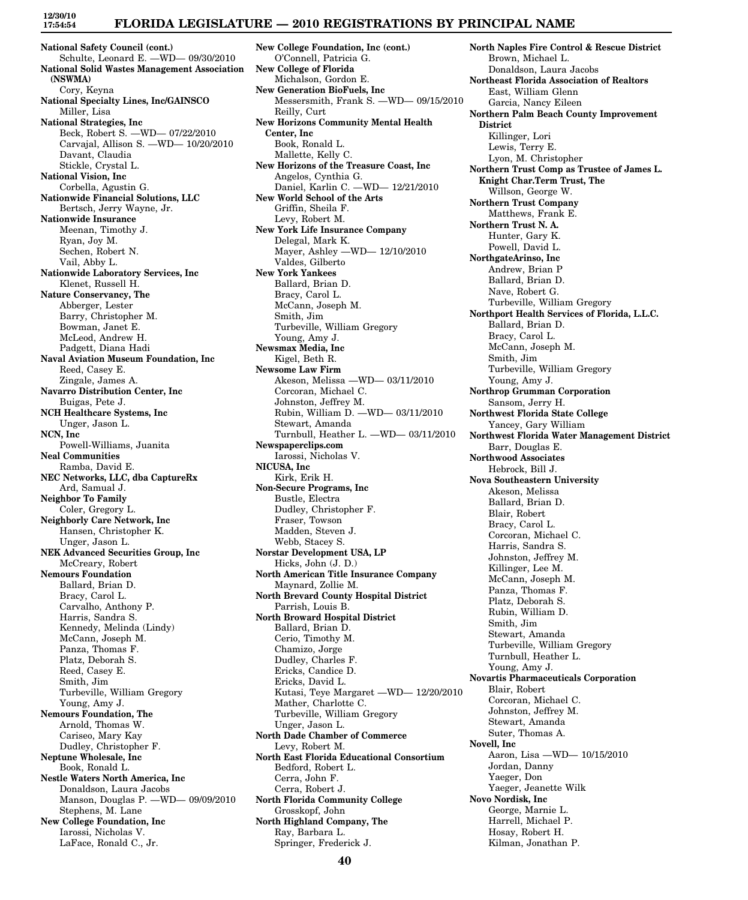# **FLORIDA LEGISLATURE — 2010 REGISTRATIONS BY PRINCIPAL NAME**

**National Safety Council (cont.)** Schulte, Leonard E. —WD— 09/30/2010 **National Solid Wastes Management Association (NSWMA)** Cory, Keyna **National Specialty Lines, Inc/GAINSCO** Miller, Lisa **National Strategies, Inc** Beck, Robert S. —WD— 07/22/2010 Carvajal, Allison S. —WD— 10/20/2010 Davant, Claudia Stickle, Crystal L. **National Vision, Inc** Corbella, Agustin G. **Nationwide Financial Solutions, LLC** Bertsch, Jerry Wayne, Jr. **Nationwide Insurance** Meenan, Timothy J. Ryan, Joy M. Sechen, Robert N. Vail, Abby L. **Nationwide Laboratory Services, Inc** Klenet, Russell H. **Nature Conservancy, The** Abberger, Lester Barry, Christopher M. Bowman, Janet E. McLeod, Andrew H. Padgett, Diana Hadi **Naval Aviation Museum Foundation, Inc** Reed, Casey E. Zingale, James A. **Navarro Distribution Center, Inc** Buigas, Pete J. **NCH Healthcare Systems, Inc** Unger, Jason L. **NCN, Inc** Powell-Williams, Juanita **Neal Communities** Ramba, David E. **NEC Networks, LLC, dba CaptureRx** Ard, Samual J. **Neighbor To Family** Coler, Gregory L. **Neighborly Care Network, Inc** Hansen, Christopher K. Unger, Jason L. **NEK Advanced Securities Group, Inc** McCreary, Robert **Nemours Foundation** Ballard, Brian D. Bracy, Carol L. Carvalho, Anthony P. Harris, Sandra S. Kennedy, Melinda (Lindy) McCann, Joseph M. Panza, Thomas F. Platz, Deborah S. Reed, Casey E. Smith, Jim Turbeville, William Gregory Young, Amy J. **Nemours Foundation, The** Arnold, Thomas W. Cariseo, Mary Kay Dudley, Christopher F. **Neptune Wholesale, Inc** Book, Ronald L. **Nestle Waters North America, Inc** Donaldson, Laura Jacobs Manson, Douglas P. —WD— 09/09/2010 Stephens, M. Lane **New College Foundation, Inc** Iarossi, Nicholas V. LaFace, Ronald C., Jr.

**New College Foundation, Inc (cont.)** O'Connell, Patricia G. **New College of Florida** Michalson, Gordon E. **New Generation BioFuels, Inc** Messersmith, Frank S. —WD— 09/15/2010 Reilly, Curt **New Horizons Community Mental Health Center, Inc** Book, Ronald L. Mallette, Kelly C. **New Horizons of the Treasure Coast, Inc** Angelos, Cynthia G. Daniel, Karlin C. —WD— 12/21/2010 **New World School of the Arts** Griffin, Sheila F. Levy, Robert M. **New York Life Insurance Company** Delegal, Mark K. Mayer, Ashley —WD— 12/10/2010 Valdes, Gilberto **New York Yankees** Ballard, Brian D. Bracy, Carol L. McCann, Joseph M. Smith, Jim Turbeville, William Gregory Young, Amy J. **Newsmax Media, Inc** Kigel, Beth R. **Newsome Law Firm** Akeson, Melissa —WD— 03/11/2010 Corcoran, Michael C. Johnston, Jeffrey M. Rubin, William D. —WD— 03/11/2010 Stewart, Amanda Turnbull, Heather L. —WD— 03/11/2010 **Newspaperclips.com** Iarossi, Nicholas V. **NICUSA, Inc** Kirk, Erik H. **Non-Secure Programs, Inc** Bustle, Electra Dudley, Christopher F. Fraser, Towson Madden, Steven J. Webb, Stacey S. **Norstar Development USA, LP** Hicks, John (J. D.) **North American Title Insurance Company** Maynard, Zollie M. **North Brevard County Hospital District** Parrish, Louis B. **North Broward Hospital District** Ballard, Brian D. Cerio, Timothy M. Chamizo, Jorge Dudley, Charles F. Ericks, Candice D. Ericks, David L. Kutasi, Teye Margaret —WD— 12/20/2010 Mather, Charlotte C. Turbeville, William Gregory Unger, Jason L. **North Dade Chamber of Commerce** Levy, Robert M. **North East Florida Educational Consortium** Bedford, Robert L. Cerra, John F. Cerra, Robert J. **North Florida Community College** Grosskopf, John **North Highland Company, The** Ray, Barbara L. Springer, Frederick J.

**North Naples Fire Control & Rescue District** Brown, Michael L. Donaldson, Laura Jacobs **Northeast Florida Association of Realtors** East, William Glenn Garcia, Nancy Eileen **Northern Palm Beach County Improvement District** Killinger, Lori Lewis, Terry E. Lyon, M. Christopher **Northern Trust Comp as Trustee of James L. Knight Char.Term Trust, The** Willson, George W. **Northern Trust Company** Matthews, Frank E. **Northern Trust N. A.** Hunter, Gary K. Powell, David L. **NorthgateArinso, Inc** Andrew, Brian P Ballard, Brian D. Nave, Robert G. Turbeville, William Gregory **Northport Health Services of Florida, L.L.C.** Ballard, Brian D. Bracy, Carol L. McCann, Joseph M. Smith, Jim Turbeville, William Gregory Young, Amy J. **Northrop Grumman Corporation** Sansom, Jerry H. **Northwest Florida State College** Yancey, Gary William **Northwest Florida Water Management District** Barr, Douglas E. **Northwood Associates** Hebrock, Bill J. **Nova Southeastern University** Akeson, Melissa Ballard, Brian D. Blair, Robert Bracy, Carol L. Corcoran, Michael C. Harris, Sandra S. Johnston, Jeffrey M. Killinger, Lee M. McCann, Joseph M. Panza, Thomas F. Platz, Deborah S. Rubin, William D. Smith, Jim Stewart, Amanda Turbeville, William Gregory Turnbull, Heather L. Young, Amy J. **Novartis Pharmaceuticals Corporation** Blair, Robert Corcoran, Michael C. Johnston, Jeffrey M. Stewart, Amanda Suter, Thomas A. **Novell, Inc** Aaron, Lisa —WD— 10/15/2010 Jordan, Danny Yaeger, Don Yaeger, Jeanette Wilk **Novo Nordisk, Inc** George, Marnie L. Harrell, Michael P. Hosay, Robert H. Kilman, Jonathan P.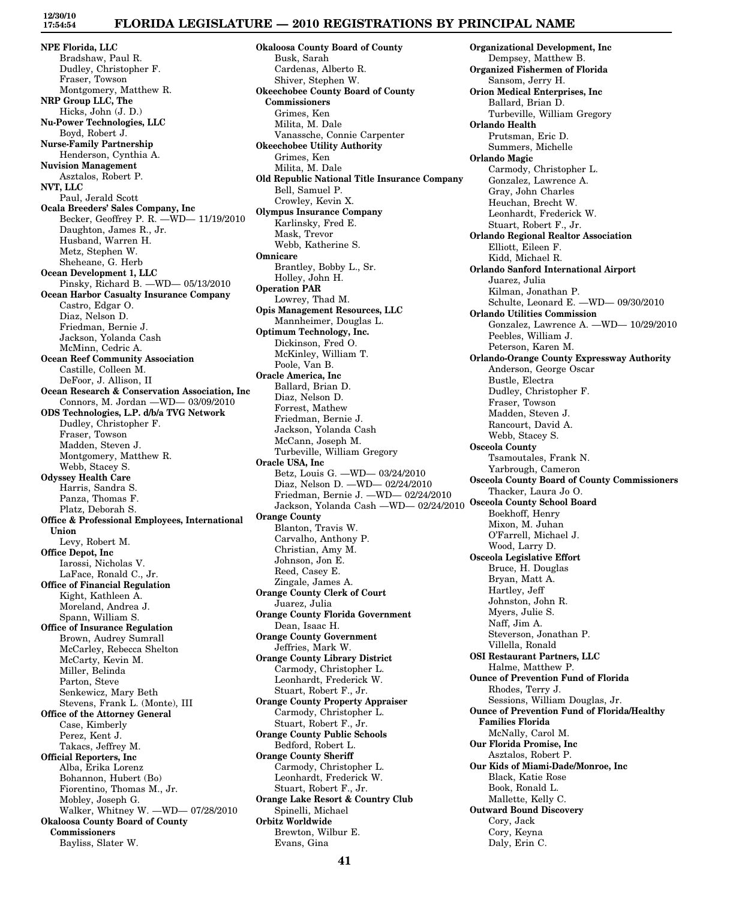## **FLORIDA LEGISLATURE — 2010 REGISTRATIONS BY PRINCIPAL NAME**

**NPE Florida, LLC** Bradshaw, Paul R. Dudley, Christopher F. Fraser, Towson Montgomery, Matthew R. **NRP Group LLC, The** Hicks, John (J. D.) **Nu-Power Technologies, LLC** Boyd, Robert J. **Nurse-Family Partnership** Henderson, Cynthia A. **Nuvision Management** Asztalos, Robert P. **NVT, LLC** Paul, Jerald Scott **Ocala Breeders' Sales Company, Inc** Becker, Geoffrey P. R. —WD— 11/19/2010 Daughton, James R., Jr. Husband, Warren H. Metz, Stephen W. Sheheane, G. Herb **Ocean Development 1, LLC** Pinsky, Richard B. —WD— 05/13/2010 **Ocean Harbor Casualty Insurance Company** Castro, Edgar O. Diaz, Nelson D. Friedman, Bernie J. Jackson, Yolanda Cash McMinn, Cedric A. **Ocean Reef Community Association** Castille, Colleen M. DeFoor, J. Allison, II **Ocean Research & Conservation Association, Inc** Connors, M. Jordan —WD— 03/09/2010 **ODS Technologies, L.P. d/b/a TVG Network** Dudley, Christopher F. Fraser, Towson Madden, Steven J. Montgomery, Matthew R. Webb, Stacey S. **Odyssey Health Care** Harris, Sandra S. Panza, Thomas F. Platz, Deborah S. **Office & Professional Employees, International Union** Levy, Robert M. **Office Depot, Inc** Iarossi, Nicholas V. LaFace, Ronald C., Jr. **Office of Financial Regulation** Kight, Kathleen A. Moreland, Andrea J. Spann, William S. **Office of Insurance Regulation** Brown, Audrey Sumrall McCarley, Rebecca Shelton McCarty, Kevin M. Miller, Belinda Parton, Steve Senkewicz, Mary Beth Stevens, Frank L. (Monte), III **Office of the Attorney General** Case, Kimberly Perez, Kent J. Takacs, Jeffrey M. **Official Reporters, Inc** Alba, Erika Lorenz Bohannon, Hubert (Bo) Fiorentino, Thomas M., Jr. Mobley, Joseph G. Walker, Whitney W. —WD— 07/28/2010 **Okaloosa County Board of County Commissioners** Bayliss, Slater W.

**Okaloosa County Board of County** Busk, Sarah Cardenas, Alberto R. Shiver, Stephen W. **Okeechobee County Board of County Commissioners** Grimes, Ken Milita, M. Dale Vanassche, Connie Carpenter **Okeechobee Utility Authority** Grimes, Ken Milita, M. Dale **Old Republic National Title Insurance Company** Bell, Samuel P. Crowley, Kevin X. **Olympus Insurance Company** Karlinsky, Fred E. Mask, Trevor Webb, Katherine S. **Omnicare** Brantley, Bobby L., Sr. Holley, John H. **Operation PAR** Lowrey, Thad M. **Opis Management Resources, LLC** Mannheimer, Douglas L. **Optimum Technology, Inc.** Dickinson, Fred O. McKinley, William T. Poole, Van B. **Oracle America, Inc** Ballard, Brian D. Diaz, Nelson D. Forrest, Mathew Friedman, Bernie J. Jackson, Yolanda Cash McCann, Joseph M. Turbeville, William Gregory **Oracle USA, Inc** Betz, Louis G. —WD— 03/24/2010 Diaz, Nelson D. —WD— 02/24/2010 Friedman, Bernie J. —WD— 02/24/2010 Jackson, Yolanda Cash —WD— 02/24/2010 **Orange County** Blanton, Travis W. Carvalho, Anthony P. Christian, Amy M. Johnson, Jon E. Reed, Casey E. Zingale, James A. **Orange County Clerk of Court** Juarez, Julia **Orange County Florida Government** Dean, Isaac H. **Orange County Government** Jeffries, Mark W. **Orange County Library District** Carmody, Christopher L. Leonhardt, Frederick W. Stuart, Robert F., Jr. **Orange County Property Appraiser** Carmody, Christopher L. Stuart, Robert F., Jr. **Orange County Public Schools** Bedford, Robert L. **Orange County Sheriff** Carmody, Christopher L. Leonhardt, Frederick W. Stuart, Robert F., Jr. **Orange Lake Resort & Country Club** Spinelli, Michael **Orbitz Worldwide** Brewton, Wilbur E. Evans, Gina

**Organizational Development, Inc** Dempsey, Matthew B. **Organized Fishermen of Florida** Sansom, Jerry H. **Orion Medical Enterprises, Inc** Ballard, Brian D. Turbeville, William Gregory **Orlando Health** Prutsman, Eric D. Summers, Michelle **Orlando Magic** Carmody, Christopher L. Gonzalez, Lawrence A. Gray, John Charles Heuchan, Brecht W. Leonhardt, Frederick W. Stuart, Robert F., Jr. **Orlando Regional Realtor Association** Elliott, Eileen F. Kidd, Michael R. **Orlando Sanford International Airport** Juarez, Julia Kilman, Jonathan P. Schulte, Leonard E. —WD— 09/30/2010 **Orlando Utilities Commission** Gonzalez, Lawrence A. —WD— 10/29/2010 Peebles, William J. Peterson, Karen M. **Orlando-Orange County Expressway Authority** Anderson, George Oscar Bustle, Electra Dudley, Christopher F. Fraser, Towson Madden, Steven J. Rancourt, David A. Webb, Stacey S. **Osceola County** Tsamoutales, Frank N. Yarbrough, Cameron **Osceola County Board of County Commissioners** Thacker, Laura Jo O. **Osceola County School Board** Boekhoff, Henry Mixon, M. Juhan O'Farrell, Michael J. Wood, Larry D. **Osceola Legislative Effort** Bruce, H. Douglas Bryan, Matt A. Hartley, Jeff Johnston, John R. Myers, Julie S. Naff, Jim A. Steverson, Jonathan P. Villella, Ronald **OSI Restaurant Partners, LLC** Halme, Matthew P. **Ounce of Prevention Fund of Florida** Rhodes, Terry J. Sessions, William Douglas, Jr. **Ounce of Prevention Fund of Florida/Healthy Families Florida** McNally, Carol M. **Our Florida Promise, Inc** Asztalos, Robert P. **Our Kids of Miami-Dade/Monroe, Inc** Black, Katie Rose Book, Ronald L. Mallette, Kelly C. **Outward Bound Discovery** Cory, Jack Cory, Keyna Daly, Erin C.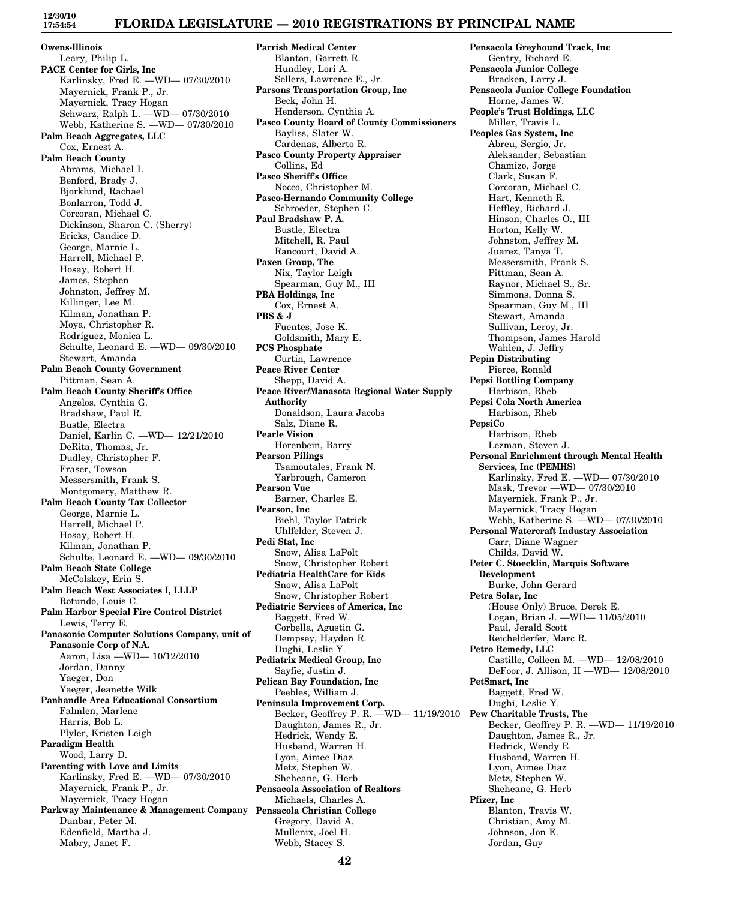# **FLORIDA LEGISLATURE — 2010 REGISTRATIONS BY PRINCIPAL NAME**

**Owens-Illinois** Leary, Philip L. **PACE Center for Girls, Inc** Karlinsky, Fred E. —WD— 07/30/2010 Mayernick, Frank P., Jr. Mayernick, Tracy Hogan Schwarz, Ralph L. —WD— 07/30/2010 Webb, Katherine S. —WD— 07/30/2010 **Palm Beach Aggregates, LLC** Cox, Ernest A. **Palm Beach County** Abrams, Michael I. Benford, Brady J. Bjorklund, Rachael Bonlarron, Todd J. Corcoran, Michael C. Dickinson, Sharon C. (Sherry) Ericks, Candice D. George, Marnie L. Harrell, Michael P. Hosay, Robert H. James, Stephen Johnston, Jeffrey M. Killinger, Lee M. Kilman, Jonathan P. Moya, Christopher R. Rodriguez, Monica L. Schulte, Leonard E. —WD— 09/30/2010 Stewart, Amanda **Palm Beach County Government** Pittman, Sean A. **Palm Beach County Sheriff's Office** Angelos, Cynthia G. Bradshaw, Paul R. Bustle, Electra Daniel, Karlin C. —WD— 12/21/2010 DeRita, Thomas, Jr. Dudley, Christopher F. Fraser, Towson Messersmith, Frank S. Montgomery, Matthew R. **Palm Beach County Tax Collector** George, Marnie L. Harrell, Michael P. Hosay, Robert H. Kilman, Jonathan P. Schulte, Leonard E. —WD— 09/30/2010 **Palm Beach State College** McColskey, Erin S. **Palm Beach West Associates I, LLLP** Rotundo, Louis C. **Palm Harbor Special Fire Control District** Lewis, Terry E. **Panasonic Computer Solutions Company, unit of Panasonic Corp of N.A.** Aaron, Lisa —WD— 10/12/2010 Jordan, Danny Yaeger, Don Yaeger, Jeanette Wilk **Panhandle Area Educational Consortium** Falmlen, Marlene Harris, Bob L. Plyler, Kristen Leigh **Paradigm Health** Wood, Larry D. **Parenting with Love and Limits** Karlinsky, Fred E. —WD— 07/30/2010 Mayernick, Frank P., Jr. Mayernick, Tracy Hogan **Parkway Maintenance & Management Company Pensacola Christian College** Dunbar, Peter M. Edenfield, Martha J. Mabry, Janet F.

**Parrish Medical Center** Blanton, Garrett R. Hundley, Lori A. Sellers, Lawrence E., Jr. **Parsons Transportation Group, Inc** Beck, John H. Henderson, Cynthia A. **Pasco County Board of County Commissioners** Bayliss, Slater W. Cardenas, Alberto R. **Pasco County Property Appraiser** Collins, Ed **Pasco Sheriff's Office** Nocco, Christopher M. **Pasco-Hernando Community College** Schroeder, Stephen C. **Paul Bradshaw P. A.** Bustle, Electra Mitchell, R. Paul Rancourt, David A. **Paxen Group, The** Nix, Taylor Leigh Spearman, Guy M., III **PBA Holdings, Inc** Cox, Ernest A. **PBS & J** Fuentes, Jose K. Goldsmith, Mary E. **PCS Phosphate** Curtin, Lawrence **Peace River Center** Shepp, David A. **Peace River/Manasota Regional Water Supply Authority** Donaldson, Laura Jacobs Salz, Diane R. **Pearle Vision** Horenbein, Barry **Pearson Pilings** Tsamoutales, Frank N. Yarbrough, Cameron **Pearson Vue** Barner, Charles E. **Pearson, Inc** Biehl, Taylor Patrick Uhlfelder, Steven J. **Pedi Stat, Inc** Snow, Alisa LaPolt Snow, Christopher Robert **Pediatria HealthCare for Kids** Snow, Alisa LaPolt Snow, Christopher Robert **Pediatric Services of America, Inc** Baggett, Fred W. Corbella, Agustin G. Dempsey, Hayden R. Dughi, Leslie Y. **Pediatrix Medical Group, Inc** Sayfie, Justin J. **Pelican Bay Foundation, Inc** Peebles, William J. **Peninsula Improvement Corp.** Becker, Geoffrey P. R. —WD— 11/19/2010 **Pew Charitable Trusts, The** Daughton, James R., Jr. Hedrick, Wendy E. Husband, Warren H. Lyon, Aimee Diaz Metz, Stephen W. Sheheane, G. Herb **Pensacola Association of Realtors** Michaels, Charles A. Gregory, David A. Mullenix, Joel H. Webb, Stacey S.

**Pensacola Greyhound Track, Inc** Gentry, Richard E. **Pensacola Junior College** Bracken, Larry J. **Pensacola Junior College Foundation** Horne, James W. **People's Trust Holdings, LLC** Miller, Travis L. **Peoples Gas System, Inc** Abreu, Sergio, Jr. Aleksander, Sebastian Chamizo, Jorge Clark, Susan F. Corcoran, Michael C. Hart, Kenneth R. Heffley, Richard J. Hinson, Charles O., III Horton, Kelly W. Johnston, Jeffrey M. Juarez, Tanya T. Messersmith, Frank S. Pittman, Sean A. Raynor, Michael S., Sr. Simmons, Donna S. Spearman, Guy M., III Stewart, Amanda Sullivan, Leroy, Jr. Thompson, James Harold Wahlen, J. Jeffry **Pepin Distributing** Pierce, Ronald **Pepsi Bottling Company** Harbison, Rheb **Pepsi Cola North America** Harbison, Rheb **PepsiCo** Harbison, Rheb Lezman, Steven J. **Personal Enrichment through Mental Health Services, Inc (PEMHS)** Karlinsky, Fred E. —WD— 07/30/2010 Mask, Trevor —WD— 07/30/2010 Mayernick, Frank P., Jr. Mayernick, Tracy Hogan Webb, Katherine S. —WD— 07/30/2010 **Personal Watercraft Industry Association** Carr, Diane Wagner Childs, David W. **Peter C. Stoecklin, Marquis Software Development** Burke, John Gerard **Petra Solar, Inc** (House Only) Bruce, Derek E. Logan, Brian J. —WD— 11/05/2010 Paul, Jerald Scott Reichelderfer, Marc R. **Petro Remedy, LLC** Castille, Colleen M. —WD— 12/08/2010 DeFoor, J. Allison, II —WD— 12/08/2010 **PetSmart, Inc** Baggett, Fred W. Dughi, Leslie Y. Becker, Geoffrey P. R. —WD— 11/19/2010 Daughton, James R., Jr. Hedrick, Wendy E. Husband, Warren H. Lyon, Aimee Diaz Metz, Stephen W. Sheheane, G. Herb **Pfizer, Inc** Blanton, Travis W. Christian, Amy M. Johnson, Jon E. Jordan, Guy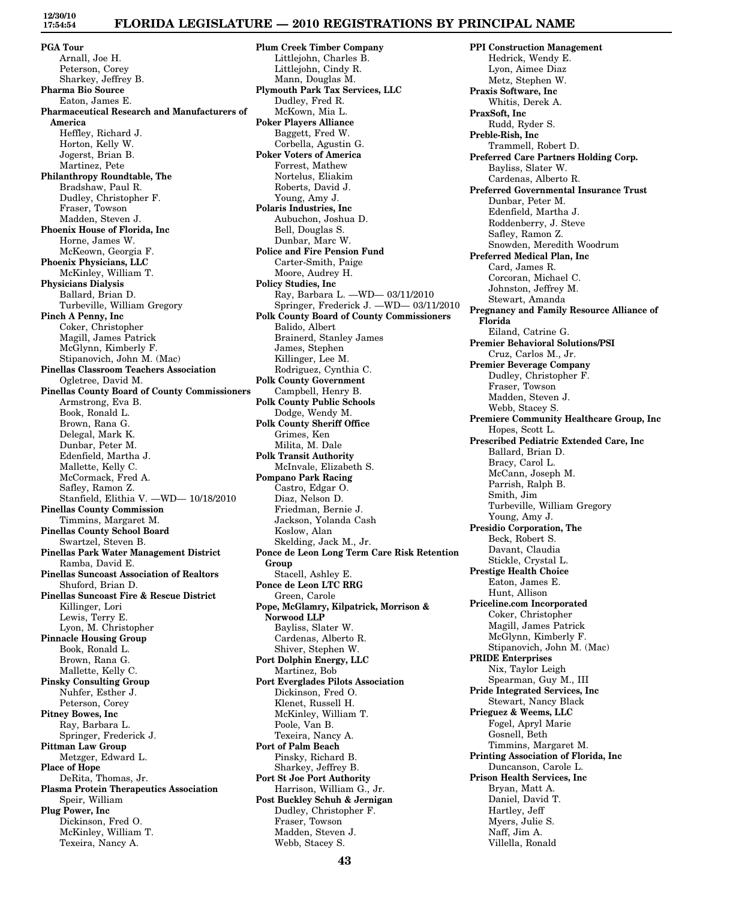# **FLORIDA LEGISLATURE — 2010 REGISTRATIONS BY PRINCIPAL NAME**

**PGA Tour** Arnall, Joe H. Peterson, Corey Sharkey, Jeffrey B. **Pharma Bio Source** Eaton, James E. **Pharmaceutical Research and Manufacturers of America** Heffley, Richard J. Horton, Kelly W. Jogerst, Brian B. Martinez, Pete **Philanthropy Roundtable, The** Bradshaw, Paul R. Dudley, Christopher F. Fraser, Towson Madden, Steven J. **Phoenix House of Florida, Inc** Horne, James W. McKeown, Georgia F. **Phoenix Physicians, LLC** McKinley, William T. **Physicians Dialysis** Ballard, Brian D. Turbeville, William Gregory **Pinch A Penny, Inc** Coker, Christopher Magill, James Patrick McGlynn, Kimberly F. Stipanovich, John M. (Mac) **Pinellas Classroom Teachers Association** Ogletree, David M. **Pinellas County Board of County Commissioners** Armstrong, Eva B. Book, Ronald L. Brown, Rana G. Delegal, Mark K. Dunbar, Peter M. Edenfield, Martha J. Mallette, Kelly C. McCormack, Fred A. Safley, Ramon Z. Stanfield, Elithia V. —WD— 10/18/2010 **Pinellas County Commission** Timmins, Margaret M. **Pinellas County School Board** Swartzel, Steven B. **Pinellas Park Water Management District** Ramba, David E. **Pinellas Suncoast Association of Realtors** Shuford, Brian D. **Pinellas Suncoast Fire & Rescue District** Killinger, Lori Lewis, Terry E. Lyon, M. Christopher **Pinnacle Housing Group** Book, Ronald L. Brown, Rana G. Mallette, Kelly C. **Pinsky Consulting Group** Nuhfer, Esther J. Peterson, Corey **Pitney Bowes, Inc** Ray, Barbara L. Springer, Frederick J. **Pittman Law Group** Metzger, Edward L. **Place of Hope** DeRita, Thomas, Jr. **Plasma Protein Therapeutics Association** Speir, William **Plug Power, Inc** Dickinson, Fred O. McKinley, William T. Texeira, Nancy A.

**Plum Creek Timber Company** Littlejohn, Charles B. Littlejohn, Cindy R. Mann, Douglas M. **Plymouth Park Tax Services, LLC** Dudley, Fred R. McKown, Mia L. **Poker Players Alliance** Baggett, Fred W. Corbella, Agustin G. **Poker Voters of America** Forrest, Mathew Nortelus, Eliakim Roberts, David J. Young, Amy J. **Polaris Industries, Inc** Aubuchon, Joshua D. Bell, Douglas S. Dunbar, Marc W. **Police and Fire Pension Fund** Carter-Smith, Paige Moore, Audrey H. **Policy Studies, Inc** Ray, Barbara L. —WD— 03/11/2010 Springer, Frederick J. —WD— 03/11/2010 **Polk County Board of County Commissioners** Balido, Albert Brainerd, Stanley James James, Stephen Killinger, Lee M. Rodriguez, Cynthia C. **Polk County Government** Campbell, Henry B. **Polk County Public Schools** Dodge, Wendy M. **Polk County Sheriff Office** Grimes, Ken Milita, M. Dale **Polk Transit Authority** McInvale, Elizabeth S. **Pompano Park Racing** Castro, Edgar O. Diaz, Nelson D. Friedman, Bernie J. Jackson, Yolanda Cash Koslow, Alan Skelding, Jack M., Jr. **Ponce de Leon Long Term Care Risk Retention Group** Stacell, Ashley E. **Ponce de Leon LTC RRG** Green, Carole **Pope, McGlamry, Kilpatrick, Morrison & Norwood LLP** Bayliss, Slater W. Cardenas, Alberto R. Shiver, Stephen W. **Port Dolphin Energy, LLC** Martinez, Bob **Port Everglades Pilots Association** Dickinson, Fred O. Klenet, Russell H. McKinley, William T. Poole, Van B. Texeira, Nancy A. **Port of Palm Beach** Pinsky, Richard B. Sharkey, Jeffrey B. **Port St Joe Port Authority** Harrison, William G., Jr. **Post Buckley Schuh & Jernigan** Dudley, Christopher F. Fraser, Towson Madden, Steven J. Webb, Stacey S.

**PPI Construction Management** Hedrick, Wendy E. Lyon, Aimee Diaz Metz, Stephen W. **Praxis Software, Inc** Whitis, Derek A. **PraxSoft, Inc** Rudd, Ryder S. **Preble-Rish, Inc** Trammell, Robert D. **Preferred Care Partners Holding Corp.** Bayliss, Slater W. Cardenas, Alberto R. **Preferred Governmental Insurance Trust** Dunbar, Peter M. Edenfield, Martha J. Roddenberry, J. Steve Safley, Ramon Z. Snowden, Meredith Woodrum **Preferred Medical Plan, Inc** Card, James R. Corcoran, Michael C. Johnston, Jeffrey M. Stewart, Amanda **Pregnancy and Family Resource Alliance of Florida** Eiland, Catrine G. **Premier Behavioral Solutions/PSI** Cruz, Carlos M., Jr. **Premier Beverage Company** Dudley, Christopher F. Fraser, Towson Madden, Steven J. Webb, Stacey S. **Premiere Community Healthcare Group, Inc** Hopes, Scott L. **Prescribed Pediatric Extended Care, Inc** Ballard, Brian D. Bracy, Carol L. McCann, Joseph M. Parrish, Ralph B. Smith, Jim Turbeville, William Gregory Young, Amy J. **Presidio Corporation, The** Beck, Robert S. Davant, Claudia Stickle, Crystal L. **Prestige Health Choice** Eaton, James E. Hunt, Allison **Priceline.com Incorporated** Coker, Christopher Magill, James Patrick McGlynn, Kimberly F. Stipanovich, John M. (Mac) **PRIDE Enterprises** Nix, Taylor Leigh Spearman, Guy M., III **Pride Integrated Services, Inc** Stewart, Nancy Black **Prieguez & Weems, LLC** Fogel, Apryl Marie Gosnell, Beth Timmins, Margaret M. **Printing Association of Florida, Inc** Duncanson, Carole L. **Prison Health Services, Inc** Bryan, Matt A. Daniel, David T. Hartley, Jeff Myers, Julie S. Naff, Jim A. Villella, Ronald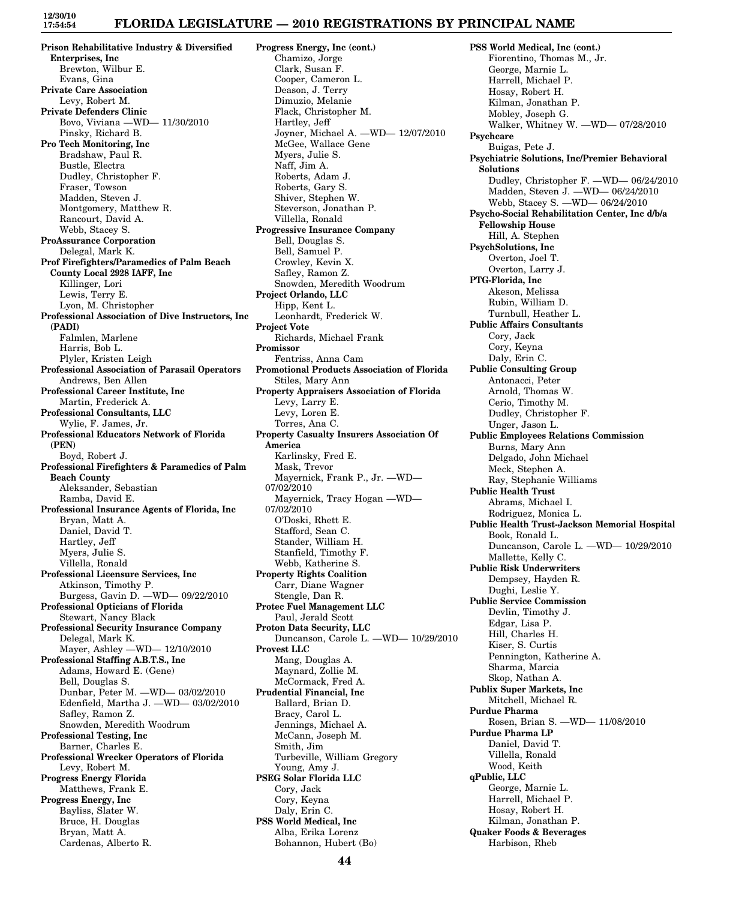# **FLORIDA LEGISLATURE — 2010 REGISTRATIONS BY PRINCIPAL NAME**

**Prison Rehabilitative Industry & Diversified Enterprises, Inc** Brewton, Wilbur E. Evans, Gina **Private Care Association** Levy, Robert M. **Private Defenders Clinic** Bovo, Viviana —WD— 11/30/2010 Pinsky, Richard B. **Pro Tech Monitoring, Inc** Bradshaw, Paul R. Bustle, Electra Dudley, Christopher F. Fraser, Towson Madden, Steven J. Montgomery, Matthew R. Rancourt, David A. Webb, Stacey S. **ProAssurance Corporation** Delegal, Mark K. **Prof Firefighters/Paramedics of Palm Beach County Local 2928 IAFF, Inc** Killinger, Lori Lewis, Terry E. Lyon, M. Christopher **Professional Association of Dive Instructors, Inc (PADI)** Falmlen, Marlene Harris, Bob L. Plyler, Kristen Leigh **Professional Association of Parasail Operators** Andrews, Ben Allen **Professional Career Institute, Inc** Martin, Frederick A. **Professional Consultants, LLC** Wylie, F. James, Jr. **Professional Educators Network of Florida (PEN)** Boyd, Robert J. **Professional Firefighters & Paramedics of Palm Beach County** Aleksander, Sebastian Ramba, David E. **Professional Insurance Agents of Florida, Inc** Bryan, Matt A. Daniel, David T. Hartley, Jeff Myers, Julie S. Villella, Ronald **Professional Licensure Services, Inc** Atkinson, Timothy P. Burgess, Gavin D. —WD— 09/22/2010 **Professional Opticians of Florida** Stewart, Nancy Black **Professional Security Insurance Company** Delegal, Mark K. Mayer, Ashley —WD— 12/10/2010 **Professional Staffing A.B.T.S., Inc** Adams, Howard E. (Gene) Bell, Douglas S. Dunbar, Peter M. —WD— 03/02/2010 Edenfield, Martha J. —WD— 03/02/2010 Safley, Ramon Z. Snowden, Meredith Woodrum **Professional Testing, Inc** Barner, Charles E. **Professional Wrecker Operators of Florida** Levy, Robert M. **Progress Energy Florida** Matthews, Frank E. **Progress Energy, Inc** Bayliss, Slater W. Bruce, H. Douglas Bryan, Matt A. Cardenas, Alberto R.

**Progress Energy, Inc (cont.)** Chamizo, Jorge Clark, Susan F. Cooper, Cameron L. Deason, J. Terry Dimuzio, Melanie Flack, Christopher M. Hartley, Jeff Joyner, Michael A. —WD— 12/07/2010 McGee, Wallace Gene Myers, Julie S. Naff, Jim A. Roberts, Adam J. Roberts, Gary S. Shiver, Stephen W. Steverson, Jonathan P. Villella, Ronald **Progressive Insurance Company** Bell, Douglas S. Bell, Samuel P. Crowley, Kevin X. Safley, Ramon Z. Snowden, Meredith Woodrum **Project Orlando, LLC** Hipp, Kent L. Leonhardt, Frederick W. **Project Vote** Richards, Michael Frank **Promissor** Fentriss, Anna Cam **Promotional Products Association of Florida** Stiles, Mary Ann **Property Appraisers Association of Florida** Levy, Larry E. Levy, Loren E. Torres, Ana C. **Property Casualty Insurers Association Of America** Karlinsky, Fred E. Mask, Trevor Mayernick, Frank P., Jr. —WD— 07/02/2010 Mayernick, Tracy Hogan —WD— 07/02/2010 O'Doski, Rhett E. Stafford, Sean C. Stander, William H. Stanfield, Timothy F. Webb, Katherine S. **Property Rights Coalition** Carr, Diane Wagner Stengle, Dan R. **Protec Fuel Management LLC** Paul, Jerald Scott **Proton Data Security, LLC** Duncanson, Carole L. —WD— 10/29/2010 **Provest LLC** Mang, Douglas A. Maynard, Zollie M. McCormack, Fred A. **Prudential Financial, Inc** Ballard, Brian D. Bracy, Carol L. Jennings, Michael A. McCann, Joseph M. Smith, Jim Turbeville, William Gregory Young, Amy J. **PSEG Solar Florida LLC** Cory, Jack Cory, Keyna Daly, Erin C. **PSS World Medical, Inc** Alba, Erika Lorenz Bohannon, Hubert (Bo)

**PSS World Medical, Inc (cont.)** Fiorentino, Thomas M., Jr. George, Marnie L. Harrell, Michael P. Hosay, Robert H. Kilman, Jonathan P. Mobley, Joseph G. Walker, Whitney W. —WD— 07/28/2010 **Psychcare** Buigas, Pete J. **Psychiatric Solutions, Inc/Premier Behavioral Solutions** Dudley, Christopher F. —WD— 06/24/2010 Madden, Steven J. —WD— 06/24/2010 Webb, Stacey S. —WD— 06/24/2010 **Psycho-Social Rehabilitation Center, Inc d/b/a Fellowship House** Hill, A. Stephen **PsychSolutions, Inc** Overton, Joel T. Overton, Larry J. **PTG-Florida, Inc** Akeson, Melissa Rubin, William D. Turnbull, Heather L. **Public Affairs Consultants** Cory, Jack Cory, Keyna Daly, Erin C. **Public Consulting Group** Antonacci, Peter Arnold, Thomas W. Cerio, Timothy M. Dudley, Christopher F. Unger, Jason L. **Public Employees Relations Commission** Burns, Mary Ann Delgado, John Michael Meck, Stephen A. Ray, Stephanie Williams **Public Health Trust** Abrams, Michael I. Rodriguez, Monica L. **Public Health Trust-Jackson Memorial Hospital** Book, Ronald L. Duncanson, Carole L. —WD— 10/29/2010 Mallette, Kelly C. **Public Risk Underwriters** Dempsey, Hayden R. Dughi, Leslie Y. **Public Service Commission** Devlin, Timothy J. Edgar, Lisa P. Hill, Charles H. Kiser, S. Curtis Pennington, Katherine A. Sharma, Marcia Skop, Nathan A. **Publix Super Markets, Inc** Mitchell, Michael R. **Purdue Pharma** Rosen, Brian S. —WD— 11/08/2010 **Purdue Pharma LP** Daniel, David T. Villella, Ronald Wood, Keith **qPublic, LLC** George, Marnie L. Harrell, Michael P. Hosay, Robert H. Kilman, Jonathan P. **Quaker Foods & Beverages** Harbison, Rheb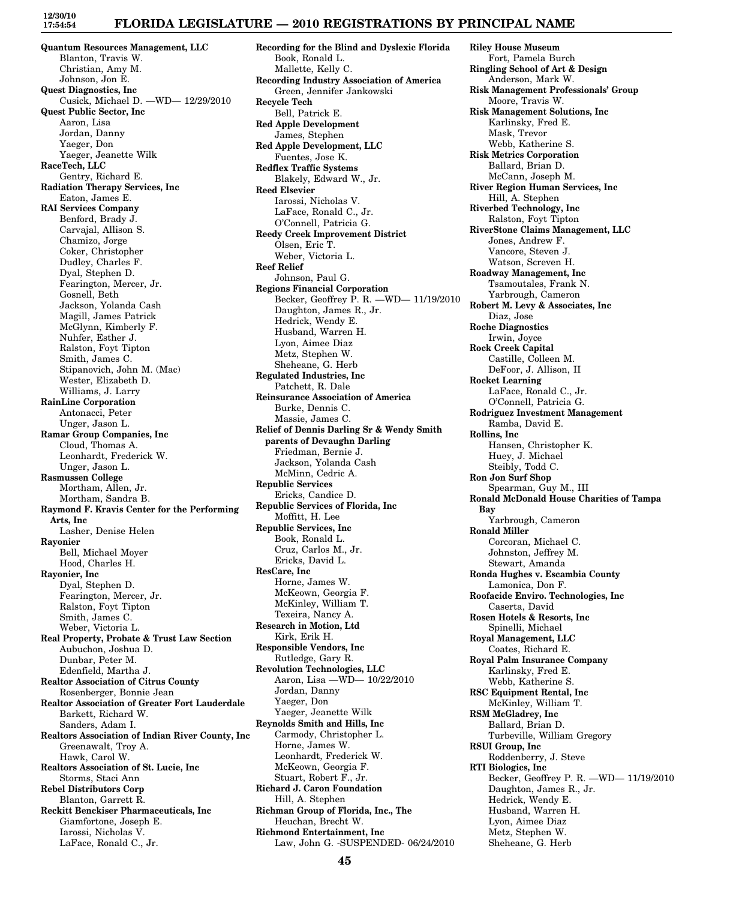### **FLORIDA LEGISLATURE — 2010 REGISTRATIONS BY PRINCIPAL NAME**

**Quantum Resources Management, LLC** Blanton, Travis W. Christian, Amy M. Johnson, Jon E. **Quest Diagnostics, Inc** Cusick, Michael D. —WD— 12/29/2010 **Quest Public Sector, Inc** Aaron, Lisa Jordan, Danny Yaeger, Don Yaeger, Jeanette Wilk **RaceTech, LLC** Gentry, Richard E. **Radiation Therapy Services, Inc** Eaton, James E. **RAI Services Company** Benford, Brady J. Carvajal, Allison S. Chamizo, Jorge Coker, Christopher Dudley, Charles F. Dyal, Stephen D. Fearington, Mercer, Jr. Gosnell, Beth Jackson, Yolanda Cash Magill, James Patrick McGlynn, Kimberly F. Nuhfer, Esther J. Ralston, Foyt Tipton Smith, James C. Stipanovich, John M. (Mac) Wester, Elizabeth D. Williams, J. Larry **RainLine Corporation** Antonacci, Peter Unger, Jason L. **Ramar Group Companies, Inc** Cloud, Thomas A. Leonhardt, Frederick W. Unger, Jason L. **Rasmussen College** Mortham, Allen, Jr. Mortham, Sandra B. **Raymond F. Kravis Center for the Performing Arts, Inc** Lasher, Denise Helen **Rayonier** Bell, Michael Moyer Hood, Charles H. **Rayonier, Inc** Dyal, Stephen D. Fearington, Mercer, Jr. Ralston, Foyt Tipton Smith, James C. Weber, Victoria L. **Real Property, Probate & Trust Law Section** Aubuchon, Joshua D. Dunbar, Peter M. Edenfield, Martha J. **Realtor Association of Citrus County** Rosenberger, Bonnie Jean **Realtor Association of Greater Fort Lauderdale** Barkett, Richard W. Sanders, Adam I. **Realtors Association of Indian River County, Inc** Greenawalt, Troy A. Hawk, Carol W. **Realtors Association of St. Lucie, Inc** Storms, Staci Ann **Rebel Distributors Corp** Blanton, Garrett R. **Reckitt Benckiser Pharmaceuticals, Inc** Giamfortone, Joseph E. Iarossi, Nicholas V. LaFace, Ronald C., Jr.

**Recording for the Blind and Dyslexic Florida** Book, Ronald L. Mallette, Kelly C. **Recording Industry Association of America** Green, Jennifer Jankowski **Recycle Tech** Bell, Patrick E. **Red Apple Development** James, Stephen **Red Apple Development, LLC** Fuentes, Jose K. **Redflex Traffic Systems** Blakely, Edward W., Jr. **Reed Elsevier** Iarossi, Nicholas V. LaFace, Ronald C., Jr. O'Connell, Patricia G. **Reedy Creek Improvement District** Olsen, Eric T. Weber, Victoria L. **Reef Relief** Johnson, Paul G. **Regions Financial Corporation** Becker, Geoffrey P. R. —WD— 11/19/2010 Daughton, James R., Jr. Hedrick, Wendy E. Husband, Warren H. Lyon, Aimee Diaz Metz, Stephen W. Sheheane, G. Herb **Regulated Industries, Inc** Patchett, R. Dale **Reinsurance Association of America** Burke, Dennis C. Massie, James C. **Relief of Dennis Darling Sr & Wendy Smith parents of Devaughn Darling** Friedman, Bernie J. Jackson, Yolanda Cash McMinn, Cedric A. **Republic Services** Ericks, Candice D. **Republic Services of Florida, Inc** Moffitt, H. Lee **Republic Services, Inc** Book, Ronald L. Cruz, Carlos M., Jr. Ericks, David L. **ResCare, Inc** Horne, James W. McKeown, Georgia F. McKinley, William T. Texeira, Nancy A. **Research in Motion, Ltd** Kirk, Erik H. **Responsible Vendors, Inc** Rutledge, Gary R. **Revolution Technologies, LLC** Aaron, Lisa —WD— 10/22/2010 Jordan, Danny Yaeger, Don Yaeger, Jeanette Wilk **Reynolds Smith and Hills, Inc** Carmody, Christopher L. Horne, James W. Leonhardt, Frederick W. McKeown, Georgia F. Stuart, Robert F., Jr. **Richard J. Caron Foundation** Hill, A. Stephen **Richman Group of Florida, Inc., The** Heuchan, Brecht W. **Richmond Entertainment, Inc** Law, John G. -SUSPENDED- 06/24/2010

**Riley House Museum** Fort, Pamela Burch **Ringling School of Art & Design** Anderson, Mark W. **Risk Management Professionals' Group** Moore, Travis W. **Risk Management Solutions, Inc** Karlinsky, Fred E. Mask, Trevor Webb, Katherine S. **Risk Metrics Corporation** Ballard, Brian D. McCann, Joseph M. **River Region Human Services, Inc** Hill, A. Stephen **Riverbed Technology, Inc** Ralston, Foyt Tipton **RiverStone Claims Management, LLC** Jones, Andrew F. Vancore, Steven J. Watson, Screven H. **Roadway Management, Inc** Tsamoutales, Frank N. Yarbrough, Cameron **Robert M. Levy & Associates, Inc** Diaz, Jose **Roche Diagnostics** Irwin, Joyce **Rock Creek Capital** Castille, Colleen M. DeFoor, J. Allison, II **Rocket Learning** LaFace, Ronald C., Jr. O'Connell, Patricia G. **Rodriguez Investment Management** Ramba, David E. **Rollins, Inc** Hansen, Christopher K. Huey, J. Michael Steibly, Todd C. **Ron Jon Surf Shop** Spearman, Guy M., III **Ronald McDonald House Charities of Tampa Bay** Yarbrough, Cameron **Ronald Miller** Corcoran, Michael C. Johnston, Jeffrey M. Stewart, Amanda **Ronda Hughes v. Escambia County** Lamonica, Don F. **Roofacide Enviro. Technologies, Inc** Caserta, David **Rosen Hotels & Resorts, Inc** Spinelli, Michael **Royal Management, LLC** Coates, Richard E. **Royal Palm Insurance Company** Karlinsky, Fred E. Webb, Katherine S. **RSC Equipment Rental, Inc** McKinley, William T. **RSM McGladrey, Inc** Ballard, Brian D. Turbeville, William Gregory **RSUI Group, Inc** Roddenberry, J. Steve **RTI Biologics, Inc** Becker, Geoffrey P. R. —WD— 11/19/2010 Daughton, James R., Jr. Hedrick, Wendy E. Husband, Warren H. Lyon, Aimee Diaz Metz, Stephen W. Sheheane, G. Herb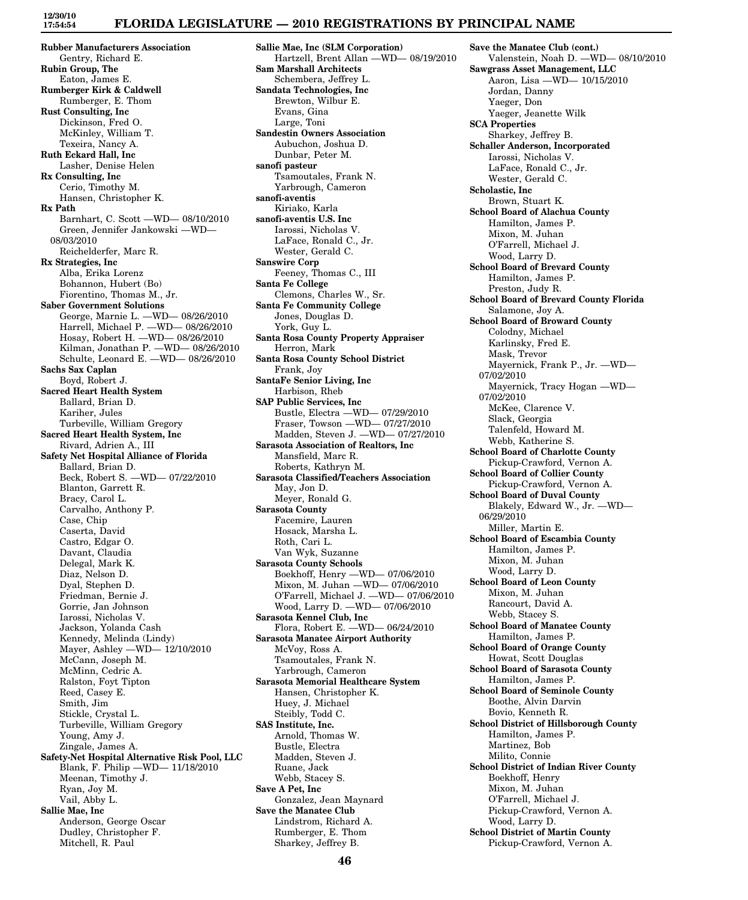### **FLORIDA LEGISLATURE — 2010 REGISTRATIONS BY PRINCIPAL NAME**

**Rubber Manufacturers Association** Gentry, Richard E. **Rubin Group, The** Eaton, James E. **Rumberger Kirk & Caldwell** Rumberger, E. Thom **Rust Consulting, Inc** Dickinson, Fred O. McKinley, William T. Texeira, Nancy A. **Ruth Eckard Hall, Inc** Lasher, Denise Helen **Rx Consulting, Inc** Cerio, Timothy M. Hansen, Christopher K. **Rx Path** Barnhart, C. Scott —WD— 08/10/2010 Green, Jennifer Jankowski —WD— 08/03/2010 Reichelderfer, Marc R. **Rx Strategies, Inc** Alba, Erika Lorenz Bohannon, Hubert (Bo) Fiorentino, Thomas M., Jr. **Saber Government Solutions** George, Marnie L. —WD— 08/26/2010 Harrell, Michael P. —WD— 08/26/2010 Hosay, Robert H. —WD— 08/26/2010 Kilman, Jonathan P. —WD— 08/26/2010 Schulte, Leonard E. —WD— 08/26/2010 **Sachs Sax Caplan** Boyd, Robert J. **Sacred Heart Health System** Ballard, Brian D. Kariher, Jules Turbeville, William Gregory **Sacred Heart Health System, Inc** Rivard, Adrien A., III **Safety Net Hospital Alliance of Florida** Ballard, Brian D. Beck, Robert S. —WD— 07/22/2010 Blanton, Garrett R. Bracy, Carol L. Carvalho, Anthony P. Case, Chip Caserta, David Castro, Edgar O. Davant, Claudia Delegal, Mark K. Diaz, Nelson D. Dyal, Stephen D. Friedman, Bernie J. Gorrie, Jan Johnson Iarossi, Nicholas V. Jackson, Yolanda Cash Kennedy, Melinda (Lindy) Mayer, Ashley —WD— 12/10/2010 McCann, Joseph M. McMinn, Cedric A. Ralston, Foyt Tipton Reed, Casey E. Smith, Jim Stickle, Crystal L. Turbeville, William Gregory Young, Amy J. Zingale, James A. **Safety-Net Hospital Alternative Risk Pool, LLC** Blank, F. Philip —WD— 11/18/2010 Meenan, Timothy J. Ryan, Joy M. Vail, Abby L. **Sallie Mae, Inc** Anderson, George Oscar Dudley, Christopher F. Mitchell, R. Paul

**Sallie Mae, Inc (SLM Corporation)** Hartzell, Brent Allan —WD— 08/19/2010 **Sam Marshall Architects** Schembera, Jeffrey L. **Sandata Technologies, Inc** Brewton, Wilbur E. Evans, Gina Large, Toni **Sandestin Owners Association** Aubuchon, Joshua D. Dunbar, Peter M. **sanofi pasteur** Tsamoutales, Frank N. Yarbrough, Cameron **sanofi-aventis** Kiriako, Karla **sanofi-aventis U.S. Inc** Iarossi, Nicholas V. LaFace, Ronald C., Jr. Wester, Gerald C. **Sanswire Corp** Feeney, Thomas C., III **Santa Fe College** Clemons, Charles W., Sr. **Santa Fe Community College** Jones, Douglas D. York, Guy L. **Santa Rosa County Property Appraiser** Herron, Mark **Santa Rosa County School District** Frank, Joy **SantaFe Senior Living, Inc** Harbison, Rheb **SAP Public Services, Inc** Bustle, Electra —WD— 07/29/2010 Fraser, Towson —WD— 07/27/2010 Madden, Steven J. —WD— 07/27/2010 **Sarasota Association of Realtors, Inc** Mansfield, Marc R. Roberts, Kathryn M. **Sarasota Classified/Teachers Association** May, Jon D. Meyer, Ronald G. **Sarasota County** Facemire, Lauren Hosack, Marsha L. Roth, Cari L. Van Wyk, Suzanne **Sarasota County Schools** Boekhoff, Henry —WD— 07/06/2010 Mixon, M. Juhan —WD— 07/06/2010 O'Farrell, Michael J. —WD— 07/06/2010 Wood, Larry D. —WD— 07/06/2010 **Sarasota Kennel Club, Inc** Flora, Robert E. —WD— 06/24/2010 **Sarasota Manatee Airport Authority** McVoy, Ross A. Tsamoutales, Frank N. Yarbrough, Cameron **Sarasota Memorial Healthcare System** Hansen, Christopher K. Huey, J. Michael Steibly, Todd C. **SAS Institute, Inc.** Arnold, Thomas W. Bustle, Electra Madden, Steven J. Ruane, Jack Webb, Stacey S. **Save A Pet, Inc** Gonzalez, Jean Maynard **Save the Manatee Club** Lindstrom, Richard A. Rumberger, E. Thom Sharkey, Jeffrey B.

**Save the Manatee Club (cont.)** Valenstein, Noah D. —WD— 08/10/2010 **Sawgrass Asset Management, LLC** Aaron, Lisa —WD— 10/15/2010 Jordan, Danny Yaeger, Don Yaeger, Jeanette Wilk **SCA Properties** Sharkey, Jeffrey B. **Schaller Anderson, Incorporated** Iarossi, Nicholas V. LaFace, Ronald C., Jr. Wester, Gerald C. **Scholastic, Inc** Brown, Stuart K. **School Board of Alachua County** Hamilton, James P. Mixon, M. Juhan O'Farrell, Michael J. Wood, Larry D. **School Board of Brevard County** Hamilton, James P. Preston, Judy R. **School Board of Brevard County Florida** Salamone, Joy A. **School Board of Broward County** Colodny, Michael Karlinsky, Fred E. Mask, Trevor Mayernick, Frank P., Jr. —WD— 07/02/2010 Mayernick, Tracy Hogan —WD— 07/02/2010 McKee, Clarence V. Slack, Georgia Talenfeld, Howard M. Webb, Katherine S. **School Board of Charlotte County** Pickup-Crawford, Vernon A. **School Board of Collier County** Pickup-Crawford, Vernon A. **School Board of Duval County** Blakely, Edward W., Jr. —WD— 06/29/2010 Miller, Martin E. **School Board of Escambia County** Hamilton, James P. Mixon, M. Juhan Wood, Larry D. **School Board of Leon County** Mixon, M. Juhan Rancourt, David A. Webb, Stacey S. **School Board of Manatee County** Hamilton, James P. **School Board of Orange County** Howat, Scott Douglas **School Board of Sarasota County** Hamilton, James P. **School Board of Seminole County** Boothe, Alvin Darvin Bovio, Kenneth R. **School District of Hillsborough County** Hamilton, James P. Martinez, Bob Milito, Connie **School District of Indian River County** Boekhoff, Henry Mixon, M. Juhan O'Farrell, Michael J. Pickup-Crawford, Vernon A. Wood, Larry D. **School District of Martin County** Pickup-Crawford, Vernon A.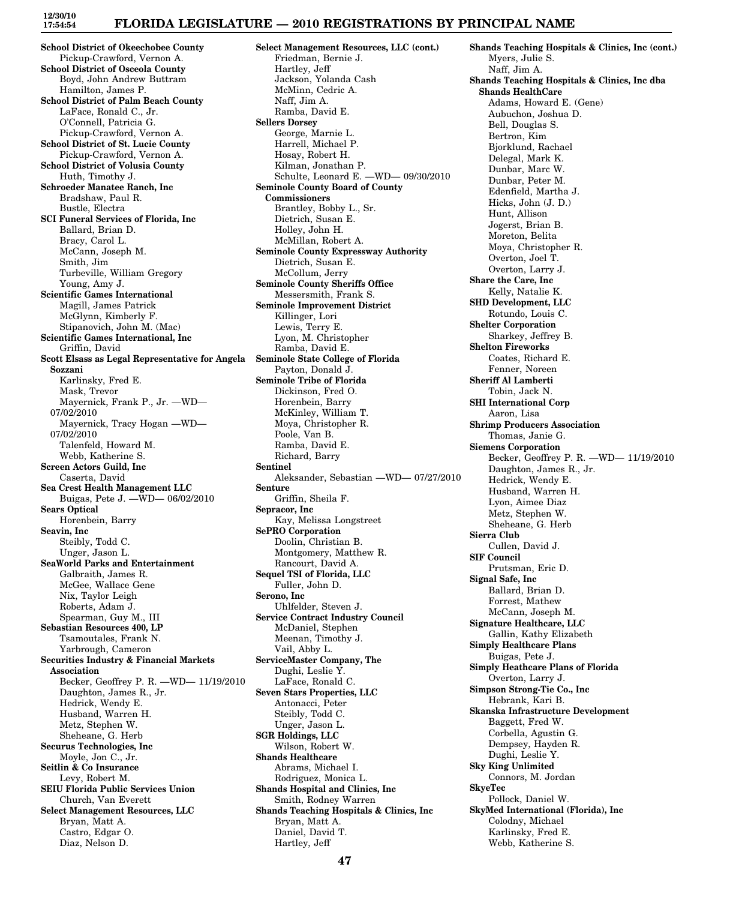### **FLORIDA LEGISLATURE — 2010 REGISTRATIONS BY PRINCIPAL NAME**

**School District of Okeechobee County** Pickup-Crawford, Vernon A. **School District of Osceola County** Boyd, John Andrew Buttram Hamilton, James P. **School District of Palm Beach County** LaFace, Ronald C., Jr. O'Connell, Patricia G. Pickup-Crawford, Vernon A. **School District of St. Lucie County** Pickup-Crawford, Vernon A. **School District of Volusia County** Huth, Timothy J. **Schroeder Manatee Ranch, Inc** Bradshaw, Paul R. Bustle, Electra **SCI Funeral Services of Florida, Inc** Ballard, Brian D. Bracy, Carol L. McCann, Joseph M. Smith, Jim Turbeville, William Gregory Young, Amy J. **Scientific Games International** Magill, James Patrick McGlynn, Kimberly F. Stipanovich, John M. (Mac) **Scientific Games International, Inc** Griffin, David **Scott Elsass as Legal Representative for Angela Sozzani** Karlinsky, Fred E. Mask, Trevor Mayernick, Frank P., Jr. —WD— 07/02/2010 Mayernick, Tracy Hogan —WD— 07/02/2010 Talenfeld, Howard M. Webb, Katherine S. **Screen Actors Guild, Inc** Caserta, David **Sea Crest Health Management LLC** Buigas, Pete J. —WD— 06/02/2010 **Sears Optical** Horenbein, Barry **Seavin, Inc** Steibly, Todd C. Unger, Jason L. **SeaWorld Parks and Entertainment** Galbraith, James R. McGee, Wallace Gene Nix, Taylor Leigh Roberts, Adam J. Spearman, Guy M., III **Sebastian Resources 400, LP** Tsamoutales, Frank N. Yarbrough, Cameron **Securities Industry & Financial Markets Association** Becker, Geoffrey P. R. —WD— 11/19/2010 Daughton, James R., Jr. Hedrick, Wendy E. Husband, Warren H. Metz, Stephen W. Sheheane, G. Herb **Securus Technologies, Inc** Moyle, Jon C., Jr. **Seitlin & Co Insurance** Levy, Robert M. **SEIU Florida Public Services Union** Church, Van Everett **Select Management Resources, LLC** Bryan, Matt A. Castro, Edgar O. Diaz, Nelson D.

**Select Management Resources, LLC (cont.)** Friedman, Bernie J. Hartley, Jeff Jackson, Yolanda Cash McMinn, Cedric A. Naff, Jim A. Ramba, David E. **Sellers Dorsey** George, Marnie L. Harrell, Michael P. Hosay, Robert H. Kilman, Jonathan P. Schulte, Leonard E. —WD— 09/30/2010 **Seminole County Board of County Commissioners** Brantley, Bobby L., Sr. Dietrich, Susan E. Holley, John H. McMillan, Robert A. **Seminole County Expressway Authority** Dietrich, Susan E. McCollum, Jerry **Seminole County Sheriffs Office** Messersmith, Frank S. **Seminole Improvement District** Killinger, Lori Lewis, Terry E. Lyon, M. Christopher Ramba, David E. **Seminole State College of Florida** Payton, Donald J. **Seminole Tribe of Florida** Dickinson, Fred O. Horenbein, Barry McKinley, William T. Moya, Christopher R. Poole, Van B. Ramba, David E. Richard, Barry **Sentinel** Aleksander, Sebastian —WD— 07/27/2010 **Senture** Griffin, Sheila F. **Sepracor, Inc** Kay, Melissa Longstreet **SePRO Corporation** Doolin, Christian B. Montgomery, Matthew R. Rancourt, David A. **Sequel TSI of Florida, LLC** Fuller, John D. **Serono, Inc** Uhlfelder, Steven J. **Service Contract Industry Council** McDaniel, Stephen Meenan, Timothy J. Vail, Abby L. **ServiceMaster Company, The** Dughi, Leslie Y. LaFace, Ronald C. **Seven Stars Properties, LLC** Antonacci, Peter Steibly, Todd C. Unger, Jason L. **SGR Holdings, LLC** Wilson, Robert W. **Shands Healthcare** Abrams, Michael I. Rodriguez, Monica L. **Shands Hospital and Clinics, Inc** Smith, Rodney Warren **Shands Teaching Hospitals & Clinics, Inc** Bryan, Matt A. Daniel, David T. Hartley, Jeff

**Shands Teaching Hospitals & Clinics, Inc (cont.)** Myers, Julie S. Naff, Jim A. **Shands Teaching Hospitals & Clinics, Inc dba Shands HealthCare** Adams, Howard E. (Gene) Aubuchon, Joshua D. Bell, Douglas S. Bertron, Kim Bjorklund, Rachael Delegal, Mark K. Dunbar, Marc W. Dunbar, Peter M. Edenfield, Martha J. Hicks, John (J. D.) Hunt, Allison Jogerst, Brian B. Moreton, Belita Moya, Christopher R. Overton, Joel T. Overton, Larry J. **Share the Care, Inc** Kelly, Natalie K. **SHD Development, LLC** Rotundo, Louis C. **Shelter Corporation** Sharkey, Jeffrey B. **Shelton Fireworks** Coates, Richard E. Fenner, Noreen **Sheriff Al Lamberti** Tobin, Jack N. **SHI International Corp** Aaron, Lisa **Shrimp Producers Association** Thomas, Janie G. **Siemens Corporation** Becker, Geoffrey P. R. —WD— 11/19/2010 Daughton, James R., Jr. Hedrick, Wendy E. Husband, Warren H. Lyon, Aimee Diaz Metz, Stephen W. Sheheane, G. Herb **Sierra Club** Cullen, David J. **SIF Council** Prutsman, Eric D. **Signal Safe, Inc** Ballard, Brian D. Forrest, Mathew McCann, Joseph M. **Signature Healthcare, LLC** Gallin, Kathy Elizabeth **Simply Healthcare Plans** Buigas, Pete J. **Simply Heathcare Plans of Florida** Overton, Larry J. **Simpson Strong-Tie Co., Inc** Hebrank, Kari B. **Skanska Infrastructure Development** Baggett, Fred W. Corbella, Agustin G. Dempsey, Hayden R. Dughi, Leslie Y. **Sky King Unlimited** Connors, M. Jordan **SkyeTec** Pollock, Daniel W. **SkyMed International (Florida), Inc** Colodny, Michael Karlinsky, Fred E. Webb, Katherine S.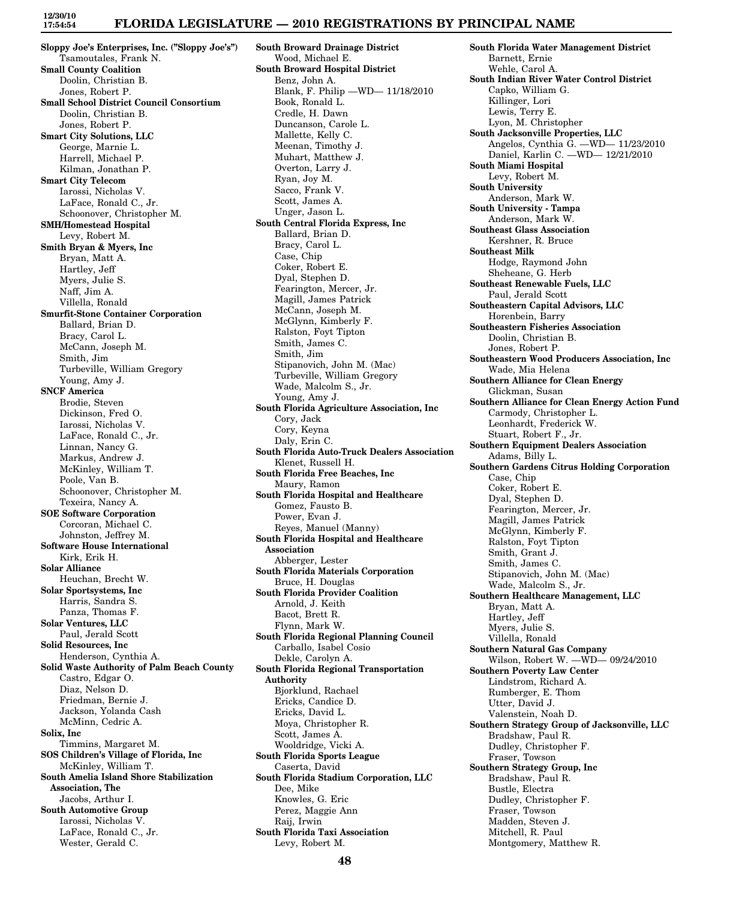**Sloppy Joe's Enterprises, Inc. ("Sloppy Joe's")** Tsamoutales, Frank N. **Small County Coalition** Doolin, Christian B. Jones, Robert P. **Small School District Council Consortium** Doolin, Christian B. Jones, Robert P. **Smart City Solutions, LLC** George, Marnie L. Harrell, Michael P. Kilman, Jonathan P. **Smart City Telecom** Iarossi, Nicholas V. LaFace, Ronald C., Jr. Schoonover, Christopher M. **SMH/Homestead Hospital** Levy, Robert M. **Smith Bryan & Myers, Inc** Bryan, Matt A. Hartley, Jeff Myers, Julie S. Naff, Jim A. Villella, Ronald **Smurfit-Stone Container Corporation** Ballard, Brian D. Bracy, Carol L. McCann, Joseph M. Smith, Jim Turbeville, William Gregory Young, Amy J. **SNCF America** Brodie, Steven Dickinson, Fred O. Iarossi, Nicholas V. LaFace, Ronald C., Jr. Linnan, Nancy G. Markus, Andrew J. McKinley, William T. Poole, Van B. Schoonover, Christopher M. Texeira, Nancy A. **SOE Software Corporation** Corcoran, Michael C. Johnston, Jeffrey M. **Software House International** Kirk, Erik H. **Solar Alliance** Heuchan, Brecht W. **Solar Sportsystems, Inc** Harris, Sandra S. Panza, Thomas F. **Solar Ventures, LLC** Paul, Jerald Scott **Solid Resources, Inc** Henderson, Cynthia A. **Solid Waste Authority of Palm Beach County** Castro, Edgar O. Diaz, Nelson D. Friedman, Bernie J. Jackson, Yolanda Cash McMinn, Cedric A. **Solix, Inc** Timmins, Margaret M. **SOS Children's Village of Florida, Inc** McKinley, William T. **South Amelia Island Shore Stabilization Association, The** Jacobs, Arthur I. **South Automotive Group** Iarossi, Nicholas V. LaFace, Ronald C., Jr. Wester, Gerald C.

**South Broward Drainage District** Wood, Michael E. **South Broward Hospital District** Benz, John A. Blank, F. Philip —WD— 11/18/2010 Book, Ronald L. Credle, H. Dawn Duncanson, Carole L. Mallette, Kelly C. Meenan, Timothy J. Muhart, Matthew J. Overton, Larry J. Ryan, Joy M. Sacco, Frank V. Scott, James A. Unger, Jason L. **South Central Florida Express, Inc** Ballard, Brian D. Bracy, Carol L. Case, Chip Coker, Robert E. Dyal, Stephen D. Fearington, Mercer, Jr. Magill, James Patrick McCann, Joseph M. McGlynn, Kimberly F. Ralston, Foyt Tipton Smith, James C. Smith, Jim Stipanovich, John M. (Mac) Turbeville, William Gregory Wade, Malcolm S., Jr. Young, Amy J. **South Florida Agriculture Association, Inc** Cory, Jack Cory, Keyna Daly, Erin C. **South Florida Auto-Truck Dealers Association** Klenet, Russell H. **South Florida Free Beaches, Inc** Maury, Ramon **South Florida Hospital and Healthcare** Gomez, Fausto B. Power, Evan J. Reyes, Manuel (Manny) **South Florida Hospital and Healthcare Association** Abberger, Lester **South Florida Materials Corporation** Bruce, H. Douglas **South Florida Provider Coalition** Arnold, J. Keith Bacot, Brett R. Flynn, Mark W. **South Florida Regional Planning Council** Carballo, Isabel Cosio Dekle, Carolyn A. **South Florida Regional Transportation Authority** Bjorklund, Rachael Ericks, Candice D. Ericks, David L. Moya, Christopher R. Scott, James A. Wooldridge, Vicki A. **South Florida Sports League** Caserta, David **South Florida Stadium Corporation, LLC** Dee, Mike Knowles, G. Eric Perez, Maggie Ann Raij, Irwin **South Florida Taxi Association** Levy, Robert M.

**South Florida Water Management District** Barnett, Ernie Wehle, Carol A. **South Indian River Water Control District** Capko, William G. Killinger, Lori Lewis, Terry E. Lyon, M. Christopher **South Jacksonville Properties, LLC** Angelos, Cynthia G. —WD— 11/23/2010 Daniel, Karlin C. —WD— 12/21/2010 **South Miami Hospital** Levy, Robert M. **South University** Anderson, Mark W. **South University - Tampa** Anderson, Mark W. **Southeast Glass Association** Kershner, R. Bruce **Southeast Milk** Hodge, Raymond John Sheheane, G. Herb **Southeast Renewable Fuels, LLC** Paul, Jerald Scott **Southeastern Capital Advisors, LLC** Horenbein, Barry **Southeastern Fisheries Association** Doolin, Christian B. Jones, Robert P. **Southeastern Wood Producers Association, Inc** Wade, Mia Helena **Southern Alliance for Clean Energy** Glickman, Susan **Southern Alliance for Clean Energy Action Fund** Carmody, Christopher L. Leonhardt, Frederick W. Stuart, Robert F., Jr. **Southern Equipment Dealers Association** Adams, Billy L. **Southern Gardens Citrus Holding Corporation** Case, Chip Coker, Robert E. Dyal, Stephen D. Fearington, Mercer, Jr. Magill, James Patrick McGlynn, Kimberly F. Ralston, Foyt Tipton Smith, Grant J. Smith, James C. Stipanovich, John M. (Mac) Wade, Malcolm S., Jr. **Southern Healthcare Management, LLC** Bryan, Matt A. Hartley, Jeff Myers, Julie S. Villella, Ronald **Southern Natural Gas Company** Wilson, Robert W. —WD— 09/24/2010 **Southern Poverty Law Center** Lindstrom, Richard A. Rumberger, E. Thom Utter, David J. Valenstein, Noah D. **Southern Strategy Group of Jacksonville, LLC** Bradshaw, Paul R. Dudley, Christopher F. Fraser, Towson **Southern Strategy Group, Inc** Bradshaw, Paul R. Bustle, Electra Dudley, Christopher F. Fraser, Towson Madden, Steven J. Mitchell, R. Paul Montgomery, Matthew R.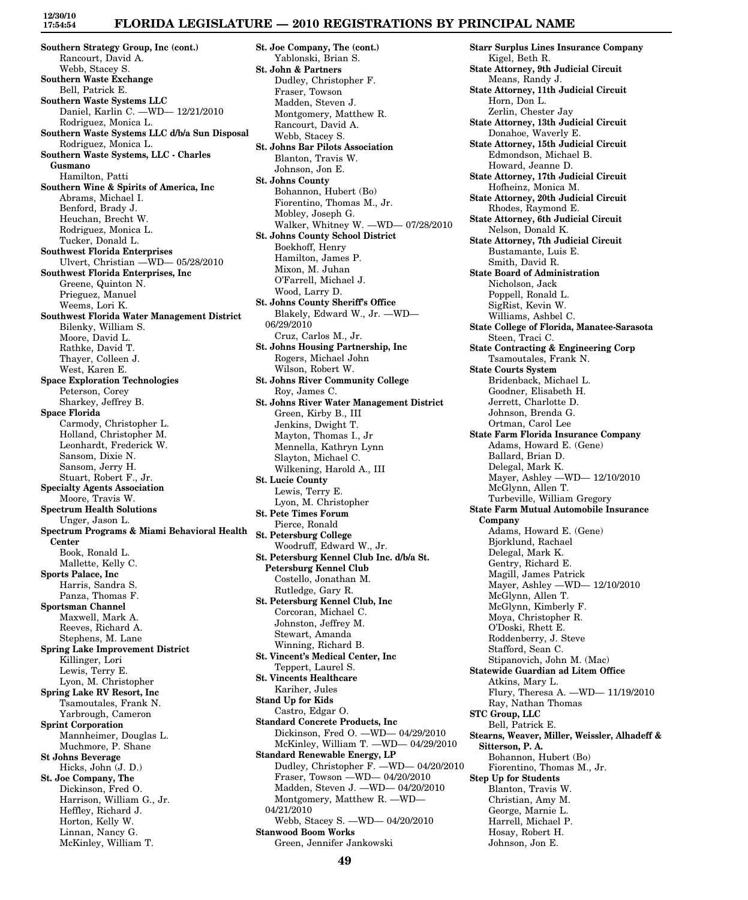## **FLORIDA LEGISLATURE — 2010 REGISTRATIONS BY PRINCIPAL NAME**

**Southern Strategy Group, Inc (cont.)** Rancourt, David A. Webb, Stacey S. **Southern Waste Exchange** Bell, Patrick E. **Southern Waste Systems LLC** Daniel, Karlin C. —WD— 12/21/2010 Rodriguez, Monica L. **Southern Waste Systems LLC d/b/a Sun Disposal** Rodriguez, Monica L. **Southern Waste Systems, LLC - Charles Gusmano** Hamilton, Patti **Southern Wine & Spirits of America, Inc** Abrams, Michael I. Benford, Brady J. Heuchan, Brecht W. Rodriguez, Monica L. Tucker, Donald L. **Southwest Florida Enterprises** Ulvert, Christian —WD— 05/28/2010 **Southwest Florida Enterprises, Inc** Greene, Quinton N. Prieguez, Manuel Weems, Lori K. **Southwest Florida Water Management District** Bilenky, William S. Moore, David L. Rathke, David T. Thayer, Colleen J. West, Karen E. **Space Exploration Technologies** Peterson, Corey Sharkey, Jeffrey B. **Space Florida** Carmody, Christopher L. Holland, Christopher M. Leonhardt, Frederick W. Sansom, Dixie N. Sansom, Jerry H. Stuart, Robert F., Jr. **Specialty Agents Association** Moore, Travis W. **Spectrum Health Solutions** Unger, Jason L. **Spectrum Programs & Miami Behavioral Health Center** Book, Ronald L. Mallette, Kelly C. **Sports Palace, Inc** Harris, Sandra S. Panza, Thomas F. **Sportsman Channel** Maxwell, Mark A. Reeves, Richard A. Stephens, M. Lane **Spring Lake Improvement District** Killinger, Lori Lewis, Terry E. Lyon, M. Christopher **Spring Lake RV Resort, Inc** Tsamoutales, Frank N. Yarbrough, Cameron **Sprint Corporation** Mannheimer, Douglas L. Muchmore, P. Shane **St Johns Beverage** Hicks, John (J. D.) **St. Joe Company, The** Dickinson, Fred O. Harrison, William G., Jr. Heffley, Richard J. Horton, Kelly W. Linnan, Nancy G.

McKinley, William T.

**St. Joe Company, The (cont.)** Yablonski, Brian S. **St. John & Partners** Dudley, Christopher F. Fraser, Towson Madden, Steven J. Montgomery, Matthew R. Rancourt, David A. Webb, Stacey S. **St. Johns Bar Pilots Association** Blanton, Travis W. Johnson, Jon E. **St. Johns County** Bohannon, Hubert (Bo) Fiorentino, Thomas M., Jr. Mobley, Joseph G. Walker, Whitney W. —WD— 07/28/2010 **St. Johns County School District** Boekhoff, Henry Hamilton, James P. Mixon, M. Juhan O'Farrell, Michael J. Wood, Larry D. **St. Johns County Sheriff's Office** Blakely, Edward W., Jr. —WD— 06/29/2010 Cruz, Carlos M., Jr. **St. Johns Housing Partnership, Inc** Rogers, Michael John Wilson, Robert W. **St. Johns River Community College** Roy, James C. **St. Johns River Water Management District** Green, Kirby B., III Jenkins, Dwight T. Mayton, Thomas I., Jr Mennella, Kathryn Lynn Slayton, Michael C. Wilkening, Harold A., III **St. Lucie County** Lewis, Terry E. Lyon, M. Christopher **St. Pete Times Forum** Pierce, Ronald **St. Petersburg College** Woodruff, Edward W., Jr. **St. Petersburg Kennel Club Inc. d/b/a St. Petersburg Kennel Club** Costello, Jonathan M. Rutledge, Gary R. **St. Petersburg Kennel Club, Inc** Corcoran, Michael C. Johnston, Jeffrey M. Stewart, Amanda Winning, Richard B. **St. Vincent's Medical Center, Inc** Teppert, Laurel S. **St. Vincents Healthcare** Kariher, Jules **Stand Up for Kids** Castro, Edgar O. **Standard Concrete Products, Inc** Dickinson, Fred O. —WD— 04/29/2010 McKinley, William T. —WD— 04/29/2010 **Standard Renewable Energy, LP** Dudley, Christopher F. —WD— 04/20/2010 Fraser, Towson —WD— 04/20/2010 Madden, Steven J. —WD— 04/20/2010 Montgomery, Matthew R. —WD— 04/21/2010 Webb, Stacey S. —WD— 04/20/2010 **Stanwood Boom Works** Green, Jennifer Jankowski

**Starr Surplus Lines Insurance Company** Kigel, Beth R. **State Attorney, 9th Judicial Circuit** Means, Randy J. **State Attorney, 11th Judicial Circuit** Horn, Don L. Zerlin, Chester Jay **State Attorney, 13th Judicial Circuit** Donahoe, Waverly E. **State Attorney, 15th Judicial Circuit** Edmondson, Michael B. Howard, Jeanne D. **State Attorney, 17th Judicial Circuit** Hofheinz, Monica M. **State Attorney, 20th Judicial Circuit** Rhodes, Raymond E. **State Attorney, 6th Judicial Circuit** Nelson, Donald K. **State Attorney, 7th Judicial Circuit** Bustamante, Luis E. Smith, David R. **State Board of Administration** Nicholson, Jack Poppell, Ronald L. SigRist, Kevin W. Williams, Ashbel C. **State College of Florida, Manatee-Sarasota** Steen, Traci C. **State Contracting & Engineering Corp** Tsamoutales, Frank N. **State Courts System** Bridenback, Michael L. Goodner, Elisabeth H. Jerrett, Charlotte D. Johnson, Brenda G. Ortman, Carol Lee **State Farm Florida Insurance Company** Adams, Howard E. (Gene) Ballard, Brian D. Delegal, Mark K. Mayer, Ashley —WD— 12/10/2010 McGlynn, Allen T. Turbeville, William Gregory **State Farm Mutual Automobile Insurance Company** Adams, Howard E. (Gene) Bjorklund, Rachael Delegal, Mark K. Gentry, Richard E. Magill, James Patrick Mayer, Ashley —WD— 12/10/2010 McGlynn, Allen T. McGlynn, Kimberly F. Moya, Christopher R. O'Doski, Rhett E. Roddenberry, J. Steve Stafford, Sean C. Stipanovich, John M. (Mac) **Statewide Guardian ad Litem Office** Atkins, Mary L. Flury, Theresa A. —WD— 11/19/2010 Ray, Nathan Thomas **STC Group, LLC** Bell, Patrick E. **Stearns, Weaver, Miller, Weissler, Alhadeff & Sitterson, P. A.** Bohannon, Hubert (Bo) Fiorentino, Thomas M., Jr. **Step Up for Students** Blanton, Travis W. Christian, Amy M. George, Marnie L. Harrell, Michael P. Hosay, Robert H. Johnson, Jon E.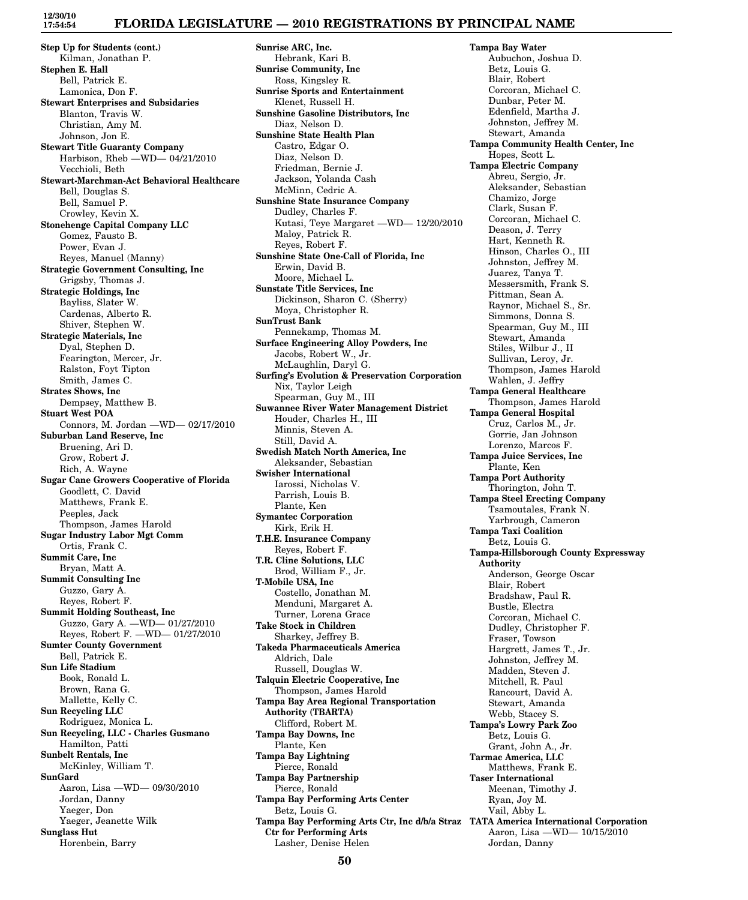### **FLORIDA LEGISLATURE — 2010 REGISTRATIONS BY PRINCIPAL NAME**

**Step Up for Students (cont.)** Kilman, Jonathan P. **Stephen E. Hall** Bell, Patrick E. Lamonica, Don F. **Stewart Enterprises and Subsidaries** Blanton, Travis W. Christian, Amy M. Johnson, Jon E. **Stewart Title Guaranty Company** Harbison, Rheb —WD— 04/21/2010 Vecchioli, Beth **Stewart-Marchman-Act Behavioral Healthcare** Bell, Douglas S. Bell, Samuel P. Crowley, Kevin X. **Stonehenge Capital Company LLC** Gomez, Fausto B. Power, Evan J. Reyes, Manuel (Manny) **Strategic Government Consulting, Inc** Grigsby, Thomas J. **Strategic Holdings, Inc** Bayliss, Slater W. Cardenas, Alberto R. Shiver, Stephen W. **Strategic Materials, Inc** Dyal, Stephen D. Fearington, Mercer, Jr. Ralston, Foyt Tipton Smith, James C. **Strates Shows, Inc** Dempsey, Matthew B. **Stuart West POA** Connors, M. Jordan —WD— 02/17/2010 **Suburban Land Reserve, Inc** Bruening, Ari D. Grow, Robert J. Rich, A. Wayne **Sugar Cane Growers Cooperative of Florida** Goodlett, C. David Matthews, Frank E. Peeples, Jack Thompson, James Harold **Sugar Industry Labor Mgt Comm** Ortis, Frank C. **Summit Care, Inc** Bryan, Matt A. **Summit Consulting Inc** Guzzo, Gary A. Reyes, Robert F. **Summit Holding Southeast, Inc** Guzzo, Gary A. —WD— 01/27/2010 Reyes, Robert F. —WD— 01/27/2010 **Sumter County Government** Bell, Patrick E. **Sun Life Stadium** Book, Ronald L. Brown, Rana G. Mallette, Kelly C. **Sun Recycling LLC** Rodriguez, Monica L. **Sun Recycling, LLC - Charles Gusmano** Hamilton, Patti **Sunbelt Rentals, Inc** McKinley, William T. **SunGard** Aaron, Lisa —WD— 09/30/2010 Jordan, Danny Yaeger, Don Yaeger, Jeanette Wilk **Sunglass Hut** Horenbein, Barry

**Sunrise ARC, Inc.** Hebrank, Kari B. **Sunrise Community, Inc** Ross, Kingsley R. **Sunrise Sports and Entertainment** Klenet, Russell H. **Sunshine Gasoline Distributors, Inc** Diaz, Nelson D. **Sunshine State Health Plan** Castro, Edgar O. Diaz, Nelson D. Friedman, Bernie J. Jackson, Yolanda Cash McMinn, Cedric A. **Sunshine State Insurance Company** Dudley, Charles F. Kutasi, Teye Margaret —WD— 12/20/2010 Maloy, Patrick R. Reyes, Robert F. **Sunshine State One-Call of Florida, Inc** Erwin, David B. Moore, Michael L. **Sunstate Title Services, Inc** Dickinson, Sharon C. (Sherry) Moya, Christopher R. **SunTrust Bank** Pennekamp, Thomas M. **Surface Engineering Alloy Powders, Inc** Jacobs, Robert W., Jr. McLaughlin, Daryl G. **Surfing's Evolution & Preservation Corporation** Nix, Taylor Leigh Spearman, Guy M., III **Suwannee River Water Management District** Houder, Charles H., III Minnis, Steven A. Still, David A. **Swedish Match North America, Inc** Aleksander, Sebastian **Swisher International** Iarossi, Nicholas V. Parrish, Louis B. Plante, Ken **Symantec Corporation** Kirk, Erik H. **T.H.E. Insurance Company** Reyes, Robert F. **T.R. Cline Solutions, LLC** Brod, William F., Jr. **T-Mobile USA, Inc** Costello, Jonathan M. Menduni, Margaret A. Turner, Lorena Grace **Take Stock in Children** Sharkey, Jeffrey B. **Takeda Pharmaceuticals America** Aldrich, Dale Russell, Douglas W. **Talquin Electric Cooperative, Inc** Thompson, James Harold **Tampa Bay Area Regional Transportation Authority (TBARTA)** Clifford, Robert M. **Tampa Bay Downs, Inc** Plante, Ken **Tampa Bay Lightning** Pierce, Ronald **Tampa Bay Partnership** Pierce, Ronald **Tampa Bay Performing Arts Center** Betz, Louis G. **Tampa Bay Performing Arts Ctr, Inc d/b/a Straz TATA America International Corporation Ctr for Performing Arts** Lasher, Denise Helen

**Tampa Bay Water** Aubuchon, Joshua D. Betz, Louis G. Blair, Robert Corcoran, Michael C. Dunbar, Peter M. Edenfield, Martha J. Johnston, Jeffrey M. Stewart, Amanda **Tampa Community Health Center, Inc** Hopes, Scott L. **Tampa Electric Company** Abreu, Sergio, Jr. Aleksander, Sebastian Chamizo, Jorge Clark, Susan F. Corcoran, Michael C. Deason, J. Terry Hart, Kenneth R. Hinson, Charles O., III Johnston, Jeffrey M. Juarez, Tanya T. Messersmith, Frank S. Pittman, Sean A. Raynor, Michael S., Sr. Simmons, Donna S. Spearman, Guy M., III Stewart, Amanda Stiles, Wilbur J., II Sullivan, Leroy, Jr. Thompson, James Harold Wahlen, J. Jeffry **Tampa General Healthcare** Thompson, James Harold **Tampa General Hospital** Cruz, Carlos M., Jr. Gorrie, Jan Johnson Lorenzo, Marcos F. **Tampa Juice Services, Inc** Plante, Ken **Tampa Port Authority** Thorington, John T. **Tampa Steel Erecting Company** Tsamoutales, Frank N. Yarbrough, Cameron **Tampa Taxi Coalition** Betz, Louis G. **Tampa-Hillsborough County Expressway Authority** Anderson, George Oscar Blair, Robert Bradshaw, Paul R. Bustle, Electra Corcoran, Michael C. Dudley, Christopher F. Fraser, Towson Hargrett, James T., Jr. Johnston, Jeffrey M. Madden, Steven J. Mitchell, R. Paul Rancourt, David A. Stewart, Amanda Webb, Stacey S. **Tampa's Lowry Park Zoo** Betz, Louis G. Grant, John A., Jr. **Tarmac America, LLC** Matthews, Frank E. **Taser International** Meenan, Timothy J. Ryan, Joy M. Vail, Abby L. Aaron, Lisa —WD— 10/15/2010 Jordan, Danny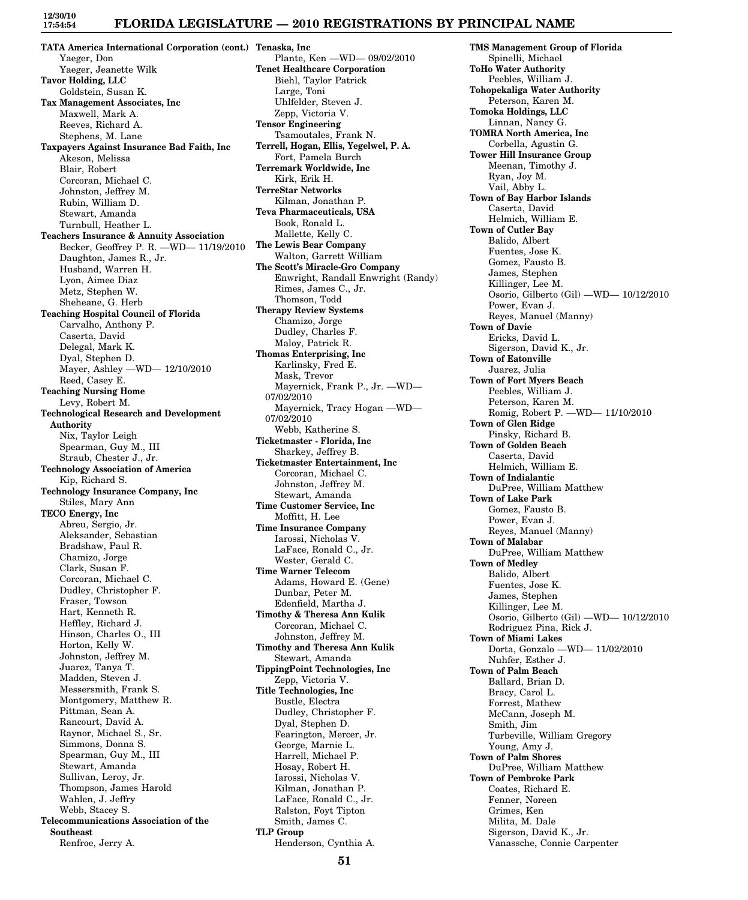### **FLORIDA LEGISLATURE — 2010 REGISTRATIONS BY PRINCIPAL NAME**

**TATA America International Corporation (cont.) Tenaska, Inc** Yaeger, Don Yaeger, Jeanette Wilk **Tavor Holding, LLC** Goldstein, Susan K. **Tax Management Associates, Inc** Maxwell, Mark A. Reeves, Richard A. Stephens, M. Lane **Taxpayers Against Insurance Bad Faith, Inc** Akeson, Melissa Blair, Robert Corcoran, Michael C. Johnston, Jeffrey M. Rubin, William D. Stewart, Amanda Turnbull, Heather L. **Teachers Insurance & Annuity Association** Becker, Geoffrey P. R. —WD— 11/19/2010 Daughton, James R., Jr. Husband, Warren H. Lyon, Aimee Diaz Metz, Stephen W. Sheheane, G. Herb **Teaching Hospital Council of Florida** Carvalho, Anthony P. Caserta, David Delegal, Mark K. Dyal, Stephen D. Mayer, Ashley —WD— 12/10/2010 Reed, Casey E. **Teaching Nursing Home** Levy, Robert M. **Technological Research and Development Authority** Nix, Taylor Leigh Spearman, Guy M., III Straub, Chester J., Jr. **Technology Association of America** Kip, Richard S. **Technology Insurance Company, Inc** Stiles, Mary Ann **TECO Energy, Inc** Abreu, Sergio, Jr. Aleksander, Sebastian Bradshaw, Paul R. Chamizo, Jorge Clark, Susan F. Corcoran, Michael C. Dudley, Christopher F. Fraser, Towson Hart, Kenneth R. Heffley, Richard J. Hinson, Charles O., III Horton, Kelly W. Johnston, Jeffrey M. Juarez, Tanya T. Madden, Steven J. Messersmith, Frank S. Montgomery, Matthew R. Pittman, Sean A. Rancourt, David A. Raynor, Michael S., Sr. Simmons, Donna S. Spearman, Guy M., III Stewart, Amanda Sullivan, Leroy, Jr. Thompson, James Harold Wahlen, J. Jeffry Webb, Stacey S. **Telecommunications Association of the Southeast** Renfroe, Jerry A.

Plante, Ken —WD— 09/02/2010 **Tenet Healthcare Corporation** Biehl, Taylor Patrick Large, Toni Uhlfelder, Steven J. Zepp, Victoria V. **Tensor Engineering** Tsamoutales, Frank N. **Terrell, Hogan, Ellis, Yegelwel, P. A.** Fort, Pamela Burch **Terremark Worldwide, Inc** Kirk, Erik H. **TerreStar Networks** Kilman, Jonathan P. **Teva Pharmaceuticals, USA** Book, Ronald L. Mallette, Kelly C. **The Lewis Bear Company** Walton, Garrett William **The Scott's Miracle-Gro Company** Enwright, Randall Enwright (Randy) Rimes, James C., Jr. Thomson, Todd **Therapy Review Systems** Chamizo, Jorge Dudley, Charles F. Maloy, Patrick R. **Thomas Enterprising, Inc** Karlinsky, Fred E. Mask, Trevor Mayernick, Frank P., Jr. —WD— 07/02/2010 Mayernick, Tracy Hogan —WD— 07/02/2010 Webb, Katherine S. **Ticketmaster - Florida, Inc** Sharkey, Jeffrey B. **Ticketmaster Entertainment, Inc** Corcoran, Michael C. Johnston, Jeffrey M. Stewart, Amanda **Time Customer Service, Inc** Moffitt, H. Lee **Time Insurance Company** Iarossi, Nicholas V. LaFace, Ronald C., Jr. Wester, Gerald C. **Time Warner Telecom** Adams, Howard E. (Gene) Dunbar, Peter M. Edenfield, Martha J. **Timothy & Theresa Ann Kulik** Corcoran, Michael C. Johnston, Jeffrey M. **Timothy and Theresa Ann Kulik** Stewart, Amanda **TippingPoint Technologies, Inc** Zepp, Victoria V. **Title Technologies, Inc** Bustle, Electra Dudley, Christopher F. Dyal, Stephen D. Fearington, Mercer, Jr. George, Marnie L. Harrell, Michael P. Hosay, Robert H. Iarossi, Nicholas V. Kilman, Jonathan P. LaFace, Ronald C., Jr. Ralston, Foyt Tipton Smith, James C. **TLP Group** Henderson, Cynthia A.

**TMS Management Group of Florida** Spinelli, Michael **ToHo Water Authority** Peebles, William J. **Tohopekaliga Water Authority** Peterson, Karen M. **Tomoka Holdings, LLC** Linnan, Nancy G. **TOMRA North America, Inc** Corbella, Agustin G. **Tower Hill Insurance Group** Meenan, Timothy J. Ryan, Joy M. Vail, Abby L. **Town of Bay Harbor Islands** Caserta, David Helmich, William E. **Town of Cutler Bay** Balido, Albert Fuentes, Jose K. Gomez, Fausto B. James, Stephen Killinger, Lee M. Osorio, Gilberto (Gil) —WD— 10/12/2010 Power, Evan J. Reyes, Manuel (Manny) **Town of Davie** Ericks, David L. Sigerson, David K., Jr. **Town of Eatonville** Juarez, Julia **Town of Fort Myers Beach** Peebles, William J. Peterson, Karen M. Romig, Robert P. —WD— 11/10/2010 **Town of Glen Ridge** Pinsky, Richard B. **Town of Golden Beach** Caserta, David Helmich, William E. **Town of Indialantic** DuPree, William Matthew **Town of Lake Park** Gomez, Fausto B. Power, Evan J. Reyes, Manuel (Manny) **Town of Malabar** DuPree, William Matthew **Town of Medley** Balido, Albert Fuentes, Jose K. James, Stephen Killinger, Lee M. Osorio, Gilberto (Gil) —WD— 10/12/2010 Rodriguez Pina, Rick J. **Town of Miami Lakes** Dorta, Gonzalo —WD— 11/02/2010 Nuhfer, Esther J. **Town of Palm Beach** Ballard, Brian D. Bracy, Carol L. Forrest, Mathew McCann, Joseph M. Smith, Jim Turbeville, William Gregory Young, Amy J. **Town of Palm Shores** DuPree, William Matthew **Town of Pembroke Park** Coates, Richard E. Fenner, Noreen Grimes, Ken Milita, M. Dale Sigerson, David K., Jr. Vanassche, Connie Carpenter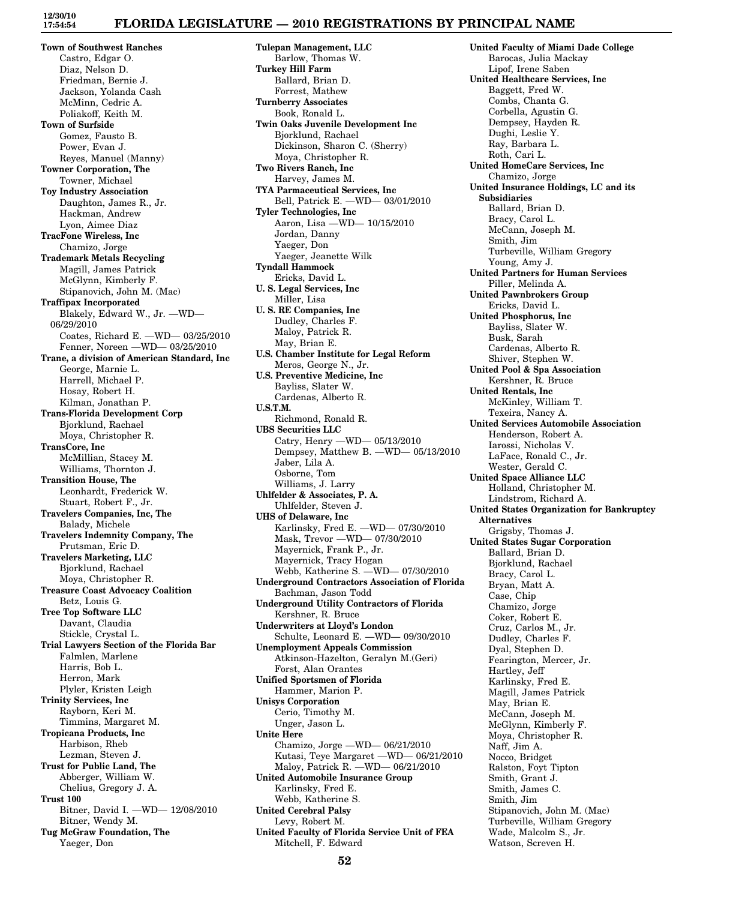## **FLORIDA LEGISLATURE — 2010 REGISTRATIONS BY PRINCIPAL NAME**

**Town of Southwest Ranches** Castro, Edgar O. Diaz, Nelson D. Friedman, Bernie J. Jackson, Yolanda Cash McMinn, Cedric A. Poliakoff, Keith M. **Town of Surfside** Gomez, Fausto B. Power, Evan J. Reyes, Manuel (Manny) **Towner Corporation, The** Towner, Michael **Toy Industry Association** Daughton, James R., Jr. Hackman, Andrew Lyon, Aimee Diaz **TracFone Wireless, Inc** Chamizo, Jorge **Trademark Metals Recycling** Magill, James Patrick McGlynn, Kimberly F. Stipanovich, John M. (Mac) **Traffipax Incorporated** Blakely, Edward W., Jr. —WD— 06/29/2010 Coates, Richard E. —WD— 03/25/2010 Fenner, Noreen —WD— 03/25/2010 **Trane, a division of American Standard, Inc** George, Marnie L. Harrell, Michael P. Hosay, Robert H. Kilman, Jonathan P. **Trans-Florida Development Corp** Bjorklund, Rachael Moya, Christopher R. **TransCore, Inc** McMillian, Stacey M. Williams, Thornton J. **Transition House, The** Leonhardt, Frederick W. Stuart, Robert F., Jr. **Travelers Companies, Inc, The** Balady, Michele **Travelers Indemnity Company, The** Prutsman, Eric D. **Travelers Marketing, LLC** Bjorklund, Rachael Moya, Christopher R. **Treasure Coast Advocacy Coalition** Betz, Louis G. **Tree Top Software LLC** Davant, Claudia Stickle, Crystal L. **Trial Lawyers Section of the Florida Bar** Falmlen, Marlene Harris, Bob L. Herron, Mark Plyler, Kristen Leigh **Trinity Services, Inc** Rayborn, Keri M. Timmins, Margaret M. **Tropicana Products, Inc** Harbison, Rheb Lezman, Steven J. **Trust for Public Land, The** Abberger, William W. Chelius, Gregory J. A. **Trust 100** Bitner, David I. —WD— 12/08/2010 Bitner, Wendy M. **Tug McGraw Foundation, The** Yaeger, Don

**Tulepan Management, LLC** Barlow, Thomas W. **Turkey Hill Farm** Ballard, Brian D. Forrest, Mathew **Turnberry Associates** Book, Ronald L. **Twin Oaks Juvenile Development Inc** Bjorklund, Rachael Dickinson, Sharon C. (Sherry) Moya, Christopher R. **Two Rivers Ranch, Inc** Harvey, James M. **TYA Parmaceutical Services, Inc** Bell, Patrick E. —WD— 03/01/2010 **Tyler Technologies, Inc** Aaron, Lisa —WD— 10/15/2010 Jordan, Danny Yaeger, Don Yaeger, Jeanette Wilk **Tyndall Hammock** Ericks, David L. **U. S. Legal Services, Inc** Miller, Lisa **U. S. RE Companies, Inc** Dudley, Charles F. Maloy, Patrick R. May, Brian E. **U.S. Chamber Institute for Legal Reform** Meros, George N., Jr. **U.S. Preventive Medicine, Inc** Bayliss, Slater W. Cardenas, Alberto R. **U.S.T.M.** Richmond, Ronald R. **UBS Securities LLC** Catry, Henry —WD— 05/13/2010 Dempsey, Matthew B. —WD— 05/13/2010 Jaber, Lila A. Osborne, Tom Williams, J. Larry **Uhlfelder & Associates, P. A.** Uhlfelder, Steven J. **UHS of Delaware, Inc** Karlinsky, Fred E. —WD— 07/30/2010 Mask, Trevor —WD— 07/30/2010 Mayernick, Frank P., Jr. Mayernick, Tracy Hogan Webb, Katherine S. —WD— 07/30/2010 **Underground Contractors Association of Florida** Bachman, Jason Todd **Underground Utility Contractors of Florida** Kershner, R. Bruce **Underwriters at Lloyd's London** Schulte, Leonard E. —WD— 09/30/2010 **Unemployment Appeals Commission** Atkinson-Hazelton, Geralyn M.(Geri) Forst, Alan Orantes **Unified Sportsmen of Florida** Hammer, Marion P. **Unisys Corporation** Cerio, Timothy M. Unger, Jason L. **Unite Here** Chamizo, Jorge —WD— 06/21/2010 Kutasi, Teye Margaret —WD— 06/21/2010 Maloy, Patrick R. —WD— 06/21/2010 **United Automobile Insurance Group** Karlinsky, Fred E. Webb, Katherine S. **United Cerebral Palsy** Levy, Robert M. **United Faculty of Florida Service Unit of FEA** Mitchell, F. Edward

**United Faculty of Miami Dade College** Barocas, Julia Mackay Lipof, Irene Saben **United Healthcare Services, Inc** Baggett, Fred W. Combs, Chanta G. Corbella, Agustin G. Dempsey, Hayden R. Dughi, Leslie Y. Ray, Barbara L. Roth, Cari L. **United HomeCare Services, Inc** Chamizo, Jorge **United Insurance Holdings, LC and its Subsidiaries** Ballard, Brian D. Bracy, Carol L. McCann, Joseph M. Smith, Jim Turbeville, William Gregory Young, Amy J. **United Partners for Human Services** Piller, Melinda A. **United Pawnbrokers Group** Ericks, David L. **United Phosphorus, Inc** Bayliss, Slater W. Busk, Sarah Cardenas, Alberto R. Shiver, Stephen W. **United Pool & Spa Association** Kershner, R. Bruce **United Rentals, Inc** McKinley, William T. Texeira, Nancy A. **United Services Automobile Association** Henderson, Robert A. Iarossi, Nicholas V. LaFace, Ronald C., Jr. Wester, Gerald C. **United Space Alliance LLC** Holland, Christopher M. Lindstrom, Richard A. **United States Organization for Bankruptcy Alternatives** Grigsby, Thomas J. **United States Sugar Corporation** Ballard, Brian D. Bjorklund, Rachael Bracy, Carol L. Bryan, Matt A. Case, Chip Chamizo, Jorge Coker, Robert E. Cruz, Carlos M., Jr. Dudley, Charles F. Dyal, Stephen D. Fearington, Mercer, Jr. Hartley, Jeff Karlinsky, Fred E. Magill, James Patrick May, Brian E. McCann, Joseph M. McGlynn, Kimberly F. Moya, Christopher R. Naff, Jim A. Nocco, Bridget Ralston, Foyt Tipton Smith, Grant J. Smith, James C. Smith, Jim Stipanovich, John M. (Mac) Turbeville, William Gregory Wade, Malcolm S., Jr. Watson, Screven H.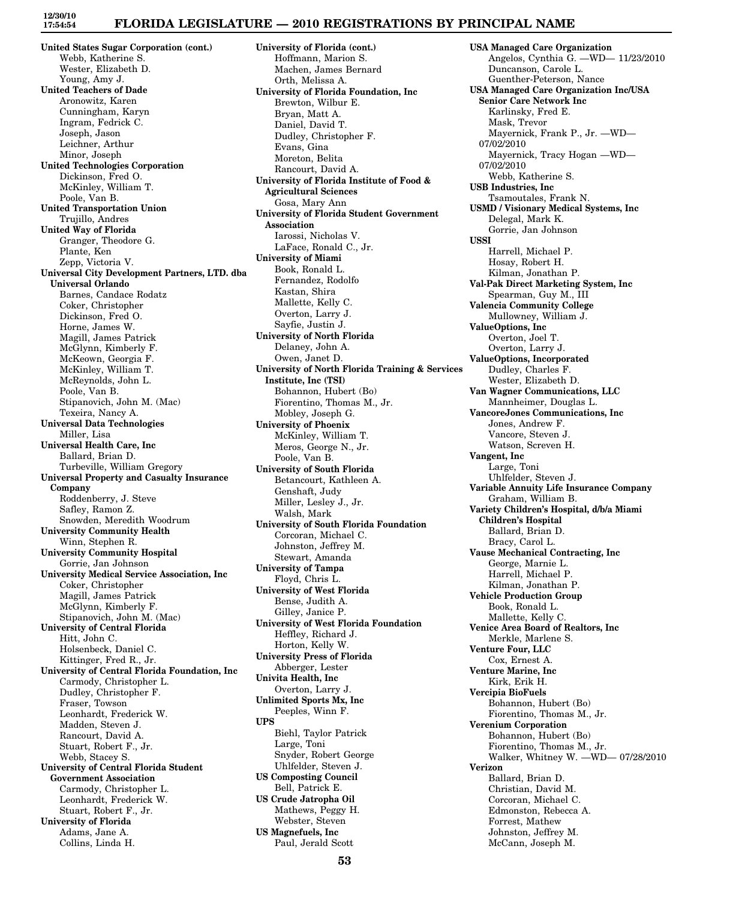# **FLORIDA LEGISLATURE — 2010 REGISTRATIONS BY PRINCIPAL NAME**

**United States Sugar Corporation (cont.)** Webb, Katherine S. Wester, Elizabeth D. Young, Amy J. **United Teachers of Dade** Aronowitz, Karen Cunningham, Karyn Ingram, Fedrick C. Joseph, Jason Leichner, Arthur Minor, Joseph **United Technologies Corporation** Dickinson, Fred O. McKinley, William T. Poole, Van B. **United Transportation Union** Trujillo, Andres **United Way of Florida** Granger, Theodore G. Plante, Ken Zepp, Victoria V. **Universal City Development Partners, LTD. dba Universal Orlando** Barnes, Candace Rodatz Coker, Christopher Dickinson, Fred O. Horne, James W. Magill, James Patrick McGlynn, Kimberly F. McKeown, Georgia F. McKinley, William T. McReynolds, John L. Poole, Van B. Stipanovich, John M. (Mac) Texeira, Nancy A. **Universal Data Technologies** Miller, Lisa **Universal Health Care, Inc** Ballard, Brian D. Turbeville, William Gregory **Universal Property and Casualty Insurance Company** Roddenberry, J. Steve Safley, Ramon Z. Snowden, Meredith Woodrum **University Community Health** Winn, Stephen R. **University Community Hospital** Gorrie, Jan Johnson **University Medical Service Association, Inc** Coker, Christopher Magill, James Patrick McGlynn, Kimberly F. Stipanovich, John M. (Mac) **University of Central Florida** Hitt, John C. Holsenbeck, Daniel C. Kittinger, Fred R., Jr. **University of Central Florida Foundation, Inc** Carmody, Christopher L. Dudley, Christopher F. Fraser, Towson Leonhardt, Frederick W. Madden, Steven J. Rancourt, David A. Stuart, Robert F., Jr. Webb, Stacey S. **University of Central Florida Student Government Association** Carmody, Christopher L. Leonhardt, Frederick W. Stuart, Robert F., Jr. **University of Florida** Adams, Jane A. Collins, Linda H.

**University of Florida (cont.)** Hoffmann, Marion S. Machen, James Bernard Orth, Melissa A. **University of Florida Foundation, Inc** Brewton, Wilbur E. Bryan, Matt A. Daniel, David T. Dudley, Christopher F. Evans, Gina Moreton, Belita Rancourt, David A. **University of Florida Institute of Food & Agricultural Sciences** Gosa, Mary Ann **University of Florida Student Government Association** Iarossi, Nicholas V. LaFace, Ronald C., Jr. **University of Miami** Book, Ronald L. Fernandez, Rodolfo Kastan, Shira Mallette, Kelly C. Overton, Larry J. Sayfie, Justin J. **University of North Florida** Delaney, John A. Owen, Janet D. **University of North Florida Training & Services Institute, Inc (TSI)** Bohannon, Hubert (Bo) Fiorentino, Thomas M., Jr. Mobley, Joseph G. **University of Phoenix** McKinley, William T. Meros, George N., Jr. Poole, Van B. **University of South Florida** Betancourt, Kathleen A. Genshaft, Judy Miller, Lesley J., Jr. Walsh, Mark **University of South Florida Foundation** Corcoran, Michael C. Johnston, Jeffrey M. Stewart, Amanda **University of Tampa** Floyd, Chris L. **University of West Florida** Bense, Judith A. Gilley, Janice P. **University of West Florida Foundation** Heffley, Richard J. Horton, Kelly W. **University Press of Florida** Abberger, Lester **Univita Health, Inc** Overton, Larry J. **Unlimited Sports Mx, Inc** Peeples, Winn F. **UPS** Biehl, Taylor Patrick Large, Toni Snyder, Robert George Uhlfelder, Steven J. **US Composting Council** Bell, Patrick E. **US Crude Jatropha Oil** Mathews, Peggy H. Webster, Steven **US Magnefuels, Inc**

**USA Managed Care Organization** Angelos, Cynthia G. —WD— 11/23/2010 Duncanson, Carole L. Guenther-Peterson, Nance **USA Managed Care Organization Inc/USA Senior Care Network Inc** Karlinsky, Fred E. Mask, Trevor Mayernick, Frank P., Jr. —WD— 07/02/2010 Mayernick, Tracy Hogan —WD— 07/02/2010 Webb, Katherine S. **USB Industries, Inc** Tsamoutales, Frank N. **USMD / Visionary Medical Systems, Inc** Delegal, Mark K. Gorrie, Jan Johnson **USSI** Harrell, Michael P. Hosay, Robert H. Kilman, Jonathan P. **Val-Pak Direct Marketing System, Inc** Spearman, Guy M., III **Valencia Community College** Mullowney, William J. **ValueOptions, Inc** Overton, Joel T. Overton, Larry J. **ValueOptions, Incorporated** Dudley, Charles F. Wester, Elizabeth D. **Van Wagner Communications, LLC** Mannheimer, Douglas L. **VancoreJones Communications, Inc** Jones, Andrew F. Vancore, Steven J. Watson, Screven H. **Vangent, Inc** Large, Toni Uhlfelder, Steven J. **Variable Annuity Life Insurance Company** Graham, William B. **Variety Children's Hospital, d/b/a Miami Children's Hospital** Ballard, Brian D. Bracy, Carol L. **Vause Mechanical Contracting, Inc** George, Marnie L. Harrell, Michael P. Kilman, Jonathan P. **Vehicle Production Group** Book, Ronald L. Mallette, Kelly C. **Venice Area Board of Realtors, Inc** Merkle, Marlene S. **Venture Four, LLC** Cox, Ernest A. **Venture Marine, Inc** Kirk, Erik H. **Vercipia BioFuels** Bohannon, Hubert (Bo) Fiorentino, Thomas M., Jr. **Verenium Corporation** Bohannon, Hubert (Bo) Fiorentino, Thomas M., Jr. Walker, Whitney W. —WD— 07/28/2010 **Verizon** Ballard, Brian D. Christian, David M. Corcoran, Michael C. Edmonston, Rebecca A. Forrest, Mathew Johnston, Jeffrey M. McCann, Joseph M.

Paul, Jerald Scott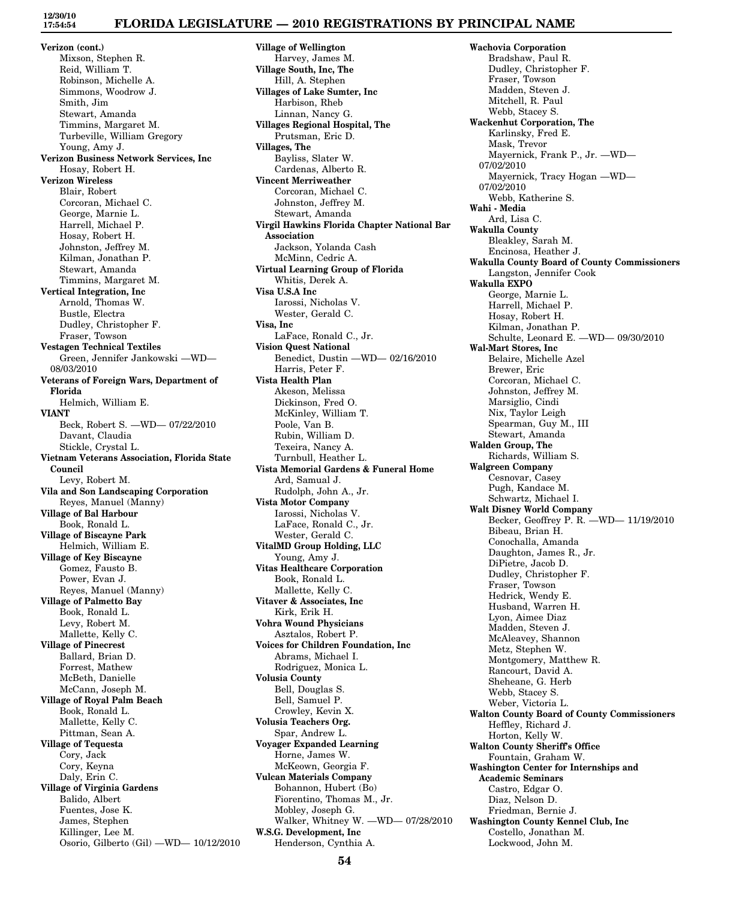## **FLORIDA LEGISLATURE — 2010 REGISTRATIONS BY PRINCIPAL NAME**

**Verizon (cont.)** Mixson, Stephen R. Reid, William T. Robinson, Michelle A. Simmons, Woodrow J. Smith, Jim Stewart, Amanda Timmins, Margaret M. Turbeville, William Gregory Young, Amy J. **Verizon Business Network Services, Inc** Hosay, Robert H. **Verizon Wireless** Blair, Robert Corcoran, Michael C. George, Marnie L. Harrell, Michael P. Hosay, Robert H. Johnston, Jeffrey M. Kilman, Jonathan P. Stewart, Amanda Timmins, Margaret M. **Vertical Integration, Inc** Arnold, Thomas W. Bustle, Electra Dudley, Christopher F. Fraser, Towson **Vestagen Technical Textiles** Green, Jennifer Jankowski —WD— 08/03/2010 **Veterans of Foreign Wars, Department of Florida** Helmich, William E. **VIANT** Beck, Robert S. —WD— 07/22/2010 Davant, Claudia Stickle, Crystal L. **Vietnam Veterans Association, Florida State Council** Levy, Robert M. **Vila and Son Landscaping Corporation** Reyes, Manuel (Manny) **Village of Bal Harbour** Book, Ronald L. **Village of Biscayne Park** Helmich, William E. **Village of Key Biscayne** Gomez, Fausto B. Power, Evan J. Reyes, Manuel (Manny) **Village of Palmetto Bay** Book, Ronald L. Levy, Robert M. Mallette, Kelly C. **Village of Pinecrest** Ballard, Brian D. Forrest, Mathew McBeth, Danielle McCann, Joseph M. **Village of Royal Palm Beach** Book, Ronald L. Mallette, Kelly C. Pittman, Sean A. **Village of Tequesta** Cory, Jack Cory, Keyna Daly, Erin C. **Village of Virginia Gardens** Balido, Albert Fuentes, Jose K. James, Stephen Killinger, Lee M. Osorio, Gilberto (Gil) —WD— 10/12/2010 **Village of Wellington** Harvey, James M. **Village South, Inc, The** Hill, A. Stephen **Villages of Lake Sumter, Inc** Harbison, Rheb Linnan, Nancy G. **Villages Regional Hospital, The** Prutsman, Eric D. **Villages, The** Bayliss, Slater W. Cardenas, Alberto R. **Vincent Merriweather** Corcoran, Michael C. Johnston, Jeffrey M. Stewart, Amanda **Virgil Hawkins Florida Chapter National Bar Association** Jackson, Yolanda Cash McMinn, Cedric A. **Virtual Learning Group of Florida** Whitis, Derek A. **Visa U.S.A Inc** Iarossi, Nicholas V. Wester, Gerald C. **Visa, Inc** LaFace, Ronald C., Jr. **Vision Quest National** Benedict, Dustin —WD— 02/16/2010 Harris, Peter F. **Vista Health Plan** Akeson, Melissa Dickinson, Fred O. McKinley, William T. Poole, Van B. Rubin, William D. Texeira, Nancy A. Turnbull, Heather L. **Vista Memorial Gardens & Funeral Home** Ard, Samual J. Rudolph, John A., Jr. **Vista Motor Company** Iarossi, Nicholas V. LaFace, Ronald C., Jr. Wester, Gerald C. **VitalMD Group Holding, LLC** Young, Amy J. **Vitas Healthcare Corporation** Book, Ronald L. Mallette, Kelly C. **Vitaver & Associates, Inc** Kirk, Erik H. **Vohra Wound Physicians** Asztalos, Robert P. **Voices for Children Foundation, Inc** Abrams, Michael I. Rodriguez, Monica L. **Volusia County** Bell, Douglas S. Bell, Samuel P. Crowley, Kevin X. **Volusia Teachers Org.** Spar, Andrew L. **Voyager Expanded Learning** Horne, James W. McKeown, Georgia F. **Vulcan Materials Company** Bohannon, Hubert (Bo) Fiorentino, Thomas M., Jr. Mobley, Joseph G. Walker, Whitney W. —WD— 07/28/2010 **W.S.G. Development, Inc** Henderson, Cynthia A.

**Wachovia Corporation** Bradshaw, Paul R. Dudley, Christopher F. Fraser, Towson Madden, Steven J. Mitchell, R. Paul Webb, Stacey S. **Wackenhut Corporation, The** Karlinsky, Fred E. Mask, Trevor Mayernick, Frank P., Jr. —WD— 07/02/2010 Mayernick, Tracy Hogan —WD— 07/02/2010 Webb, Katherine S. **Wahi - Media** Ard, Lisa C. **Wakulla County** Bleakley, Sarah M. Encinosa, Heather J. **Wakulla County Board of County Commissioners** Langston, Jennifer Cook **Wakulla EXPO** George, Marnie L. Harrell, Michael P. Hosay, Robert H. Kilman, Jonathan P. Schulte, Leonard E. —WD— 09/30/2010 **Wal-Mart Stores, Inc** Belaire, Michelle Azel Brewer, Eric Corcoran, Michael C. Johnston, Jeffrey M. Marsiglio, Cindi Nix, Taylor Leigh Spearman, Guy M., III Stewart, Amanda **Walden Group, The** Richards, William S. **Walgreen Company** Cesnovar, Casey Pugh, Kandace M. Schwartz, Michael I. **Walt Disney World Company** Becker, Geoffrey P. R. —WD— 11/19/2010 Bibeau, Brian H. Conochalla, Amanda Daughton, James R., Jr. DiPietre, Jacob D. Dudley, Christopher F. Fraser, Towson Hedrick, Wendy E. Husband, Warren H. Lyon, Aimee Diaz Madden, Steven J. McAleavey, Shannon Metz, Stephen W. Montgomery, Matthew R. Rancourt, David A. Sheheane, G. Herb Webb, Stacey S. Weber, Victoria L. **Walton County Board of County Commissioners** Heffley, Richard J. Horton, Kelly W. **Walton County Sheriff's Office** Fountain, Graham W. **Washington Center for Internships and Academic Seminars** Castro, Edgar O. Diaz, Nelson D. Friedman, Bernie J. **Washington County Kennel Club, Inc** Costello, Jonathan M. Lockwood, John M.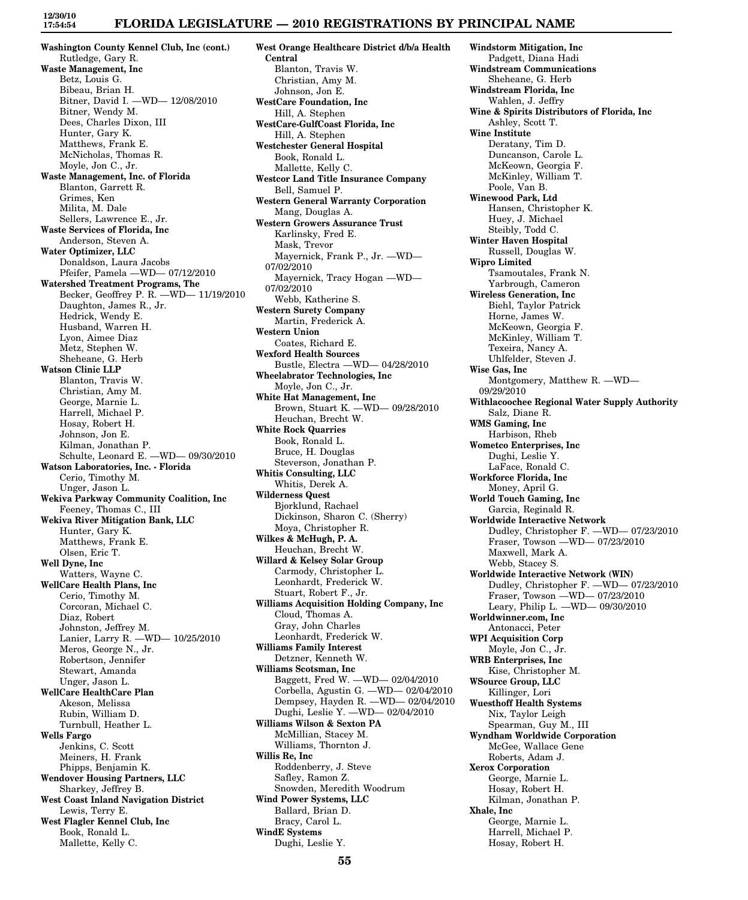**Washington County Kennel Club, Inc (cont.)** Rutledge, Gary R. **Waste Management, Inc** Betz, Louis G. Bibeau, Brian H. Bitner, David I. —WD— 12/08/2010 Bitner, Wendy M. Dees, Charles Dixon, III Hunter, Gary K. Matthews, Frank E. McNicholas, Thomas R. Moyle, Jon C., Jr. **Waste Management, Inc. of Florida** Blanton, Garrett R. Grimes, Ken Milita, M. Dale Sellers, Lawrence E., Jr. **Waste Services of Florida, Inc** Anderson, Steven A. **Water Optimizer, LLC** Donaldson, Laura Jacobs Pfeifer, Pamela —WD— 07/12/2010 **Watershed Treatment Programs, The** Becker, Geoffrey P. R. —WD— 11/19/2010 Daughton, James R., Jr. Hedrick, Wendy E. Husband, Warren H. Lyon, Aimee Diaz Metz, Stephen W. Sheheane, G. Herb **Watson Clinic LLP** Blanton, Travis W. Christian, Amy M. George, Marnie L. Harrell, Michael P. Hosay, Robert H. Johnson, Jon E. Kilman, Jonathan P. Schulte, Leonard E. —WD— 09/30/2010 **Watson Laboratories, Inc. - Florida** Cerio, Timothy M. Unger, Jason L. **Wekiva Parkway Community Coalition, Inc** Feeney, Thomas C., III **Wekiva River Mitigation Bank, LLC** Hunter, Gary K. Matthews, Frank E. Olsen, Eric T. **Well Dyne, Inc** Watters, Wayne C. **WellCare Health Plans, Inc** Cerio, Timothy M. Corcoran, Michael C. Diaz, Robert Johnston, Jeffrey M. Lanier, Larry R. —WD— 10/25/2010 Meros, George N., Jr. Robertson, Jennifer Stewart, Amanda Unger, Jason L. **WellCare HealthCare Plan** Akeson, Melissa Rubin, William D. Turnbull, Heather L. **Wells Fargo** Jenkins, C. Scott Meiners, H. Frank Phipps, Benjamin K. **Wendover Housing Partners, LLC** Sharkey, Jeffrey B. **West Coast Inland Navigation District** Lewis, Terry E. **West Flagler Kennel Club, Inc** Book, Ronald L. Mallette, Kelly C.

**West Orange Healthcare District d/b/a Health Central** Blanton, Travis W. Christian, Amy M. Johnson, Jon E. **WestCare Foundation, Inc** Hill, A. Stephen **WestCare-GulfCoast Florida, Inc** Hill, A. Stephen **Westchester General Hospital** Book, Ronald L. Mallette, Kelly C. **Westcor Land Title Insurance Company** Bell, Samuel P. **Western General Warranty Corporation** Mang, Douglas A. **Western Growers Assurance Trust** Karlinsky, Fred E. Mask, Trevor Mayernick, Frank P., Jr. —WD— 07/02/2010 Mayernick, Tracy Hogan —WD— 07/02/2010 Webb, Katherine S. **Western Surety Company** Martin, Frederick A. **Western Union** Coates, Richard E. **Wexford Health Sources** Bustle, Electra —WD— 04/28/2010 **Wheelabrator Technologies, Inc** Moyle, Jon C., Jr. **White Hat Management, Inc** Brown, Stuart K. —WD— 09/28/2010 Heuchan, Brecht W. **White Rock Quarries** Book, Ronald L. Bruce, H. Douglas Steverson, Jonathan P. **Whitis Consulting, LLC** Whitis, Derek A. **Wilderness Quest** Bjorklund, Rachael Dickinson, Sharon C. (Sherry) Moya, Christopher R. **Wilkes & McHugh, P. A.** Heuchan, Brecht W. **Willard & Kelsey Solar Group** Carmody, Christopher L. Leonhardt, Frederick W. Stuart, Robert F., Jr. **Williams Acquisition Holding Company, Inc** Cloud, Thomas A. Gray, John Charles Leonhardt, Frederick W. **Williams Family Interest** Detzner, Kenneth W. **Williams Scotsman, Inc** Baggett, Fred W. —WD— 02/04/2010 Corbella, Agustin G. —WD— 02/04/2010 Dempsey, Hayden R. —WD— 02/04/2010 Dughi, Leslie Y. —WD— 02/04/2010 **Williams Wilson & Sexton PA** McMillian, Stacey M. Williams, Thornton J. **Willis Re, Inc** Roddenberry, J. Steve Safley, Ramon Z. Snowden, Meredith Woodrum **Wind Power Systems, LLC** Ballard, Brian D. Bracy, Carol L. **WindE Systems** Dughi, Leslie Y.

**Windstorm Mitigation, Inc** Padgett, Diana Hadi **Windstream Communications** Sheheane, G. Herb **Windstream Florida, Inc** Wahlen, J. Jeffry **Wine & Spirits Distributors of Florida, Inc** Ashley, Scott T. **Wine Institute** Deratany, Tim D. Duncanson, Carole L. McKeown, Georgia F. McKinley, William T. Poole, Van B. **Winewood Park, Ltd** Hansen, Christopher K. Huey, J. Michael Steibly, Todd C. **Winter Haven Hospital** Russell, Douglas W. **Wipro Limited** Tsamoutales, Frank N. Yarbrough, Cameron **Wireless Generation, Inc** Biehl, Taylor Patrick Horne, James W. McKeown, Georgia F. McKinley, William T. Texeira, Nancy A. Uhlfelder, Steven J. **Wise Gas, Inc** Montgomery, Matthew R. —WD— 09/29/2010 **Withlacoochee Regional Water Supply Authority** Salz, Diane R. **WMS Gaming, Inc** Harbison, Rheb **Wometco Enterprises, Inc** Dughi, Leslie Y. LaFace, Ronald C. **Workforce Florida, Inc** Money, April G. **World Touch Gaming, Inc** Garcia, Reginald R. **Worldwide Interactive Network** Dudley, Christopher F. —WD— 07/23/2010 Fraser, Towson —WD— 07/23/2010 Maxwell, Mark A. Webb, Stacey S. **Worldwide Interactive Network (WIN)** Dudley, Christopher F. —WD— 07/23/2010 Fraser, Towson —WD— 07/23/2010 Leary, Philip L. —WD— 09/30/2010 **Worldwinner.com, Inc** Antonacci, Peter **WPI Acquisition Corp** Moyle, Jon C., Jr. **WRB Enterprises, Inc** Kise, Christopher M. **WSource Group, LLC** Killinger, Lori **Wuesthoff Health Systems** Nix, Taylor Leigh Spearman, Guy M., III **Wyndham Worldwide Corporation** McGee, Wallace Gene Roberts, Adam J. **Xerox Corporation** George, Marnie L. Hosay, Robert H. Kilman, Jonathan P. **Xhale, Inc** George, Marnie L. Harrell, Michael P. Hosay, Robert H.